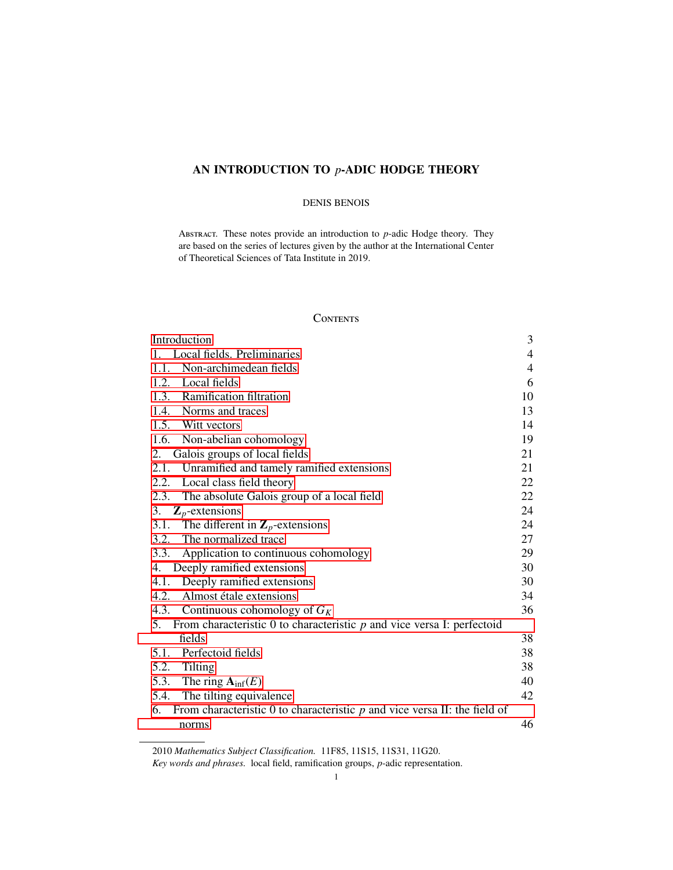# AN INTRODUCTION TO *p*-ADIC HODGE THEORY

#### DENIS BENOIS

Abstract. These notes provide an introduction to *p*-adic Hodge theory. They are based on the series of lectures given by the author at the International Center of Theoretical Sciences of Tata Institute in 2019.

# **CONTENTS**

| Introduction                                                                      | 3              |
|-----------------------------------------------------------------------------------|----------------|
| Local fields. Preliminaries<br>1.                                                 | 4              |
| 1.1.<br>Non-archimedean fields                                                    | $\overline{4}$ |
| 1.2. Local fields                                                                 | 6              |
| 1.3. Ramification filtration                                                      | 10             |
| 1.4. Norms and traces                                                             | 13             |
| 1.5. Witt vectors                                                                 | 14             |
| 1.6. Non-abelian cohomology                                                       | 19             |
| Galois groups of local fields<br>2.                                               | 21             |
| 2.1. Unramified and tamely ramified extensions                                    | 21             |
| 2.2. Local class field theory                                                     | 22             |
| 2.3.<br>The absolute Galois group of a local field                                | 22             |
| 3. $\mathbf{Z}_p$ -extensions                                                     | 24             |
| 3.1.<br>The different in $\mathbb{Z}_p$ -extensions                               | 24             |
| 3.2. The normalized trace                                                         | 27             |
| 3.3. Application to continuous cohomology                                         | 29             |
| 4. Deeply ramified extensions                                                     | 30             |
| 4.1. Deeply ramified extensions                                                   | 30             |
| 4.2. Almost étale extensions                                                      | 34             |
| 4.3.<br>Continuous cohomology of $G_K$                                            | 36             |
| 5. From characteristic $0$ to characteristic $p$ and vice versa I: perfectoid     |                |
| fields                                                                            | 38             |
| Perfectoid fields<br>5.1.                                                         | 38             |
| 5.2. Tilting                                                                      | 38             |
| 5.3. The ring $A_{\text{inf}}(E)$                                                 | 40             |
| 5.4. The tilting equivalence                                                      | 42             |
| 6.<br>From characteristic 0 to characteristic $p$ and vice versa II: the field of |                |
| norms                                                                             | 46             |

<sup>2010</sup> *Mathematics Subject Classification.* 11F85, 11S15, 11S31, 11G20.

*Key words and phrases.* local field, ramification groups, *p*-adic representation.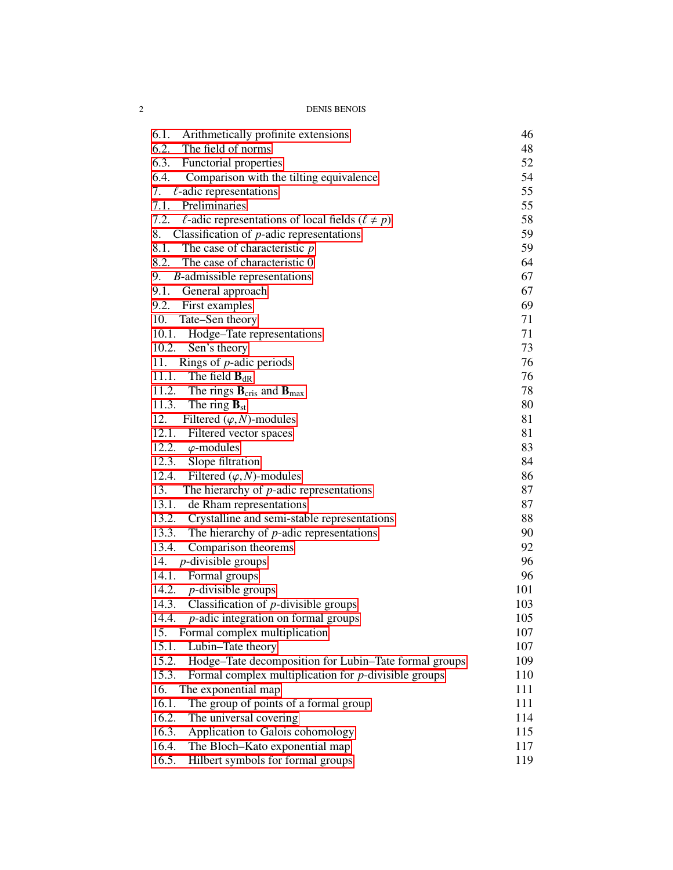| <b>DENIS BENOIS</b> |  |  |
|---------------------|--|--|
|---------------------|--|--|

| 6.1.<br>Arithmetically profinite extensions                              | 46  |
|--------------------------------------------------------------------------|-----|
| 6.2. The field of norms                                                  | 48  |
| 6.3. Functorial properties                                               | 52  |
| 6.4. Comparison with the tilting equivalence                             | 54  |
| $\ell$ -adic representations<br>7.                                       | 55  |
| Preliminaries<br>7.1.                                                    | 55  |
| 7.2. $\ell$ -adic representations of local fields ( $\ell \neq p$ )      | 58  |
| 8.<br>Classification of $p$ -adic representations                        | 59  |
| 8.1. The case of characteristic $p$                                      | 59  |
| 8.2. The case of characteristic 0                                        | 64  |
| 9. <i>B</i> -admissible representations                                  | 67  |
| 9.1. General approach                                                    | 67  |
| 9.2. First examples                                                      | 69  |
| 10.<br>Tate-Sen theory                                                   | 71  |
| 10.1. Hodge-Tate representations                                         | 71  |
| 10.2. Sen's theory                                                       | 73  |
| 11. Rings of $p$ -adic periods                                           | 76  |
| 11.1. The field $\mathbf{B}_{dR}$                                        | 76  |
| 11.2. The rings $\mathbf{B}_{\text{cris}}$ and $\mathbf{B}_{\text{max}}$ | 78  |
| 11.3. The ring $\mathbf{B}_{st}$                                         | 80  |
| 12.<br>Filtered $(\varphi, N)$ -modules                                  | 81  |
| 12.1. Filtered vector spaces                                             | 81  |
| 12.2. $\varphi$ -modules                                                 | 83  |
| 12.3.<br>Slope filtration                                                | 84  |
| 12.4.<br>Filtered $(\varphi, N)$ -modules                                | 86  |
| The hierarchy of $p$ -adic representations<br>13.                        | 87  |
| 13.1. de Rham representations                                            | 87  |
| 13.2. Crystalline and semi-stable representations                        | 88  |
| 13.3. The hierarchy of $p$ -adic representations                         | 90  |
| 13.4.<br>Comparison theorems                                             | 92  |
| 14. $p$ -divisible groups                                                | 96  |
| 14.1. Formal groups                                                      | 96  |
| 14.2. $p$ -divisible groups                                              | 101 |
| 14.3. Classification of $p$ -divisible groups                            | 103 |
| 14.4. $p$ -adic integration on formal groups                             | 105 |
| 15. Formal complex multiplication                                        | 107 |
| Lubin-Tate theory<br>15.1.                                               | 107 |
| Hodge-Tate decomposition for Lubin-Tate formal groups<br>15.2.           | 109 |
| 15.3.<br>Formal complex multiplication for $p$ -divisible groups         | 110 |
| 16.<br>The exponential map                                               | 111 |
| 16.1.<br>The group of points of a formal group                           | 111 |
| 16.2.<br>The universal covering                                          | 114 |
| Application to Galois cohomology<br>16.3.                                | 115 |
| 16.4.<br>The Bloch-Kato exponential map                                  | 117 |
| Hilbert symbols for formal groups<br>16.5.                               | 119 |
|                                                                          |     |

 $\overline{\mathbf{2}}$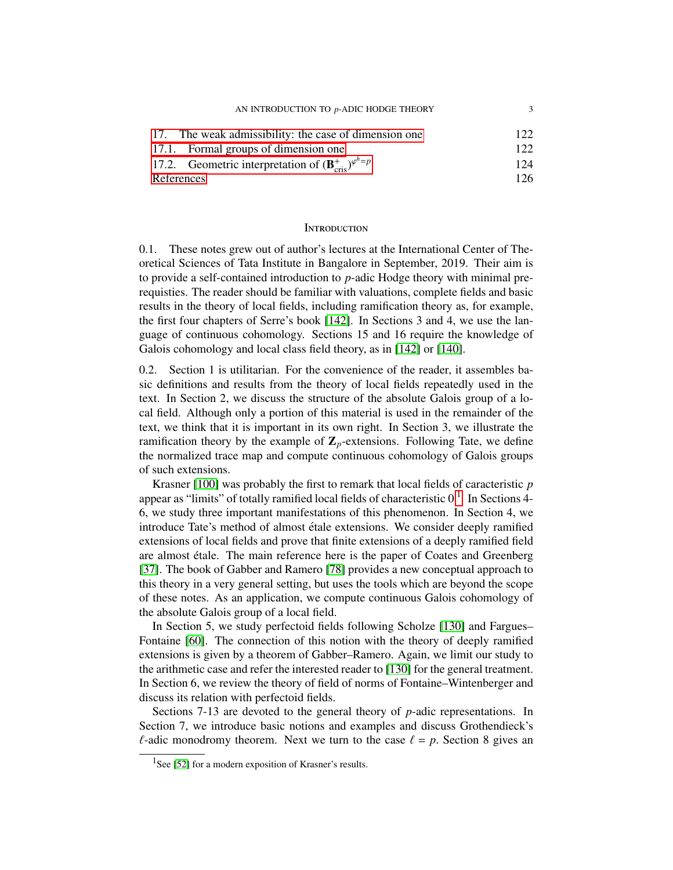| 17. The weak admissibility: the case of dimension one                          | 122 |
|--------------------------------------------------------------------------------|-----|
| 17.1. Formal groups of dimension one                                           | 122 |
| 17.2. Geometric interpretation of $(\mathbf{B}_{\text{cris}}^+)^{\varphi^h=p}$ | 124 |
| References                                                                     | 126 |

#### <span id="page-2-0"></span>**INTRODUCTION**

0.1. These notes grew out of author's lectures at the International Center of Theoretical Sciences of Tata Institute in Bangalore in September, 2019. Their aim is to provide a self-contained introduction to *p*-adic Hodge theory with minimal prerequisties. The reader should be familiar with valuations, complete fields and basic results in the theory of local fields, including ramification theory as, for example, the first four chapters of Serre's book [\[142\]](#page-130-0). In Sections 3 and 4, we use the language of continuous cohomology. Sections 15 and 16 require the knowledge of Galois cohomology and local class field theory, as in [\[142\]](#page-130-0) or [\[140\]](#page-130-1).

0.2. Section 1 is utilitarian. For the convenience of the reader, it assembles basic definitions and results from the theory of local fields repeatedly used in the text. In Section 2, we discuss the structure of the absolute Galois group of a local field. Although only a portion of this material is used in the remainder of the text, we think that it is important in its own right. In Section 3, we illustrate the ramification theory by the example of  $\mathbb{Z}_p$ -extensions. Following Tate, we define the normalized trace map and compute continuous cohomology of Galois groups of such extensions.

Krasner [\[100\]](#page-129-0) was probably the first to remark that local fields of caracteristic *p* appear as "limits" of totally ramified local fields of characteristic  $0<sup>1</sup>$  $0<sup>1</sup>$  $0<sup>1</sup>$ . In Sections 4-6, we study three important manifestations of this phenomenon. In Section 4, we introduce Tate's method of almost etale extensions. We consider deeply ramified ´ extensions of local fields and prove that finite extensions of a deeply ramified field are almost étale. The main reference here is the paper of Coates and Greenberg [\[37\]](#page-126-0). The book of Gabber and Ramero [\[78\]](#page-128-0) provides a new conceptual approach to this theory in a very general setting, but uses the tools which are beyond the scope of these notes. As an application, we compute continuous Galois cohomology of the absolute Galois group of a local field.

In Section 5, we study perfectoid fields following Scholze [\[130\]](#page-130-2) and Fargues– Fontaine [\[60\]](#page-127-0). The connection of this notion with the theory of deeply ramified extensions is given by a theorem of Gabber–Ramero. Again, we limit our study to the arithmetic case and refer the interested reader to [\[130\]](#page-130-2) for the general treatment. In Section 6, we review the theory of field of norms of Fontaine–Wintenberger and discuss its relation with perfectoid fields.

Sections 7-13 are devoted to the general theory of *p*-adic representations. In Section 7, we introduce basic notions and examples and discuss Grothendieck's  $\ell$ -adic monodromy theorem. Next we turn to the case  $\ell = p$ . Section 8 gives an

<span id="page-2-1"></span><sup>&</sup>lt;sup>1</sup>See [\[52\]](#page-127-1) for a modern exposition of Krasner's results.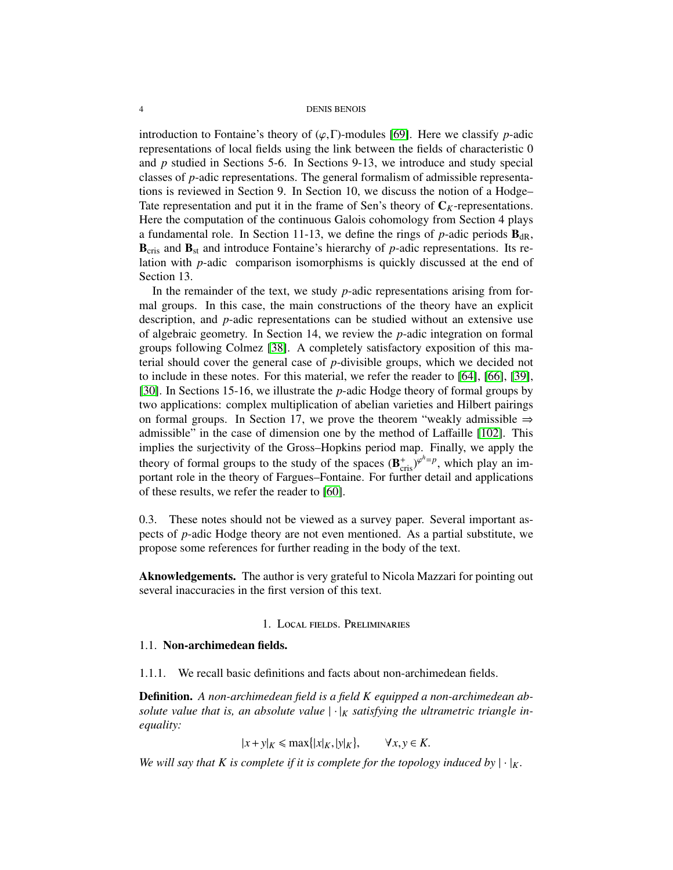#### 4 DENIS BENOIS

introduction to Fontaine's theory of  $(\varphi, \Gamma)$ -modules [\[69\]](#page-128-1). Here we classify *p*-adic representations of local fields using the link between the fields of characteristic 0 and *p* studied in Sections 5-6. In Sections 9-13, we introduce and study special classes of *p*-adic representations. The general formalism of admissible representations is reviewed in Section 9. In Section 10, we discuss the notion of a Hodge– Tate representation and put it in the frame of Sen's theory of  $C_K$ -representations. Here the computation of the continuous Galois cohomology from Section 4 plays a fundamental role. In Section 11-13, we define the rings of  $p$ -adic periods  $\mathbf{B}_{dR}$ ,  **and**  $**B**<sub>st</sub>$  **and introduce Fontaine's hierarchy of** *p***-adic representations. Its re**lation with *p*-adic comparison isomorphisms is quickly discussed at the end of Section 13.

In the remainder of the text, we study *p*-adic representations arising from formal groups. In this case, the main constructions of the theory have an explicit description, and *p*-adic representations can be studied without an extensive use of algebraic geometry. In Section 14, we review the *p*-adic integration on formal groups following Colmez [\[38\]](#page-126-1). A completely satisfactory exposition of this material should cover the general case of *p*-divisible groups, which we decided not to include in these notes. For this material, we refer the reader to [\[64\]](#page-127-2), [\[66\]](#page-128-2), [\[39\]](#page-126-2), [\[30\]](#page-126-3). In Sections 15-16, we illustrate the *p*-adic Hodge theory of formal groups by two applications: complex multiplication of abelian varieties and Hilbert pairings on formal groups. In Section 17, we prove the theorem "weakly admissible  $\Rightarrow$ admissible" in the case of dimension one by the method of Laffaille [\[102\]](#page-129-1). This implies the surjectivity of the Gross–Hopkins period map. Finally, we apply the theory of formal groups to the study of the spaces  $(\mathbf{B}_{\text{cris}}^{+})^{\varphi^{h}=p}$ , which play an im-<br>portant role in the theory of Fargues-Fontaine. For further detail and applications portant role in the theory of Fargues–Fontaine. For further detail and applications of these results, we refer the reader to [\[60\]](#page-127-0).

0.3. These notes should not be viewed as a survey paper. Several important aspects of *p*-adic Hodge theory are not even mentioned. As a partial substitute, we propose some references for further reading in the body of the text.

Aknowledgements. The author is very grateful to Nicola Mazzari for pointing out several inaccuracies in the first version of this text.

## 1. Local fields. Preliminaries

# <span id="page-3-1"></span><span id="page-3-0"></span>1.1. Non-archimedean fields.

1.1.1. We recall basic definitions and facts about non-archimedean fields.

Definition. *A non-archimedean field is a field K equipped a non-archimedean absolute value that is, an absolute value*  $|\cdot|_K$  *satisfying the ultrametric triangle inequality:*

> $|x + y|_K \le \max\{|x|_K, |y|_K\}$  $\forall x, y \in K$ .

*We will say that K is complete if it is complete for the topology induced by*  $|\cdot|_K$ .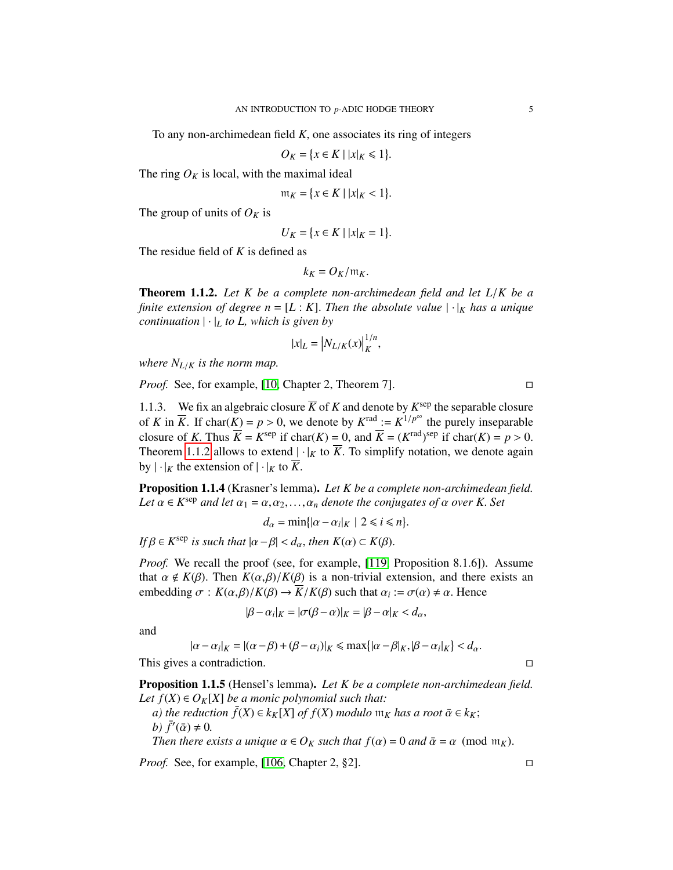To any non-archimedean field *<sup>K</sup>*, one associates its ring of integers

*O*<sup>*K*</sup> = { $x \in K$  | | $x|_K$  ≤ 1}

The ring  $O_K$  is local, with the maximal ideal

$$
\mathfrak{m}_K = \{ x \in K \mid |x|_K < 1 \}.
$$

The group of units of  $O_K$  is

$$
U_K = \{ x \in K \mid |x|_K = 1 \}.
$$

The residue field of *K* is defined as

$$
k_K = O_K / \mathfrak{m}_K.
$$

<span id="page-4-0"></span>Theorem 1.1.2. *Let K be a complete non-archimedean field and let L*/*K be a finite extension of degree n* = [L : K]. Then the absolute value  $|\cdot|_K$  has a unique *continuation*  $|\cdot|_L$  *to L, which is given by* 

$$
|x|_L = \left| N_{L/K}(x) \right|_K^{1/n},
$$

*where*  $N_{L/K}$  *is the norm map.* 

*Proof.* See, for example, [\[10,](#page-125-1) Chapter 2, Theorem 7]. □

1.1.3. We fix an algebraic closure  $\overline{K}$  of  $K$  and denote by  $K^{\text{sep}}$  the separable closure of *K* in  $\overline{K}$ . If char( $\overline{K}$ ) = *p* > 0, we denote by  $K^{\text{rad}} := K^{1/p^{\infty}}$  the purely inseparable<br>closure of *K*. Thus  $\overline{K} = K^{\text{sep}}$  if char( $K$ ) = 0, and  $\overline{K} = (K^{\text{rad}})^{\text{sep}}$  if char( $K$ ) = *n* > 0. closure of *K*. Thus  $\overline{K} = K^{\text{sep}}$  if char(*K*) = 0, and  $\overline{K} = (K^{\text{rad}})^{\text{sep}}$  if char(*K*) = *p* > 0.<br>Theorem 1.1.2 allows to extend  $L_{\text{tot}}$  to  $\overline{K}$ . To simplify notation, we denote again Theorem [1.1.2](#page-4-0) allows to extend  $|\cdot|_K$  to  $\overline{K}$ . To simplify notation, we denote again by  $|\cdot|_K$  the extension of  $|\cdot|_K$  to  $\overline{K}$ .

Proposition 1.1.4 (Krasner's lemma). *Let K be a complete non-archimedean field.* Let  $\alpha \in K^{\text{sep}}$  *and let*  $\alpha_1 = \alpha, \alpha_2, ..., \alpha_n$  *denote the conjugates of*  $\alpha$  *over* K. Set

 $d_{\alpha} = \min\{|\alpha - \alpha_i|_K \mid 2 \leq i \leq n\}$ 

 $\textit{If } \beta \in K^{\text{sep}} \text{ is such that } |\alpha - \beta| < d_{\alpha}, \text{ then } K(\alpha) \subset K(\beta).$ 

*Proof.* We recall the proof (see, for example, [\[119,](#page-130-3) Proposition 8.1.6]). Assume that  $\alpha \notin K(\beta)$ . Then  $K(\alpha, \beta)/K(\beta)$  is a non-trivial extension, and there exists an embedding  $\sigma : K(\alpha, \beta)/K(\beta) \to \overline{K}/K(\beta)$  such that  $\alpha_i := \sigma(\alpha) \neq \alpha$ . Hence

$$
|\beta - \alpha_i|_K = |\sigma(\beta - \alpha)|_K = |\beta - \alpha|_K < d_\alpha,
$$

and

$$
|\alpha - \alpha_i|_K = |(\alpha - \beta) + (\beta - \alpha_i)|_K \le \max\{|\alpha - \beta|_K, |\beta - \alpha_i|_K\} < d_\alpha.
$$
\nThis gives a contradiction.

<span id="page-4-1"></span>Proposition 1.1.5 (Hensel's lemma). *Let K be a complete non-archimedean field. Let*  $f(X) \in O_K[X]$  *be a monic polynomial such that:* 

*a)* the reduction  $\bar{f}(X) \in k_K[X]$  of  $f(X)$  modulo  $m_K$  has a root  $\bar{\alpha} \in k_K$ ; *b*)  $\bar{f}'(\bar{\alpha}) \neq 0$ .<br>Then there e

*Then there exists a unique*  $\alpha \in O_K$  *such that*  $f(\alpha) = 0$  *and*  $\bar{\alpha} = \alpha$  (mod m<sub>K</sub>).

*Proof.* See, for example, [\[106,](#page-129-2) Chapter 2, §2]. □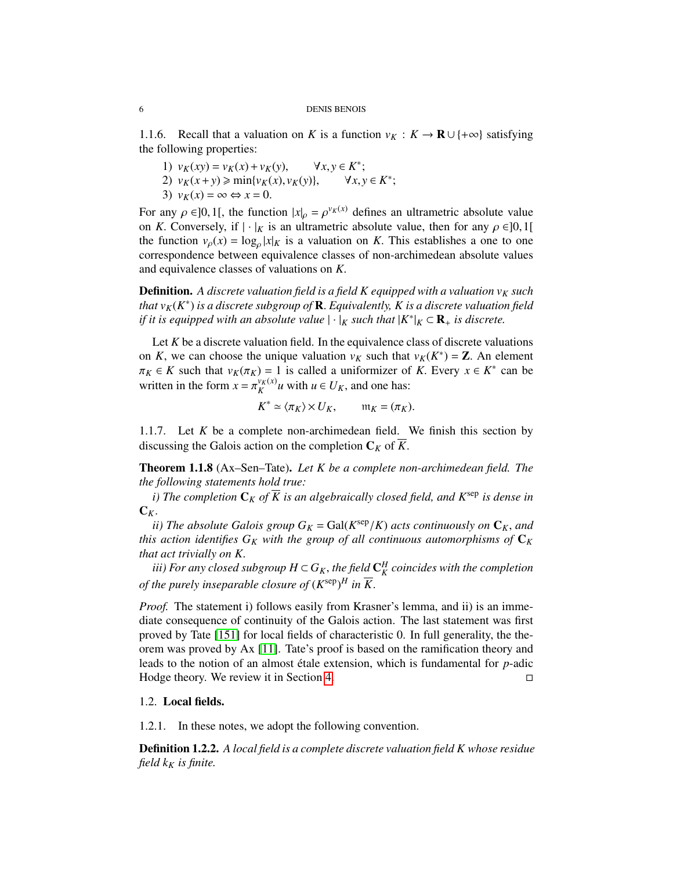1.1.6. Recall that a valuation on *K* is a function  $v_K : K \to \mathbf{R} \cup \{+\infty\}$  satisfying the following properties:

- 1)  $v_K(xy) = v_K(x) + v_K(y), \quad \forall x, y \in K^*;$ <br>2)  $v_K(x+y) > \min\{v_K(x), v_K(y)\} \quad \forall x, y$
- 2)  $v_K(x+y) \ge \min\{v_K(x), v_K(y)\}, \quad \forall x, y \in K^*;$ <br>3)  $v_K(x) = \infty \Leftrightarrow x = 0$
- 3)  $v_K(x) = \infty \Leftrightarrow x = 0$ .

For any  $\rho \in ]0,1[$ , the function  $|x|_{\rho} = \rho^{v_K(x)}$  defines an ultrametric absolute value<br>on K. Conversely, if  $|\cdot|_{V}$  is an ultrametric absolute value, then for any  $\rho \in ]0,1[$ on *K*. Conversely, if  $|\cdot|_K$  is an ultrametric absolute value, then for any  $\rho \in ]0,1[$ the function  $v_p(x) = \log_p |x|_K$  is a valuation on *K*. This establishes a one to one<br>correspondence between equivalence classes of non-archimedean absolute values correspondence between equivalence classes of non-archimedean absolute values and equivalence classes of valuations on *<sup>K</sup>*.

**Definition.** A discrete valuation field is a field K equipped with a valuation  $v_K$  such *that v*<sub>K</sub>(*K*<sup>\*</sup>) *is a discrete subgroup of* **R**. *Equivalently, K is a discrete valuation field*<br>*if it is equipped with an absolute value*  $\cdot \cdot \cdot$  *v* such that  $\vert K^* \vert$  *v*  $\subset \mathbb{R}$  *is discrete if it is equipped with an absolute value*  $|\cdot|_K$  *such that*  $|K^*|_K \subset \mathbf{R}_+$  *is discrete.* 

Let *K* be a discrete valuation field. In the equivalence class of discrete valuations on *K*, we can choose the unique valuation  $v_K$  such that  $v_K(K^*) = \mathbb{Z}$ . An element  $\pi_K \in K$  such that  $v_K(\pi_K) = 1$  is called a uniformizer of *K*. Every  $x \in K^*$  can be  $\pi_K \in K$  such that  $v_K(\pi_K) = 1$  is called a uniformizer of *K*. Every  $x \in K^*$  can be veritted in the form  $x = \pi^{v_K(x)}$  with  $u \in U$  and one has: written in the form  $x = \pi_K^{v_K(x)}$  $\chi_K^{V_K(x)} u$  with  $u \in U_K$ , and one has:

$$
K^* \simeq \langle \pi_K \rangle \times U_K, \qquad \mathfrak{m}_K = (\pi_K).
$$

1.1.7. Let *K* be a complete non-archimedean field. We finish this section by discussing the Galois action on the completion  $C_K$  of  $K$ .

<span id="page-5-1"></span>Theorem 1.1.8 (Ax–Sen–Tate). *Let K be a complete non-archimedean field. The the following statements hold true:*

*i)* The completion  $\mathbf{C}_K$  of  $\overline{K}$  is an algebraically closed field, and  $K^{\text{sep}}$  is dense in  $C_K$ .

*ii*) The absolute Galois group  $G_K = \text{Gal}(K^{\text{sep}}/K)$  acts continuously on  $\mathbb{C}_K$ , and  $\mathbb{C}_K$  are action identifies  $G_K$  with the aroun of all continuous automorphisms of  $\mathbb{C}_K$ *this action identifies*  $G_K$  *with the group of all continuous automorphisms of*  $C_K$ *that act trivially on K*.

*iii)* For any closed subgroup  $H \subset G_K$ , the field  $\mathbb{C}_K^H$  coincides with the completion<br>*the numby incongrable clasure of (KSSD)*  $H : \overline{\mathbb{K}}$ *of the purely inseparable closure of*  $(K^{\text{sep}})^H$  *in*  $\overline{K}$ *.* 

*Proof.* The statement i) follows easily from Krasner's lemma, and ii) is an immediate consequence of continuity of the Galois action. The last statement was first proved by Tate [\[151\]](#page-131-0) for local fields of characteristic 0. In full generality, the theorem was proved by Ax [\[11\]](#page-125-2). Tate's proof is based on the ramification theory and leads to the notion of an almost étale extension, which is fundamental for *p*-adic Hodge theory. We review it in Section [4.](#page-29-0)

# <span id="page-5-0"></span>1.2. Local fields.

1.2.1. In these notes, we adopt the following convention.

Definition 1.2.2. *A local field is a complete discrete valuation field K whose residue field*  $k_K$  *is finite.*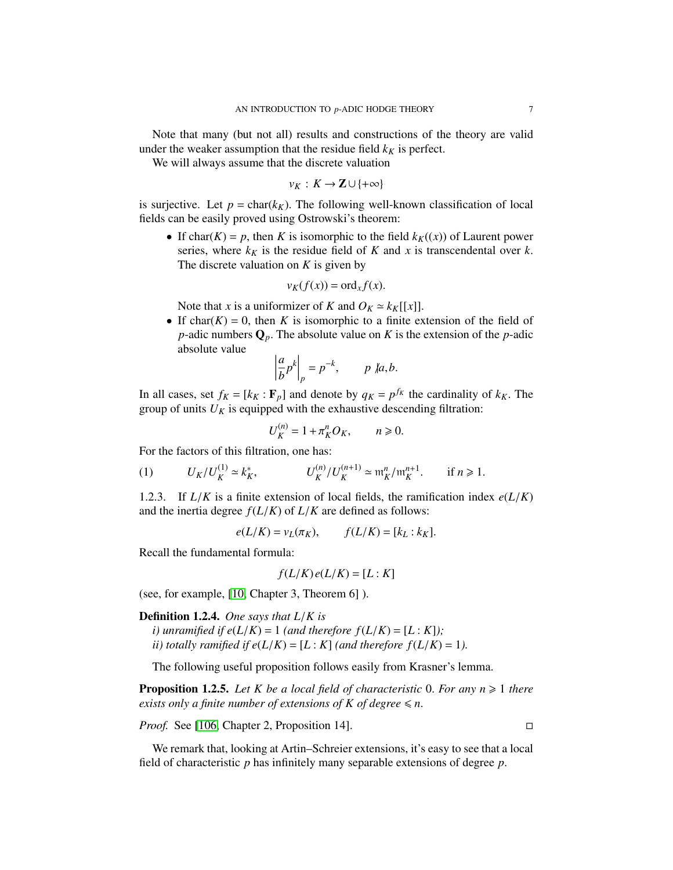Note that many (but not all) results and constructions of the theory are valid under the weaker assumption that the residue field  $k<sub>K</sub>$  is perfect.

We will always assume that the discrete valuation

 $v_K : K \to \mathbb{Z} \cup \{+\infty\}$ 

is surjective. Let  $p = \text{char}(k_K)$ . The following well-known classification of local fields can be easily proved using Ostrowski's theorem:

• If char(*K*) = *p*, then *K* is isomorphic to the field  $k_K(x)$ ) of Laurent power series, where  $k_K$  is the residue field of  $K$  and  $x$  is transcendental over  $k$ . The discrete valuation on *K* is given by

$$
v_K(f(x)) = \text{ord}_x f(x).
$$

Note that *x* is a uniformizer of *K* and  $O_K \simeq k_K[[x]]$ .

• If char( $K$ ) = 0, then  $K$  is isomorphic to a finite extension of the field of *<sup>p</sup>*-adic numbers <sup>Q</sup>*p*. The absolute value on *<sup>K</sup>* is the extension of the *<sup>p</sup>*-adic absolute value

$$
\left|\frac{a}{b}p^k\right|_p = p^{-k}, \qquad p \not| a, b.
$$

In all cases, set  $f_K = [k_K : \mathbf{F}_p]$  and denote by  $q_K = p^{f_K}$  the cardinality of  $k_K$ . The group of units  $U_K$  is equipped with the exhaustive descending filtration: group of units  $U_K$  is equipped with the exhaustive descending filtration:

$$
U_K^{(n)} = 1 + \pi_K^n O_K, \qquad n \geq 0.
$$

For the factors of this filtration, one has:

<span id="page-6-1"></span>(1) 
$$
U_K/U_K^{(1)} \simeq k_K^*
$$
,  $U_K^{(n)}/U_K^{(n+1)} \simeq {\mathfrak m}_K^n/{\mathfrak m}_K^{n+1}$ . if  $n \ge 1$ .

1.2.3. If  $L/K$  is a finite extension of local fields, the ramification index  $e(L/K)$ and the inertia degree  $f(L/K)$  of  $L/K$  are defined as follows:

<span id="page-6-0"></span>
$$
e(L/K) = v_L(\pi_K), \qquad f(L/K) = [k_L : k_K].
$$

Recall the fundamental formula:

$$
f(L/K)e(L/K)=[L:K]
$$

(see, for example, [\[10,](#page-125-1) Chapter 3, Theorem 6] ).

Definition 1.2.4. *One says that L*/*K is*

*i*) unramified if  $e(L/K) = 1$  (and therefore  $f(L/K) = [L:K]$ ); *ii) totally ramified if e(* $L/K$ *)* = [ $L: K$ ] *(and therefore f(* $L/K$ *)* = 1*).* 

The following useful proposition follows easily from Krasner's lemma.

**Proposition 1.2.5.** Let K be a local field of characteristic 0. For any  $n \geq 1$  there *exists only a finite number of extensions of K of degree*  $\leq n$ *.* 

*Proof.* See [\[106,](#page-129-2) Chapter 2, Proposition 14]. □

We remark that, looking at Artin–Schreier extensions, it's easy to see that a local field of characteristic *<sup>p</sup>* has infinitely many separable extensions of degree *<sup>p</sup>*.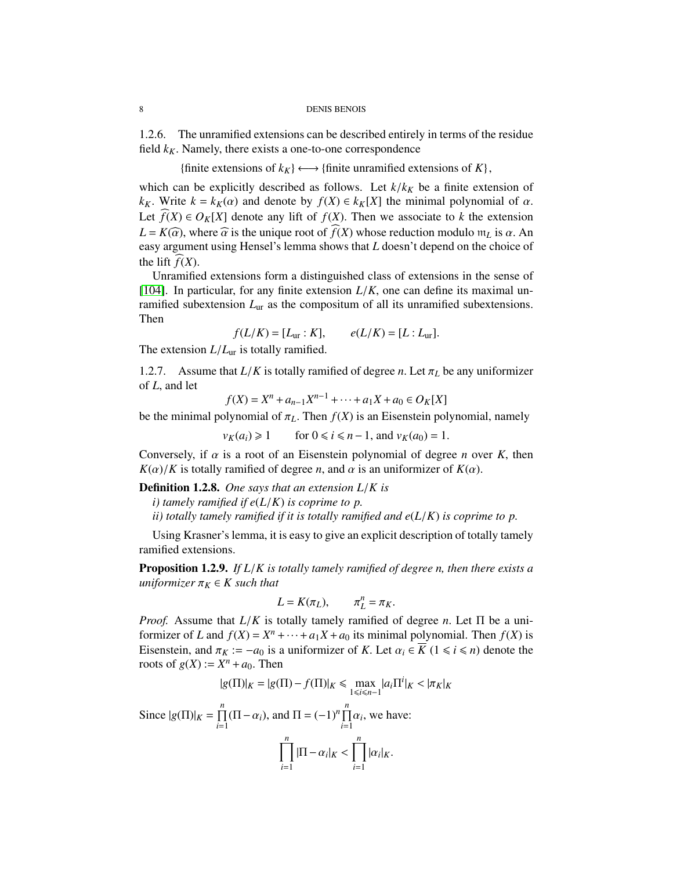1.2.6. The unramified extensions can be described entirely in terms of the residue field  $k_K$ . Namely, there exists a one-to-one correspondence

{finite extensions of  $k_K$ }  $\longleftrightarrow$  {finite unramified extensions of  $K$ },

which can be explicitly described as follows. Let  $k/k_K$  be a finite extension of *k<sub>K</sub>*. Write  $k = k_K(\alpha)$  and denote by  $f(X) \in k_K[X]$  the minimal polynomial of  $\alpha$ . Let  $\tilde{f}(X) \in O_K[X]$  denote any lift of  $f(X)$ . Then we associate to *k* the extension  $L = K(\widehat{\alpha})$ , where  $\widehat{\alpha}$  is the unique root of  $f(X)$  whose reduction modulo  $m<sub>L</sub>$  is  $\alpha$ . An easy argument using Hensel's lemma shows that *L* doesn't depend on the choice of the lift  $f(X)$ .

Unramified extensions form a distinguished class of extensions in the sense of [\[104\]](#page-129-3). In particular, for any finite extension  $L/K$ , one can define its maximal unramified subextension *L*ur as the compositum of all its unramified subextensions. Then

 $f(L/K) = [L_{ur} : K],$   $e(L/K) = [L : L_{ur}].$ 

The extension  $L/L_{\text{ur}}$  is totally ramified.

1.2.7. Assume that  $L/K$  is totally ramified of degree *n*. Let  $\pi_L$  be any uniformizer of *<sup>L</sup>*, and let

$$
f(X) = X^n + a_{n-1}X^{n-1} + \dots + a_1X + a_0 \in O_K[X]
$$

be the minimal polynomial of  $\pi_L$ . Then  $f(X)$  is an Eisenstein polynomial, namely<br> $v_K(a_i) \ge 1$  for  $0 \le i \le n-1$ , and  $v_K(a_0) = 1$ .

*f*or  $0 \le i \le n-1$ , and  $v_K(a_0) = 1$ .

Conversely, if  $\alpha$  is a root of an Eisenstein polynomial of degree *n* over *K*, then  $K(\alpha)/K$  is totally ramified of degree *n*, and  $\alpha$  is an uniformizer of  $K(\alpha)$ .

Definition 1.2.8. *One says that an extension L*/*K is*

*i) tamely ramified if e*(*L*/*K*) *is coprime to p.*

*ii) totally tamely ramified if it is totally ramified and*  $e(L/K)$  *is coprime to p.* 

Using Krasner's lemma, it is easy to give an explicit description of totally tamely ramified extensions.

Proposition 1.2.9. *If L*/*K is totally tamely ramified of degree n, then there exists a uniformizer*  $\pi_K \in K$  *such that* 

$$
L = K(\pi_L), \qquad \pi_L^n = \pi_K.
$$

*Proof.* Assume that  $L/K$  is totally tamely ramified of degree *n*. Let  $\Pi$  be a uniformizer of  $L$  and  $f(X) = X^n + \ldots + a_X X + a_0$  its minimal polynomial. Then  $f(X)$  is formizer of *L* and  $f(X) = X^n + \cdots + a_1X + a_0$  its minimal polynomial. Then  $f(X)$  is Eisenstein, and  $\pi_K := -a_0$  is a uniformizer of *K*. Let  $\alpha_i \in \overline{K}$  ( $1 \le i \le n$ ) denote the roots of  $g(X) := X^n + a_0$ . Then

$$
|g(\Pi)|_K = |g(\Pi) - f(\Pi)|_K \le \max_{1 \le i \le n-1} |a_i \Pi^i|_K < |\pi_K|_K
$$

Since  $|g(\Pi)|_K = \prod^n$  $\prod_{i=1}^{n} (\Pi - \alpha_i)$ , and  $\Pi = (-1)^n \prod_{i=1}^{n} \alpha_i$ , we have:

$$
\prod_{i=1}^n |\Pi - \alpha_i|_K < \prod_{i=1}^n |\alpha_i|_K.
$$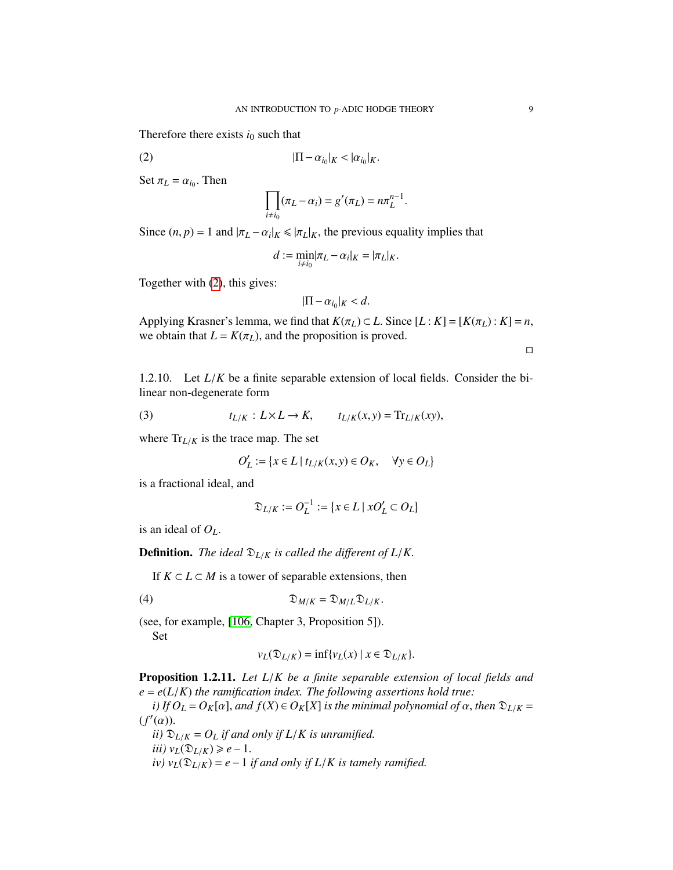Therefore there exists  $i_0$  such that

$$
|\Pi - \alpha_{i_0}|_K < |\alpha_{i_0}|_K.
$$

Set  $\pi_L = \alpha_{i_0}$ . Then

$$
\prod_{i\neq i_0}(\pi_L-\alpha_i)=g'(\pi_L)=n\pi_L^{n-1}.
$$

Since  $(n, p) = 1$  and  $|\pi_L - \alpha_i|_K \le |\pi_L|_K$ , the previous equality implies that

$$
d := \min_{i \neq i_0} |\pi_L - \alpha_i|_K = |\pi_L|_K.
$$

Together with [\(2\)](#page-6-0), this gives:

$$
|\Pi - \alpha_{i_0}|_K < d.
$$

Applying Krasner's lemma, we find that  $K(\pi_L) \subset L$ . Since  $[L: K] = [K(\pi_L): K] = n$ , we obtain that  $L = K(\pi_L)$ , and the proposition is proved.

 $\Box$ 

1.2.10. Let *<sup>L</sup>*/*<sup>K</sup>* be a finite separable extension of local fields. Consider the bilinear non-degenerate form

(3) 
$$
t_{L/K}: L \times L \to K, \qquad t_{L/K}(x, y) = \text{Tr}_{L/K}(xy),
$$

where  $Tr_{L/K}$  is the trace map. The set

<span id="page-8-1"></span>
$$
O'_L := \{ x \in L \mid t_{L/K}(x, y) \in O_K, \quad \forall y \in O_L \}
$$

is a fractional ideal, and

<span id="page-8-0"></span>
$$
\mathfrak{D}_{L/K} := O_L^{-1} := \{ x \in L \mid xO'_L \subset O_L \}
$$

is an ideal of  $O_L$ .

**Definition.** *The ideal*  $\mathfrak{D}_{L/K}$  *is called the different of*  $L/K$ .

If  $K ⊂ L ⊂ M$  is a tower of separable extensions, then

$$
\mathfrak{D}_{M/K} = \mathfrak{D}_{M/L} \mathfrak{D}_{L/K}.
$$

(see, for example, [\[106,](#page-129-2) Chapter 3, Proposition 5]). Set

$$
v_L(\mathfrak{D}_{L/K}) = \inf \{ v_L(x) \mid x \in \mathfrak{D}_{L/K} \}.
$$

Proposition 1.2.11. *Let L*/*K be a finite separable extension of local fields and*  $e = e(L/K)$  *the ramification index. The following assertions hold true:* 

*i*) If  $O_L = O_K[\alpha]$ , and  $f(X) \in O_K[X]$  is the minimal polynomial of  $\alpha$ , then  $\mathfrak{D}_{L/K} =$  $(f'(\alpha))$ .<br>*ii*)  $\Omega$ 

*ii*)  $\mathfrak{D}_{L/K} = O_L$  *if and only if*  $L/K$  *is unramified. iii*)  $v_L$ ( $\mathfrak{D}_{L/K}$ ) ≥ *e* − 1. *iv*)  $v_L(\mathfrak{D}_{L/K}) = e - 1$  *if and only if*  $L/K$  *is tamely ramified.*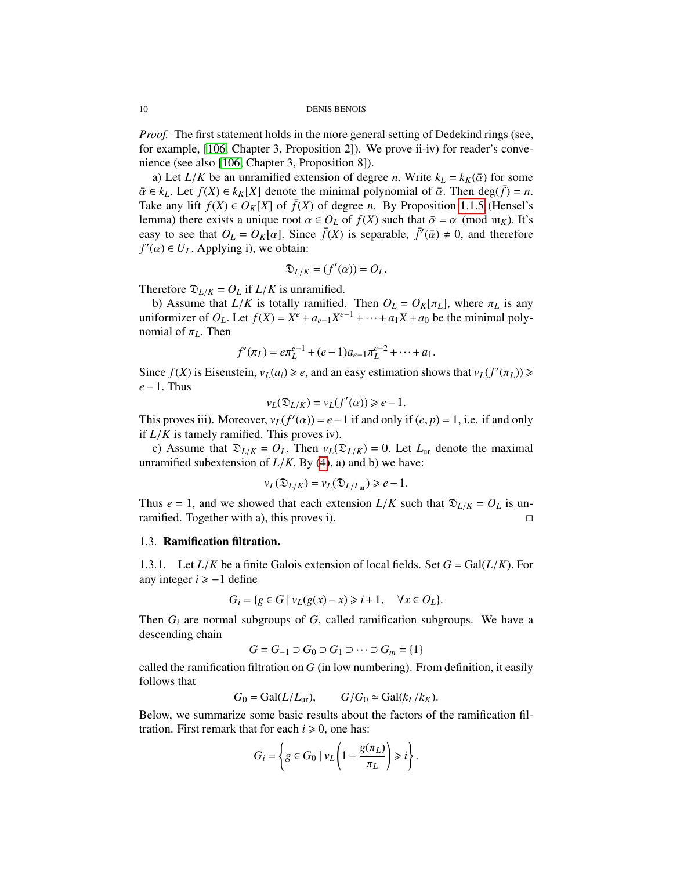*Proof.* The first statement holds in the more general setting of Dedekind rings (see, for example, [\[106,](#page-129-2) Chapter 3, Proposition 2]). We prove ii-iv) for reader's convenience (see also [\[106,](#page-129-2) Chapter 3, Proposition 8]).

a) Let  $L/K$  be an unramified extension of degree *n*. Write  $k_L = k_K(\bar{\alpha})$  for some  $\overline{\alpha} \in k_L$ . Let  $f(X) \in k_K[X]$  denote the minimal polynomial of  $\overline{\alpha}$ . Then deg( $f$ ) = *n*. Take any lift  $f(X) \in O_K[X]$  of  $\bar{f}(X)$  of degree *n*. By Proposition [1.1.5](#page-4-1) (Hensel's lemma) there exists a unique root  $\alpha \in O_L$  of  $f(X)$  such that  $\bar{\alpha} = \alpha \pmod{\mathfrak{m}_K}$ . It's easy to see that  $O_L = O_K[\alpha]$ . Since  $\bar{f}(X)$  is separable,  $\bar{f}'(\bar{\alpha}) \neq 0$ , and therefore  $f'(\alpha) \in U$ . Applying i) we obtain:  $f'(\alpha) \in U_L$ . Applying i), we obtain:

$$
\mathfrak{D}_{L/K} = (f'(\alpha)) = O_L.
$$

Therefore  $\mathfrak{D}_{L/K} = O_L$  if  $L/K$  is unramified.

b) Assume that  $L/K$  is totally ramified. Then  $O_L = O_K[\pi_L]$ , where  $\pi_L$  is any uniformizer of  $O_L$ . Let  $f(X) = X^e + a_{e-1}X^{e-1} + \cdots + a_1X + a_0$  be the minimal poly-<br>nomial of  $\pi_L$ . Then nomial of π*L*. Then

$$
f'(\pi_L) = e \pi_L^{e-1} + (e-1)a_{e-1}\pi_L^{e-2} + \dots + a_1.
$$

Since  $f(X)$  is Eisenstein,  $v_L(a_i) \ge e$ , and an easy estimation shows that  $v_L(f'(\pi_L)) \ge e - 1$ . Thus *<sup>e</sup>*−1. Thus

$$
v_L(\mathfrak{D}_{L/K}) = v_L(f'(\alpha)) \ge e - 1.
$$

This proves iii). Moreover,  $v_L(f'(\alpha)) = e - 1$  if and only if  $(e, p) = 1$ , i.e. if and only if  $I/K$  is tamely ramified. This proves iv) if  $L/K$  is tamely ramified. This proves iv).

c) Assume that  $\mathfrak{D}_{L/K} = O_L$ . Then  $v_L(\mathfrak{D}_{L/K}) = 0$ . Let  $L_{ur}$  denote the maximal unramified subextension of  $L/K$ . By [\(4\)](#page-8-0), a) and b) we have:

$$
v_L(\mathfrak{D}_{L/K})=v_L(\mathfrak{D}_{L/L_{\text{ur}}})\geq e-1.
$$

Thus *e* = 1, and we showed that each extension *L*/*K* such that  $\mathfrak{D}_{L/K} = O_L$  is un-<br>ramified. Together with a), this proves i). ramified. Together with a), this proves i).

#### <span id="page-9-0"></span>1.3. Ramification filtration.

1.3.1. Let  $L/K$  be a finite Galois extension of local fields. Set  $G = \text{Gal}(L/K)$ . For any integer  $i \ge -1$  define

$$
G_i = \{ g \in G \mid v_L(g(x) - x) \geq i + 1, \quad \forall x \in O_L \}.
$$

Then *G<sup>i</sup>* are normal subgroups of *G*, called ramification subgroups. We have a descending chain

$$
G = G_{-1} \supset G_0 \supset G_1 \supset \cdots \supset G_m = \{1\}
$$

called the ramification filtration on *G* (in low numbering). From definition, it easily follows that

$$
G_0 = \text{Gal}(L/L_{\text{ur}}), \qquad G/G_0 \simeq \text{Gal}(k_L/k_K).
$$

Below, we summarize some basic results about the factors of the ramification filtration. First remark that for each  $i \ge 0$ , one has:

$$
G_i = \left\{ g \in G_0 \mid v_L \left( 1 - \frac{g(\pi_L)}{\pi_L} \right) \geq i \right\}.
$$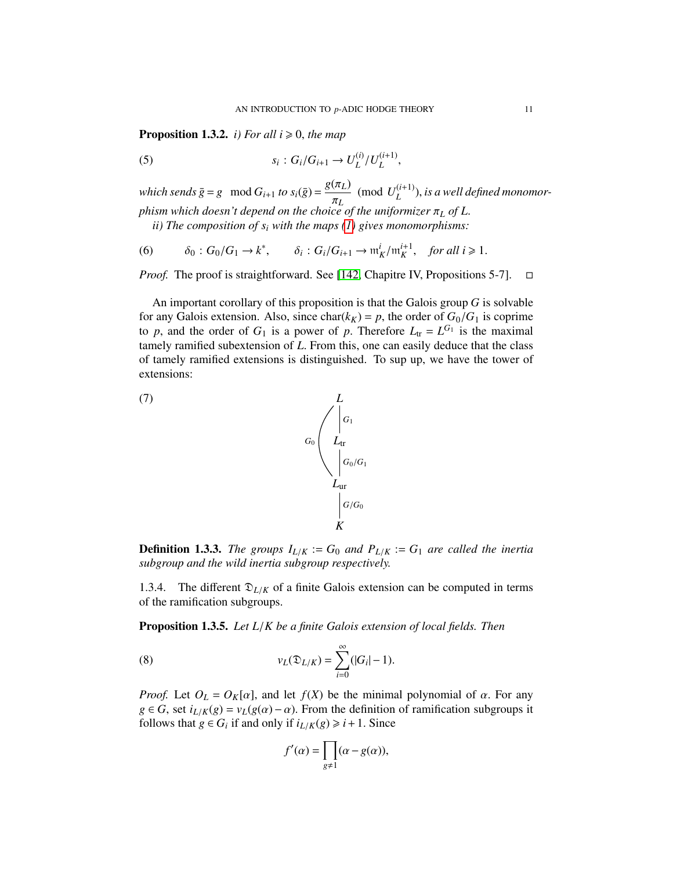**Proposition 1.3.2.** *i) For all*  $i \ge 0$ *, the map* 

(5) 
$$
s_i: G_i/G_{i+1} \to U_L^{(i)}/U_L^{(i+1)},
$$

*which sends*  $\bar{g} = g \mod G_{i+1}$  *to*  $s_i(\bar{g}) = \frac{g(\pi_L)}{g}$ π*L* (mod  $U_I^{(i+1)}$ *L* ), *is a well defined monomorphism which doesn't depend on the choice of the uniformizer* π<sub>L</sub> of L.<br>*ii*) The composition of *s*, with the maps (1) gives monomorphisms:

*ii) The composition of s<sup>i</sup> with the maps [\(1\)](#page-6-1) gives monomorphisms:*

(6) 
$$
\delta_0: G_0/G_1 \to k^*, \qquad \delta_i: G_i/G_{i+1} \to \mathfrak{m}_K^i/\mathfrak{m}_K^{i+1}, \quad \text{for all } i \geq 1.
$$

*Proof.* The proof is straightforward. See [\[142,](#page-130-0) Chapitre IV, Propositions 5-7].  $\square$ 

An important corollary of this proposition is that the Galois group *G* is solvable for any Galois extension. Also, since char( $k_K$ ) = p, the order of  $G_0/G_1$  is coprime to *p*, and the order of  $G_1$  is a power of *p*. Therefore  $L_{tr} = L^{G_1}$  is the maximal tamely ramified subextension of *I*. From this one can easily deduce that the class tamely ramified subextension of *<sup>L</sup>*. From this, one can easily deduce that the class of tamely ramified extensions is distinguished. To sup up, we have the tower of extensions:



<span id="page-10-1"></span>

**Definition 1.3.3.** *The groups*  $I_{L/K} := G_0$  *and*  $P_{L/K} := G_1$  *are called the inertia subgroup and the wild inertia subgroup respectively.*

1.3.4. The different  $\mathfrak{D}_{L/K}$  of a finite Galois extension can be computed in terms of the ramification subgroups.

Proposition 1.3.5. *Let L*/*K be a finite Galois extension of local fields. Then*

(8) 
$$
v_L(\mathfrak{D}_{L/K}) = \sum_{i=0}^{\infty} (|G_i| - 1).
$$

*Proof.* Let  $O_L = O_K[\alpha]$ , and let  $f(X)$  be the minimal polynomial of  $\alpha$ . For any  $g \in G$ , set  $i_{L/K}(g) = v_L(g(\alpha) - \alpha)$ . From the definition of ramification subgroups it follows that  $g \in G_i$  if and only if  $i_{L/K}(g) \geq i+1$ . Since

<span id="page-10-0"></span>
$$
f'(\alpha) = \prod_{g \neq 1} (\alpha - g(\alpha)),
$$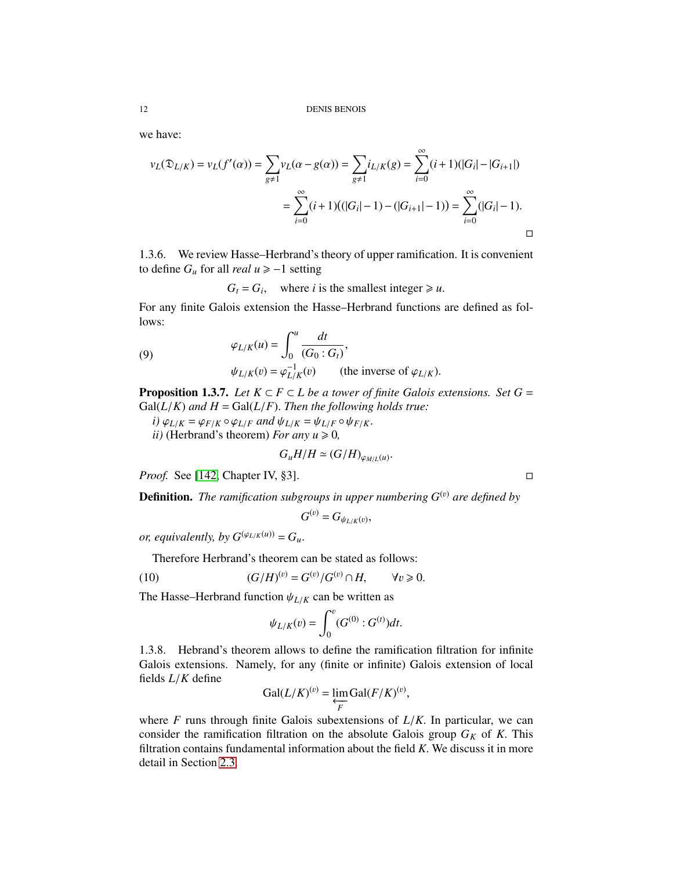we have:

$$
\nu_L(\mathfrak{D}_{L/K}) = \nu_L(f'(\alpha)) = \sum_{g \neq 1} \nu_L(\alpha - g(\alpha)) = \sum_{g \neq 1} i_{L/K}(g) = \sum_{i=0}^{\infty} (i+1)(|G_i| - |G_{i+1}|)
$$

$$
= \sum_{i=0}^{\infty} (i+1)((|G_i| - 1) - (|G_{i+1}| - 1)) = \sum_{i=0}^{\infty} (|G_i| - 1).
$$

1.3.6. We review Hasse–Herbrand's theory of upper ramification. It is convenient to define  $G<sub>u</sub>$  for all *real*  $u \ge -1$  setting

 $G_t = G_i$ , where *i* is the smallest integer  $\ge u$ .

For any finite Galois extension the Hasse–Herbrand functions are defined as follows:

(9) 
$$
\varphi_{L/K}(u) = \int_0^u \frac{dt}{(G_0 : G_t)},
$$

$$
\psi_{L/K}(v) = \varphi_{L/K}^{-1}(v) \qquad \text{(the inverse of } \varphi_{L/K}).
$$

**Proposition 1.3.7.** *Let*  $K \subset F \subset L$  *be a tower of finite Galois extensions. Set*  $G =$  $Gal(L/K)$  *and*  $H = Gal(L/F)$ . *Then the following holds true:* 

 $i) \varphi_{L/K} = \varphi_{F/K} \circ \varphi_{L/F}$  *and*  $\psi_{L/K} = \psi_{L/F} \circ \psi_{F/K}$ . *ii*) (Herbrand's theorem) *For any*  $u \ge 0$ ,

$$
G_uH/H \simeq (G/H)_{\varphi_{M/L}(u)}.
$$

*Proof.* See [\[142,](#page-130-0) Chapter IV, §3]. □

**Definition.** *The ramification subgroups in upper numbering*  $G^{(v)}$  *are defined by* 

 $(3)$ 

$$
G^{(v)}=G_{\psi_{L/K}(v)},
$$

*or, equivalently, by*  $G^{(\varphi_{L/K}(u))} = G_u$ .

Therefore Herbrand's theorem can be stated as follows:

(10) 
$$
(G/H)^{(v)} = G^{(v)}/G^{(v)} \cap H, \qquad \forall v \ge 0.
$$

The Hasse–Herbrand function  $\psi_{L/K}$  can be written as

<span id="page-11-0"></span>
$$
\psi_{L/K}(v) = \int_0^v (G^{(0)} : G^{(t)}) dt.
$$

1.3.8. Hebrand's theorem allows to define the ramification filtration for infinite Galois extensions. Namely, for any (finite or infinite) Galois extension of local fields *<sup>L</sup>*/*<sup>K</sup>* define

<span id="page-11-1"></span>
$$
\operatorname{Gal}(L/K)^{(v)} = \varprojlim_{F} \operatorname{Gal}(F/K)^{(v)},
$$

where *<sup>F</sup>* runs through finite Galois subextensions of *<sup>L</sup>*/*K*. In particular, we can consider the ramification filtration on the absolute Galois group  $G_K$  of K. This filtration contains fundamental information about the field *<sup>K</sup>*. We discuss it in more detail in Section [2.3.](#page-21-1)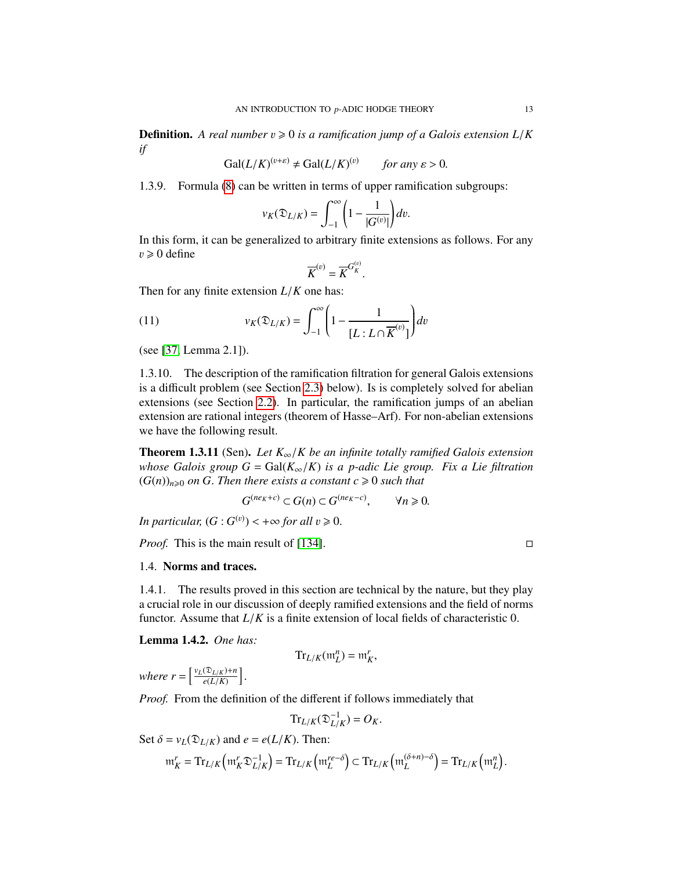**Definition.** A real number  $v \ge 0$  is a ramification jump of a Galois extension  $L/K$ *if*

$$
Gal(L/K)^{(v+\varepsilon)} \neq Gal(L/K)^{(v)} \qquad \text{for any } \varepsilon > 0.
$$

1.3.9. Formula [\(8\)](#page-10-0) can be written in terms of upper ramification subgroups:

$$
v_K(\mathfrak{D}_{L/K}) = \int_{-1}^{\infty} \left(1 - \frac{1}{|G^{(v)}|}\right) dv.
$$

In this form, it can be generalized to arbitrary finite extensions as follows. For any  $v \ge 0$  define

$$
\overline{K}^{(v)} = \overline{K}^{G_K^{(v)}}
$$

Then for any finite extension *<sup>L</sup>*/*<sup>K</sup>* one has:

(11) 
$$
v_K(\mathfrak{D}_{L/K}) = \int_{-1}^{\infty} \left(1 - \frac{1}{[L: L \cap \overline{K}^{(v)}]} \right) dv
$$

(see [\[37,](#page-126-0) Lemma 2.1]).

1.3.10. The description of the ramification filtration for general Galois extensions is a difficult problem (see Section [2.3\)](#page-21-1) below). Is is completely solved for abelian extensions (see Section [2.2\)](#page-21-0). In particular, the ramification jumps of an abelian extension are rational integers (theorem of Hasse–Arf). For non-abelian extensions we have the following result.

<span id="page-12-3"></span>Theorem 1.3.11 (Sen). *Let K*∞/*K be an infinite totally ramified Galois extension whose Galois group G* = Gal( $K_{\infty}/K$ ) *is a p-adic Lie group. Fix a Lie filtration*  $(G(n))_{n\geq 0}$  *on G. Then there exists a constant c*  $\geq 0$  *such that* 

<span id="page-12-1"></span>
$$
G^{(n\epsilon_K+c)} \subset G(n) \subset G^{(n\epsilon_K-c)}, \qquad \forall n \geq 0.
$$

*In particular,*  $(G: G^{(v)}) < +\infty$  *for all*  $v \ge 0$ .

*Proof.* This is the main result of [\[134\]](#page-130-4). □

#### <span id="page-12-0"></span>1.4. Norms and traces.

1.4.1. The results proved in this section are technical by the nature, but they play a crucial role in our discussion of deeply ramified extensions and the field of norms functor. Assume that *<sup>L</sup>*/*<sup>K</sup>* is a finite extension of local fields of characteristic 0.

<span id="page-12-2"></span>Lemma 1.4.2. *One has:*

$$
\mathrm{Tr}_{L/K}(\mathfrak{m}_L^n)=\mathfrak{m}_K^r,
$$

*where*  $r = \left[\frac{v_L(\mathfrak{D}_{L/K}) + n}{e(L/K)}\right]$ *<sup>e</sup>*(*L*/*K*) i

*Proof.* From the definition of the different if follows immediately that

$$
\mathrm{Tr}_{L/K}(\mathfrak{D}_{L/K}^{-1})=O_K.
$$

Set  $\delta = v_L(\mathfrak{D}_{L/K})$  and  $e = e(L/K)$ . Then:  $m_K^r = Tr_{L/K} \left( m_K^r \mathfrak{D}_{L/K}^{-1} \right)$ *L*/*K*  $\mathbf{r}_{L/K} \left( \mathfrak{m}_L^{re-\delta} \right) \subset \mathrm{Tr}_{L/K} \left( \mathfrak{m}_L^{(\delta+n)-\delta} \right) = \mathrm{Tr}_{L/K} \left( \mathfrak{m}_L^n \right)$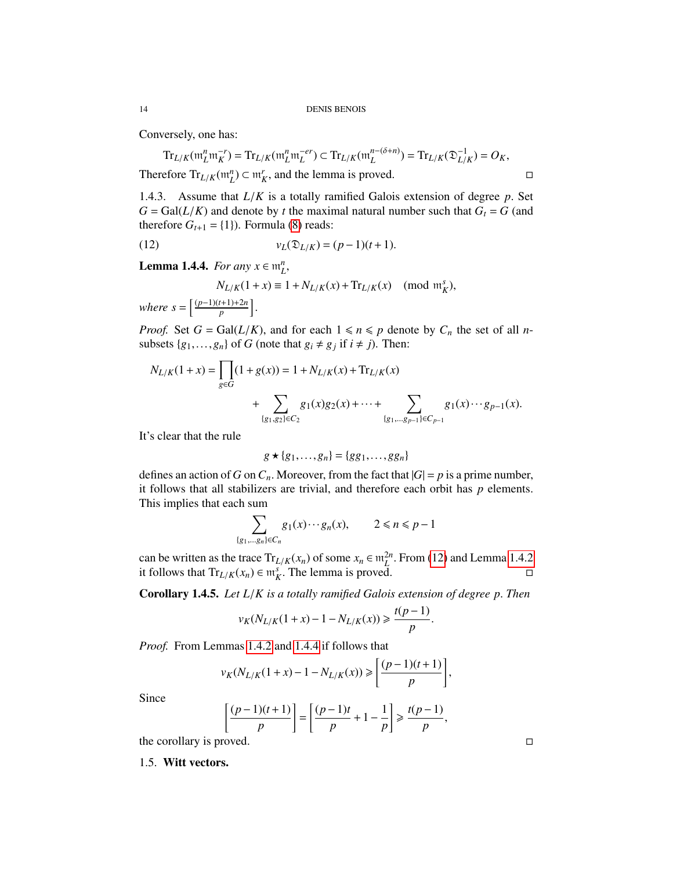Conversely, one has:

 $\mathrm{Tr}_{L/K}(\mathfrak{m}_L^n \mathfrak{m}_K^{-r}) = \mathrm{Tr}_{L/K}(\mathfrak{m}_L^n \mathfrak{m}_L^{-er}) \subset \mathrm{Tr}_{L/K}(\mathfrak{m}_L^{n-(\delta+n)}) = \mathrm{Tr}_{L/K}(\mathfrak{D}_{L/K}^{-1})$  $L/K$ <sup> $-1$ </sup> $(X, K) = O_K$ 

Therefore  $Tr_{L/K}(m_L^n) \subset m_K^r$ , and the lemma is proved.

1.4.3. Assume that *<sup>L</sup>*/*<sup>K</sup>* is a totally ramified Galois extension of degree *<sup>p</sup>*. Set  $G = \text{Gal}(L/K)$  and denote by *t* the maximal natural number such that  $G_t = G$  (and therefore  $G_{t+1} = \{1\}$ ). Formula [\(8\)](#page-10-0) reads:

(12) 
$$
v_L(\mathfrak{D}_{L/K}) = (p-1)(t+1).
$$

<span id="page-13-1"></span>**Lemma 1.4.4.** *For any*  $x \in \mathfrak{m}_L^n$ ,

$$
N_{L/K}(1+x) \equiv 1 + N_{L/K}(x) + \text{Tr}_{L/K}(x) \pmod{\mathfrak{m}_K^s},
$$
  

$$
s = \left[\frac{(p-1)(t+1)+2n}{p}\right].
$$

*Proof.* Set  $G = \text{Gal}(L/K)$ , and for each  $1 \le n \le p$  denote by  $C_n$  the set of all *n*subsets  $\{g_1, \ldots, g_n\}$  of *G* (note that  $g_i \neq g_j$  if  $i \neq j$ ). Then:

$$
N_{L/K}(1+x) = \prod_{g \in G} (1+g(x)) = 1 + N_{L/K}(x) + \text{Tr}_{L/K}(x)
$$
  
+ 
$$
\sum_{\{g_1, g_2\} \in C_2} g_1(x)g_2(x) + \dots + \sum_{\{g_1, \dots, g_{p-1}\} \in C_{p-1}} g_1(x) \dots g_{p-1}(x).
$$

It's clear that the rule

$$
g \star \{g_1, \ldots, g_n\} = \{gg_1, \ldots, gg_n\}
$$

defines an action of *G* on  $C_n$ . Moreover, from the fact that  $|G| = p$  is a prime number, it follows that all stabilizers are trivial, and therefore each orbit has *p* elements. This implies that each sum

$$
\sum_{\{g_1,\ldots,g_n\}\in C_n} g_1(x)\cdots g_n(x), \qquad 2\leq n\leq p-1
$$

can be written as the trace  $Tr_{L/K}(x_n)$  of some  $x_n \in m_L^{2n}$ . From [\(12\)](#page-12-1) and Lemma [1.4.2](#page-12-2)<br>it follows that  $Tr_{L/K}(x) \in m_S^s$ . The lemma is proved it follows that  $\text{Tr}_{L/K}(x_n) \in \mathfrak{m}_K^s$ . The lemma is proved.

Corollary 1.4.5. *Let L*/*K is a totally ramified Galois extension of degree p*. *Then*

$$
v_K(N_{L/K}(1+x)-1-N_{L/K}(x))\geq \frac{t(p-1)}{p}
$$

*Proof.* From Lemmas [1.4.2](#page-12-2) and [1.4.4](#page-13-1) if follows that

$$
v_K(N_{L/K}(1+x) - 1 - N_{L/K}(x)) \ge \left[ \frac{(p-1)(t+1)}{p} \right],
$$

Since

$$
\left[\frac{(p-1)(t+1)}{p}\right] = \left[\frac{(p-1)t}{p} + 1 - \frac{1}{p}\right] \ge \frac{t(p-1)}{p},
$$

the corollary is proved.  $\Box$ 

<span id="page-13-0"></span>1.5. Witt vectors.

 $where$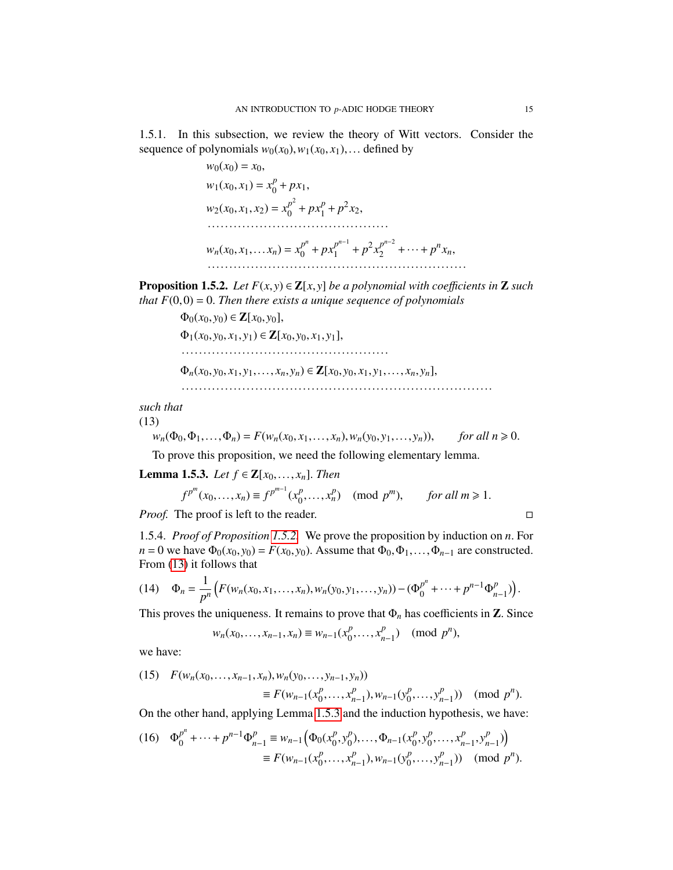1.5.1. In this subsection, we review the theory of Witt vectors. Consider the sequence of polynomials  $w_0(x_0), w_1(x_0, x_1), \ldots$  defined by

> <span id="page-14-1"></span> $w_0(x_0) = x_0$  $w_1(x_0, x_1) = x_0^p$  $p_0^p + px_1,$  $w_2(x_0, x_1, x_2) = x_0^{p^2}$  $p^2 + px_1^p$  $p_1^p + p^2 x_2$ ··········································  $w_n(x_0, x_1, \ldots, x_n) = x_0^{p^n}$  $p^{n}$  +  $px_1^{p^{n-1}}$  $p^{n-1}$  +  $p^2 x_2^{p^{n-2}}$  $p^{n-2}$  + ... +  $p^{n}x_n$ , ····························································

<span id="page-14-0"></span>**Proposition 1.5.2.** *Let*  $F(x, y) \in \mathbb{Z}[x, y]$  *be a polynomial with coefficients in* **Z** *such that*  $F(0,0) = 0$ *. Then there exists a unique sequence of polynomials* 

> $Φ<sub>0</sub>(x<sub>0</sub>, y<sub>0</sub>) ∈ **Z**[x<sub>0</sub>, y<sub>0</sub>],$  $Φ_1(x_0, y_0, x_1, y_1) ∈ **Z**[x_0, y_0, x_1, y_1],$ ················································  $\Phi_n(x_0, y_0, x_1, y_1, \ldots, x_n, y_n) \in \mathbb{Z}[x_0, y_0, x_1, y_1, \ldots, x_n, y_n],$ ········································································

*such that*

(13)

 $w_n(\Phi_0, \Phi_1, \ldots, \Phi_n) = F(w_n(x_0, x_1, \ldots, x_n), w_n(y_0, y_1, \ldots, y_n)),$  *for all n*  $\ge 0$ .

To prove this proposition, we need the following elementary lemma.

<span id="page-14-2"></span>**Lemma 1.5.3.** *Let*  $f$  ∈ **Z**[ $x_0$ ,..., $x_n$ ]. *Then* 

$$
f^{p^m}(x_0, ..., x_n) \equiv f^{p^{m-1}}(x_0^p, ..., x_n^p) \pmod{p^m}, \text{ for all } m \ge 1.
$$

*Proof.* The proof is left to the reader.

1.5.4. *Proof of Proposition [1.5.2.](#page-14-0)* We prove the proposition by induction on *<sup>n</sup>*. For  $n = 0$  we have  $\Phi_0(x_0, y_0) = F(x_0, y_0)$ . Assume that  $\Phi_0, \Phi_1, \ldots, \Phi_{n-1}$  are constructed. From [\(13\)](#page-14-1) it follows that

<span id="page-14-5"></span>
$$
(14) \quad \Phi_n = \frac{1}{p^n} \Big( F(w_n(x_0, x_1, \dots, x_n), w_n(y_0, y_1, \dots, y_n)) - (\Phi_0^{p^n} + \dots + p^{n-1} \Phi_{n-1}^p) \Big).
$$

This proves the uniqueness. It remains to prove that  $\Phi_n$  has coefficients in **Z**. Since

 $w_n(x_0,...,x_{n-1},x_n) \equiv w_{n-1}(x_0^p)$  $\begin{array}{c} p_1, \ldots, x_n^p \end{array}$ *p*<sub>*n*−1</sub>) (mod *p<sup>n</sup>*),

we have:

<span id="page-14-3"></span>(15) 
$$
F(w_n(x_0,...,x_{n-1},x_n), w_n(y_0,...,y_{n-1},y_n))
$$
  
\n $\equiv F(w_{n-1}(x_0^p,...,x_{n-1}^p), w_{n-1}(y_0^p,...,y_{n-1}^p)) \pmod{p^n}.$ 

On the other hand, applying Lemma [1.5.3](#page-14-2) and the induction hypothesis, we have:

<span id="page-14-4"></span>(16) 
$$
\Phi_0^{p^n} + \dots + p^{n-1} \Phi_{n-1}^p \equiv w_{n-1} \left( \Phi_0(x_0^p, y_0^p), \dots, \Phi_{n-1}(x_0^p, y_0^p, \dots, x_{n-1}^p, y_{n-1}^p) \right)
$$
  

$$
\equiv F(w_{n-1}(x_0^p, \dots, x_{n-1}^p), w_{n-1}(y_0^p, \dots, y_{n-1}^p)) \pmod{p^n}.
$$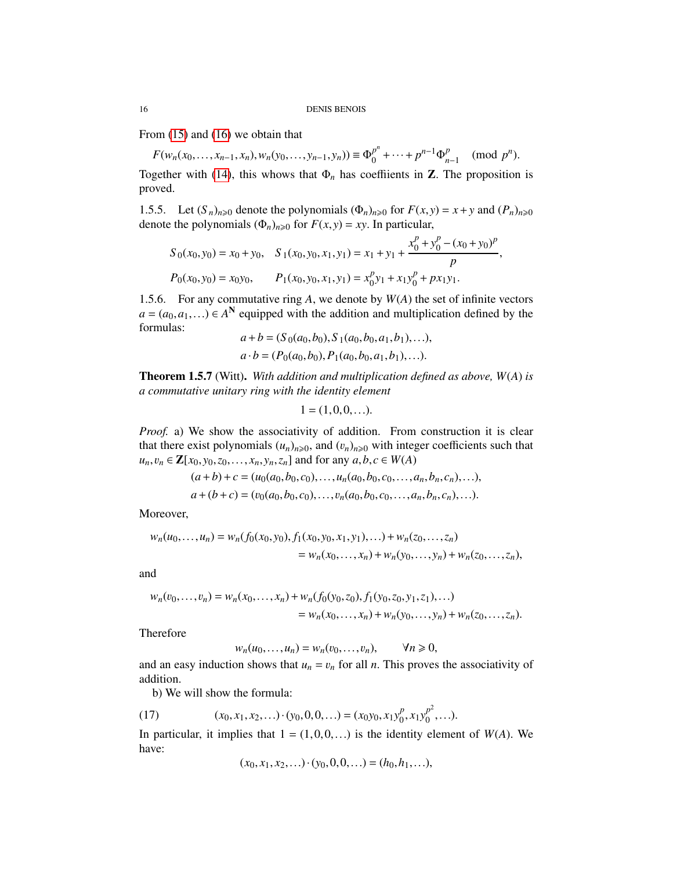From [\(15\)](#page-14-3) and [\(16\)](#page-14-4) we obtain that

 $F(w_n(x_0, \ldots, x_{n-1}, x_n), w_n(y_0, \ldots, y_{n-1}, y_n)) \equiv \Phi_0^{p^n}$  $p^{n}$ <sub>0</sub> + ··· +  $p^{n-1}\Phi_n^p$ *p*<sub>*n*−1</sub> (mod *p<sup>n</sup>*).

Together with [\(14\)](#page-14-5), this whows that  $\Phi_n$  has coeffiients in **Z**. The proposition is proved.

1.5.5. Let  $(S_n)_{n\geqslant0}$  denote the polynomials  $(\Phi_n)_{n\geqslant0}$  for  $F(x, y) = x + y$  and  $(P_n)_{n\geqslant0}$ denote the polynomials  $(\Phi_n)_{n\geq 0}$  for  $F(x, y) = xy$ . In particular,

<span id="page-15-0"></span>
$$
S_0(x_0, y_0) = x_0 + y_0, \quad S_1(x_0, y_0, x_1, y_1) = x_1 + y_1 + \frac{x_0^p + y_0^p - (x_0 + y_0)^p}{p}
$$

$$
P_0(x_0, y_0) = x_0y_0, \qquad P_1(x_0, y_0, x_1, y_1) = x_0^p y_1 + x_1 y_0^p + p x_1 y_1.
$$

,

1.5.6. For any commutative ring *A*, we denote by *W*(*A*) the set of infinite vectors  $a = (a_0, a_1, \ldots) \in A^N$  equipped with the addition and multiplication defined by the formulas: formulas:

$$
a+b = (S_0(a_0, b_0), S_1(a_0, b_0, a_1, b_1), \ldots),
$$
  

$$
a \cdot b = (P_0(a_0, b_0), P_1(a_0, b_0, a_1, b_1), \ldots).
$$

<span id="page-15-1"></span>Theorem 1.5.7 (Witt). *With addition and multiplication defined as above, W*(*A*) *is a commutative unitary ring with the identity element*

$$
1=(1,0,0,\ldots).
$$

*Proof.* a) We show the associativity of addition. From construction it is clear that there exist polynomials  $(u_n)_{n\geq 0}$ , and  $(v_n)_{n\geq 0}$  with integer coefficients such that  $u_n, v_n \in \mathbb{Z}[x_0, y_0, z_0, \dots, x_n, y_n, z_n]$  and for any  $a, b, c \in W(A)$ 

$$
(a+b)+c = (u_0(a_0,b_0,c_0),...,u_n(a_0,b_0,c_0,...,a_n,b_n,c_n),...),
$$
  

$$
a+(b+c) = (v_0(a_0,b_0,c_0),...,v_n(a_0,b_0,c_0,...,a_n,b_n,c_n),...).
$$

Moreover,

$$
w_n(u_0,...,u_n) = w_n(f_0(x_0,y_0), f_1(x_0,y_0,x_1,y_1),...) + w_n(z_0,...,z_n)
$$
  
=  $w_n(x_0,...,x_n) + w_n(y_0,...,y_n) + w_n(z_0,...,z_n),$ 

and

$$
w_n(v_0, \dots, v_n) = w_n(x_0, \dots, x_n) + w_n(f_0(y_0, z_0), f_1(y_0, z_0, y_1, z_1), \dots)
$$
  
=  $w_n(x_0, \dots, x_n) + w_n(y_0, \dots, y_n) + w_n(z_0, \dots, z_n).$ 

Therefore

$$
w_n(u_0, \dots, u_n) = w_n(v_0, \dots, v_n), \qquad \forall n \geqslant 0,
$$

and an easy induction shows that  $u_n = v_n$  for all *n*. This proves the associativity of addition addition.

b) We will show the formula:

(17) 
$$
(x_0, x_1, x_2,...) \cdot (y_0, 0, 0,...) = (x_0y_0, x_1y_0^p, x_1y_0^{p^2},...).
$$

In particular, it implies that  $1 = (1,0,0,...)$  is the identity element of  $W(A)$ . We have: have:

$$
(x_0, x_1, x_2, \ldots) \cdot (y_0, 0, 0, \ldots) = (h_0, h_1, \ldots),
$$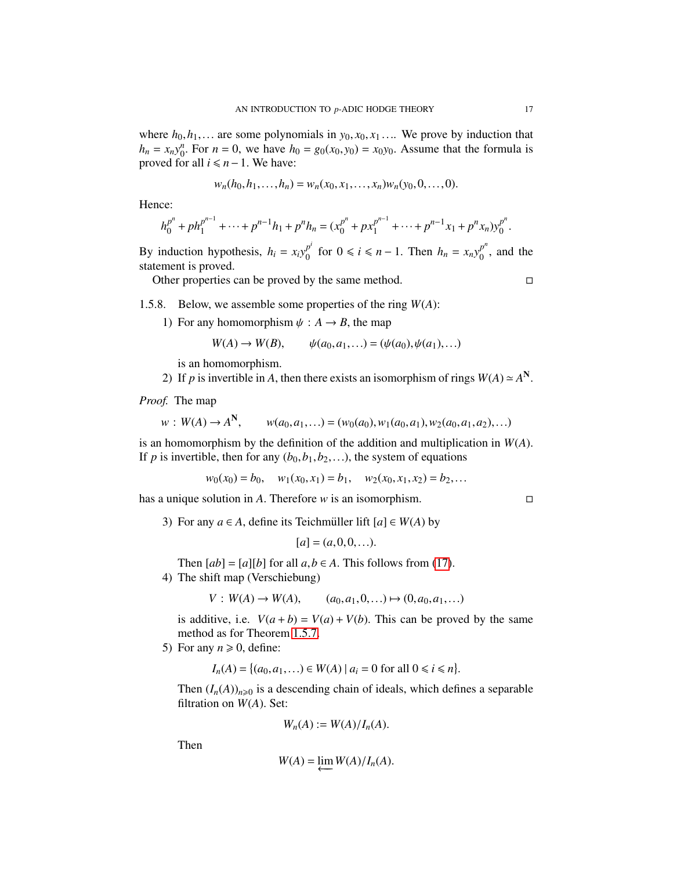where  $h_0, h_1, \ldots$  are some polynomials in  $y_0, x_0, x_1, \ldots$  We prove by induction that  $h_n = x_n y_0^n$ . For  $n = 0$ , we have  $h_0 = g_0(x_0, y_0) = x_0 y_0$ . Assume that the formula is proved for all  $i \le n-1$ . We have:

$$
w_n(h_0, h_1, \ldots, h_n) = w_n(x_0, x_1, \ldots, x_n) w_n(y_0, 0, \ldots, 0).
$$

Hence:

$$
h_0^{p^n} + p h_1^{p^{n-1}} + \dots + p^{n-1} h_1 + p^n h_n = (x_0^{p^n} + p x_1^{p^{n-1}} + \dots + p^{n-1} x_1 + p^n x_n) y_0^{p^n}.
$$

By induction hypothesis,  $h_i = x_i y_0^{p^i}$  $p^{i}$  for  $0 \le i \le n - 1$ . Then  $h_n = x_n y_0^{p^n}$  $\binom{p}{0}$ , and the statement is proved.

Other properties can be proved by the same method.

1.5.8. Below, we assemble some properties of the ring *W*(*A*):

1) For any homomorphism  $\psi : A \to B$ , the map

$$
W(A) \to W(B)
$$
,  $\psi(a_0, a_1, ...)= (\psi(a_0), \psi(a_1), ...)$ 

is an homomorphism.

2) If *p* is invertible in *A*, then there exists an isomorphism of rings  $W(A) \simeq A^N$ 

*Proof.* The map

$$
w: W(A) \to A^N, \qquad w(a_0, a_1, \ldots) = (w_0(a_0), w_1(a_0, a_1), w_2(a_0, a_1, a_2), \ldots)
$$

is an homomorphism by the definition of the addition and multiplication in *<sup>W</sup>*(*A*). If *p* is invertible, then for any  $(b_0, b_1, b_2,...)$ , the system of equations

$$
w_0(x_0) = b_0
$$
,  $w_1(x_0, x_1) = b_1$ ,  $w_2(x_0, x_1, x_2) = b_2$ ,...

has a unique solution in *<sup>A</sup>*. Therefore *<sup>w</sup>* is an isomorphism.

3) For any  $a \in A$ , define its Teichmüller lift  $[a] \in W(A)$  by

$$
[a]=(a,0,0,\ldots).
$$

Then  $\lceil ab \rceil = \lceil a \rceil \lceil b \rceil$  for all  $a, b \in A$ . This follows from [\(17\)](#page-15-0).

4) The shift map (Verschiebung)

$$
V: W(A) \to W(A), \qquad (a_0, a_1, 0, \ldots) \mapsto (0, a_0, a_1, \ldots)
$$

is additive, i.e.  $V(a + b) = V(a) + V(b)$ . This can be proved by the same method as for Theorem [1.5.7.](#page-15-1)

5) For any  $n \ge 0$ , define:

 $I_n(A) = \{(a_0, a_1, \ldots) \in W(A) \mid a_i = 0 \text{ for all } 0 \le i \le n\}$ 

Then  $(I_n(A))_{n\geq 0}$  is a descending chain of ideals, which defines a separable filtration on *<sup>W</sup>*(*A*). Set:

$$
W_n(A) := W(A)/I_n(A).
$$

Then

$$
W(A) = \varprojlim W(A)/I_n(A).
$$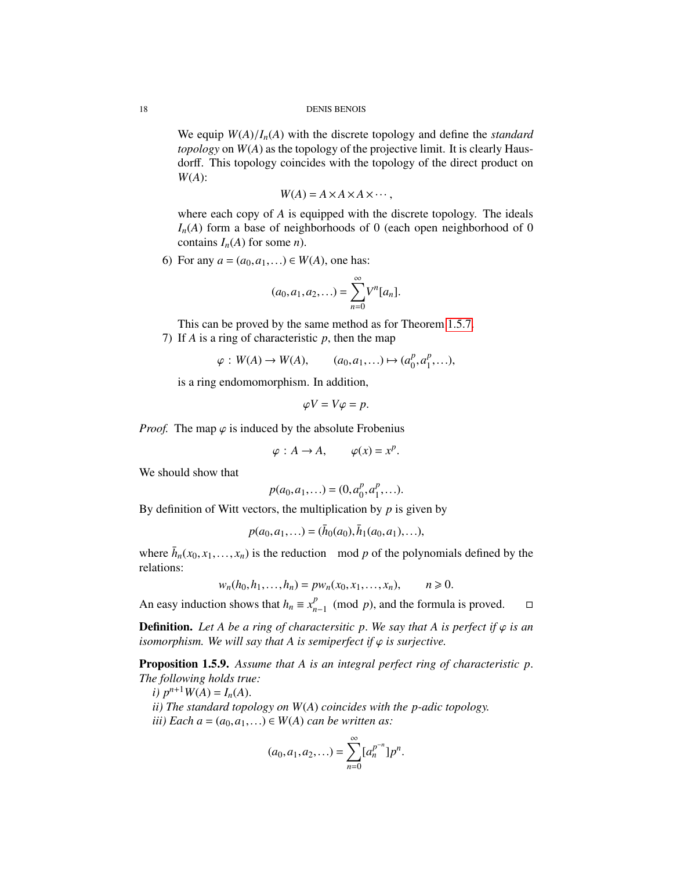#### 18 DENIS BENOIS

We equip  $W(A)/I_n(A)$  with the discrete topology and define the *standard topology* on *W*(*A*) as the topology of the projective limit. It is clearly Hausdorff. This topology coincides with the topology of the direct product on *W*(*A*):

$$
W(A) = A \times A \times A \times \cdots,
$$

where each copy of *A* is equipped with the discrete topology. The ideals  $I_n(A)$  form a base of neighborhoods of 0 (each open neighborhood of 0 contains  $I_n(A)$  for some *n*).

6) For any  $a = (a_0, a_1,...) \in W(A)$ , one has:

$$
(a_0, a_1, a_2,...) = \sum_{n=0}^{\infty} V^n [a_n].
$$

This can be proved by the same method as for Theorem [1.5.7.](#page-15-1)

7) If *A* is a ring of characteristic *p*, then the map

$$
\varphi: W(A) \to W(A), \qquad (a_0, a_1, \ldots) \mapsto (a_0^p, a_1^p, \ldots),
$$

is a ring endomomorphism. In addition,

$$
\varphi V = V\varphi = p.
$$

*Proof.* The map  $\varphi$  is induced by the absolute Frobenius

$$
\varphi: A \to A, \qquad \varphi(x) = x^p.
$$

We should show that

$$
p(a_0, a_1, \ldots) = (0, a_0^p, a_1^p, \ldots).
$$

By definition of Witt vectors, the multiplication by *p* is given by

$$
p(a_0, a_1,...) = (\bar{h}_0(a_0), \bar{h}_1(a_0, a_1),...),
$$

where  $\bar{h}_n(x_0, x_1, \ldots, x_n)$  is the reduction mod *p* of the polynomials defined by the relations: relations:

$$
w_n(h_0, h_1, \dots, h_n) = p w_n(x_0, x_1, \dots, x_n), \qquad n \geq 0.
$$

An easy induction shows that  $h_n \equiv x_n^p$  $_{n-1}^p$  (mod *p*), and the formula is proved.  $□$ 

**Definition.** Let A be a ring of charactersitic p. We say that A is perfect if  $\varphi$  is an *isomorphism. We will say that A is semiperfect if*  $\varphi$  *is surjective.* 

<span id="page-17-0"></span>Proposition 1.5.9. *Assume that A is an integral perfect ring of characteristic p*. *The following holds true:*

*i*)  $p^{n+1}W(A) = I_n(A)$ .

*ii) The standard topology on W*(*A*) *coincides with the p-adic topology. iii*) Each  $a = (a_0, a_1, \ldots) \in W(A)$  *can be written as:* 

$$
(a_0, a_1, a_2, \ldots) = \sum_{n=0}^{\infty} [a_n^{p^{-n}}] p^n.
$$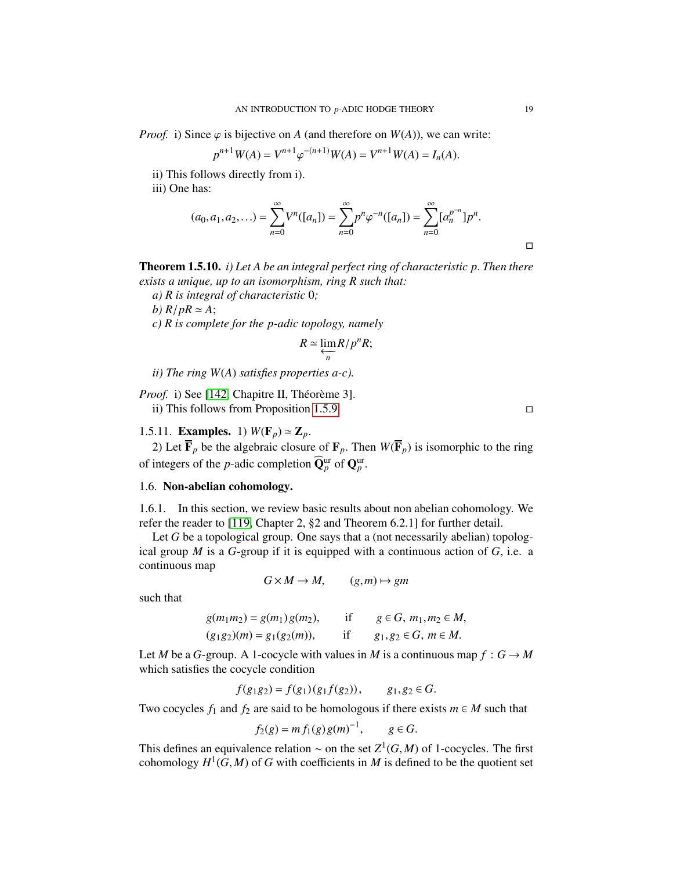*Proof.* i) Since  $\varphi$  is bijective on *A* (and therefore on *W*(*A*)), we can write:

$$
p^{n+1}W(A) = V^{n+1}\varphi^{-(n+1)}W(A) = V^{n+1}W(A) = I_n(A).
$$

ii) This follows directly from i).

iii) One has:

$$
(a_0, a_1, a_2, \ldots) = \sum_{n=0}^{\infty} V^n([a_n]) = \sum_{n=0}^{\infty} p^n \varphi^{-n}([a_n]) = \sum_{n=0}^{\infty} [a_n^{p^{-n}}] p^n.
$$

Theorem 1.5.10. *i) Let A be an integral perfect ring of characteristic p*. *Then there exists a unique, up to an isomorphism, ring R such that:*

*a) R is integral of characteristic* 0*;*

*b)*  $R/pR \simeq A$ ;

*c) R is complete for the p-adic topology, namely*

$$
R \simeq \varprojlim_n R/p^n R;
$$

*ii) The ring W*(*A*) *satisfies properties a-c).*

*Proof.* i) See [\[142,](#page-130-0) Chapitre II, Théorème 3]. ii) This follows from Proposition [1.5.9.](#page-17-0)

# 1.5.11. **Examples.** 1)  $W(\mathbf{F}_p) \simeq \mathbf{Z}_p$ .

2) Let  $\overline{\mathbf{F}}_p$  be the algebraic closure of  $\mathbf{F}_p$ . Then  $W(\overline{\mathbf{F}}_p)$  is isomorphic to the ring of integers of the *p*-adic completion  $\widehat{\mathbf{Q}}_p^{\text{ur}}$  of  $\mathbf{Q}_p^{\text{ur}}$ .

# <span id="page-18-0"></span>1.6. Non-abelian cohomology.

1.6.1. In this section, we review basic results about non abelian cohomology. We refer the reader to [\[119,](#page-130-3) Chapter 2, §2 and Theorem 6.2.1] for further detail.

Let *G* be a topological group. One says that a (not necessarily abelian) topological group *<sup>M</sup>* is a *<sup>G</sup>*-group if it is equipped with a continuous action of *<sup>G</sup>*, i.e. a continuous map

$$
G \times M \to M, \qquad (g,m) \mapsto gm
$$

such that

$$
g(m_1m_2) = g(m_1)g(m_2), \qquad \text{if} \qquad g \in G, m_1, m_2 \in M, (g_1g_2)(m) = g_1(g_2(m)), \qquad \text{if} \qquad g_1, g_2 \in G, m \in M.
$$

Let *M* be a *G*-group. A 1-cocycle with values in *M* is a continuous map  $f : G \to M$ which satisfies the cocycle condition

$$
f(g_1g_2) = f(g_1)(g_1f(g_2)), \qquad g_1, g_2 \in G.
$$

Two cocycles  $f_1$  and  $f_2$  are said to be homologous if there exists  $m \in M$  such that

$$
f_2(g) = m f_1(g) g(m)^{-1}, \quad g \in G.
$$

This defines an equivalence relation ∼ on the set  $Z^1(G, M)$  of 1-cocycles. The first cohomology  $H^1(G, M)$  of G with coefficients in M is defined to be the quotient set cohomology  $H^1(G, M)$  of *G* with coefficients in *M* is defined to be the quotient set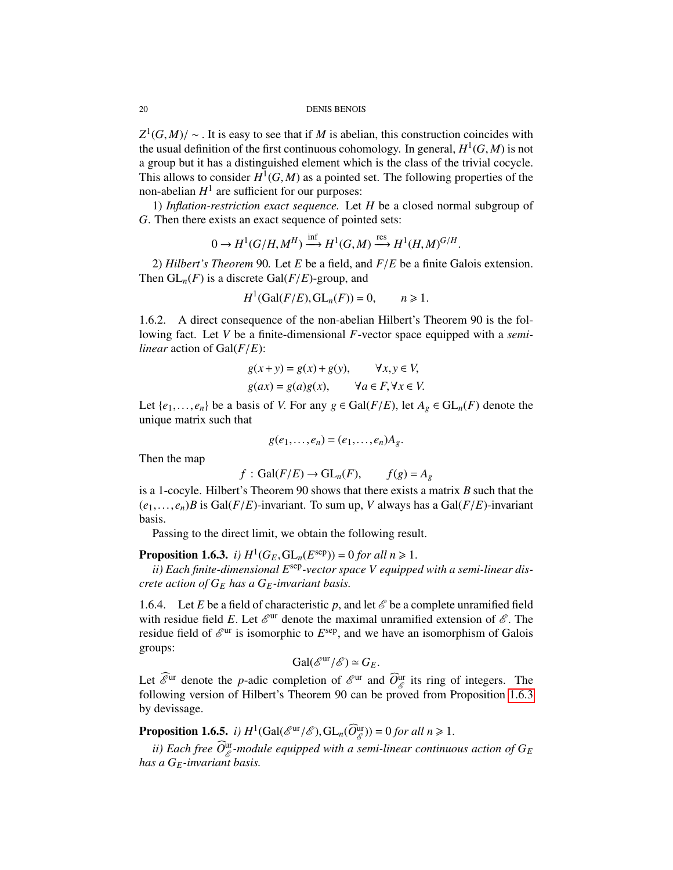$Z^1(G, M)/ \sim$ . It is easy to see that if *M* is abelian, this construction coincides with the usual definition of the first continuous cohomology. In general  $H^1(G, M)$  is not the usual definition of the first continuous cohomology. In general,  $H^1(G, M)$  is not<br>a group but it has a distinguished element which is the class of the trivial cocycle a group but it has a distinguished element which is the class of the trivial cocycle. This allows to consider  $H^1(G, M)$  as a pointed set. The following properties of the non-abelian  $H^1$  are sufficient for our purposes: non-abelian  $H^1$  are sufficient for our purposes:

1) *Inflation-restriction exact sequence.* Let *H* be a closed normal subgroup of *G*. Then there exists an exact sequence of pointed sets:

$$
0 \to H^1(G/H, M^H) \xrightarrow{\text{inf}} H^1(G, M) \xrightarrow{\text{res}} H^1(H, M)^{G/H}
$$

2) *Hilbert's Theorem* 90. Let *E* be a field, and  $F/E$  be a finite Galois extension.<br>en  $GI - (F)$  is a discrete Gal( $F/F$ )-group and Then  $GL_n(F)$  is a discrete  $Gal(F/E)$ -group, and

$$
H^1(\text{Gal}(F/E), \text{GL}_n(F)) = 0, \qquad n \geq 1.
$$

1.6.2. A direct consequence of the non-abelian Hilbert's Theorem 90 is the following fact. Let *V* be a finite-dimensional *F*-vector space equipped with a *semilinear* action of Gal(*F*/*E*):

$$
g(x + y) = g(x) + g(y), \qquad \forall x, y \in V,
$$
  

$$
g(ax) = g(a)g(x), \qquad \forall a \in F, \forall x \in V.
$$

Let  $\{e_1, \ldots, e_n\}$  be a basis of *V*. For any  $g \in \text{Gal}(F/E)$ , let  $A_g \in \text{GL}_n(F)$  denote the unique matrix such that unique matrix such that

$$
g(e_1,\ldots,e_n)=(e_1,\ldots,e_n)A_g.
$$

Then the map

$$
f: Gal(F/E) \to GL_n(F),
$$
  $f(g) = A_g$ 

 $f: Gal(F/E) \to GL_n(F)$ ,  $f(g) = A_g$ <br>is a 1-cocyle. Hilbert's Theorem 90 shows that there exists a matrix *B* such that the  $(e_1, \ldots, e_n)$ *B* is Gal(*F*/*E*)-invariant. To sum up, *V* always has a Gal(*F*/*E*)-invariant basis.

Passing to the direct limit, we obtain the following result.

<span id="page-19-0"></span>**Proposition 1.6.3.** *i)*  $H^1(G_E, GL_n(E^{\text{sep}})) = 0$  for all  $n \ge 1$ .<br>*ii*) Each finite-dimensional E<sup>sep</sup>-vector space V equippe

*ii) Each finite-dimensional E*sep*-vector space V equipped with a semi-linear discrete action of G<sup>E</sup> has a GE-invariant basis.*

1.6.4. Let *E* be a field of characteristic *p*, and let  $\mathscr E$  be a complete unramified field with residue field *E*. Let  $\mathcal{E}^{\text{ur}}$  denote the maximal unramified extension of  $\mathcal{E}$ . The residue field of  $\mathcal{E}^{\text{ur}}$  is isomorphic to  $F^{\text{sep}}$  and we have an isomorphism of Galois residue field of  $\mathcal{E}^{\text{ur}}$  is isomorphic to  $E^{\text{sep}}$ , and we have an isomorphism of Galois groups: groups:

$$
\operatorname{Gal}(\mathscr{E}^{\mathrm{ur}}/\mathscr{E}) \simeq G_E.
$$

Let  $\widehat{\mathcal{E}}^{\text{ur}}$  denote the *p*-adic completion of  $\mathcal{E}^{\text{ur}}$  and  $\widehat{O}_{\mathcal{E}}^{\text{ur}}$  its ring of integers. The following version of Hilbert's Theorem 90 can be proved from Proposition [1.6.3](#page-19-0) by devissage.

**Proposition 1.6.5.** *i)*  $H^1(\text{Gal}(\mathcal{E}^{\text{ur}}/\mathcal{E}), \text{GL}_n(\widehat{O}_{\mathcal{E}}^{\text{ur}})) = 0$  *for all n*  $\geq 1$ .

*ii)* Each free  $\widehat{O}^{\text{ur}}_{\mathscr{E}}$ -module equipped with a semi-linear continuous action of  $G_E$ *has a GE-invariant basis.*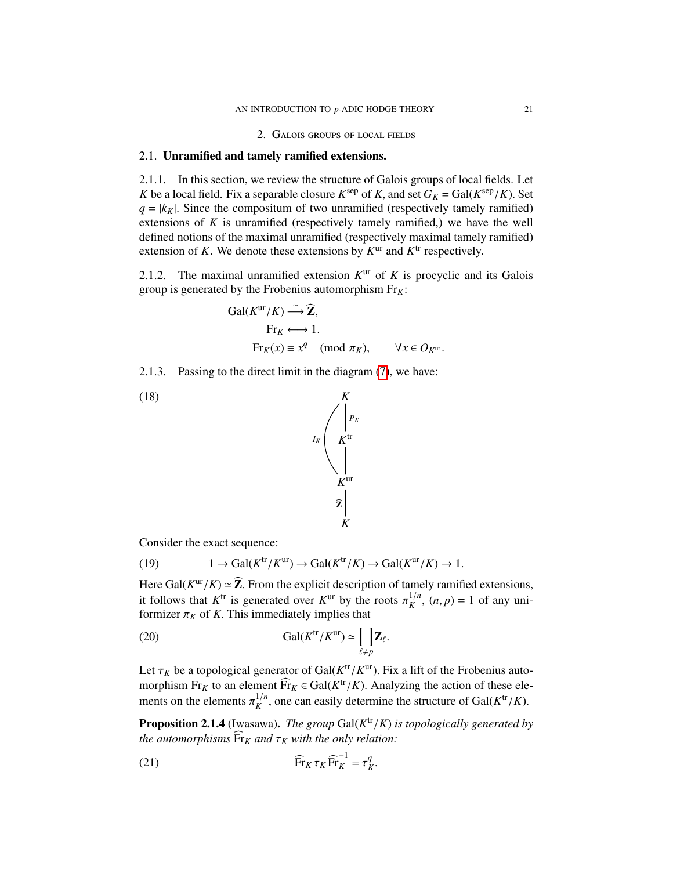2. Galois groups of local fields

## <span id="page-20-1"></span><span id="page-20-0"></span>2.1. Unramified and tamely ramified extensions.

2.1.1. In this section, we review the structure of Galois groups of local fields. Let *K* be a local field. Fix a separable closure  $K^{\text{sep}}$  of *K*, and set  $G_K = \text{Gal}(K^{\text{sep}}/K)$ . Set  $G = |k_K|$ . Since the compositum of two unramified (respectively tamely ramified)  $q = |k_K|$ . Since the compositum of two unramified (respectively tamely ramified) extensions of *K* is unramified (respectively tamely ramified,) we have the well defined notions of the maximal unramified (respectively maximal tamely ramified) extension of  $K$ . We denote these extensions by  $K^{\text{ur}}$  and  $K^{\text{tr}}$  respectively.

2.1.2. The maximal unramified extension  $K<sup>ur</sup>$  of  $K$  is procyclic and its Galois group is generated by the Frobenius automorphism Fr*K*:

Gal(
$$
K^{\text{ur}}/K
$$
)  $\xrightarrow{\sim} \widehat{\mathbb{Z}}$ ,  
\nFr<sub>K</sub>  $\longleftrightarrow$  1.  
\nFr<sub>K</sub>( $x$ )  $\equiv x^q \pmod{\pi_K}$ ,  $\forall x \in O_{K^{\text{ur}}}$ .

2.1.3. Passing to the direct limit in the diagram [\(7\)](#page-10-1), we have:



Consider the exact sequence:

<span id="page-20-2"></span>(19) 
$$
1 \to \text{Gal}(K^{\text{tr}}/K^{\text{ur}}) \to \text{Gal}(K^{\text{tr}}/K) \to \text{Gal}(K^{\text{ur}}/K) \to 1.
$$

Here Gal( $K^{\text{ur}}/K$ )  $\approx \mathbb{Z}$ . From the explicit description of tamely ramified extensions, it follows that  $K^{\text{tr}}$  is generated over  $K^{\text{ur}}$  by the roots  $\pi^{1/n}$  (*n*, n) = 1 of any uniit follows that  $K^{\text{tr}}$  is generated over  $K^{\text{ur}}$  by the roots  $\pi_K^{1/n}$ ,  $(n, p) = 1$  of any uni-<br>formizer  $\pi_K$  of K. This immediately implies that formizer  $\pi_K$  of *K*. This immediately implies that

(20) 
$$
\mathrm{Gal}(K^{\mathrm{tr}}/K^{\mathrm{ur}}) \simeq \prod_{\ell \neq p} \mathbf{Z}_{\ell}.
$$

Let  $\tau_K$  be a topological generator of  $Gal(K^{\text{tr}}/K))$ <br>morphism  $\text{F}_{\text{Ext}}$  to an element  $\widehat{\text{F}}_{\text{Ext}} \subset Gal(K^{\text{tr}}/K)$  $\frac{t}{K}$ <sup>tr</sup>/ $K$ <sup>ur</sup>). Fix a lift of the Frobenius automorphism  $\text{Fr}_K$  to an element  $\widehat{\text{Fr}}_K \in \text{Gal}(K^{\text{tr}}/K)$ . Analyzing the action of these elements on the elements  $\pi^{1/n}$  one can easily determine the structure of  $\text{Gal}(K^{\text{tr}}/K)$ ments on the elements  $\pi_K^{1/n}$ , one can easily determine the structure of Gal( $K^{\text{tr}}/K$ ).

**Proposition 2.1.4** (Iwasawa). *The group*  $Gal(K^{\text{tr}}/K)$  *is topologically generated by*<br>the automorphisms  $\widehat{Fr}$  and  $\tau$  with the only relation: *the automorphisms*  $\widehat{Fr}_K$  *and*  $\tau_K$  *with the only relation:* 

<span id="page-20-3"></span>(21) 
$$
\widehat{\mathrm{Fr}}_K \tau_K \widehat{\mathrm{Fr}}_K^{-1} = \tau_K^q.
$$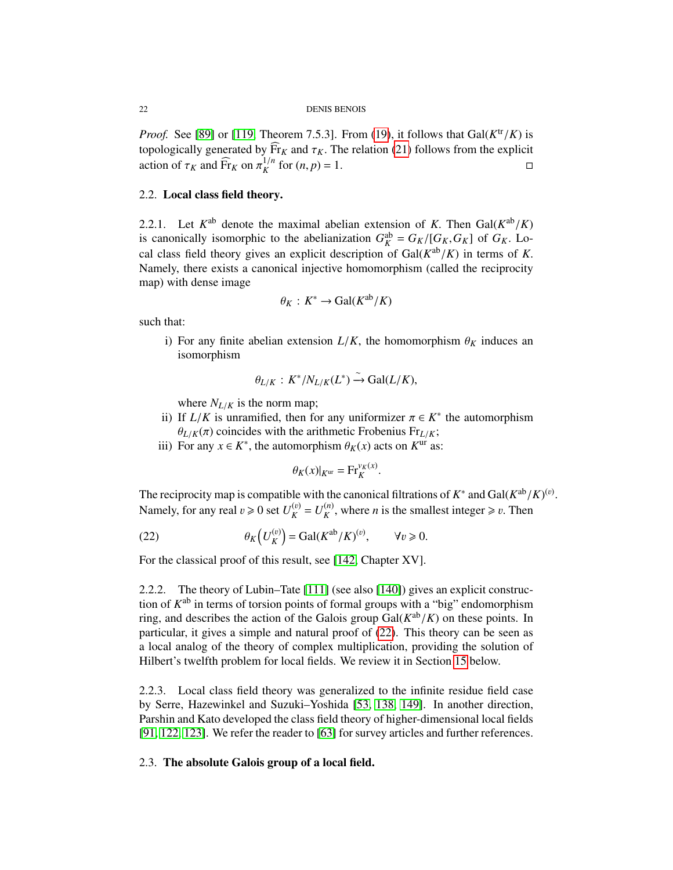#### 22 DENIS BENOIS

*Proof.* See [\[89\]](#page-128-3) or [\[119,](#page-130-3) Theorem 7.5.3]. From [\(19\)](#page-20-2), it follows that  $Gal(K^{\text{tr}})$ /*K*) is topologically generated by  $Fr_K$  and  $\tau_K$ . The relation [\(21\)](#page-20-3) follows from the explicit action of  $\tau_K$  and  $\widehat{Fr}_K$  on  $\pi^{1/n}$  for  $(n, n) = 1$ action of  $\tau_K$  and  $\widehat{Fr}_K$  on  $\pi_K^{1/n}$  for  $(n, p) = 1$ .

# <span id="page-21-0"></span>2.2. Local class field theory.

2.2.1. Let  $K^{ab}$  denote the maximal abelian extension of *K*. Then Gal( $K^{ab}/K$ ) is canonically isomorphic to the abelianization  $G^{ab} = G_K/G_K G_K$  of  $G_K$  I or is canonically isomorphic to the abelianization  $G_K^{\text{ab}} = G_K/[G_K, G_K]$  of  $G_K$ . Lo-<br>cal class field theory gives an evolucit description of  $G_{\text{a}}(K^{\text{ab}}/K)$  in terms of K cal class field theory gives an explicit description of  $Gal(K^{ab}/K)$  in terms of *K*.<br>Namely, there exists a canonical injective homomorphism (called the reciprocity Namely, there exists a canonical injective homomorphism (called the reciprocity map) with dense image

<span id="page-21-2"></span>
$$
\theta_K: K^* \to \text{Gal}(K^{\text{ab}}/K)
$$

such that:

i) For any finite abelian extension  $L/K$ , the homomorphism  $\theta_K$  induces an isomorphism

$$
\theta_{L/K}: K^* / N_{L/K}(L^*) \xrightarrow{\sim} \text{Gal}(L/K),
$$

where  $N_{L/K}$  is the norm map;

- ii) If  $L/K$  is unramified, then for any uniformizer  $\pi \in K^*$  the automorphism  $\theta_{L/K}(x)$  coincides with the arithmetic Erobenius Fr.  $\theta_{L/K}(\pi)$  coincides with the arithmetic Frobenius Fr<sub>*L*/*K*</sub>;
- iii) For any  $x \in K^*$ , the automorphism  $\theta_K(x)$  acts on  $K^{\text{ur}}$  as:

$$
\theta_K(x)|_{K^{\text{ur}}} = \text{Fr}_K^{\nu_K(x)}
$$

The reciprocity map is compatible with the canonical filtrations of  $K^*$  and  $Gal(K^{ab}/K)^{(v)}$ .<br>Namely, for any real  $v > 0$  set  $U^{(v)} = U^{(n)}$ , where *n* is the smallest integer  $> v$ . Then Namely, for any real  $v \ge 0$  set  $U_K^{(v)}$  $\binom{v}{K} = U_K^{(n)}$  $K^{(n)}$ , where *n* is the smallest integer  $\geq v$ . Then

(22) 
$$
\theta_K\left(U_K^{(v)}\right) = \text{Gal}(K^{\text{ab}}/K)^{(v)}, \qquad \forall v \geq 0.
$$

For the classical proof of this result, see [\[142,](#page-130-0) Chapter XV].

2.2.2. The theory of Lubin–Tate [\[111\]](#page-129-4) (see also [\[140\]](#page-130-1)) gives an explicit construction of  $K^{ab}$  in terms of torsion points of formal groups with a "big" endomorphism ring, and describes the action of the Galois group  $Gal(K^{ab}/K)$  on these points. In particular, it gives a simple and natural proof of (22). This theory can be seen as particular, it gives a simple and natural proof of [\(22\)](#page-21-2). This theory can be seen as a local analog of the theory of complex multiplication, providing the solution of Hilbert's twelfth problem for local fields. We review it in Section [15](#page-106-0) below.

2.2.3. Local class field theory was generalized to the infinite residue field case by Serre, Hazewinkel and Suzuki–Yoshida [\[53,](#page-127-3) [138,](#page-130-5) [149\]](#page-131-1). In another direction, Parshin and Kato developed the class field theory of higher-dimensional local fields [\[91,](#page-129-5) [122,](#page-130-6) [123\]](#page-130-7). We refer the reader to [\[63\]](#page-127-4) for survey articles and further references.

## <span id="page-21-1"></span>2.3. The absolute Galois group of a local field.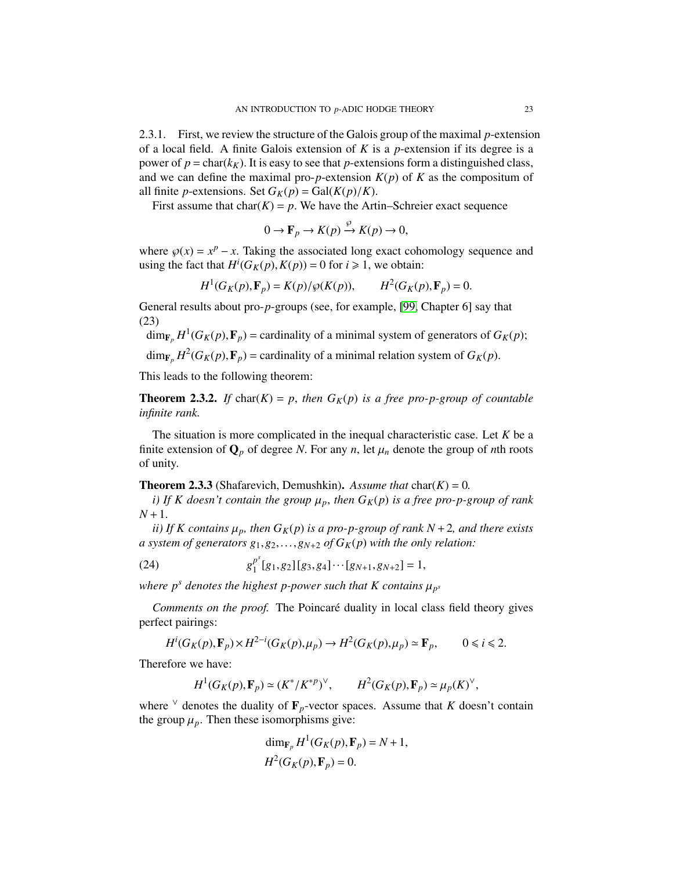2.3.1. First, we review the structure of the Galois group of the maximal *p*-extension of a local field. A finite Galois extension of *K* is a *p*-extension if its degree is a power of  $p = \text{char}(k_K)$ . It is easy to see that *p*-extensions form a distinguished class, and we can define the maximal pro-*p*-extension  $K(p)$  of  $K$  as the compositum of all finite *p*-extensions. Set  $G_K(p) = \text{Gal}(K(p)/K)$ .

First assume that  $char(K) = p$ . We have the Artin–Schreier exact sequence

<span id="page-22-0"></span>
$$
0 \to \mathbf{F}_p \to K(p) \xrightarrow{\nu} K(p) \to 0,
$$

where  $\wp(x) = x^p - x$ . Taking the associated long exact cohomology sequence and using the fact that  $H^i(G_F(n), K(n)) = 0$  for  $i > 1$ , we obtain: using the fact that  $H^i(G_K(p), K(p)) = 0$  for  $i \ge 1$ , we obtain:

$$
H^1(G_K(p), \mathbf{F}_p) = K(p)/\wp(K(p)), \qquad H^2(G_K(p), \mathbf{F}_p) = 0.
$$

General results about pro-*p*-groups (see, for example, [\[99,](#page-129-6) Chapter 6] say that (23)

$$
\dim_{\mathbf{F}_p} H^1(G_K(p), \mathbf{F}_p) =
$$
cardinality of a minimal system of generators of  $G_K(p)$ ;

 $\dim_{\mathbf{F}_p} H^2(G_K(p), \mathbf{F}_p)$  = cardinality of a minimal relation system of  $G_K(p)$ .

This leads to the following theorem:

**Theorem 2.3.2.** If  $char(K) = p$ , then  $G_K(p)$  is a free pro-p-group of countable *infinite rank.*

The situation is more complicated in the inequal characteristic case. Let *K* be a finite extension of  $\mathbf{Q}_p$  of degree *N*. For any *n*, let  $\mu_n$  denote the group of *n*th roots of unity.

**Theorem 2.3.3** (Shafarevich, Demushkin). Assume that  $char(K) = 0$ .

*i)* If K doesn't contain the group  $\mu_p$ , then  $G_K(p)$  is a free pro-p-group of rank  $N + 1$ .

*ii)* If K contains  $\mu_p$ , then  $G_K(p)$  is a pro-p-group of rank  $N+2$ , and there exists *a system of generators*  $g_1, g_2, \ldots, g_{N+2}$  *of*  $G_K(p)$  *with the only relation:* 

<span id="page-22-1"></span>(24) 
$$
g_1^{p^s}[g_1,g_2][g_3,g_4]\cdots[g_{N+1},g_{N+2}]=1,
$$

where  $p^s$  denotes the highest p-power such that K contains  $\mu_{p^s}$ 

*Comments on the proof.* The Poincaré duality in local class field theory gives perfect pairings:

$$
H^i(G_K(p), \mathbf{F}_p) \times H^{2-i}(G_K(p), \mu_p) \to H^2(G_K(p), \mu_p) \simeq \mathbf{F}_p, \qquad 0 \le i \le 2.
$$

Therefore we have:

$$
H^1(G_K(p), \mathbf{F}_p) \simeq (K^* / K^{*p})^{\vee}, \qquad H^2(G_K(p), \mathbf{F}_p) \simeq \mu_p(K)^{\vee},
$$

where  $\vee$  denotes the duality of  $\mathbf{F}_p$ -vector spaces. Assume that *K* doesn't contain the group  $\mu_p$ . Then these isomorphisms give:

$$
\dim_{\mathbf{F}_p} H^1(G_K(p), \mathbf{F}_p) = N + 1,
$$
  

$$
H^2(G_K(p), \mathbf{F}_p) = 0.
$$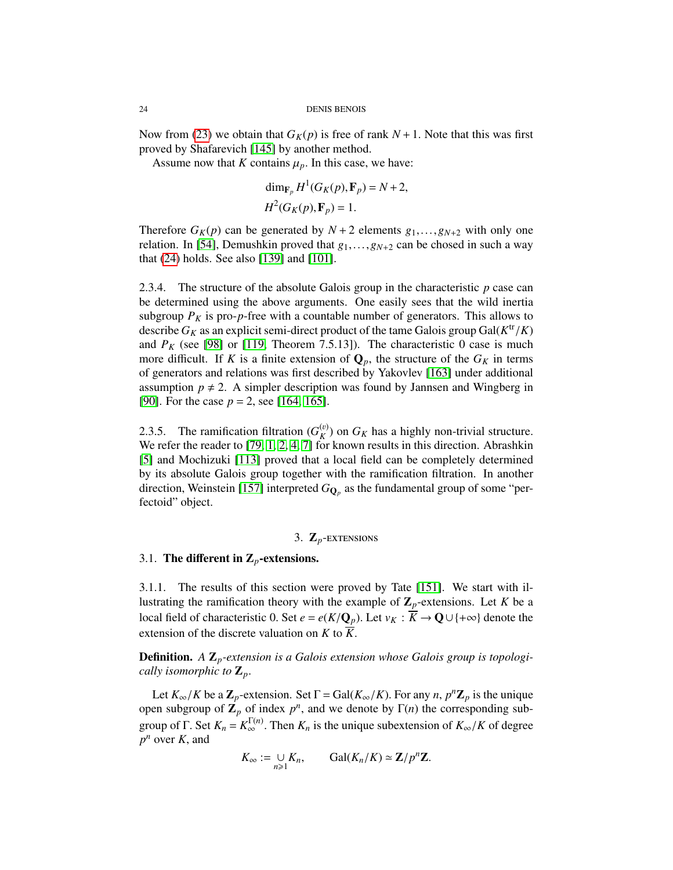Now from [\(23\)](#page-22-0) we obtain that  $G_K(p)$  is free of rank  $N+1$ . Note that this was first proved by Shafarevich [\[145\]](#page-130-8) by another method.

Assume now that *K* contains  $\mu_p$ . In this case, we have:

$$
\dim_{\mathbf{F}_p} H^1(G_K(p), \mathbf{F}_p) = N + 2,
$$
  

$$
H^2(G_K(p), \mathbf{F}_p) = 1.
$$

Therefore  $G_K(p)$  can be generated by  $N + 2$  elements  $g_1, \ldots, g_{N+2}$  with only one relation. In [\[54\]](#page-127-5), Demushkin proved that *<sup>g</sup>*1,...,*gN*+<sup>2</sup> can be chosed in such a way that [\(24\)](#page-22-1) holds. See also [\[139\]](#page-130-9) and [\[101\]](#page-129-7).

2.3.4. The structure of the absolute Galois group in the characteristic *p* case can be determined using the above arguments. One easily sees that the wild inertia subgroup  $P_K$  is pro- $p$ -free with a countable number of generators. This allows to describe  $G_K$  as an explicit semi-direct product of the tame Galois group Gal( $K^{\text{tr}}/K$ )<br>and  $P_K$  (see 1981 or 1119) Theorem 7.5.131). The characteristic 0 case is much and  $P_K$  (see [\[98\]](#page-129-8) or [\[119,](#page-130-3) Theorem 7.5.13]). The characteristic 0 case is much more difficult. If *K* is a finite extension of  $\mathbf{Q}_p$ , the structure of the  $G_K$  in terms of generators and relations was first described by Yakovlev [\[163\]](#page-131-2) under additional assumption  $p \neq 2$ . A simpler description was found by Jannsen and Wingberg in [\[90\]](#page-129-9). For the case *<sup>p</sup>* <sup>=</sup> <sup>2</sup>, see [\[164,](#page-131-3) [165\]](#page-131-4).

2.3.5. The ramification filtration  $(G_K^{(v)})$  $K$ <sup>(v)</sup>) on  $G_K$  has a highly non-trivial structure. We refer the reader to  $[79, 1, 2, 4, 7]$  $[79, 1, 2, 4, 7]$  $[79, 1, 2, 4, 7]$  $[79, 1, 2, 4, 7]$  $[79, 1, 2, 4, 7]$  for known results in this direction. Abrashkin [\[5\]](#page-125-7) and Mochizuki [\[113\]](#page-129-10) proved that a local field can be completely determined by its absolute Galois group together with the ramification filtration. In another direction, Weinstein [\[157\]](#page-131-5) interpreted  $G_{\mathbf{Q}_p}$  as the fundamental group of some "perfectoid" object.

# 3. Z*p*-extensions

#### <span id="page-23-1"></span><span id="page-23-0"></span>3.1. The different in  $\mathbb{Z}_p$ -extensions.

3.1.1. The results of this section were proved by Tate [\[151\]](#page-131-0). We start with illustrating the ramification theory with the example of  $\mathbb{Z}_p$ -extensions. Let *K* be a local field of characteristic 0. Set  $e = e(K/Q_p)$ . Let  $v_K : K \to \mathbb{Q} \cup \{+\infty\}$  denote the extension of the discrete valuation on *K* to  $\overline{K}$ .

Definition. *A* Z*p-extension is a Galois extension whose Galois group is topologically isomorphic to*  $\mathbf{Z}_p$ *.* 

Let  $K_{\infty}/K$  be a  $\mathbb{Z}_p$ -extension. Set  $\Gamma = \text{Gal}(K_{\infty}/K)$ . For any *n*,  $p^n \mathbb{Z}_p$  is the unique en subgroup of  $\mathbb{Z}_p$  of index  $n^n$  and we denote by  $\Gamma(n)$  the corresponding subopen subgroup of  $\mathbb{Z}_p$  of index  $p^n$ , and we denote by  $\Gamma(n)$  the corresponding subgroup of Γ. Set  $K_n = K_{\infty}^{\Gamma(n)}$ . Then  $K_n$  is the unique subextension of  $K_{\infty}/K$  of degree  $n^n$  over  $K$  and *p <sup>n</sup>* over *<sup>K</sup>*, and

$$
K_{\infty} := \bigcup_{n \geq 1} K_n, \qquad \text{Gal}(K_n/K) \simeq \mathbf{Z}/p^n \mathbf{Z}.
$$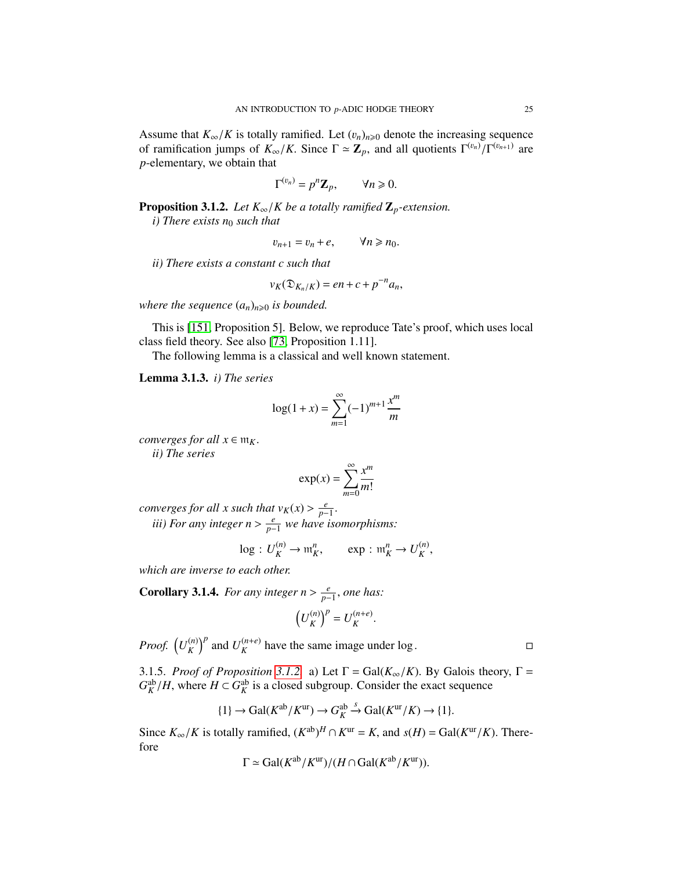Assume that  $K_{\infty}/K$  is totally ramified. Let  $(v_n)_{n\geq 0}$  denote the increasing sequence of ramification jumps of  $K_{\infty}/K$ . Since  $\Gamma \simeq \mathbb{Z}_p$ , and all quotients  $\Gamma^{(v_n)}/\Gamma^{(v_{n+1})}$  are *n*-elementary we obtain that *p*-elementary, we obtain that

$$
\Gamma^{(v_n)}=p^n\mathbf{Z}_p,\qquad \forall n\geqslant 0.
$$

<span id="page-24-0"></span>**Proposition 3.1.2.** *Let*  $K_{\infty}/K$  *be a totally ramified*  $\mathbb{Z}_p$ *-extension.* 

*i) There exists n*<sup>0</sup> *such that*

$$
v_{n+1} = v_n + e, \qquad \forall n \geq n_0.
$$

*ii) There exists a constant c such that*

$$
v_K(\mathfrak{D}_{K_n/K})=en+c+p^{-n}a_n,
$$

*where the sequence*  $(a_n)_{n\geq 0}$  *is bounded.* 

This is [\[151,](#page-131-0) Proposition 5]. Below, we reproduce Tate's proof, which uses local class field theory. See also [\[73,](#page-128-5) Proposition 1.11].

The following lemma is a classical and well known statement.

Lemma 3.1.3. *i) The series*

<span id="page-24-2"></span>
$$
\log(1+x) = \sum_{m=1}^{\infty} (-1)^{m+1} \frac{x^m}{m}
$$

*converges for all*  $x \in m_K$ . *ii) The series*

$$
\exp(x) = \sum_{m=0}^{\infty} \frac{x^m}{m!}
$$

*converges for all x such that*  $v_K(x) > \frac{e}{p-1}$ <br>*iii*) For any integer  $p > \frac{e}{p}$ , we have if

*iii)* For any integer  $n > \frac{e}{p-1}$  we have isomorphisms:

$$
\log: U_K^{(n)} \to \mathfrak{m}_K^n, \qquad \exp: \mathfrak{m}_K^n \to U_K^{(n)},
$$

*which are inverse to each other.*

<span id="page-24-1"></span>**Corollary 3.1.4.** *For any integer n* >  $\frac{e}{p-1}$ *, one has:* 

$$
\left(U_K^{(n)}\right)^p = U_K^{(n+e)}
$$

*Proof.*  $\left(U_{K}^{(n)}\right)$  $\binom{n}{K}$ <sup>*p*</sup> and  $U_K^{(n+e)}$  $K^{(n+e)}$  have the same image under log.

3.1.5. *Proof of Proposition* [3.1.2.](#page-24-0) a) Let  $\Gamma = \text{Gal}(K_{\infty}/K)$ . By Galois theory,  $\Gamma =$  $G_K^{\text{ab}}/H$ , where  $H \subset G_K^{\text{ab}}$  is a closed subgroup. Consider the exact sequence

$$
\{1\} \to \text{Gal}(K^{\text{ab}}/K^{\text{ur}}) \to G_K^{\text{ab}} \xrightarrow{S} \text{Gal}(K^{\text{ur}}/K) \to \{1\}.
$$

Since  $K_{\infty}/K$  is totally ramified,  $(K^{\text{ab}})^H \cap K^{\text{ur}} = K$ , and  $s(H) = \text{Gal}(K^{\text{ur}}/K)$ . Therefore

$$
\Gamma \simeq \text{Gal}(K^{\text{ab}}/K^{\text{ur}})/(H \cap \text{Gal}(K^{\text{ab}}/K^{\text{ur}})).
$$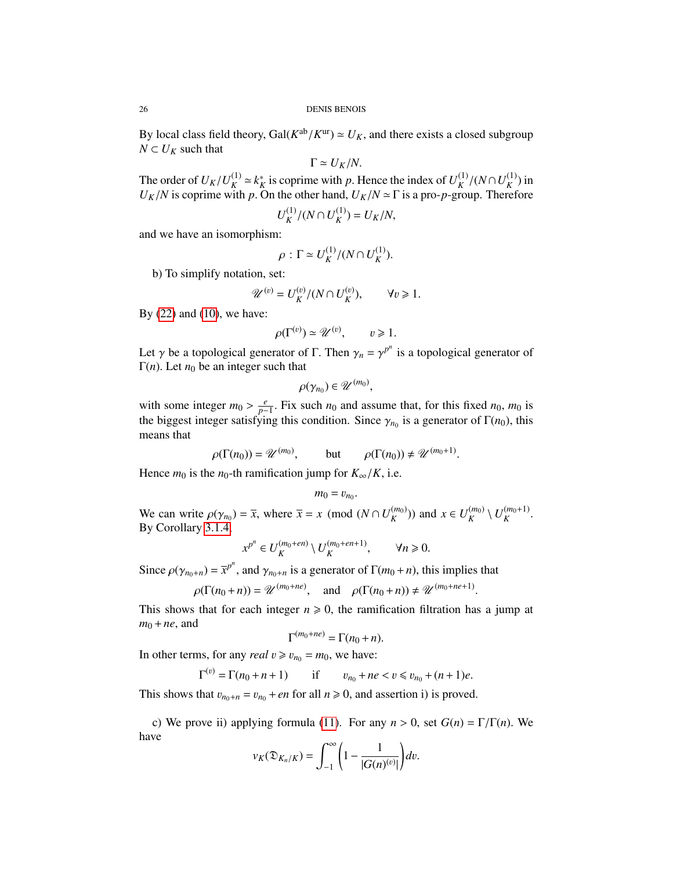26 DENIS BENOIS

By local class field theory, Gal( $K^{ab}/K^{ur}$ )  $\simeq U_K$ , and there exists a closed subgroup  $N \subset U_K$  such that *N* ⊂  $U_K$  such that

$$
\Gamma \simeq U_K/N.
$$

The order of  $U_K/U_K^{(1)}$ <br> $U_K/M$  is conrine with  $\binom{1}{K}$  ≃  $k_K^*$  $K_K^*$  is coprime with *p*. Hence the index of  $U_K^{(1)}$ <br>On the other hand  $U_K/N \sim \Gamma$  is a pro-*p*-group  $K \atop K/(N \cap U_K^{(1)}$ <br>roup Theref  $\binom{1}{K}$  in  $U_K/N$  is coprime with *p*. On the other hand,  $U_K/N \approx \Gamma$  is a pro-*p*-group. Therefore

$$
U_K^{(1)}/(N \cap U_K^{(1)}) = U_K/N,
$$

and we have an isomorphism:

$$
\rho: \Gamma \simeq U_K^{(1)}/(N \cap U_K^{(1)}).
$$

b) To simplify notation, set:

$$
\mathscr{U}^{(v)} = U_K^{(v)} / (N \cap U_K^{(v)}), \qquad \forall v \ge 1.
$$

By [\(22\)](#page-21-2) and [\(10\)](#page-11-0), we have:

$$
\rho(\Gamma^{(v)}) \simeq \mathscr{U}^{(v)}, \qquad v \geq 1.
$$

Let  $\gamma$  be a topological generator of  $\Gamma$ . Then  $\gamma_n = \gamma^{p^n}$  is a topological generator of  $\Gamma(n)$ . Let  $n_0$  be an integer such that Γ(*n*). Let  $n_0$  be an integer such that

$$
\rho(\gamma_{n_0})\in\mathscr{U}^{(m_0)},
$$

with some integer  $m_0 > \frac{e}{p-1}$ . Fix such  $n_0$  and assume that, for this fixed  $n_0$ ,  $m_0$  is the biggest integer satisfying this condition. Since  $\alpha$  is a generator of  $\Gamma(n_0)$ , this the biggest integer satisfying this condition. Since  $\gamma_{n_0}$  is a generator of  $\Gamma(n_0)$ , this means that means that

$$
\rho(\Gamma(n_0)) = \mathscr{U}^{(m_0)}, \quad \text{but} \quad \rho(\Gamma(n_0)) \neq \mathscr{U}^{(m_0+1)}.
$$

Hence  $m_0$  is the  $n_0$ -th ramification jump for  $K_\infty/K$ , i.e.

$$
m_0=v_{n_0}
$$

We can write  $\rho(\gamma_{n_0}) = \overline{x}$ , where  $\overline{x} = x \pmod{(N \cap U_K^{(m_0)})}$  $\binom{m_0}{K}$ ) and *x* ∈ *U*<sup>(*m*<sub>0</sub>)</sup>*K*  $\binom{(m_0)}{K} \setminus U_K^{(m_0+1)}$ *K* . By Corollary [3.1.4,](#page-24-1)

$$
x^{p^n} \in U_K^{(m_0+en)} \setminus U_K^{(m_0+en+1)}, \qquad \forall n \geq 0.
$$

Since  $\rho(\gamma_{n_0+n}) = \bar{x}^{p^n}$ , and  $\gamma_{n_0+n}$  is a generator of  $\Gamma(m_0+n)$ , this implies that

$$
\rho(\Gamma(n_0+n)) = \mathcal{U}^{(m_0+n\epsilon)}, \quad \text{and} \quad \rho(\Gamma(n_0+n)) \neq \mathcal{U}^{(m_0+n\epsilon+1)}
$$

 $\rho(\Gamma(n_0 + n)) = \mathcal{U}^{(m_0 + ne)}$ , and  $\rho(\Gamma(n_0 + n)) \neq \mathcal{U}^{(m_0 + ne + 1)}$ .<br>This shows that for each integer  $n \ge 0$ , the ramification filtration has a jump at  $m_0 + ne_1$  and  $m_0 + ne$ , and

$$
\Gamma^{(m_0+ne)} = \Gamma(n_0+n).
$$

In other terms, for any *real*  $v \ge v_{n_0} = m_0$ , we have:

$$
\Gamma^{(v)} = \Gamma(n_0 + n + 1) \qquad \text{if} \qquad v_{n_0} + ne < v \le v_{n_0} + (n + 1)e.
$$

This shows that  $v_{n_0+n} = v_{n_0} + en$  for all  $n \ge 0$ , and assertion i) is proved.

c) We prove ii) applying formula [\(11\)](#page-11-1). For any  $n > 0$ , set  $G(n) = \Gamma/\Gamma(n)$ . We have

$$
v_K(\mathfrak{D}_{K_n/K})=\int_{-1}^{\infty}\bigg(1-\frac{1}{|G(n)^{(v)}|}\bigg)dv.
$$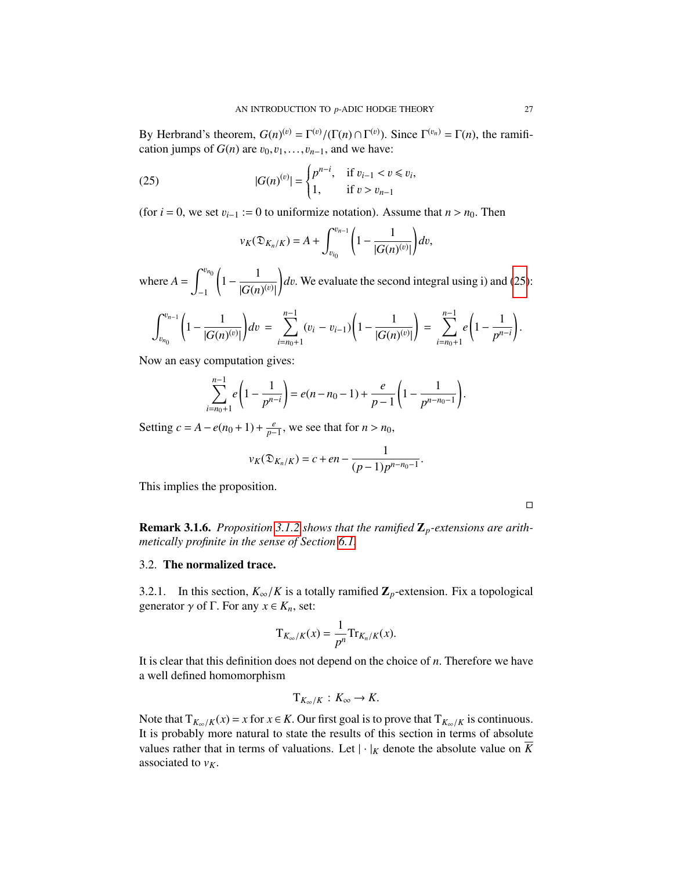By Herbrand's theorem,  $G(n)^{(v)} = \Gamma^{(v)}/(\Gamma(n) \cap \Gamma^{(v)})$ . Since  $\Gamma^{(v_n)} = \Gamma(n)$ , the ramifi-<br>cation jumps of  $G(n)$  are  $v_0, v_1, \ldots, v_{n-1}$  and we have: cation jumps of  $G(n)$  are  $v_0, v_1, \ldots, v_{n-1}$ , and we have:

(25) 
$$
|G(n)^{(v)}| = \begin{cases} p^{n-i}, & \text{if } v_{i-1} < v \le v_i, \\ 1, & \text{if } v > v_{n-1} \end{cases}
$$

(for  $i = 0$ , we set  $v_{i-1} := 0$  to uniformize notation). Assume that  $n > n_0$ . Then

$$
v_K(\mathfrak{D}_{K_n/K}) = A + \int_{v_{i_0}}^{v_{n-1}} \left(1 - \frac{1}{|G(n)^{(v)}|}\right) dv,
$$

where  $A = \int_0^{v_{n_0}}$ −1  $\left(1-\frac{1}{\sqrt{2}}\right)$  $|G(n)^{(v)}$ |  $dv$ . We evaluate the second integral using i) and [\(25\)](#page-24-2):

$$
\int_{v_{n_0}}^{v_{n-1}} \left(1 - \frac{1}{|G(n)^{(v)}|}\right) dv = \sum_{i=n_0+1}^{n-1} (v_i - v_{i-1}) \left(1 - \frac{1}{|G(n)^{(v)}|}\right) = \sum_{i=n_0+1}^{n-1} e\left(1 - \frac{1}{p^{n-i}}\right).
$$

Now an easy computation gives:

$$
\sum_{i=n_0+1}^{n-1} e\left(1-\frac{1}{p^{n-i}}\right) = e(n-n_0-1) + \frac{e}{p-1}\left(1-\frac{1}{p^{n-n_0-1}}\right).
$$

Setting  $c = A - e(n_0 + 1) + \frac{e}{p-1}$ , we see that for  $n > n_0$ ,

$$
v_K(\mathfrak{D}_{K_n/K}) = c + en - \frac{1}{(p-1)p^{n-n_0-1}}.
$$

This implies the proposition.

 $\Box$ 

Remark 3.1.6. *Proposition [3.1.2](#page-24-0) shows that the ramified* Z*p-extensions are arithmetically profinite in the sense of Section [6.1.](#page-45-1)*

#### <span id="page-26-0"></span>3.2. The normalized trace.

3.2.1. In this section,  $K_{\infty}/K$  is a totally ramified  $\mathbb{Z}_p$ -extension. Fix a topological generator  $\gamma$  of  $\Gamma$ . For any  $x \in K_n$ , set:

$$
T_{K_{\infty}/K}(x) = \frac{1}{p^n} \text{Tr}_{K_n/K}(x).
$$

It is clear that this definition does not depend on the choice of *<sup>n</sup>*. Therefore we have a well defined homomorphism

$$
T_{K_{\infty}/K}: K_{\infty} \to K.
$$

Note that  $T_{K_\infty/K}(x) = x$  for  $x \in K$ . Our first goal is to prove that  $T_{K_\infty/K}$  is continuous. It is probably more natural to state the results of this section in terms of absolute values rather that in terms of valuations. Let  $|\cdot|_K$  denote the absolute value on  $\overline{K}$ associated to  $v_K$ .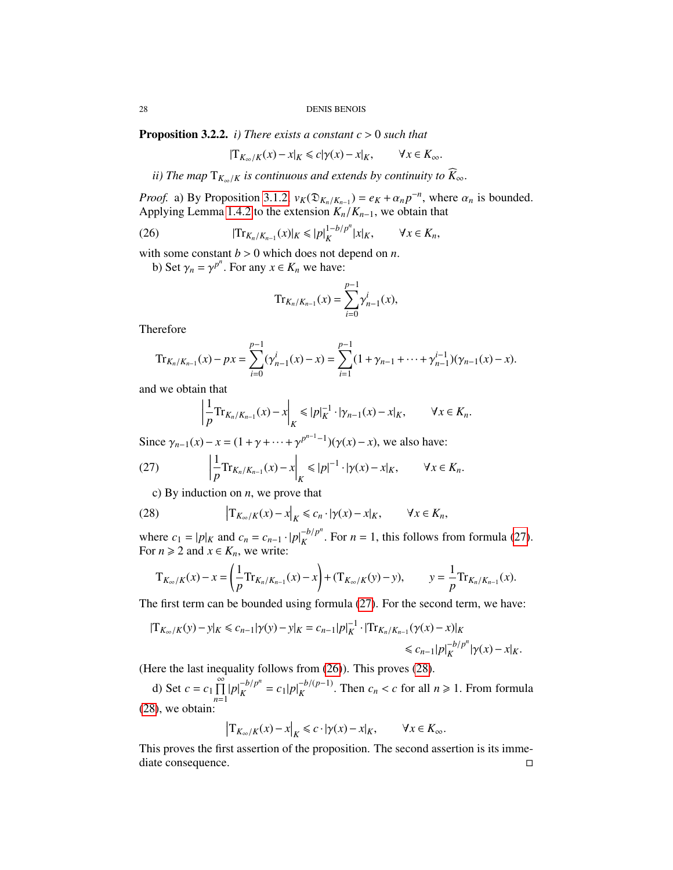<span id="page-27-3"></span>**Proposition 3.2.2.** *i)* There exists a constant  $c > 0$  such that

$$
|\mathrm{T}_{K_\infty/K}(x) - x|_K \leq c|\gamma(x) - x|_K, \qquad \forall x \in K_\infty.
$$

*ii)* The map  $T_{K_{\infty}/K}$  is continuous and extends by continuity to  $K_{\infty}$ .

*Proof.* a) By Proposition [3.1.2,](#page-24-0)  $v_K(\mathfrak{D}_{K_n/K_{n-1}}) = e_K + \alpha_n p^{-n}$ , where  $\alpha_n$  is bounded.<br>Applying Lemma 1.4.2 to the extension  $K/K_{n-1}$ , we obtain that Applying Lemma [1.4.2](#page-12-2) to the extension  $K_n/K_{n-1}$ , we obtain that

(26) 
$$
|\text{Tr}_{K_n/K_{n-1}}(x)|_K \leq |p|_K^{1-b/p^n} |x|_K, \qquad \forall x \in K_n,
$$

with some constant  $b > 0$  which does not depend on *n*.

b) Set  $\gamma_n = \gamma^{p^n}$ . For any  $x \in K_n$  we have:

<span id="page-27-1"></span>
$$
\mathrm{Tr}_{K_n/K_{n-1}}(x) = \sum_{i=0}^{p-1} \gamma_{n-1}^i(x),
$$

Therefore

$$
\mathrm{Tr}_{K_n/K_{n-1}}(x) - px = \sum_{i=0}^{p-1} (\gamma_{n-1}^i(x) - x) = \sum_{i=1}^{p-1} (1 + \gamma_{n-1} + \dots + \gamma_{n-1}^{i-1})(\gamma_{n-1}(x) - x).
$$

and we obtain that

<span id="page-27-0"></span>
$$
\left|\frac{1}{p}\text{Tr}_{K_n/K_{n-1}}(x)-x\right|_K\leqslant|p|_K^{-1}\cdot|\gamma_{n-1}(x)-x|_K,\qquad\forall x\in K_n.
$$

Since  $\gamma_{n-1}(x) - x = (1 + \gamma + \cdots + \gamma^{p^{n-1}-1})(\gamma(x) - x)$ , we also have:

(27) 
$$
\left| \frac{1}{p} \text{Tr}_{K_n/K_{n-1}}(x) - x \right|_K \leqslant |p|^{-1} \cdot |\gamma(x) - x|_K, \qquad \forall x \in K_n.
$$

<span id="page-27-2"></span>c) By induction on *<sup>n</sup>*, we prove that

(28) 
$$
\left|T_{K_{\infty}/K}(x)-x\right|_{K} \leq c_{n} \cdot |\gamma(x)-x|_{K}, \qquad \forall x \in K_{n},
$$

where  $c_1 = |p|_K$  and  $c_n = c_{n-1} \cdot |p|_K^{-b/p^n}$  $K_K^{-D/p}$ . For *n* = 1, this follows from formula [\(27\)](#page-27-0). For  $n \geq 2$  and  $x \in K_n$ , we write:

$$
T_{K_{\infty}/K}(x) - x = \left(\frac{1}{p} \text{Tr}_{K_n/K_{n-1}}(x) - x\right) + \left(\text{Tr}_{K_{\infty}/K}(y) - y\right), \qquad y = \frac{1}{p} \text{Tr}_{K_n/K_{n-1}}(x).
$$

The first term can be bounded using formula [\(27\)](#page-27-0). For the second term, we have:

$$
|\mathbf{T}_{K_{\infty}/K}(y) - y|_{K} \le c_{n-1} |\gamma(y) - y|_{K} = c_{n-1} |p|_{K}^{-1} \cdot |\mathbf{T} \mathbf{r}_{K_{n}/K_{n-1}}(\gamma(x) - x)|_{K}
$$
  
\$\le c\_{n-1} |p|\_{K}^{-b/p^{n}} |\gamma(x) - x|\_{K}\$.

(Here the last inequality follows from [\(26\)](#page-27-1)). This proves [\(28\)](#page-27-2).

d) Set  $c = c_1 \prod_{r=1}^{\infty}$ *n*=1  $|p|_K^{-b/p^n}$  $\int_K^{-b/p^n} = c_1|p|_K^{-b/(p-1)}$ . Then  $c_n < c$  for all  $n \ge 1$ . From formula [\(28\)](#page-27-2), we obtain:

$$
\left|\mathcal{T}_{K_{\infty}/K}(x) - x\right|_{K} \leq c \cdot |\gamma(x) - x|_{K}, \qquad \forall x \in K_{\infty}.
$$

This proves the first assertion of the proposition. The second assertion is its immediate consequence.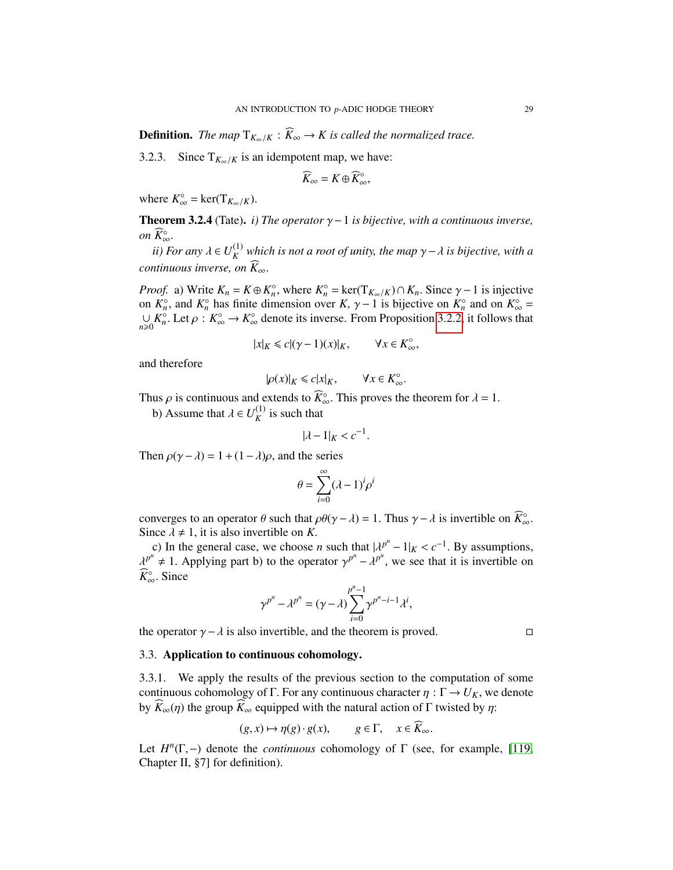**Definition.** *The map*  $T_{K_{\infty}/K}$  :  $\widehat{K}_{\infty} \to K$  is called the normalized trace.

3.2.3. Since  $T_{K_\infty/K}$  is an idempotent map, we have:

$$
\widehat{K}_{\infty}=K\oplus \widehat{K}_{\infty}^{\circ},
$$

where  $K_{\infty}^{\circ} = \text{ker}(T_{K_{\infty}/K}).$ 

<span id="page-28-1"></span>Theorem 3.2.4 (Tate). *i)* The operator  $\gamma$  − 1 *is bijective, with a continuous inverse, on*  $\widetilde{K}_{\infty}^{\circ}$ . ∞.<br>E

*ii) For any*  $\lambda \in U_K^{(1)}$ *K which is not a root of unity, the map* γ−λ *is bijective, with a continuous inverse, on*  $\widehat{K}_{\infty}$ .

*Proof.* a) Write  $K_n = K \oplus K_n^{\circ}$ , where  $K_n^{\circ} = \text{ker}(T_{K_\infty/K}) \cap K_n$ . Since  $\gamma - 1$  is injective on  $K^\circ$  and  $K^\circ$  and  $K^\circ$  = on  $K_n^{\circ}$ , and  $K_n^{\circ}$  has finite dimension over  $K, \gamma - 1$  is bijective on  $K_n^{\circ}$  and on  $K_\infty^{\circ} = \square K^\circ \square$  *L* is denote its inverse. From Proposition 3.2.2, it follows that  $∪$  *K*<sub>0</sub><sup>∞</sup>. Let *ρ* : *K*<sub>∞</sub><sup>°</sup> → *K*<sub>∞</sub><sup>°</sup> denote its inverse. From Proposition [3.2.2,](#page-27-3) it follows that

$$
|x|_K \le c |(\gamma - 1)(x)|_K, \qquad \forall x \in K_\infty^\circ,
$$

and therefore

$$
|\rho(x)|_K \leq c|x|_K, \qquad \forall x \in K_\infty^\circ.
$$

Thus  $\rho$  is continuous and extends to  $\widehat{K}_{\infty}^{\circ}$ . This proves the theorem for  $\lambda = 1$ .<br>
b) A source that  $\lambda \subset U^{(1)}$  is such that

b) Assume that  $\lambda \in U_K^{(1)}$  $\binom{1}{K}$  is such that

$$
|\lambda - 1|_K < c^{-1}.
$$

Then  $\rho(\gamma - \lambda) = 1 + (1 - \lambda)\rho$ , and the series

$$
\theta = \sum_{i=0}^{\infty} (\lambda - 1)^i \rho^i
$$

converges to an operator  $\theta$  such that  $\rho \theta(\gamma - \lambda) = 1$ . Thus  $\gamma - \lambda$  is invertible on  $\widehat{K}_{\infty}^{\circ}$ .<br>Since  $\lambda \neq 1$  it is also invertible on K Since  $\lambda \neq 1$ , it is also invertible on *K*.

c) In the general case, we choose *n* such that  $|\lambda^{p^n} - 1|_K < c^{-1}$ <br> $\lambda^p \neq 1$ . Applying part b) to the operator  $\lambda^{p^n} - \lambda^{p^n}$ , we see that c) In the general case, we choose *n* such that  $|\lambda^{p^n} - 1|_K < c^{-1}$ . By assumptions,  $p^n \neq 1$ . Applying part b) to the operator  $\gamma^{p^n} - \lambda^{p^n}$ , we see that it is invertible on  $\sum_{n=0}^{\infty}$ .  $\widehat{K}_{\infty}^{\circ}$ . Since

$$
\gamma^{p^n} - \lambda^{p^n} = (\gamma - \lambda) \sum_{i=0}^{p^n - 1} \gamma^{p^n - i - 1} \lambda^i,
$$

the operator  $\gamma - \lambda$  is also invertible, and the theorem is proved.  $\square$ 

#### <span id="page-28-0"></span>3.3. Application to continuous cohomology.

3.3.1. We apply the results of the previous section to the computation of some continuous cohomology of Γ. For any continuous character  $\eta : \Gamma \to U_K$ , we denote by  $\widehat{K}_{\infty}(\eta)$  the group  $\widehat{K}_{\infty}$  equipped with the natural action of Γ twisted by  $\eta$ :

$$
(g, x) \mapsto \eta(g) \cdot g(x), \qquad g \in \Gamma, \quad x \in K_{\infty}.
$$

Let  $H^n(\Gamma, -)$  denote the *continuous* cohomology of  $\Gamma$  (see, for example, [\[119,](#page-130-3) Chapter II 871 for definition) Chapter II, §7] for definition).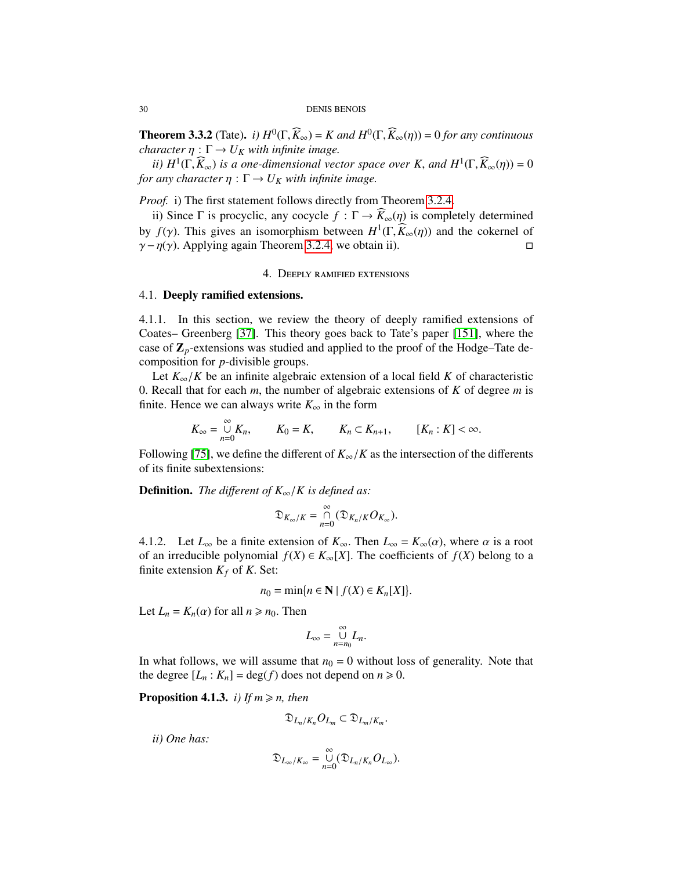#### 30 DENIS BENOIS

**Theorem 3.3.2** (Tate). *i)*  $H^0(\Gamma, \widehat{K}_\infty) = K$  and  $H^0(\Gamma, \widehat{K}_\infty(\eta)) = 0$  for any continuous character  $n : \Gamma \to U_N$  with infinite image *character*  $\eta : \Gamma \to U_K$  *with infinite image.* 

*ii*)  $H^1(\Gamma, \widehat{K}_{\infty})$  *is a one-dimensional vector space over K, and*  $H^1(\Gamma, \widehat{K}_{\infty}(\eta)) = 0$ <br>*i any character n* :  $\Gamma \to H_K$  with infinite image *for any character*  $\eta : \Gamma \to U_K$  *with infinite image.* 

*Proof.* i) The first statement follows directly from Theorem [3.2.4.](#page-28-1)

ii) Since Γ is procyclic, any cocycle *f* : Γ →  $K_∞(η)$  is completely determined by *f*(γ). This gives an isomorphism between  $H^1(\Gamma, \widehat{K}_{\infty}(\eta))$  and the cokernel of  $\chi - n(\chi)$ . Applying again Theorem 3.2.4, we obtain ii)  $\gamma - \eta(\gamma)$ . Applying again Theorem [3.2.4,](#page-28-1) we obtain ii).

### 4. Deeply ramified extensions

#### <span id="page-29-1"></span><span id="page-29-0"></span>4.1. Deeply ramified extensions.

4.1.1. In this section, we review the theory of deeply ramified extensions of Coates– Greenberg [\[37\]](#page-126-0). This theory goes back to Tate's paper [\[151\]](#page-131-0), where the case of  $\mathbb{Z}_p$ -extensions was studied and applied to the proof of the Hodge–Tate decomposition for *p*-divisible groups.

Let  $K_{\infty}/K$  be an infinite algebraic extension of a local field K of characteristic <sup>0</sup>. Recall that for each *<sup>m</sup>*, the number of algebraic extensions of *<sup>K</sup>* of degree *<sup>m</sup>* is finite. Hence we can always write  $K_{\infty}$  in the form

$$
K_{\infty} = \bigcup_{n=0}^{\infty} K_n, \qquad K_0 = K, \qquad K_n \subset K_{n+1}, \qquad [K_n : K] < \infty.
$$

Following [\[75\]](#page-128-6), we define the different of  $K_{\infty}/K$  as the intersection of the differents of its finite subextensions:

**Definition.** *The different of*  $K_{\infty}/K$  *is defined as:* 

$$
\mathfrak{D}_{K_{\infty}/K}=\mathop{\cap}\limits_{n=0}^{\infty}(\mathfrak{D}_{K_n/K}O_{K_{\infty}}).
$$

4.1.2. Let  $L_{\infty}$  be a finite extension of  $K_{\infty}$ . Then  $L_{\infty} = K_{\infty}(\alpha)$ , where  $\alpha$  is a root of an irreducible polynomial  $f(X) \in K_\infty[X]$ . The coefficients of  $f(X)$  belong to a finite extension  $K_f$  of K. Set:

$$
n_0 = \min\{n \in \mathbf{N} \mid f(X) \in K_n[X]\}.
$$

Let  $L_n = K_n(\alpha)$  for all  $n \ge n_0$ . Then

$$
L_{\infty}=\bigcup_{n=n_0}^{\infty}L_n.
$$

In what follows, we will assume that  $n_0 = 0$  without loss of generality. Note that the degree  $[L_n : K_n] = \deg(f)$  does not depend on  $n \ge 0$ .

<span id="page-29-2"></span>**Proposition 4.1.3.** *i)* If  $m \ge n$ , then

$$
\mathfrak{D}_{L_n/K_n}O_{L_m}\subset \mathfrak{D}_{L_m/K_m}.
$$

*ii) One has:*

$$
\mathfrak{D}_{L_\infty/K_\infty}=\mathop{\cup}\limits_{n=0}^\infty(\mathfrak{D}_{L_n/K_n}O_{L_\infty}).
$$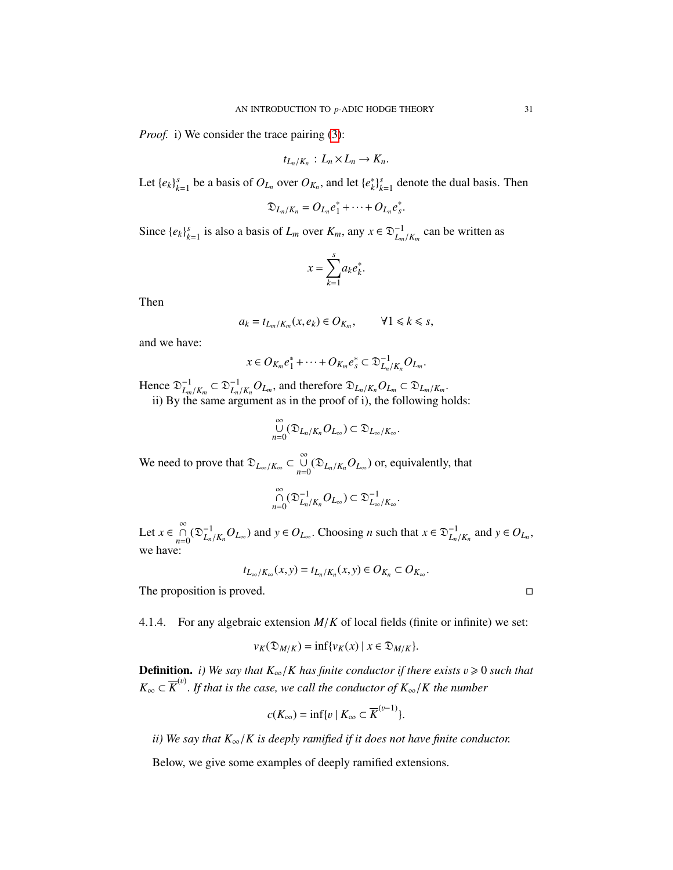*Proof.* i) We consider the trace pairing [\(3\)](#page-8-1):

$$
t_{L_n/K_n}: L_n \times L_n \to K_n.
$$

Let  $\{e_k\}_{k=1}^s$  be a basis of  $O_{L_n}$  over  $O_{K_n}$ , and let  $\{e_k^*\}$  $\binom{k}{k}$ <sup>s</sup><sub> $k=1$ </sub> denote the dual basis. Then

$$
\mathfrak{D}_{L_n/K_n}=O_{L_n}e_1^*+\cdots+O_{L_n}e_s^*.
$$

Since  $\{e_k\}_{k=1}^s$  is also a basis of  $L_m$  over  $K_m$ , any  $x \in \mathfrak{D}_{L_m/K_m}^{-1}$  can be written as

$$
x = \sum_{k=1}^{s} a_k e_k^*.
$$

Then

$$
a_k = t_{L_m/K_m}(x, e_k) \in O_{K_m}, \qquad \forall 1 \leq k \leq s,
$$

and we have:

$$
x \in O_{K_m}e_1^* + \cdots + O_{K_m}e_s^* \subset \mathfrak{D}_{L_n/K_n}^{-1}O_{L_m}.
$$

Hence  $\mathfrak{D}_I^{-1}$  $L_m/K_m$ <br>the s  $\subset \mathfrak{D}_{I}^{-1}$ nce  $\mathfrak{D}_{L_m/K_m}^{-1} \subset \mathfrak{D}_{L_n/K_n}^{-1} O_{L_m}$ , and therefore  $\mathfrak{D}_{L_n/K_n} O_{L_m} \subset \mathfrak{D}_{L_m/K_m}$ .<br>ii) By the same argument as in the proof of i), the following holds:

$$
\bigcup_{n=0}^{\infty}(\mathfrak{D}_{L_n/K_n}O_{L_{\infty}})\subset \mathfrak{D}_{L_{\infty}/K_{\infty}}.
$$

We need to prove that  $\mathfrak{D}_{L_{\infty}/K_{\infty}} \subset \bigcup_{n=0}^{\infty} (\mathfrak{D}_{L_n/K_n} O_{L_{\infty}})$  or, equivalently, that

$$
\mathop{\cap}\limits_{n=0}^{\infty}(\mathfrak{D}_{L_n/K_n}^{-1}O_{L_{\infty}})\subset \mathfrak{D}_{L_{\infty}/K_{\infty}}^{-1}.
$$

Let  $x \in \bigcap_{n=0}^{\infty} (\mathfrak{D}_{L_n}^{-1})$  $L_n / K_n O_{L_\infty}$ ) and  $y \in O_{L_\infty}$ . Choosing *n* such that  $x \in \mathfrak{D}_{L_n / K_n}^{-1}$  and  $y \in O_{L_n}$ , we have:

$$
t_{L_{\infty}/K_{\infty}}(x,y)=t_{L_n/K_n}(x,y)\in O_{K_n}\subset O_{K_{\infty}}.
$$

The proposition is proved.

4.1.4. For any algebraic extension *<sup>M</sup>*/*<sup>K</sup>* of local fields (finite or infinite) we set:

$$
v_K(\mathfrak{D}_{M/K}) = \inf \{ v_K(x) \mid x \in \mathfrak{D}_{M/K} \}.
$$

**Definition.** *i*) We say that  $K_{\infty}/K$  has finite conductor if there exists  $v \ge 0$  such that  $K_{\infty} \subset \overline{K}^{(v)}$ . *If that is the case, we call the conductor of*  $K_{\infty}/K$  *the number* 

$$
c(K_{\infty}) = \inf \{ v \mid K_{\infty} \subset \overline{K}^{(v-1)} \}.
$$

*ii)* We say that  $K_{\infty}/K$  is deeply ramified if it does not have finite conductor.

Below, we give some examples of deeply ramified extensions.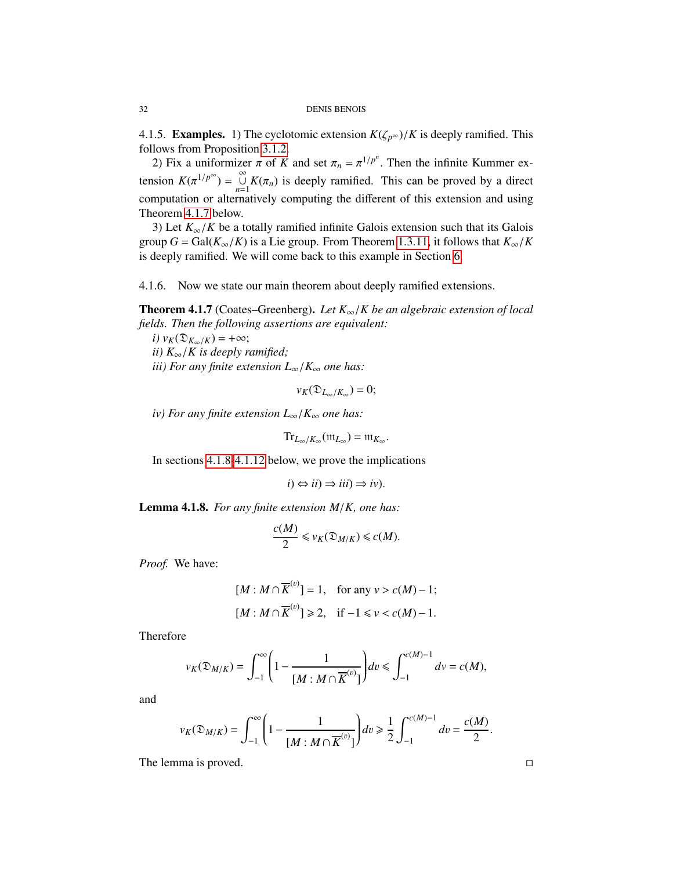4.1.5. **Examples.** 1) The cyclotomic extension  $K(\zeta_{p^{\infty}})/K$  is deeply ramified. This follows from Proposition [3.1.2.](#page-24-0)

2) Fix a uniformizer  $\pi$  of *K* and set  $\pi_n = \pi^{1/p^n}$ . Then the infinite Kummer extension  $K(\pi^{1/p^{\infty}}) = \bigcup_{n=1}^{\infty} K(\pi_n)$  is deeply ramified. This can be proved by a direct computation or alternatively computing the different of this extension and using Theorem [4.1.7](#page-31-0) below.

3) Let  $K_{\infty}/K$  be a totally ramified infinite Galois extension such that its Galois group  $G = \text{Gal}(K_{\infty}/K)$  is a Lie group. From Theorem [1.3.11,](#page-12-3) it follows that  $K_{\infty}/K$ is deeply ramified. We will come back to this example in Section [6.](#page-45-0)

4.1.6. Now we state our main theorem about deeply ramified extensions.

<span id="page-31-0"></span>Theorem 4.1.7 (Coates–Greenberg). *Let K*∞/*K be an algebraic extension of local fields. Then the following assertions are equivalent:*

 $i)$   $v_K(\mathfrak{D}_{K_\infty/K}) = +\infty;$ *ii) K*∞/*K is deeply ramified; iii) For any finite extension L*∞/*K*<sup>∞</sup> *one has:*

$$
v_K(\mathfrak{D}_{L_\infty/K_\infty})=0;
$$

*iv)* For any finite extension  $L_{\infty}/K_{\infty}$  one has:

$$
\mathrm{Tr}_{L_{\infty}/K_{\infty}}(\mathfrak{m}_{L_{\infty}})=\mathfrak{m}_{K_{\infty}}.
$$

In sections [4.1.8-](#page-31-1)[4.1.12](#page-33-1) below, we prove the implications

$$
i) \Leftrightarrow ii) \Rightarrow iii) \Rightarrow iv).
$$

<span id="page-31-1"></span>Lemma 4.1.8. *For any finite extension M*/*K, one has:*

<span id="page-31-2"></span>
$$
\frac{c(M)}{2} \leq v_K(\mathfrak{D}_{M/K}) \leq c(M).
$$

*Proof.* We have:

$$
[M : M \cap \overline{K}^{(v)}] = 1, \quad \text{for any } v > c(M) - 1;
$$
\n
$$
[M : M \cap \overline{K}^{(v)}] \ge 2, \quad \text{if } -1 \le v < c(M) - 1.
$$

Therefore

$$
v_K(\mathfrak{D}_{M/K})=\int_{-1}^{\infty}\Biggl(1-\frac{1}{[M:M\cap \overline{K}^{(v)}]}\Biggr)dv\leq \int_{-1}^{c(M)-1}dv=c(M),
$$

and

$$
v_K(\mathfrak{D}_{M/K}) = \int_{-1}^{\infty} \left(1 - \frac{1}{[M : M \cap \overline{K}^{(v)}]} \right) dv \ge \frac{1}{2} \int_{-1}^{c(M)-1} dv = \frac{c(M)}{2}.
$$

The lemma is proved.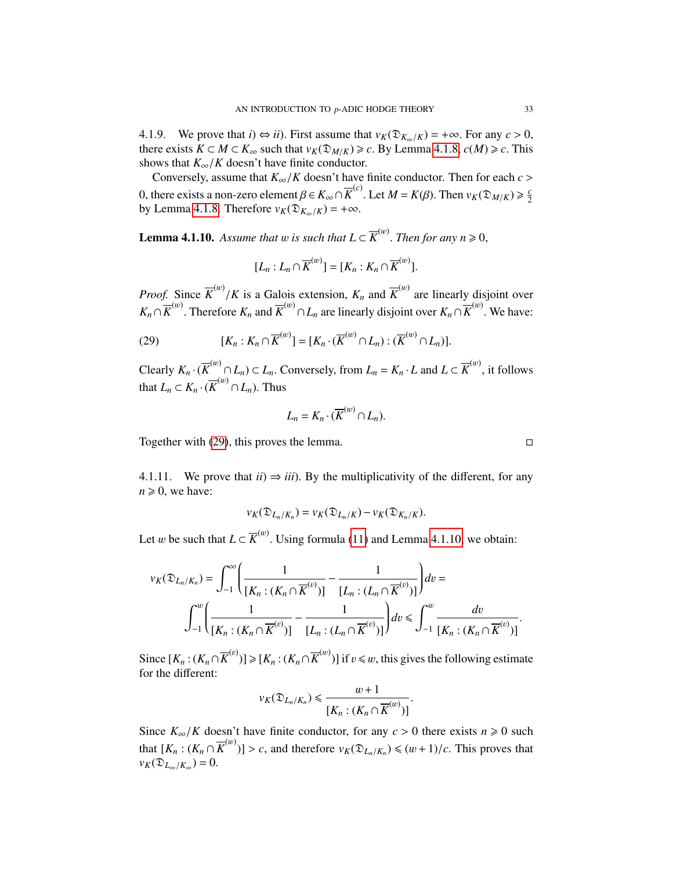4.1.9. We prove that  $i) \Leftrightarrow ii$ . First assume that  $v_K(\mathfrak{D}_{K_\infty/K}) = +\infty$ . For any  $c > 0$ , there exists  $K \subset M \subset K_\infty$  such that  $v_K(\mathfrak{D}_{M/K}) \ge c$ . By Lemma [4.1.8,](#page-31-1)  $c(M) \ge c$ . This shows that  $K_{\infty}/K$  doesn't have finite conductor.

Conversely, assume that  $K_{\infty}/K$  doesn't have finite conductor. Then for each  $c >$ 0, there exists a non-zero element β ∈  $K_{\infty} ∩ \overline{K}^{(c)}$ . Let  $M = K(β)$ . Then  $v_K(Ω_{M/K}) ≥ \frac{c}{2}$ <br>by Lemma 4.1.8. Therefore  $v_K(Ω_{M/K}) = +∞$ 2 by Lemma [4.1.8.](#page-31-1) Therefore  $v_K(\mathfrak{D}_{K_\infty/K}) = +\infty$ .

<span id="page-32-0"></span>**Lemma 4.1.10.** Assume that w is such that  $L \subset \overline{K}^{(w)}$ . Then for any  $n \ge 0$ ,

$$
[L_n: L_n \cap \overline{K}^{(w)}] = [K_n: K_n \cap \overline{K}^{(w)}].
$$

*Proof.* Since  $\overline{K}^{(w)}/K$  is a Galois extension,  $K_n$  and  $\overline{K}^{(w)}$  are linearly disjoint over  $K \circ \overline{K}^{(w)}$ . Therefore,  $K \circ \overline{K}^{(w)}$ . We have  $K_n \cap \overline{K}^{(w)}$ . Therefore  $K_n$  and  $\overline{K}^{(w)} \cap L_n$  are linearly disjoint over  $K_n \cap \overline{K}^{(w)}$ . We have:

(29) 
$$
[K_n:K_n\cap \overline{K}^{(w)}] = [K_n\cdot (\overline{K}^{(w)}\cap L_n):(\overline{K}^{(w)}\cap L_n)].
$$

Clearly  $K_n \cdot (\overline{K}^{(w)} \cap L_n) \subset L_n$ . Conversely, from  $L_n = K_n \cdot L$  and  $L \subset \overline{K}^{(w)}$ , it follows that  $L_n \subset K_n \cdot (\overline{K}^{(w)} \cap L_n)$ . Thus

$$
L_n=K_n\cdot (\overline{K}^{(w)}\cap L_n).
$$

Together with [\(29\)](#page-31-2), this proves the lemma.  $\square$ 

4.1.11. We prove that  $ii) \Rightarrow iii$ . By the multiplicativity of the different, for any  $n \geq 0$ , we have:

$$
v_K(\mathfrak{D}_{L_n/K_n})=v_K(\mathfrak{D}_{L_n/K})-v_K(\mathfrak{D}_{K_n/K}).
$$

Let *w* be such that  $L \subset \overline{K}^{(w)}$ . Using formula [\(11\)](#page-11-1) and Lemma [4.1.10,](#page-32-0) we obtain:

$$
v_K(\mathfrak{D}_{L_n/K_n}) = \int_{-1}^{\infty} \left( \frac{1}{[K_n : (K_n \cap \overline{K}^{(v)})]} - \frac{1}{[L_n : (L_n \cap \overline{K}^{(v)})]} \right) dv =
$$
  

$$
\int_{-1}^{w} \left( \frac{1}{[K_n : (K_n \cap \overline{K}^{(v)})]} - \frac{1}{[L_n : (L_n \cap \overline{K}^{(v)})]} \right) dv \leq \int_{-1}^{w} \frac{dv}{[K_n : (K_n \cap \overline{K}^{(v)})]}
$$

Since  $[K_n : (K_n \cap \overline{K}^{(v)})] \geq [K_n : (K_n \cap \overline{K}^{(w)})]$  if  $v \leq w$ , this gives the following estimate for the different: for the different:

$$
v_K(\mathfrak{D}_{L_n/K_n}) \leq \frac{w+1}{[K_n:(K_n \cap \overline{K}^{(w)})]}
$$

Since  $K_{\infty}/K$  doesn't have finite conductor, for any  $c > 0$  there exists  $n \ge 0$  such that  $[K_n : (K_n \cap \overline{K}^{(w)})] > c$ , and therefore  $v_K(\mathfrak{D}_{L_n/K_n}) \leq (w+1)/c$ . This proves that  $v_K(\mathfrak{D}_{L_\infty/K_\infty})=0.$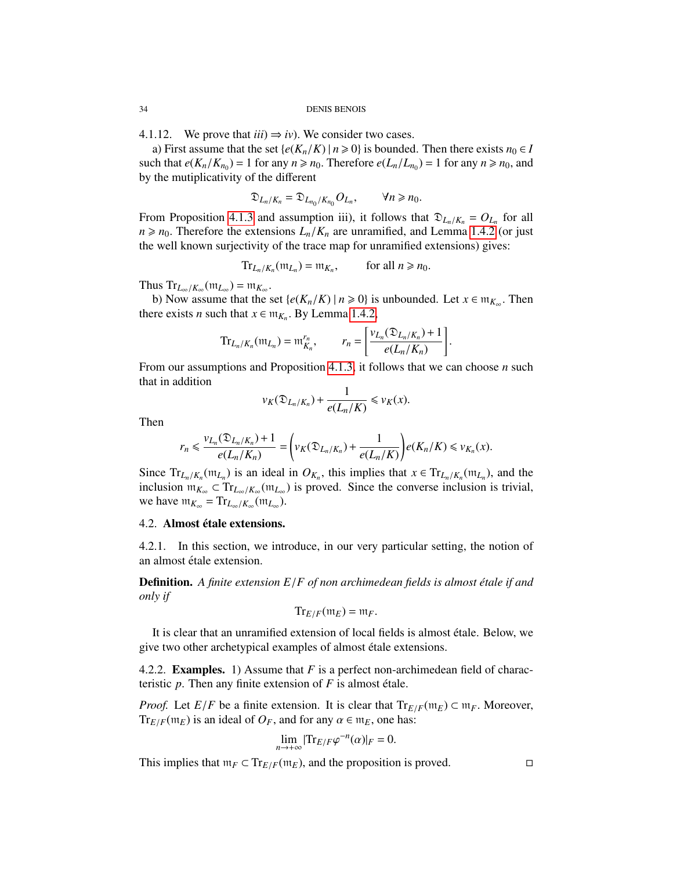<span id="page-33-1"></span>4.1.12. We prove that  $iii) \Rightarrow iv$ ). We consider two cases.

a) First assume that the set { $e(K_n/K)$  |  $n \ge 0$ } is bounded. Then there exists  $n_0 \in I$ such that  $e(K_n/K_{n_0}) = 1$  for any  $n \ge n_0$ . Therefore  $e(L_n/L_{n_0}) = 1$  for any  $n \ge n_0$ , and by the mutinlicativity of the different by the mutiplicativity of the different

$$
\mathfrak{D}_{L_n/K_n}=\mathfrak{D}_{L_{n_0}/K_{n_0}}O_{L_n},\qquad\forall n\geq n_0.
$$

From Proposition [4.1.3](#page-29-2) and assumption iii), it follows that  $\mathfrak{D}_{L_n/K_n} = O_{L_n}$  for all  $n > n_0$ . Therefore the extensions  $L/K$  are unregarded and Lemma 1.4.2 (or just  $n \ge n_0$ . Therefore the extensions  $L_n/K_n$  are unramified, and Lemma [1.4.2](#page-12-2) (or just the well known surjectivity of the trace map for unramified extensions) gives:

$$
\operatorname{Tr}_{L_n/K_n}(\mathfrak{m}_{L_n}) = \mathfrak{m}_{K_n}, \quad \text{for all } n \geq n_0.
$$

Thus  $Tr_{L_{\infty}/K_{\infty}}(\mathfrak{m}_{L_{\infty}}) = \mathfrak{m}_{K_{\infty}}$ <br>b) Now assume that the

b) Now assume that the set  $\{e(K_n/K) | n \ge 0\}$  is unbounded. Let  $x \in \mathfrak{m}_{K_\infty}$ . Then there exists *n* such that  $x \in m_{K_n}$ . By Lemma [1.4.2,](#page-12-2)

$$
\mathrm{Tr}_{L_n/K_n}(\mathfrak{m}_{L_n}) = \mathfrak{m}_{K_n}^{r_n}, \qquad r_n = \left[\frac{\nu_{L_n}(\mathfrak{D}_{L_n/K_n}) + 1}{e(L_n/K_n)}\right].
$$

From our assumptions and Proposition [4.1.3,](#page-29-2) it follows that we can choose *n* such that in addition

$$
v_K(\mathfrak{D}_{L_n/K_n})+\frac{1}{e(L_n/K)}\leqslant v_K(x).
$$

Then

$$
r_n \leqslant \frac{\nu_{L_n}(\mathfrak{D}_{L_n/K_n}) + 1}{e(L_n/K_n)} = \left(\nu_K(\mathfrak{D}_{L_n/K_n}) + \frac{1}{e(L_n/K)}\right) e(K_n/K) \leqslant \nu_{K_n}(x).
$$

Since  $Tr_{L_n/K_n}(\mathfrak{m}_{L_n})$  is an ideal in  $O_{K_n}$ , this implies that  $x \in Tr_{L_n/K_n}(\mathfrak{m}_{L_n})$ , and the inclusion  $\mathfrak{m}_{K_n} \subset Tr_{L_n/K_n}(\mathfrak{m}_{L_n})$  is proved. Since the converse inclusion is trivial. inclusion  $m_{K_{\infty}} \subset Tr_{L_{\infty}/K_{\infty}}(m_{L_{\infty}})$  is proved. Since the converse inclusion is trivial, we have  $m_{K_{\infty}} = Tr_{L_{\infty}/K_{\infty}} (m_{L_{\infty}})$ .

#### <span id="page-33-0"></span>4.2. Almost étale extensions.

4.2.1. In this section, we introduce, in our very particular setting, the notion of an almost étale extension.

**Definition.** A finite extension  $E/F$  of non archimedean fields is almost étale if and *only if*

$$
\mathrm{Tr}_{E/F}(\mathfrak{m}_E)=\mathfrak{m}_F.
$$

It is clear that an unramified extension of local fields is almost étale. Below, we give two other archetypical examples of almost étale extensions.

4.2.2. Examples. 1) Assume that *F* is a perfect non-archimedean field of characteristic  $p$ . Then any finite extension of  $F$  is almost étale.

*Proof.* Let *E*/*F* be a finite extension. It is clear that  $Tr_{E/F}(m_E) \subset m_F$ . Moreover,  $Tr_{E/F}(m_E)$  is an ideal of  $O_F$ , and for any  $\alpha \in m_E$ , one has:

$$
\lim_{n\to+\infty}|\mathrm{Tr}_{E/F}\varphi^{-n}(\alpha)|_F=0.
$$

This implies that  $m_F \subset Tr_{E/F}(m_E)$ , and the proposition is proved.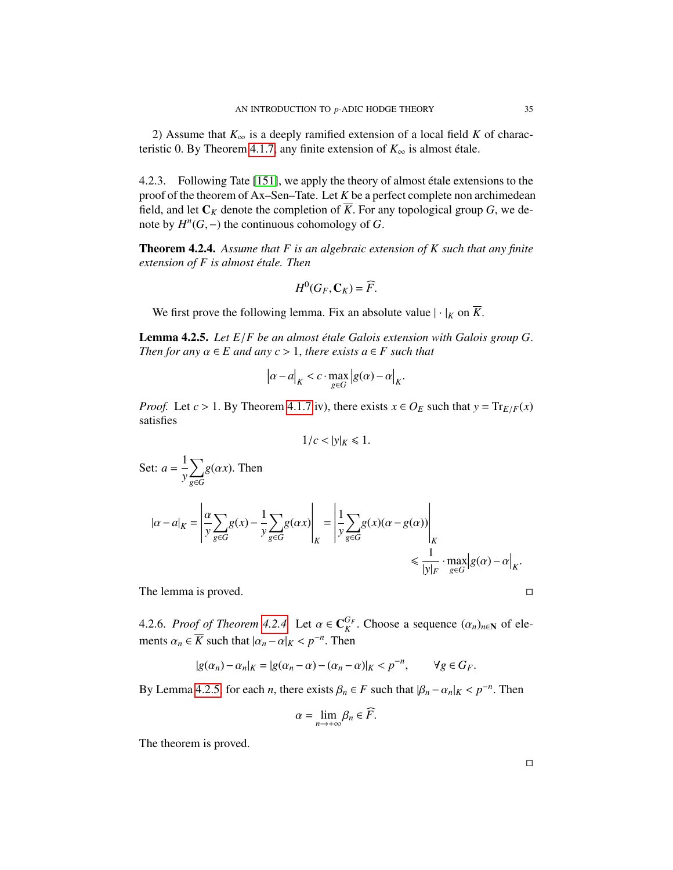2) Assume that *K*<sup>∞</sup> is a deeply ramified extension of a local field *K* of charac-teristic 0. By Theorem [4.1.7,](#page-31-0) any finite extension of  $K_{\infty}$  is almost étale.

4.2.3. Following Tate [\[151\]](#page-131-0), we apply the theory of almost étale extensions to the proof of the theorem of Ax–Sen–Tate. Let *K* be a perfect complete non archimedean field, and let  $C_K$  denote the completion of K. For any topological group  $G$ , we denote by  $H^n(G, -)$  the continuous cohomology of *G*.

<span id="page-34-0"></span>Theorem 4.2.4. *Assume that F is an algebraic extension of K such that any finite extension of F is almost étale. Then* 

$$
H^0(G_F,\mathbf{C}_K)=\widehat{F}.
$$

We first prove the following lemma. Fix an absolute value  $|\cdot|_K$  on  $\overline{K}$ .

<span id="page-34-1"></span>Lemma 4.2.5. Let  $E/F$  be an almost étale Galois extension with Galois group G. *Then for any*  $\alpha \in E$  *and any*  $c > 1$ *, there exists*  $a \in F$  *such that* 

$$
|\alpha - a|_K < c \cdot \max_{g \in G} |g(\alpha) - \alpha|_K.
$$

*Proof.* Let  $c > 1$ . By Theorem [4.1.7](#page-31-0) iv), there exists  $x \in O_E$  such that  $y = Tr_{E/F}(x)$ satisfies

$$
1/c < |y|_K \leq 1.
$$

Set: 
$$
a = \frac{1}{y} \sum_{g \in G} g(\alpha x)
$$
. Then  
\n
$$
|\alpha - a|_{K} = \left| \frac{\alpha}{y} \sum_{g \in G} g(x) - \frac{1}{y} \sum_{g \in G} g(\alpha x) \right|_{K} = \left| \frac{1}{y} \sum_{g \in G} g(x) (\alpha - g(\alpha)) \right|_{K}
$$
\n
$$
\leq \frac{1}{|y|_{F}} \cdot \max_{g \in G} |g(\alpha) - \alpha|_{K}.
$$

The lemma is proved.

4.2.6. *Proof of Theorem [4.2.4.](#page-34-0)* Let  $\alpha \in \mathbb{C}_K^{G_F}$ <br>ments  $\alpha \in \overline{K}$  such that  $|\alpha| \leq \alpha^{-n}$ . Then  $K$ <sup>*K*</sup>. Choose a sequence  $(\alpha_n)_{n \in \mathbb{N}}$  of elements  $\alpha_n \in \overline{K}$  such that  $|\alpha_n - \alpha|_K < p^{-n}$ . Then

$$
|g(\alpha_n) - \alpha_n|_K = |g(\alpha_n - \alpha) - (\alpha_n - \alpha)|_K < p^{-n}, \qquad \forall g \in G_F.
$$

By Lemma [4.2.5,](#page-34-1) for each *n*, there exists  $\beta_n \in F$  such that  $|\beta_n - \alpha_n|_K < p^{-n}$ . Then

$$
\alpha = \lim_{n \to +\infty} \beta_n \in \widehat{F}.
$$

The theorem is proved.

$$
\qquad \qquad \Box
$$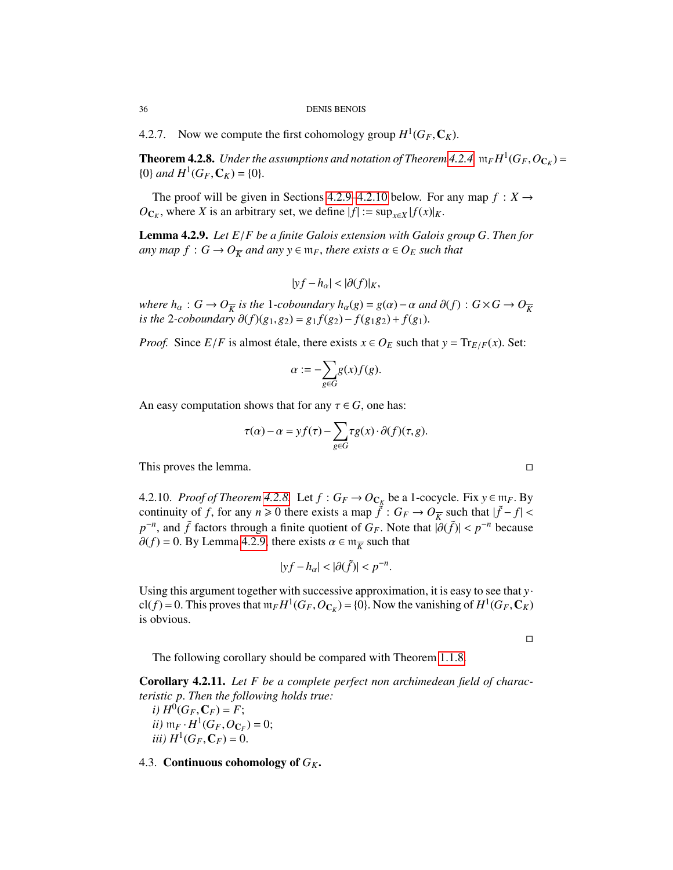4.2.7. Now we compute the first cohomology group  $H^1(G_F, \mathbb{C}_K)$ .

<span id="page-35-3"></span>**Theorem 4.2.8.** *Under the assumptions and notation of Theorem [4.2.4,](#page-34-0)*  $\mathfrak{m}_F H^1(G_F, O_{\mathbb{C}_K}) =$ <br> $\{0\}$  and  $H^1(G_F, \mathbb{C}_K) = 0$  ${0}$ *and*  $H^1(G_F, \mathbf{C}_K) = {0}.$ 

The proof will be given in Sections [4.2.9](#page-35-1)[–4.2.10](#page-35-2) below. For any map  $f: X \rightarrow Y$  $O_{\mathbb{C}_K}$ , where *X* is an arbitrary set, we define  $|f| := \sup_{x \in X} |f(x)|_K$ .

<span id="page-35-1"></span>Lemma 4.2.9. *Let E*/*F be a finite Galois extension with Galois group G*. *Then for*  $a$ *ny*  $ma$ *p*  $f: G \to O_{\overline{K}}$  *and any*  $y \in \mathfrak{m}_F$ *, there exists*  $\alpha \in O_E$  *such that* 

$$
|yf - h_{\alpha}| < |\partial(f)|_K,
$$

*where*  $h_{\alpha}: G \to O_{\overline{K}}$  *is the* 1*-coboundary*  $h_{\alpha}(g) = g(\alpha) - \alpha$  *and*  $\partial(f): G \times G \to O_{\overline{K}}$ <br>*is the* 2*-coboundary*  $\partial(f)(g_1, g_2) = g_1 f(g_2) - f(g_1 g_2) + f(g_1)$ *is the* 2*-coboundary*  $\partial(f)(g_1, g_2) = g_1 f(g_2) - f(g_1 g_2) + f(g_1)$ .

*Proof.* Since *E*/*F* is almost étale, there exists  $x \in O_E$  such that  $y = Tr_{E/F}(x)$ . Set:

$$
\alpha := -\sum_{g \in G} g(x) f(g).
$$

An easy computation shows that for any  $\tau \in G$ , one has:

$$
\tau(\alpha) - \alpha = yf(\tau) - \sum_{g \in G} \tau g(x) \cdot \partial(f)(\tau, g).
$$

This proves the lemma.

<span id="page-35-2"></span>4.2.10. *Proof of Theorem* [4.2.8.](#page-35-3) Let  $f: G_F \to O_{C_K}$  be a 1-cocycle. Fix  $y \in m_F$ . By continuity of f for any  $n \ge 0$  there exists a map  $\tilde{f}: G_F \to O_F$  such that  $|\tilde{f} - f| \ge$ continuity of *f*, for any  $n \ge 0$  there exists a map  $\tilde{f}$  :  $G_F \to O_{\overline{K}}$  such that  $|\tilde{f} - f| < n^{-n}$  and  $\tilde{f}$  fectors through a finite quotient of  $G_F$ . Note that  $|\partial(\tilde{f})| < n^{-n}$  because  $p^{-n}$ , and  $\tilde{f}$  factors through a finite quotient of *G<sub>F</sub>*. Note that  $|\partial(\tilde{f})| < p^{-n}$  because  $\partial(f) - 0$ . By Lemma 4.2.9, there exists  $\alpha \in m -$  such that  $\partial(f) = 0$ . By Lemma [4.2.9,](#page-35-1) there exists  $\alpha \in m_{\overline{K}}$  such that

$$
|yf - h_{\alpha}| < |\partial(\tilde{f})| < p^{-n}.
$$

Using this argument together with successive approximation, it is easy to see that *y*·  $cl(f) = 0$ . This proves that  $m_F H^1(G_F, O_{C_K}) = \{0\}$ . Now the vanishing of  $H^1(G_F, C_K)$  is obvious is obvious.

 $\Box$ 

The following corollary should be compared with Theorem [1.1.8.](#page-5-1)

Corollary 4.2.11. *Let F be a complete perfect non archimedean field of characteristic p*. *Then the following holds true:*

*i*)  $H^0(G_F, \mathbb{C}_F) = F$ ;<br>*ii*)  $m_F$ ,  $H^1(G_F, \mathbb{C}_F)$ *ii*)  $m_F \cdot H^1(G_F, O_{C_F}) = 0;$ <br>*iii*)  $H^1(G_F, C_F) = 0$ *iii*)  $H^1(G_F, \mathbb{C}_F) = 0.$ 

<span id="page-35-0"></span>4.3. Continuous cohomology of *GK*.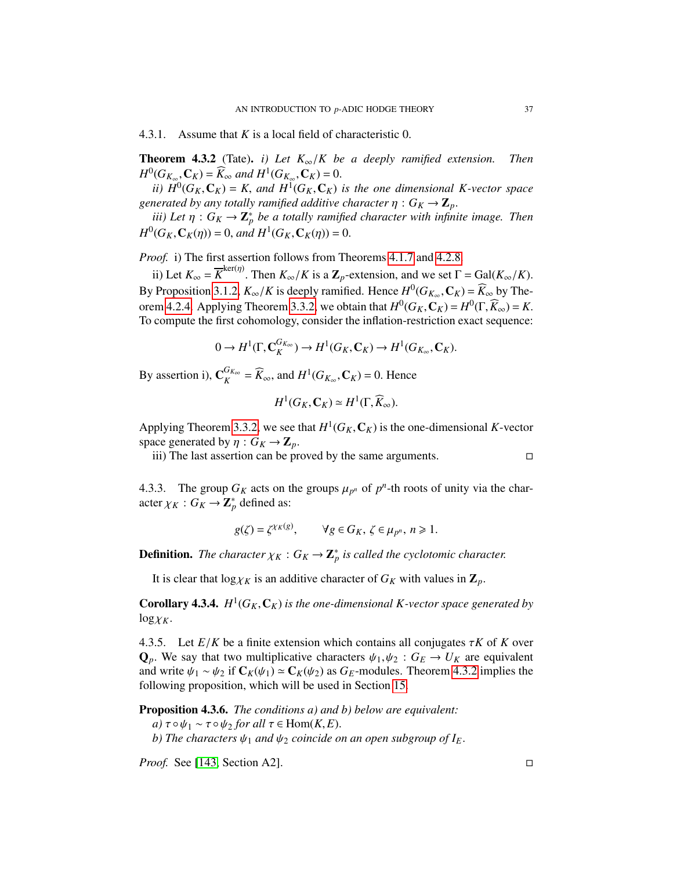4.3.1. Assume that *<sup>K</sup>* is a local field of characteristic 0.

<span id="page-36-0"></span>**Theorem 4.3.2** (Tate). *i)* Let  $K_{\infty}/K$  be a deeply ramified extension. Then  $H^0(G_{K_{\infty}}, \mathbb{C}_K) = \widehat{K}_{\infty}$  and  $H^1(G_{K_{\infty}}, \mathbb{C}_K) = 0.$ <br> *ii*)  $H^0(G_K, \mathbb{C}_K) = K$  and  $H^1(G_K, \mathbb{C}_K)$ 

*ii*)  $H^0(G_K, \mathbb{C}_K) = K$ , and  $H^1(G_K, \mathbb{C}_K)$  is the one dimensional K-vector space<br>nerated by any totally ramified additive character  $n: G_K \to \mathbb{Z}$ *generated by any totally ramified additive character*  $\eta$  :  $G_K \to \mathbb{Z}_p$ .

*iii)* Let  $\eta$  :  $G_K \to \mathbb{Z}_p^*$  be a totally ramified character with infinite image. Then  $H^0(G_K, \mathbf{C}_K(\eta)) = 0$ , *and*  $H^1(G_K, \mathbf{C}_K(\eta)) = 0$ .

*Proof.* i) The first assertion follows from Theorems [4.1.7](#page-31-0) and [4.2.8.](#page-35-0)

ii) Let  $K_{\infty} = \overline{K}^{\text{ker}(\eta)}$ . Then  $K_{\infty}/K$  is a  $\mathbb{Z}_p$ -extension, and we set  $\Gamma = \text{Gal}(K_{\infty}/K)$ . By Proposition [3.1.2,](#page-24-0)  $K_{\infty}/K$  is deeply ramified. Hence  $H^0(G_{K_{\infty}}, \mathbf{C}_K) = \widehat{K}_{\infty}$  by The-<br>organ 4.2.4. Applying Theorem 3.3.2, we obtain that  $H^0(G, \mathbf{C}) = H^0(\Gamma, \widehat{K}) = K$ orem [4.2.4.](#page-34-0) Applying Theorem [3.3.2,](#page-29-0) we obtain that  $H^0(G_K, \mathbb{C}_K) = H^0(\Gamma, \widehat{K}_{\infty}) = K$ .<br>To compute the first cohomology, consider the inflation-restriction exact sequence: To compute the first cohomology, consider the inflation-restriction exact sequence:

$$
0 \to H^1(\Gamma, \mathbf{C}_K^{G_{K_\infty}}) \to H^1(G_K, \mathbf{C}_K) \to H^1(G_{K_\infty}, \mathbf{C}_K).
$$

By assertion i),  $\mathbf{C}_K^{G_{K_{\infty}}}$  $K_K^{G_{K_{\infty}}} = \widehat{K}_{\infty}$ , and  $H^1(G_{K_{\infty}}, \mathbb{C}_K) = 0$ . Hence

$$
H^1(G_K,\mathbf{C}_K)\simeq H^1(\Gamma,\widehat{K}_{\infty}).
$$

Applying Theorem [3.3.2,](#page-29-0) we see that  $H^1(G_K, \mathbb{C}_K)$  is the one-dimensional *K*-vector space generated by  $n: G_K \to \mathbb{Z}$ space generated by  $\eta: G_K \to \mathbb{Z}_p$ .

iii) The last assertion can be proved by the same arguments.

4.3.3. The group  $G_K$  acts on the groups  $\mu_{p^n}$  of  $p^n$ -th roots of unity via the char-<br>acter  $V_K : G_K \to \mathbb{Z}^*$  defined as: acter  $\chi_K$  :  $G_K \to \mathbb{Z}_p^*$  defined as:

$$
g(\zeta) = \zeta^{\chi_K(g)}, \qquad \forall g \in G_K, \ \zeta \in \mu_{p^n}, \ n \geq 1.
$$

**Definition.** The character  $\chi_K$  :  $G_K \to \mathbb{Z}_p^*$  is called the cyclotomic character.

It is clear that  $\log \chi_K$  is an additive character of  $G_K$  with values in  $\mathbb{Z}_p$ .

**Corollary 4.3.4.**  $H^1(G_K, \mathbb{C}_K)$  is the one-dimensional K-vector space generated by  $\log_{\text{CK}}$  $log\chi_K$ .

4.3.5. Let  $E/K$  be a finite extension which contains all conjugates  $\tau K$  of K over  $Q_p$ . We say that two multiplicative characters  $\psi_1, \psi_2 : G_E \to U_K$  are equivalent and write  $\psi_1 \sim \psi_2$  if  $C_K(\psi_1) \simeq C_K(\psi_2)$  as  $G_F$ -modules. Theorem [4.3.2](#page-36-0) implies the following proposition, which will be used in Section [15.](#page-106-0)

Proposition 4.3.6. *The conditions a) and b) below are equivalent:*

*a*)  $τ ∘ ψ<sub>1</sub> ∼ τ ∘ ψ<sub>2</sub> for all τ ∈ Hom(K, E).$ 

*b*) The characters  $\psi_1$  and  $\psi_2$  coincide on an open subgroup of  $I_E$ .

*Proof.* See [\[143,](#page-130-0) Section A2].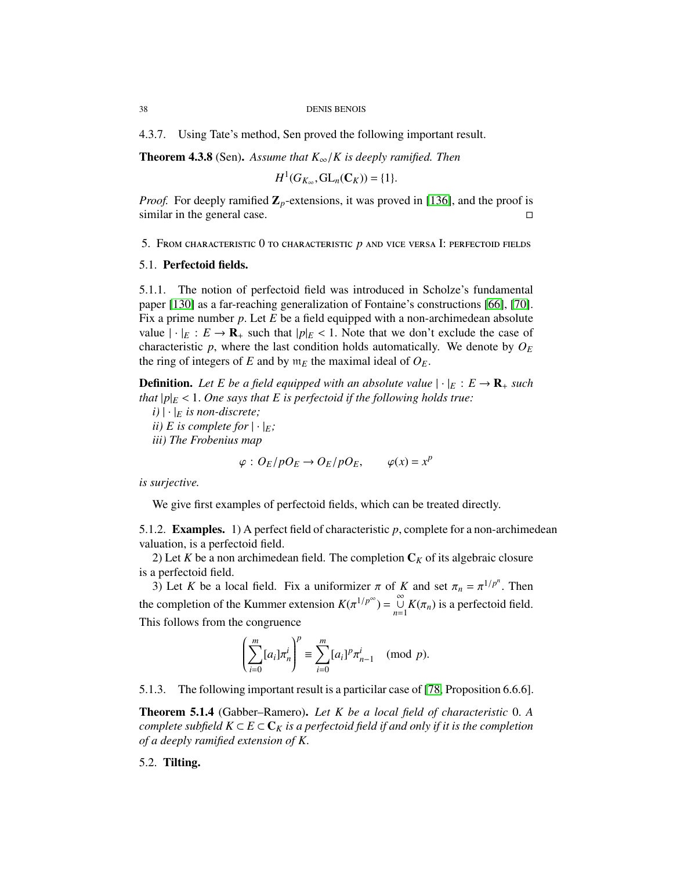4.3.7. Using Tate's method, Sen proved the following important result.

Theorem 4.3.8 (Sen). *Assume that K*∞/*K is deeply ramified. Then*

$$
H^1(G_{K_{\infty}}, \mathbf{GL}_n(\mathbf{C}_K)) = \{1\}.
$$

*Proof.* For deeply ramified  $\mathbb{Z}_p$ -extensions, it was proved in [\[136\]](#page-130-1), and the proof is similar in the general case.

5. From characteristic 0 to characteristic *p* and vice versa I: perfectoid fields

## 5.1. Perfectoid fields.

5.1.1. The notion of perfectoid field was introduced in Scholze's fundamental paper [\[130\]](#page-130-2) as a far-reaching generalization of Fontaine's constructions [\[66\]](#page-128-0), [\[70\]](#page-128-1). Fix a prime number *<sup>p</sup>*. Let *<sup>E</sup>* be a field equipped with a non-archimedean absolute value  $|\cdot|_E : E \to \mathbf{R}_+$  such that  $|p|_E < 1$ . Note that we don't exclude the case of characteristic  $p$ , where the last condition holds automatically. We denote by  $O_E$ the ring of integers of *E* and by  $m_E$  the maximal ideal of  $O_E$ .

**Definition.** Let E be a field equipped with an absolute value  $|\cdot|_E : E \to \mathbf{R}_+$  such *that*  $|p|_E$  < 1. One says that E is perfectoid if the following holds true:

 $(i) | \cdot |_E$  *is non-discrete; ii*) *E* is complete for  $|\cdot|_E$ ; *iii) The Frobenius map*

$$
\varphi: O_E/pO_E \to O_E/pO_E, \qquad \varphi(x) = x^p
$$

*is surjective.*

We give first examples of perfectoid fields, which can be treated directly.

5.1.2. Examples. 1) A perfect field of characteristic *<sup>p</sup>*, complete for a non-archimedean valuation, is a perfectoid field.

2) Let *K* be a non archimedean field. The completion  $C_K$  of its algebraic closure is a perfectoid field.

3) Let *K* be a local field. Fix a uniformizer  $\pi$  of *K* and set  $\pi_n = \pi^{1/p^n}$ . Then the completion of the Kummer extension  $K(\pi^{1/p^{\infty}}) = \bigcup_{n=1}^{\infty} K(\pi_n)$  is a perfectoid field. This follows from the congruence

$$
\left(\sum_{i=0}^m [a_i]\pi_n^i\right)^p \equiv \sum_{i=0}^m [a_i]^p \pi_{n-1}^i \pmod{p}.
$$

5.1.3. The following important result is a particilar case of [\[78,](#page-128-2) Proposition 6.6.6].

Theorem 5.1.4 (Gabber–Ramero). *Let K be a local field of characteristic* <sup>0</sup>. *<sup>A</sup> complete subfield*  $K \subset E \subset \mathbb{C}_K$  *is a perfectoid field if and only if it is the completion of a deeply ramified extension of K*.

5.2. Tilting.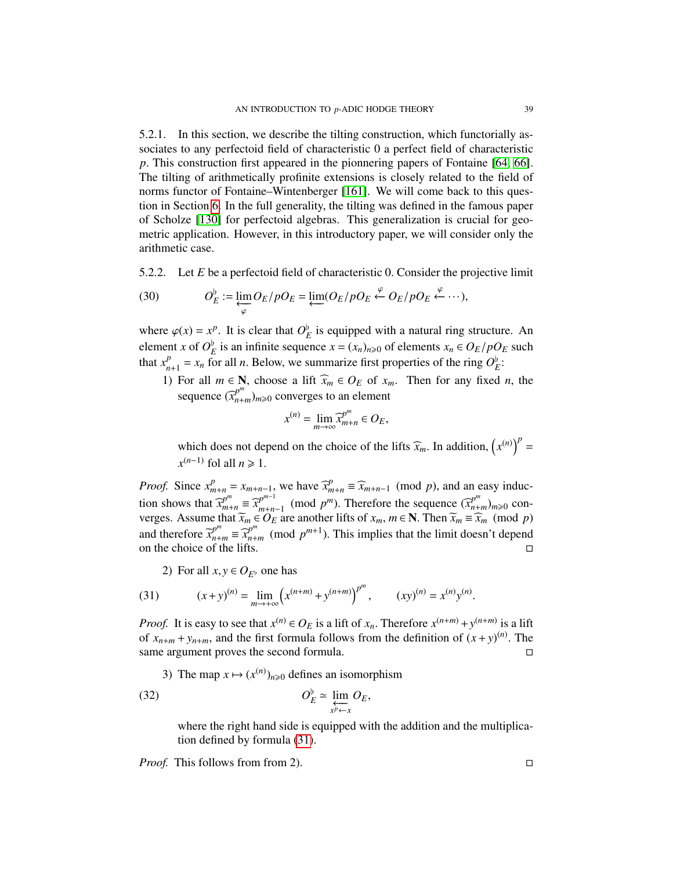5.2.1. In this section, we describe the tilting construction, which functorially associates to any perfectoid field of characteristic 0 a perfect field of characteristic *<sup>p</sup>*. This construction first appeared in the pionnering papers of Fontaine [\[64,](#page-127-0) [66\]](#page-128-0). The tilting of arithmetically profinite extensions is closely related to the field of norms functor of Fontaine–Wintenberger [\[161\]](#page-131-0). We will come back to this question in Section [6.](#page-45-0) In the full generality, the tilting was defined in the famous paper of Scholze [\[130\]](#page-130-2) for perfectoid algebras. This generalization is crucial for geometric application. However, in this introductory paper, we will consider only the arithmetic case.

5.2.2. Let *<sup>E</sup>* be a perfectoid field of characteristic 0. Consider the projective limit

(30) 
$$
O_E^{\flat} := \lim_{\substack{\longleftarrow \\ \varphi}} O_E / p O_E = \lim_{\substack{\longleftarrow \\ \longleftarrow}} (O_E / p O_E \stackrel{\varphi}{\leftarrow} O_E / p O_E \stackrel{\varphi}{\leftarrow} \cdots),
$$

where  $\varphi(x) = x^p$ . It is clear that  $O_E^{\flat}$  is equipped with a natural ring structure. An element  $g \circ f \circ f$  is equipped with a natural ring structure. element *x* of  $O_E^b$  is an infinite sequence  $x = (x_n)_{n \ge 0}$  of elements  $x_n \in O_E/pO_E$  such that  $x_i^b = x$  for all *n*. Below, we summarize first properties of the ring  $O_E^b$ . that  $x_n^p$  $P_{n+1} = x_n$  for all *n*. Below, we summarize first properties of the ring  $O_E^b$ :

1) For all  $m \in \mathbb{N}$ , choose a lift  $\widehat{x}_m \in O_E$  of  $x_m$ . Then for any fixed *n*, the sequence  $(\widehat{x}_{n+m}^{p^m})_{m\geqslant 0}$  converges to an element

$$
x^{(n)} = \lim_{m \to \infty} \widehat{x}_{m+n}^{p^m} \in O_E,
$$

which does not depend on the choice of the lifts  $\widehat{x}_m$ . In addition,  $(x^{(n)})^p = (n-1)$  folds in  $\sum_{n=1}^{\infty}$  $x^{(n-1)}$  fol all  $n \ge 1$ .

*Proof.* Since  $x_{m+n}^p = x_{m+n-1}$ , we have  $\widehat{x}_{m+n}^p \equiv \widehat{x}_{m+n-1} \pmod{p}$ , and an easy induction shows that  $\widehat{x}_{m+n}^{p^m} \equiv \widehat{x}_{m+n}^{p^{m-1}}$  $p^{m-1}$  (mod  $p^m$ ). Therefore the sequence  $(\widehat{x}_{n+m}^{p^m})_{m\geqslant0}$  con-<br>  $\widehat{B}_{n}$  are another lifts of  $x \in \mathbb{N}$  Then  $\widetilde{x} = \widehat{x} \pmod{n}$ verges. Assume that  $\widetilde{x}_m \in O_E$  are another lifts of  $x_m$ ,  $m \in \mathbb{N}$ . Then  $\widetilde{x}_m \equiv \widehat{x}_m \pmod{p}$ <br>and therefore  $\overline{x}^p = \overline{x}^p$  (mod  $x^{m+1}$ ). This implies that the limit decon't depend and therefore  $\bar{x}_{n+m}^{p^m} \equiv \bar{x}_{n+m}^{p^m} \pmod{p^{m+1}}$ . This implies that the limit doesn't depend on the choice of the lifts.

<span id="page-38-0"></span>2) For all  $x, y \in O_{E^{\flat}}$  one has

(31) 
$$
(x+y)^{(n)} = \lim_{m \to +\infty} \left( x^{(n+m)} + y^{(n+m)} \right)^{p^m}, \qquad (xy)^{(n)} = x^{(n)} y^{(n)}.
$$

*Proof.* It is easy to see that  $x^{(n)} \in O_E$  is a lift of  $x_n$ . Therefore  $x^{(n+m)} + y^{(n+m)}$  is a lift of  $x + y$  and the first formula follows from the definition of  $(x + y)^{(n)}$ . The of  $x_{n+m} + y_{n+m}$ , and the first formula follows from the definition of  $(x + y)^{(n)}$ . The same argument proves the second formula.

3) The map  $x \mapsto (x^{(n)})_{n \geq 0}$  defines an isomorphism

(32) *O* [ *<sup>E</sup>* ' lim←−− *x <sup>p</sup>*←*x OE*,

where the right hand side is equipped with the addition and the multiplication defined by formula [\(31\)](#page-38-0).

*Proof.* This follows from from 2). □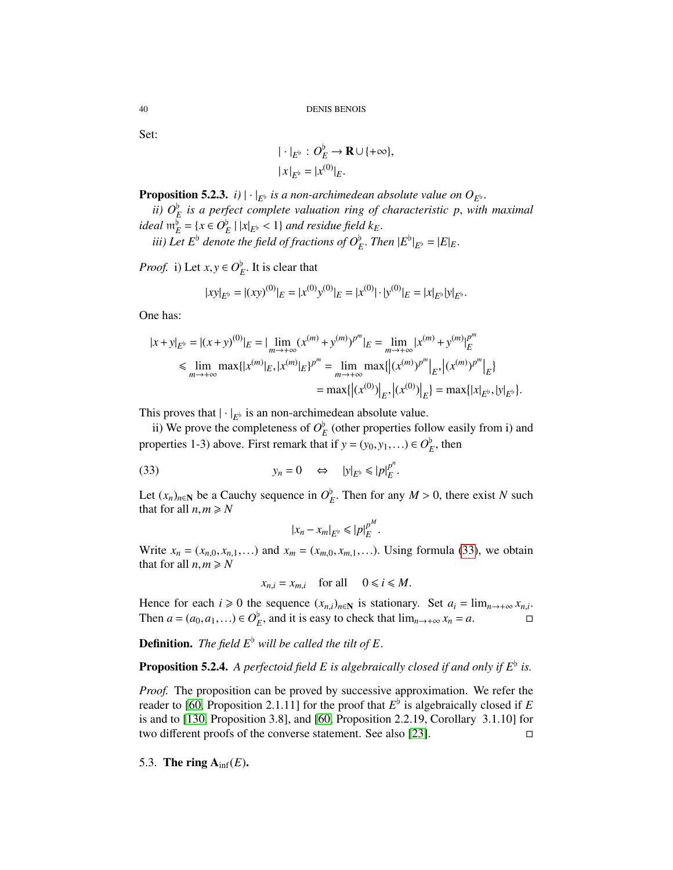Set:

<span id="page-39-0"></span>
$$
\begin{aligned} |\cdot|_{E^{\flat}} : O_E^{\flat} &\to \mathbf{R} \cup \{+\infty\}, \\ |x|_{E^{\flat}} &= |x^{(0)}|_E. \end{aligned}
$$

**Proposition 5.2.3.** *i*)  $|\cdot|_{E^b}$  *is a non-archimedean absolute value on*  $O_{E^b}$ *.* 

*ii)*  $O_E^b$  is a perfect complete valuation ring of characteristic p, with maximal<br> $\frac{1}{2}$   $\frac{1}{2}$   $\frac{1}{2}$   $\frac{1}{2}$   $\frac{1}{2}$   $\frac{1}{2}$  and residue field *k ideal*  $m_E^b = \{x \in O_E^b \mid |x|_{E^b} < 1\}$  and residue field  $k_E$ .<br> *iii*) Let  $F^b$  denote the field of frequence of  $O_F^b$ . The

*iii)* Let  $E^{\flat}$  denote the field of fractions of  $O_E^{\flat}$ . Then  $|E^{\flat}|_{E^{\flat}} = |E|_E$ .

*Proof.* i) Let  $x, y \in O_E^b$ . It is clear that

$$
|xy|_{E^{\flat}} = |(xy)^{(0)}|_{E} = |x^{(0)}y^{(0)}|_{E} = |x^{(0)}| \cdot |y^{(0)}|_{E} = |x|_{E^{\flat}}|y|_{E^{\flat}}.
$$

One has:

$$
|x+y|_{E^{\flat}} = |(x+y)^{(0)}|_{E} = |\lim_{m \to +\infty} (x^{(m)} + y^{(m)})^{p^{m}}|_{E} = \lim_{m \to +\infty} |x^{(m)} + y^{(m)}|_{E}^{p^{m}}
$$
  
\n
$$
\leq \lim_{m \to +\infty} \max\{|x^{(m)}|_{E}, |x^{(m)}|_{E}\}^{p^{m}} = \lim_{m \to +\infty} \max\{|(x^{(m)})^{p^{m}}|_{E}, |(x^{(m)})^{p^{m}}|_{E}\}
$$
  
\n
$$
= \max\{|(x^{(0)})|_{E}, |(x^{(0)})|_{E}\} = \max\{|x|_{E^{\flat}}, |y|_{E^{\flat}}\}.
$$

This proves that  $|\cdot|_{E^b}$  is an non-archimedean absolute value.

ii) We prove the completeness of  $O_E^{\flat}$  (other properties follow easily from i) and properties 1-3) above. First remark that if  $y = (y_0, y_1, ...) \in O_E^b$ , then

(33) 
$$
y_n = 0 \Leftrightarrow |y|_{E^{\flat}} \le |p|_E^{p^n}
$$

Let  $(x_n)_{n\in\mathbb{N}}$  be a Cauchy sequence in  $O_E^{\flat}$ . Then for any  $M > 0$ , there exist *N* such that for all  $n, m > N$ that for all  $n,m \ge N$ 

$$
|x_n - x_m|_{E^{\flat}} \leqslant |p|_E^{p^M}.
$$

Write  $x_n = (x_{n,0}, x_{n,1}, \ldots)$  and  $x_m = (x_{m,0}, x_{m,1}, \ldots)$ . Using formula [\(33\)](#page-39-0), we obtain that for all  $n,m \ge N$ 

$$
x_{n,i} = x_{m,i} \quad \text{for all} \quad 0 \leq i \leq M.
$$

Hence for each  $i \ge 0$  the sequence  $(x_{n,i})_{n \in \mathbb{N}}$  is stationary. Set  $a_i = \lim_{n \to +\infty} x_{n,i}$ .  $\Box$ Then  $a = (a_0, a_1, \ldots) \in O_E^{\flat}$ , and it is easy to check that  $\lim_{n \to +\infty} x_n = a$ .

**Definition.** *The field*  $E^{\flat}$  *will be called the tilt of*  $E$ .

## <span id="page-39-1"></span>**Proposition 5.2.4.** A perfectoid field  $E$  is algebraically closed if and only if  $E^{\flat}$  is.

*Proof.* The proposition can be proved by successive approximation. We refer the reader to [\[60,](#page-127-1) Proposition 2.1.11] for the proof that  $E^{\flat}$  is algebraically closed if  $E$ is and to [\[130,](#page-130-2) Proposition 3.8], and [\[60,](#page-127-1) Proposition 2.2.19, Corollary 3.1.10] for two different proofs of the converse statement. See also [\[23\]](#page-126-0).

<span id="page-39-2"></span>5.3. The ring  $A_{\text{inf}}(E)$ .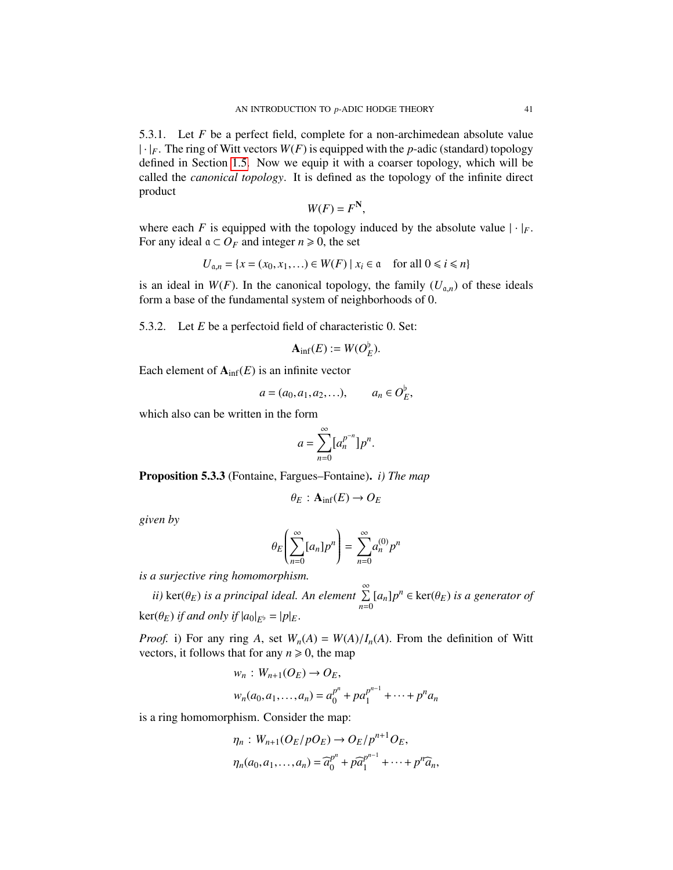5.3.1. Let *F* be a perfect field, complete for a non-archimedean absolute value  $|\cdot|_F$ . The ring of Witt vectors  $W(F)$  is equipped with the *p*-adic (standard) topology defined in Section [1.5.](#page-13-0) Now we equip it with a coarser topology, which will be called the *canonical topology*. It is defined as the topology of the infinite direct product

$$
W(F) = F^N,
$$

, where each *F* is equipped with the topology induced by the absolute value  $|\cdot|_F$ . For any ideal  $a \subset O_F$  and integer  $n \ge 0$ , the set

$$
U_{\mathfrak{a},n} = \{x = (x_0, x_1, \ldots) \in W(F) \mid x_i \in \mathfrak{a} \quad \text{for all } 0 \leq i \leq n\}
$$

is an ideal in  $W(F)$ . In the canonical topology, the family  $(U_{a,n})$  of these ideals form a base of the fundamental system of neighborhoods of 0.

5.3.2. Let *<sup>E</sup>* be a perfectoid field of characteristic 0. Set:

<span id="page-40-1"></span>
$$
\mathbf{A}_{\text{inf}}(E) := W(O_E^{\flat}).
$$

Each element of  $A_{\text{inf}}(E)$  is an infinite vector

$$
a = (a_0, a_1, a_2, ...), \qquad a_n \in O_E^{\flat},
$$

which also can be written in the form

$$
a = \sum_{n=0}^{\infty} [a_n^{p^{-n}}] p^n.
$$

<span id="page-40-0"></span>Proposition 5.3.3 (Fontaine, Fargues–Fontaine). *i) The map*

$$
\theta_E : \mathbf{A}_{\text{inf}}(E) \to O_E
$$

*given by*

$$
\theta_E\left(\sum_{n=0}^{\infty} [a_n] p^n\right) = \sum_{n=0}^{\infty} a_n^{(0)} p^n
$$

*is a surjective ring homomorphism.*

*ii*) ker( $\theta_E$ ) *is a principal ideal. An element*  $\sum_{n=0}^{\infty} [a_n] p^n \in \text{ker}(\theta_E)$  *is a generator of*  $\ker(\theta_E)$  *if and only if*  $|a_0|_{E^{\flat}} = |p|_E$ .

*Proof.* i) For any ring *A*, set  $W_n(A) = W(A)/I_n(A)$ . From the definition of Witt vectors, it follows that for any  $n \ge 0$ , the map

$$
w_n: W_{n+1}(O_E) \to O_E,
$$
  

$$
w_n(a_0, a_1,..., a_n) = a_0^{p^n} + pa_1^{p^{n-1}} + \dots + p^n a_n
$$

is a ring homomorphism. Consider the map:

$$
\eta_n: W_{n+1}(O_E/pO_E) \to O_E/p^{n+1}O_E,
$$
  

$$
\eta_n(a_0, a_1, \dots, a_n) = \widehat{a}_0^{p^n} + p\widehat{a}_1^{p^{n-1}} + \dots + p^n\widehat{a}_n,
$$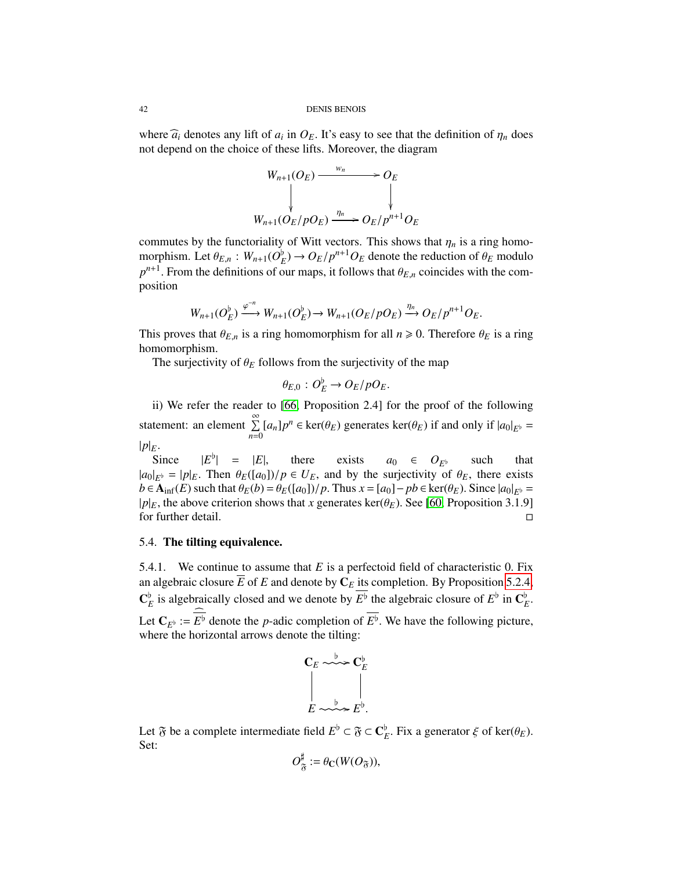42 DENIS BENOIS

where  $\hat{a}_i$  denotes any lift of  $a_i$  in  $O_E$ . It's easy to see that the definition of  $\eta_n$  does not depend on the choice of these lifts. Moreover, the diagram not depend on the choice of these lifts. Moreover, the diagram

$$
W_{n+1}(O_E) \xrightarrow{w_n} O_E
$$
  
\n
$$
W_{n+1}(O_E/pO_E) \xrightarrow{\eta_n} O_E/p^{n+1}O_E
$$

commutes by the functoriality of Witt vectors. This shows that  $\eta_n$  is a ring homomorphism. Let  $\theta_{E,n}$ :  $W_{n+1}(O_E^b) \to O_E/p^{n+1}O_E$  denote the reduction of  $\theta_E$  modulo  $n^{n+1}$ . From the definitions of our mans, it follows that  $\theta_E$ , coincides with the com $p^{n+1}$ . From the definitions of our maps, it follows that  $\theta_{E,n}$  coincides with the composition

$$
W_{n+1}(O_{E}^{\flat}) \xrightarrow{\varphi^{-n}} W_{n+1}(O_{E}^{\flat}) \to W_{n+1}(O_{E}/p O_{E}) \xrightarrow{\eta_{n}} O_{E}/p^{n+1} O_{E}.
$$

This proves that  $\theta_{E,n}$  is a ring homomorphism for all  $n \ge 0$ . Therefore  $\theta_E$  is a ring homomorphism.

The surjectivity of  $\theta_E$  follows from the surjectivity of the map

$$
\theta_{E,0}: O_E^{\flat} \to O_E/pO_E.
$$

ii) We refer the reader to [\[66,](#page-128-0) Proposition 2.4] for the proof of the following statement: an element  $\sum_{n=1}^{\infty}$  $\sum_{n=0} [a_n] p^n \in \text{ker}(\theta_E)$  generates  $\text{ker}(\theta_E)$  if and only if  $|a_0|_{E^{\flat}} =$  $|p|_E$ .

Since |*E*  $|E^{\flat}| = |E|$ , there exists  $| = |E|$ , there exists  $a_0 \in O_{E^b}$  such that<br>nen  $\theta_P([a_0])/p \in U_F$  and by the surjectivity of  $\theta_F$  there exists  $|a_0|_{E^b} = |p|_E$ . Then  $\theta_E([a_0])/p \in U_E$ , and by the surjectivity of  $\theta_E$ , there exists  $b \in \mathbf{A}$ :  $e(E)$  such that  $\theta_E(b) - \theta_E([a_0])/p$ . Thus  $x = [a_0] - pb \in \ker(\theta_E)$ . Since  $|a_0| - \theta_E([a_0])/p$ . *b* ∈  $\mathbf{A}_{\text{inf}}(E)$  such that  $\theta_E(b) = \theta_E([a_0])/p$ . Thus  $x = [a_0] - pb \in \text{ker}(\theta_E)$ . Since  $|a_0|_{E^b} =$ |*p*| $E$ , the above criterion shows that *x* generates ker( $\theta_E$ ). See [\[60,](#page-127-1) Proposition 3.1.9] for further detail. for further detail.

#### 5.4. The tilting equivalence.

5.4.1. We continue to assume that *<sup>E</sup>* is a perfectoid field of characteristic 0. Fix an algebraic closure  $\overline{E}$  of  $E$  and denote by  $\mathbf{C}_E$  its completion. By Proposition [5.2.4,](#page-39-1)  $\mathbf{C}_E^{\text{b}}$  is algebraically closed and we denote by  $E^{\text{b}}$  the algebraic closure of  $E^{\text{b}}$  in  $\mathbf{C}_E^{\text{b}}$ Let  $C_{E^{\flat}} := E^{\flat}$  denote the *p*-adic completion of  $E^{\flat}$ . We have the following picture, where the horizontal arrows denote the tilting: where the horizontal arrows denote the tilting:



Let  $\mathfrak{F}$  be a complete intermediate field  $E^{\flat} \subset \mathfrak{F} \subset \mathbb{C}_{E}^{\flat}$ . Fix a generator  $\xi$  of ker( $\theta_{E}$ ).<br>Set: Set:

$$
O_{\mathfrak{F}}^{\sharp} := \theta_{\mathbb{C}}(W(O_{\mathfrak{F}})),
$$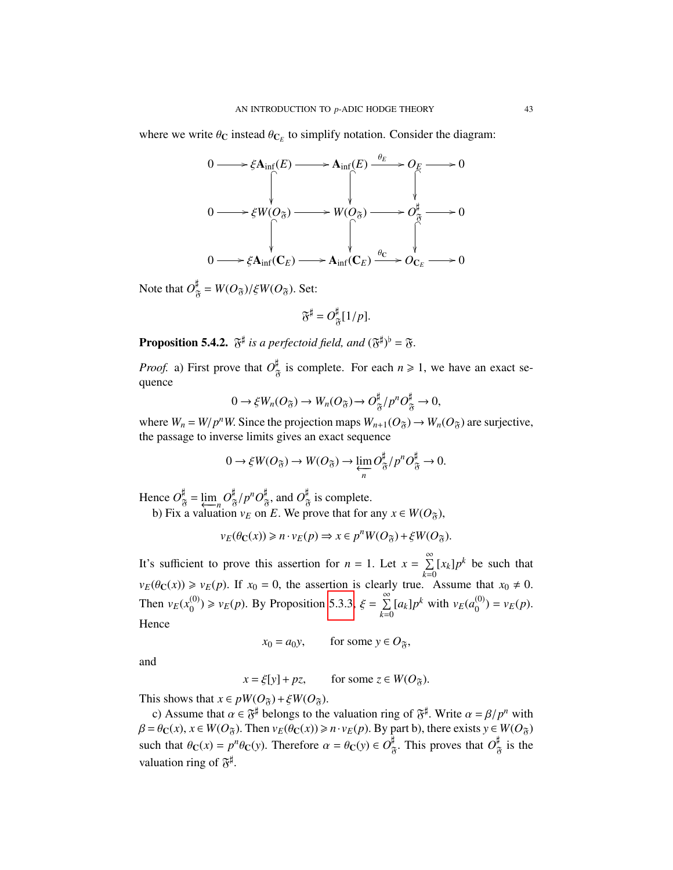where we write  $\theta_C$  instead  $\theta_{C_E}$  to simplify notation. Consider the diagram:

$$
0 \longrightarrow \xi \mathbf{A}_{\inf}(E) \longrightarrow \mathbf{A}_{\inf}(E) \xrightarrow{\theta_E} O_E \longrightarrow 0
$$
  

$$
0 \longrightarrow \xi W(O_{\mathfrak{F}}) \longrightarrow W(O_{\mathfrak{F}}) \longrightarrow O_{\mathfrak{F}}^{\sharp} \longrightarrow 0
$$
  

$$
0 \longrightarrow \xi \mathbf{A}_{\inf}(C_E) \longrightarrow \mathbf{A}_{\inf}(C_E) \xrightarrow{\theta_C} O_{C_E} \longrightarrow 0
$$

Note that  $O_{\mathfrak{F}}^{\mu} = W(O_{\mathfrak{F}})/\xi W(O_{\mathfrak{F}})$ . Set:

$$
\mathfrak{F}^{\sharp} = O_{\mathfrak{F}}^{\sharp}[1/p].
$$

<span id="page-42-0"></span>**Proposition 5.4.2.**  $\mathfrak{F}^{\sharp}$  *is a perfectoid field, and*  $(\mathfrak{F}^{\sharp})^{\flat} = \mathfrak{F}$ *.* 

*Proof.* a) First prove that  $O_{\mathfrak{F}}^{\sharp}$  is complete. For each  $n \geq 1$ , we have an exact sequence

$$
0 \to \xi W_n(O_{\mathfrak{F}}) \to W_n(O_{\mathfrak{F}}) \to O_{\mathfrak{F}}^{\sharp}/p^nO_{\mathfrak{F}}^{\sharp} \to 0,
$$

where  $W_n = W/p^n$ . Since the projection maps  $W_{n+1}(O_{\mathfrak{F}}) \to W_n(O_{\mathfrak{F}})$  are surjective, the passage to inverse limits gives an exact sequence the passage to inverse limits gives an exact sequence

$$
0 \to \xi W(O_{\mathfrak{F}}) \to W(O_{\mathfrak{F}}) \to \varprojlim_{n} O_{\mathfrak{F}}^{\sharp}/p^n O_{\mathfrak{F}}^{\sharp} \to 0.
$$

Hence  $O_{\overline{\theta}}^{\sharp} = \lim_{n \to \infty} O_{\overline{\theta}}^{\sharp}/p^n O_{\overline{\theta}}^{\sharp}$ , and  $O_{\overline{\theta}}^{\sharp}$  is complete.

b) Fix a valuation  $v_E$  on *E*. We prove that for any  $x \in W(O_{\mathfrak{F}})$ ,

$$
\nu_E(\theta_C(x)) \ge n \cdot \nu_E(p) \Rightarrow x \in p^n W(O_{\mathfrak{F}}) + \xi W(O_{\mathfrak{F}}).
$$

It's sufficient to prove this assertion for  $n = 1$ . Let  $x = \sum_{k=0}^{\infty}$  $\sum_{k=0}$  [ $x_k$ ] $p^k$  be such that  $v_E(\theta_C(x)) \ge v_E(p)$ . If  $x_0 = 0$ , the assertion is clearly true. Assume that  $x_0 \ne 0$ . Then  $v_E(x_0^{(0)})$  $(v_0^{(0)}) \ge v_E(p)$ . By Proposition [5.3.3,](#page-40-0)  $\xi = \sum_{k=0}^{\infty}$  $\sum_{k=0}^{\infty} [a_k] p^k$  with  $v_E(a_0^{(0)})$  $v_E^{(0)}(p) = v_E(p).$ **Hence** 

 $x_0 = a_0y$ , for some  $y \in O_{\tilde{\gamma}}$ ,

and

 $x = \xi[y] + pz$ , for some  $z \in W(O_{\tilde{x}})$ .

This shows that  $x \in pW(O_{\tilde{\sigma}}) + \xi W(O_{\tilde{\sigma}})$ .

c) Assume that  $\alpha \in \mathfrak{F}^{\sharp}$  belongs to the valuation ring of  $\mathfrak{F}^{\sharp}$ . Write  $\alpha = \beta / p^{n}$  with  $\alpha \in \mathcal{H}(\Omega_{\alpha})$ . Then  $y_{\alpha}(\beta_{\alpha}(x)) \ge n, y_{\alpha}(n)$ . By part b) there exists  $y \in W(\Omega_{\alpha})$  $\beta = \theta_C(x)$ ,  $x \in W(O_{\tilde{\sigma}})$ . Then  $v_E(\theta_C(x)) \ge n \cdot v_E(p)$ . By part b), there exists  $y \in W(O_{\tilde{\sigma}})$ such that  $\theta_C(x) = p^n \theta_C(y)$ . Therefore  $\alpha = \theta_C(y) \in O_{\tilde{\sigma}}^{\sharp}$ . This proves that  $O_{\tilde{\sigma}}^{\sharp}$  is the valuation ring of  $\mathfrak{F}^{\sharp}$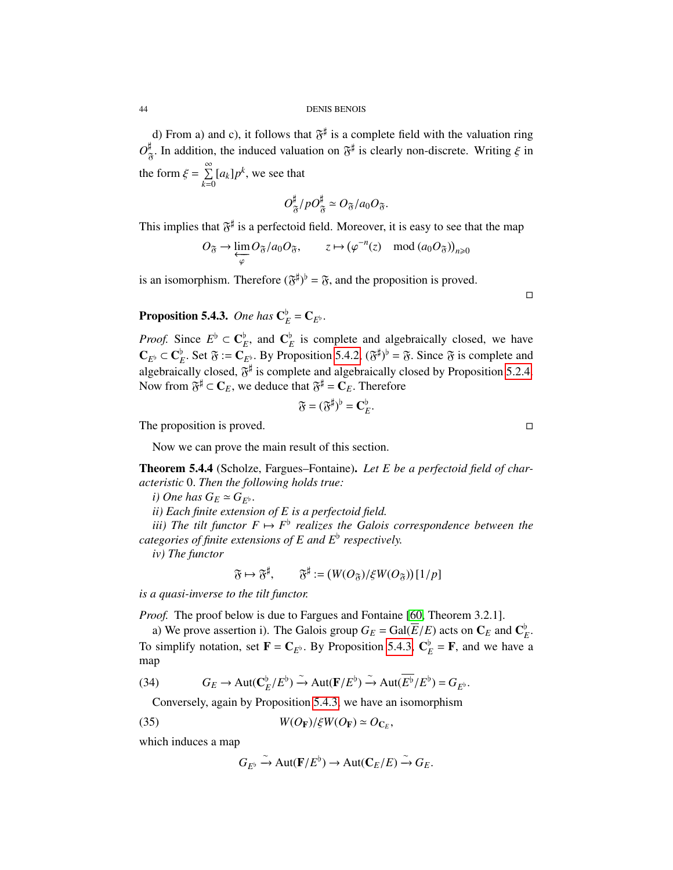44 DENIS BENOIS

d) From a) and c), it follows that  $\mathfrak{F}^{\sharp}$  is a complete field with the valuation ring  $O_{\mathfrak{F}}^{\sharp}$ . In addition, the induced valuation on  $\mathfrak{F}^{\sharp}$  is clearly non-discrete. Writing  $\xi$  in the form  $\xi = \sum_{k=0}^{\infty}$  $\sum_{k=0} [a_k] p^k$ , we see that

$$
O_{\mathfrak{F}}^{\sharp}/pO_{\mathfrak{F}}^{\sharp}\simeq O_{\mathfrak{F}}/a_0O_{\mathfrak{F}}.
$$

This implies that  $\mathfrak{F}^{\sharp}$  is a perfectoid field. Moreover, it is easy to see that the map

$$
O_{\mathfrak{F}} \to \varprojlim_{\varphi} O_{\mathfrak{F}}/a_0 O_{\mathfrak{F}}, \qquad z \mapsto (\varphi^{-n}(z) \mod (a_0 O_{\mathfrak{F}}))_{n \geq 0}
$$

is an isomorphism. Therefore  $(\mathfrak{F}^{\sharp})^{\flat} = \mathfrak{F}$ , and the proposition is proved.

<span id="page-43-0"></span>**Proposition 5.4.3.** One has  $\mathbf{C}_E^{\flat} = \mathbf{C}_{E^{\flat}}$ .

*Proof.* Since  $E^{\flat} \subset \mathbf{C}_{E}^{\flat}$ , and  $\mathbf{C}_{E}^{\flat}$  is complete and algebraically closed, we have  $\mathbf{C}_{E^{\flat}} \subset \mathbf{C}_{E^{\flat}}^{\flat}$ . Set  $\mathfrak{F} := \mathbf{C}_{E^{\flat}}$ . By Proposition [5.4.2,](#page-42-0)  $(\mathfrak{F}^{\sharp})^{\flat} = \mathfrak{F}$ . Since  $\mathfrak{F}$  is complete and algebraically algebraically algebraically algebraically algebraically algebraical algebraically closed,  $\mathfrak{F}^{\sharp}$  is complete and algebraically closed by Proposition [5.2.4.](#page-39-1) Now from  $\mathfrak{F}^{\sharp} \subset \mathbf{C}_E$ , we deduce that  $\mathfrak{F}^{\sharp} = \mathbf{C}_E$ . Therefore

$$
\mathfrak{F}=(\mathfrak{F}^{\sharp})^{\flat}=\mathbf{C}_{E}^{\flat}.
$$

The proposition is proved.

Now we can prove the main result of this section.

<span id="page-43-2"></span>Theorem 5.4.4 (Scholze, Fargues–Fontaine). *Let E be a perfectoid field of characteristic* <sup>0</sup>. *Then the following holds true:*

*i)* One has  $G_E \simeq G_{F^{\flat}}$ .

*ii) Each finite extension of E is a perfectoid field.*

*iii)* The tilt functor  $F \mapsto F^{\flat}$  realizes the Galois correspondence between the *categories of finite extensions of E and E*[ *respectively.*

*iv) The functor*

$$
\mathfrak{F} \mapsto \mathfrak{F}^{\sharp}, \qquad \mathfrak{F}^{\sharp} := (W(O_{\mathfrak{F}})/\xi W(O_{\mathfrak{F}}))[1/p]
$$

*is a quasi-inverse to the tilt functor.*

*Proof.* The proof below is due to Fargues and Fontaine [\[60,](#page-127-1) Theorem 3.2.1].

a) We prove assertion i). The Galois group  $G_E = \text{Gal}(E/E)$  acts on  $\mathbb{C}_E$  and  $\mathbb{C}_E^{\flat}$  are expansion of  $\mathbb{F} - \mathbb{C}$ . By Proposition 5.4.3.  $\mathbb{C}^{\flat} = \mathbb{F}$  and we have To simplify notation, set  $\mathbf{F} = \mathbf{C}_{E^{\flat}}$ . By Proposition [5.4.3,](#page-43-0)  $\mathbf{C}_{E}^{\flat} = \mathbf{F}$ , and we have a map

(34) 
$$
G_E \to \text{Aut}(\mathbf{C}_E^{\flat}/E^{\flat}) \stackrel{\sim}{\to} \text{Aut}(\mathbf{F}/E^{\flat}) \stackrel{\sim}{\to} \text{Aut}(\overline{E^{\flat}}/E^{\flat}) = G_{E^{\flat}}.
$$

Conversely, again by Proposition [5.4.3,](#page-43-0) we have an isomorphism

(35) 
$$
W(O_{\mathbf{F}})/\xi W(O_{\mathbf{F}}) \simeq O_{\mathbf{C}_E},
$$

which induces a map

<span id="page-43-1"></span>
$$
G_{E^{\flat}} \xrightarrow{\sim} \text{Aut}(\mathbf{F}/E^{\flat}) \to \text{Aut}(\mathbf{C}_E/E) \xrightarrow{\sim} G_E.
$$

 $\Box$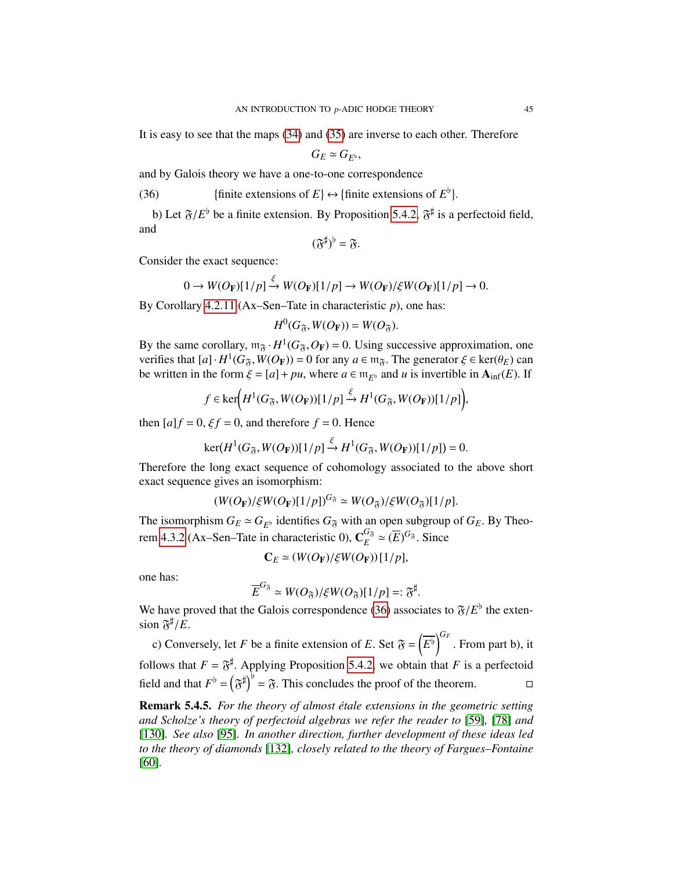It is easy to see that the maps [\(34\)](#page-40-1) and [\(35\)](#page-43-1) are inverse to each other. Therefore

 $G_E \simeq G_{F^{\flat}},$ 

and by Galois theory we have a one-to-one correspondence

<span id="page-44-0"></span>(36) finite extensions of  $E$   $\leftrightarrow$  {finite extensions of  $E^{\flat}$ }

b) Let  $\mathfrak{F}/E^{\mathfrak{b}}$  be a finite extension. By Proposition [5.4.2,](#page-42-0)  $\mathfrak{F}^{\sharp}$  is a perfectoid field, and

$$
(\mathfrak{F}^\sharp)^\flat = \mathfrak{F}.
$$

Consider the exact sequence:

$$
0 \to W(O_{\mathbf{F}})[1/p] \xrightarrow{\varsigma} W(O_{\mathbf{F}})[1/p] \to W(O_{\mathbf{F}})/\xi W(O_{\mathbf{F}})[1/p] \to 0.
$$

By Corollary [4.2.11](#page-35-1) (Ax–Sen–Tate in characteristic *p*), one has:

$$
H^0(G_{\mathfrak{F}}, W(O_{\mathbf{F}})) = W(O_{\mathfrak{F}}).
$$

By the same corollary,  $m_{\tilde{\sigma}} \cdot H^1(G_{\tilde{\sigma}}, O_F) = 0$ . Using successive approximation, one<br>verifies that  $[a] \cdot H^1(G_{\tilde{\sigma}} \cdot W(O_F)) = 0$  for any  $a \in m_{\tilde{\sigma}}$ . The generator  $\xi \in \text{ker}(a_{\tilde{\sigma}})$  can verifies that  $[a] \cdot H^1(G_{\mathfrak{F}}, W(O_{\mathbf{F}})) = 0$  for any  $a \in \mathfrak{m}_{\mathfrak{F}}$ . The generator  $\xi \in \ker(\theta_E)$  can<br>be written in the form  $\xi = [a] + \mu u$ , where  $a \in \mathfrak{m}_{\mathfrak{F}}$ , and *u* is invertible in **A**;  $e(E)$ . If be written in the form  $\xi = [a] + pu$ , where  $a \in \mathfrak{m}_{E^{\flat}}$  and *u* is invertible in  $A_{\inf}(E)$ . If

$$
f \in \ker\left(H^1(G_{\mathfrak{F}}, W(O_{\mathbf{F}}))[1/p] \xrightarrow{\xi} H^1(G_{\mathfrak{F}}, W(O_{\mathbf{F}}))[1/p]\right),\
$$

then  $[a]f = 0$ ,  $\xi f = 0$ , and therefore  $f = 0$ . Hence

$$
\ker(H^1(G_{\widetilde{\sigma}}, W(O_F))[1/p] \xrightarrow{\xi} H^1(G_{\widetilde{\sigma}}, W(O_F))[1/p]) = 0.
$$

Therefore the long exact sequence of cohomology associated to the above short exact sequence gives an isomorphism:

$$
(W(O_{\mathbf{F}})/\xi W(O_{\mathbf{F}})[1/p])^{G_{\mathfrak{F}}} \simeq W(O_{\mathfrak{F}})/\xi W(O_{\mathfrak{F}})[1/p].
$$

The isomorphism  $G_E \simeq G_{E^b}$  identifies  $G_{\mathfrak{F}}$  with an open subgroup of  $G_E$ . By Theo-<br>ram 4.2.2 (Ax. Sep. Tate in abaracteristic 0),  $G_{\mathfrak{F}}^{G_{\mathfrak{F}}} \simeq (\overline{F})^{G_{\mathfrak{F}}}$ . Since rem [4.3.2](#page-36-0) (Ax–Sen–Tate in characteristic 0),  $\mathbf{C}_{F}^{G_{\mathfrak{F}}}$  $E^{G_{\mathfrak{F}}}\simeq(\overline{E})^{G_{\mathfrak{F}}}$ . Since

$$
\mathbf{C}_E \simeq (W(O_\mathbf{F})/\xi W(O_\mathbf{F}))[1/p],
$$

one has:

$$
\overline{E}^{G_{\mathfrak{F}}} \simeq W(O_{\mathfrak{F}})/\xi W(O_{\mathfrak{F}})[1/p] =: {\mathfrak{F}}^{\sharp}.
$$

 $\overline{E}^{\text{U}_\delta} \simeq W(O_{\tilde{\sigma}})/\xi W(O_{\tilde{\sigma}})[1/p] =: \mathfrak{F}^\sharp.$ <br>We have proved that the Galois correspondence [\(36\)](#page-44-0) associates to  $\mathfrak{F}/E^\flat$  the exten-<br>sion  $\mathfrak{F}/E$ sion  $\mathfrak{F}^{\sharp}/E$ .

c) Conversely, let *F* be a finite extension of *E*. Set  $\mathfrak{F} = \left(\overline{E}^{\mathfrak{h}}\right)^{G_F}$ . From part b), it follows that  $F = \tilde{\sigma}^{\sharp}$ . Applying Proposition [5.4.2,](#page-42-0) we obtain that *F* is a perfectoid field and that  $F^{\flat} = (\mathfrak{F}^{\sharp})^{\flat} = \mathfrak{F}$ . This concludes the proof of the theorem.

**Remark 5.4.5.** For the theory of almost étale extensions in the geometric setting *and Scholze's theory of perfectoid algebras we refer the reader to* [\[59\]](#page-127-2)*,* [\[78\]](#page-128-2) *and* [\[130\]](#page-130-2)*. See also* [\[95\]](#page-129-0)*. In another direction, further development of these ideas led to the theory of diamonds* [\[132\]](#page-130-3)*, closely related to the theory of Fargues–Fontaine* [\[60\]](#page-127-1)*.*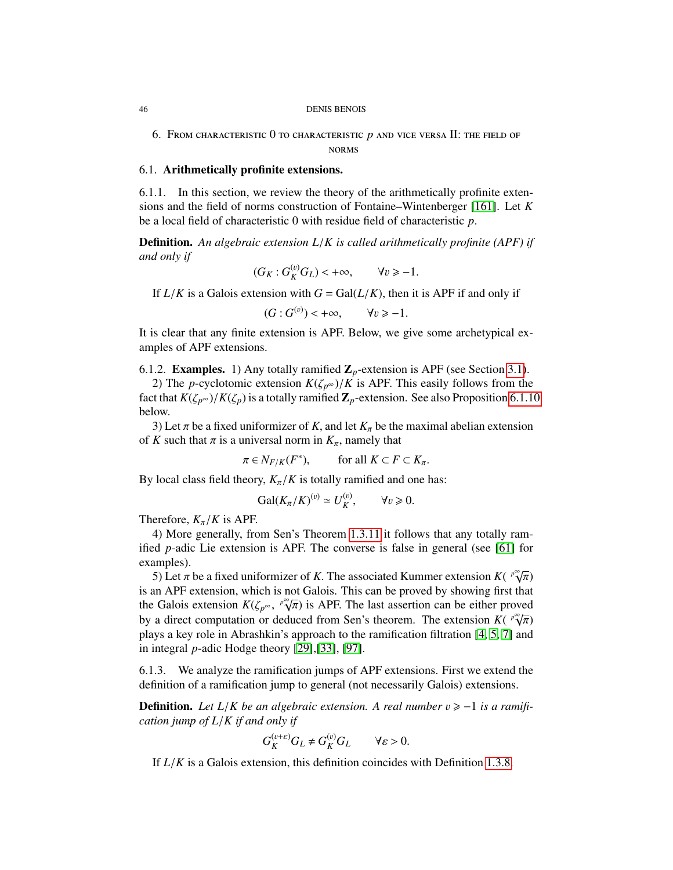#### 46 DENIS BENOIS

<span id="page-45-0"></span>6. From characteristic 0 to characteristic *p* and vice versa II: the field of norms

#### 6.1. Arithmetically profinite extensions.

6.1.1. In this section, we review the theory of the arithmetically profinite extensions and the field of norms construction of Fontaine–Wintenberger [\[161\]](#page-131-0). Let *K* be a local field of characteristic 0 with residue field of characteristic *<sup>p</sup>*.

Definition. *An algebraic extension L*/*K is called arithmetically profinite (APF) if and only if*

$$
(G_K: G_K^{(v)}G_L) < +\infty, \qquad \forall v \ge -1.
$$

If  $L/K$  is a Galois extension with  $G = Gal(L/K)$ , then it is APF if and only if

$$
(G: G^{(v)}) < +\infty, \qquad \forall v \ge -1.
$$

It is clear that any finite extension is APF. Below, we give some archetypical examples of APF extensions.

6.1.2. **Examples.** 1) Any totally ramified  $\mathbb{Z}_p$ -extension is APF (see Section [3.1\)](#page-23-0).

2) The *p*-cyclotomic extension  $K(\zeta_{p^{\infty}})/K$  is APF. This easily follows from the fact that  $K(\zeta_{p^{\infty}})/K(\zeta_p)$  is a totally ramified  $\mathbb{Z}_p$ -extension. See also Proposition [6.1.10](#page-47-0) below.

3) Let  $\pi$  be a fixed uniformizer of *K*, and let  $K_{\pi}$  be the maximal abelian extension of *K* such that  $\pi$  is a universal norm in  $K_{\pi}$ , namely that

$$
\pi \in N_{F/K}(F^*), \qquad \text{for all } K \subset F \subset K_{\pi}.
$$

By local class field theory,  $K_{\pi}/K$  is totally ramified and one has:

$$
\mathrm{Gal}(K_{\pi}/K)^{(v)} \simeq U_K^{(v)}, \qquad \forall v \geq 0.
$$

Therefore,  $K_{\pi}/K$  is APF.

4) More generally, from Sen's Theorem [1.3.11](#page-12-0) it follows that any totally ramified *p*-adic Lie extension is APF. The converse is false in general (see [\[61\]](#page-127-3) for examples). *p*∞√

5) Let  $\pi$  be a fixed uniformizer of *K*. The associated Kummer extension *K*( $\pi$ ) and APE extension which is not Galois. This can be proved by showing first  $\overline{\pi})$ ւթ is an APF extension, which is not Galois. This can be proved by showing first that the Galois extension  $K(\zeta_{p^{\infty}},$ <br>by a direct computation or  $\zeta$ *p*∞√  $\overline{\pi}$ ) is APF. The last assertion can be either proved<br>used from Sen's theorem. The extension  $K(\sqrt[p]{\pi})$ by a direct computation or deduced from Sen's theorem. The extension *K*(  $\gamma^{\infty}$ ) by a direct computation or deduced from Sen's theorem. The extension *K*(  $\gamma^{\infty}$ )  $\overline{\pi}$ )<br>nd plays a key role in Abrashkin's approach to the ramification filtration [\[4,](#page-125-0) [5,](#page-125-1) [7\]](#page-125-2) and in integral *p*-adic Hodge theory [\[29\]](#page-126-1),[\[33\]](#page-126-2), [\[97\]](#page-129-1).

6.1.3. We analyze the ramification jumps of APF extensions. First we extend the definition of a ramification jump to general (not necessarily Galois) extensions.

**Definition.** Let  $L/K$  be an algebraic extension. A real number  $v \ge -1$  is a ramifi*cation jump of L*/*K if and only if*

$$
G_K^{(v+\varepsilon)}G_L \neq G_K^{(v)}G_L \qquad \forall \varepsilon > 0.
$$

If *<sup>L</sup>*/*<sup>K</sup>* is a Galois extension, this definition coincides with Definition [1.3.8.](#page-11-0)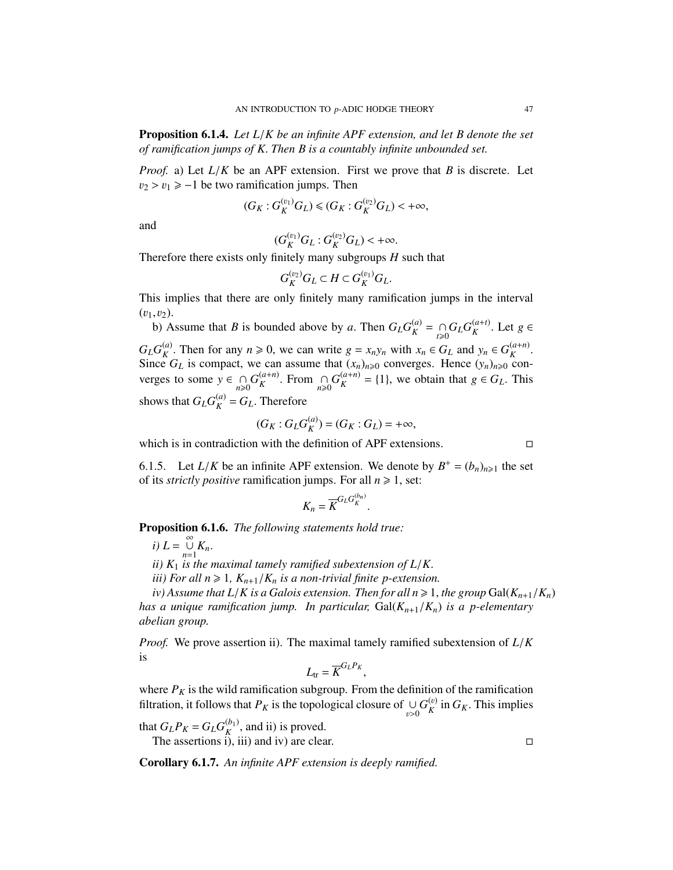Proposition 6.1.4. *Let L*/*K be an infinite APF extension, and let B denote the set of ramification jumps of K*. *Then B is a countably infinite unbounded set.*

*Proof.* a) Let *<sup>L</sup>*/*<sup>K</sup>* be an APF extension. First we prove that *<sup>B</sup>* is discrete. Let  $v_2 > v_1 \ge -1$  be two ramification jumps. Then

$$
(G_K: G_K^{(v_1)}G_L) \le (G_K: G_K^{(v_2)}G_L) < +\infty,
$$

and

$$
(G_K^{(v_1)}G_L:G_K^{(v_2)}G_L) < +\infty.
$$

 $(G_K^{(v_1)}G_L: G_K^{(v_2)}G_L) < +\infty.$ <br>Therefore there exists only finitely many subgroups *H* such that

$$
G_K^{(v_2)}G_L \subset H \subset G_K^{(v_1)}G_L.
$$

This implies that there are only finitely many ramification jumps in the interval  $(v_1,v_2)$ .

b) Assume that *B* is bounded above by *a*. Then  $G_L G_K^{(a)}$  $\sum_{K}^{(a)}$  = ∩*G*<sub>*L*</sub>*G*<sup>(*a*+*t*)</sup>*K*<br>*k*  $(K^{(a+t)}$ . Let  $g \in$  $G_L G_K^{(a)}$ *K*. Then for any  $n \ge 0$ , we can write  $g = x_n y_n$  with  $x_n \in G_L$  and  $y_n \in G_K^{(a+n)}$ <br>  $\vdots$   $G_L$  is compact, we can assume that  $(x_n)$ , a converges. Hence  $(y_n)$ , a con-Since  $G_L$  is compact, we can assume that  $(x_n)_{n\geqslant 0}$  converges. Hence  $(y_n)_{n\geqslant 0}$  converges to some  $y \in \bigcap_{n \geq 0} G_K^{(a+n)}$  $K^{(a+n)}$ . From  $\bigcap_{n\geq 0} G_K^{(a+n)}$  $K_K^{(a+n)} = \{1\}$ , we obtain that  $g \in G_L$ . This shows that  $G_L G_K^{(a)}$  $K^{(a)}_K = G_L$ . Therefore

$$
(G_K: G_L G_K^{(a)}) = (G_K: G_L) = +\infty,
$$

which is in contradiction with the definition of APF extensions.  $\Box$ 

6.1.5. Let  $L/K$  be an infinite APF extension. We denote by  $B^+ = (b_n)_{n \geq 1}$  the set of its *strictly nositive* ramification jumps. For all  $n > 1$  set: of its *strictly positive* ramification jumps. For all  $n \ge 1$ , set:

$$
K_n = \overline{K}^{G_L G_K^{(b_n)}}
$$

<span id="page-46-0"></span>Proposition 6.1.6. *The following statements hold true:*

 $i) L = \bigcup_{n=1}^{\infty} K_n.$ 

*ii)*  $K_1$  *is the maximal tamely ramified subextension of L/K.*<br>*iii)* For all  $n \ge 1$ ,  $K_{\text{max}}/K$  *is a non-trivial finite n-extension* 

*iii)* For all  $n \geq 1$ ,  $K_{n+1}/K_n$  *is a non-trivial finite p-extension.* 

 $iv)$  Assume that  $L/K$  is a Galois extension. Then for all  $n \geq 1$ , the group Gal $(K_{n+1}/K_n)$ *has a unique ramification jump. In particular,* Gal(*Kn*+1/*Kn*) *is a p-elementary abelian group.*

*Proof.* We prove assertion ii). The maximal tamely ramified subextension of *<sup>L</sup>*/*<sup>K</sup>* is

$$
L_{\text{tr}} = \overline{K}^{G_L P_K},
$$

where  $P_K$  is the wild ramification subgroup. From the definition of the ramification filtration, it follows that  $P_K$  is the topological closure of ∪  $v > 0$  $G_K^{(v)}$  $_K^{(v)}$  in  $G_K$ . This implies

that  $G_{L}P_{K} = G_{L}G_{K}^{(b_{1})}$ If  $G_L P_K = G_L G_K^{(0)}$ , and ii) is proved.<br>The assertions i), iii) and iv) are clear.

Corollary 6.1.7. *An infinite APF extension is deeply ramified.*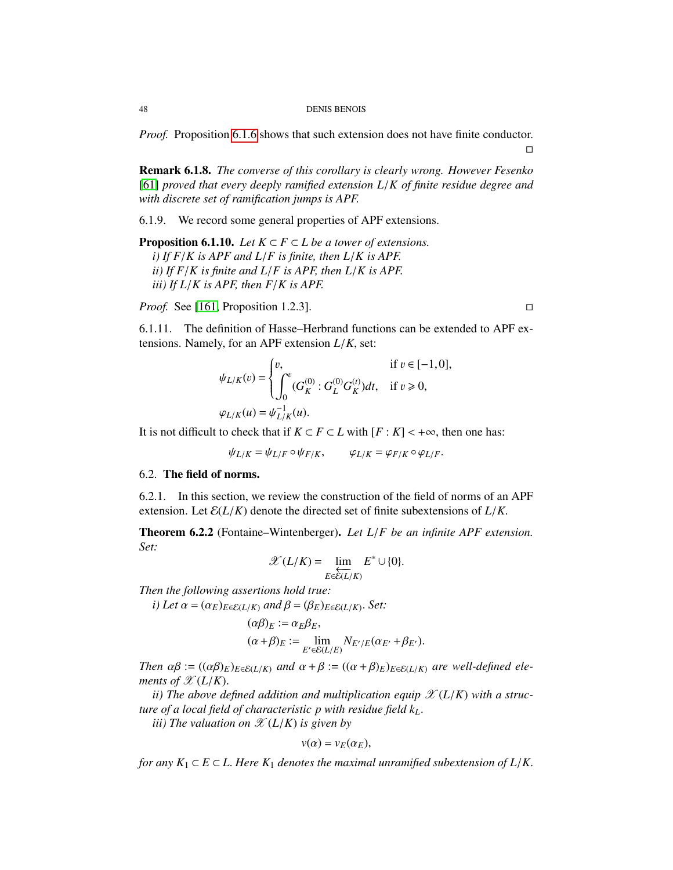*Proof.* Proposition [6.1.6](#page-46-0) shows that such extension does not have finite conductor.

Remark 6.1.8. *The converse of this corollary is clearly wrong. However Fesenko* [\[61\]](#page-127-3) *proved that every deeply ramified extension L*/*K of finite residue degree and with discrete set of ramification jumps is APF.*

6.1.9. We record some general properties of APF extensions.

<span id="page-47-0"></span>**Proposition 6.1.10.** *Let*  $K \subset F \subset L$  *be a tower of extensions. i) If F*/*K is APF and L*/*F is finite, then L*/*K is APF. ii) If F*/*K is finite and L*/*F is APF, then L*/*K is APF. iii) If L*/*K is APF, then F*/*K is APF.*

*Proof.* See [\[161,](#page-131-0) Proposition 1.2.3]. □

6.1.11. The definition of Hasse–Herbrand functions can be extended to APF extensions. Namely, for an APF extension *<sup>L</sup>*/*K*, set:

$$
\psi_{L/K}(v) = \begin{cases} v, & \text{if } v \in [-1,0], \\ \int_0^v (G_K^{(0)} : G_L^{(0)} G_K^{(t)}) dt, & \text{if } v \ge 0, \end{cases}
$$
  

$$
\varphi_{L/K}(u) = \psi_{L/K}^{-1}(u).
$$

It is not difficult to check that if  $K \subset F \subset L$  with  $[F : K] < +\infty$ , then one has:

$$
\psi_{L/K} = \psi_{L/F} \circ \psi_{F/K}, \qquad \varphi_{L/K} = \varphi_{F/K} \circ \varphi_{L/F}.
$$

#### 6.2. The field of norms.

6.2.1. In this section, we review the construction of the field of norms of an APF extension. Let  $\mathcal{E}(L/K)$  denote the directed set of finite subextensions of  $L/K$ .

<span id="page-47-1"></span>Theorem 6.2.2 (Fontaine–Wintenberger). *Let L*/*F be an infinite APF extension. Set:*

$$
\mathscr{X}(L/K) = \varprojlim_{E \in \mathscr{E}(L/K)} E^* \cup \{0\}.
$$

*Then the following assertions hold true:*

*i*) Let  $\alpha = (\alpha_E)_{E \in \mathcal{E}(L/K)}$  and  $\beta = (\beta_E)_{E \in \mathcal{E}(L/K)}$ . Set:

$$
(\alpha \beta)_E := \alpha_E \beta_E,
$$
  
\n
$$
(\alpha + \beta)_E := \lim_{E' \in \mathcal{E}(L/E)} N_{E'/E} (\alpha_{E'} + \beta_{E'}).
$$

*Then*  $\alpha\beta := ((\alpha\beta)_E)_{E \in \mathcal{E}(L/K)}$  *and*  $\alpha + \beta := ((\alpha + \beta)_E)_{E \in \mathcal{E}(L/K)}$  *are well-defined elements of*  $\mathscr{X}(L/K)$ .

*ii*) The above defined addition and multiplication equip  $\mathscr{X}(L/K)$  with a struc*ture of a local field of characteristic p with residue field kL*.

*iii*) The valuation on  $\mathscr{X}(L/K)$  is given by

$$
v(\alpha)=v_E(\alpha_E),
$$

*for any*  $K_1 \subset E \subset L$ . Here  $K_1$  *denotes the maximal unramified subextension of*  $L/K$ .

 $\Box$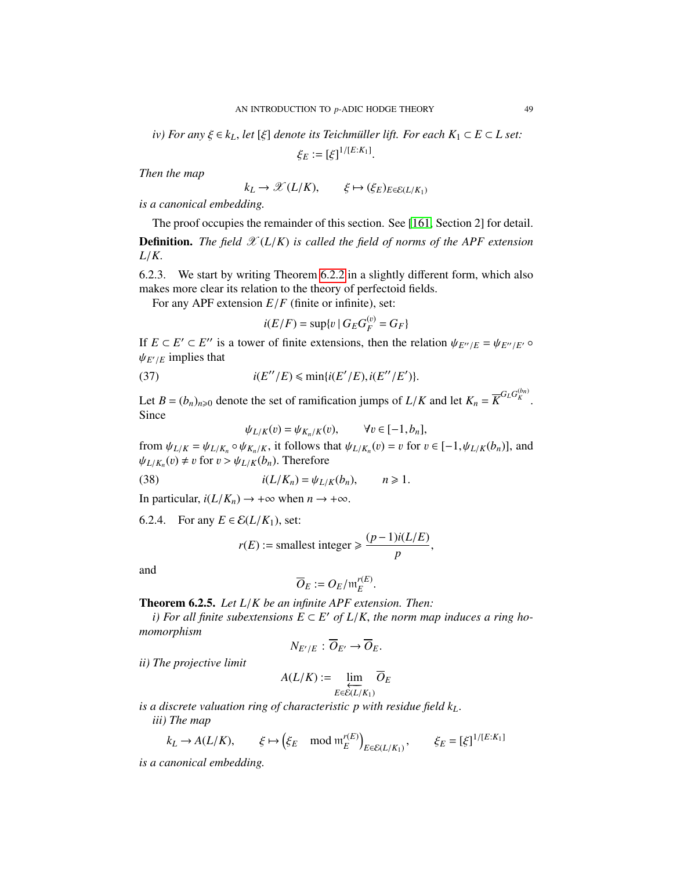*iv)* For any  $\xi \in k_L$ , let  $[\xi]$  denote its Teichmüller lift. For each  $K_1 \subset E \subset L$  set:

 $\xi_E := [\xi]^{1/[E:K_1]}$ 

*Then the map*

 $k_L \rightarrow \mathcal{X}(L/K), \qquad \xi \mapsto (\xi_E)_{E \in \mathcal{E}(L/K_1)}$ 

*is a canonical embedding.*

The proof occupies the remainder of this section. See [\[161,](#page-131-0) Section 2] for detail.

**Definition.** *The field*  $\mathscr{X}(L/K)$  *is called the field of norms of the APF extension <sup>L</sup>*/*K*.

6.2.3. We start by writing Theorem [6.2.2](#page-47-1) in a slightly different form, which also makes more clear its relation to the theory of perfectoid fields.

For any APF extension  $E/F$  (finite or infinite), set:

<span id="page-48-1"></span>
$$
i(E/F) = \sup\{v \mid G_E G_F^{(v)} = G_F\}
$$

If  $E \subset E' \subset E''$  is a tower of finite extensions, then the relation  $\psi_{E''/E} = \psi_{E''/E'} \circ \psi_{E''/E}$  or  $\psi_{E''/E}$  $\psi_{E'/E}$  implies that

(37) 
$$
i(E''/E) \leqslant \min\{i(E'/E), i(E''/E')\}.
$$

Let *B* =  $(b_n)_{n\geqslant0}$  denote the set of ramification jumps of *L*/*K* and let  $K_n = \overline{K}^{G_L G_K^{(b_n)}}$ Since

$$
\psi_{L/K}(v) = \psi_{K_n/K}(v), \qquad \forall v \in [-1, b_n],
$$

from  $\psi_{L/K} = \psi_{L/K_n} \circ \psi_{K_n/K}$ , it follows that  $\psi_{L/K_n}(v) = v$  for  $v \in [-1, \psi_{L/K}(b_n)]$ , and  $\psi_{L/K_n}(v) \neq v$  for  $v > \psi_{L/K}(b_n)$ . Therefore  $\psi_{L/K_n}(v) \neq v$  for  $v > \psi_{L/K}(b_n)$ . Therefore

(38) 
$$
i(L/K_n) = \psi_{L/K}(b_n), \qquad n \geq 1.
$$

In particular,  $i(L/K_n) \rightarrow +\infty$  when  $n \rightarrow +\infty$ .

6.2.4. For any  $E \in \mathcal{E}(L/K_1)$ , set:

$$
r(E) := \text{smallest integer} \geqslant \frac{(p-1)i(L/E)}{p},
$$

and

$$
\overline{O}_E := O_E / \mathfrak{m}_E^{r(E)}.
$$

<span id="page-48-0"></span>**Theorem 6.2.5.** *Let L/K be an infinite APF extension. Then:*<br>*i)* For all finite subertensions  $F \subseteq F'$  of  $I/K$  the norm mo

*i*) For all finite subextensions  $E \subset E'$  of  $L/K$ , the norm map induces a ring ho-<br>prographism *momorphism*

$$
N_{E'/E}: \overline{O}_{E'} \to \overline{O}_E.
$$

*ii) The projective limit*

$$
A(L/K) := \lim_{\substack{E \in \mathcal{E}(L/K_1) \\ \vdots \\ E \in \mathcal{E}(L/K_1)}} \overline{O}_E
$$

*is a discrete valuation ring of characteristic p with residue field kL*. *iii) The map*

$$
k_L \to A(L/K), \qquad \xi \mapsto (\xi_E \mod \mathfrak{m}_E^{r(E)})_{E \in \mathcal{E}(L/K_1)}, \qquad \xi_E = [\xi]^{1/[E:K_1]}
$$

*is a canonical embedding.*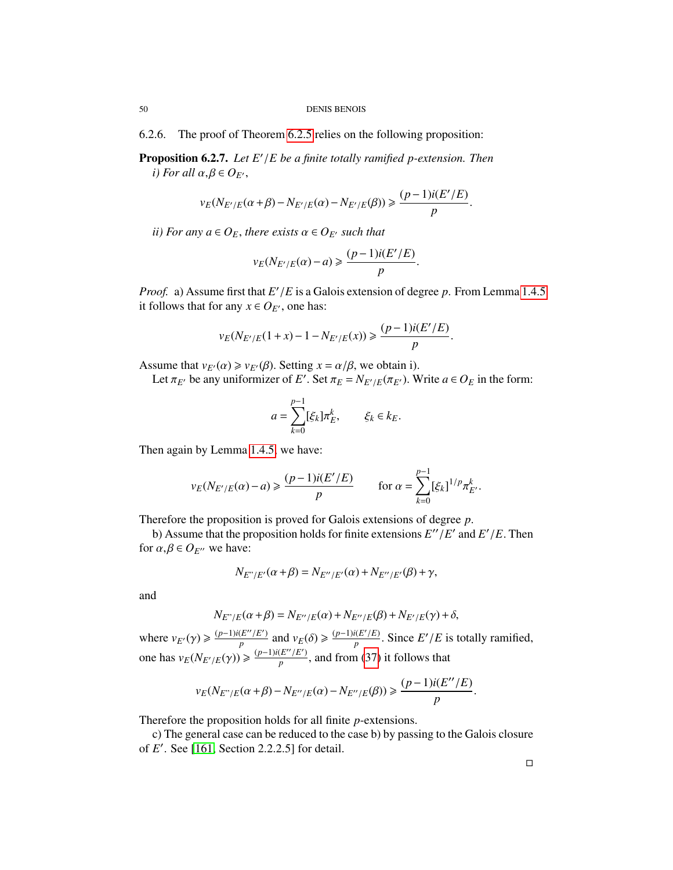6.2.6. The proof of Theorem [6.2.5](#page-48-0) relies on the following proposition:

<span id="page-49-0"></span>**Proposition 6.2.7.** *Let*  $E'/E$  *be a finite totally ramified p-extension. Then i*) *For all*  $\alpha$  *B*  $\in$  *O<sub>E</sub> i*) For all  $\alpha, \beta \in O_{E}$ ,

$$
v_E(N_{E'/E}(\alpha+\beta)-N_{E'/E}(\alpha)-N_{E'/E}(\beta))\geq \frac{(p-1)i(E'/E)}{p}.
$$

*ii)* For any  $a \in O_E$ , there exists  $\alpha \in O_{E'}$  such that

$$
v_E(N_{E'/E}(\alpha) - a) \geqslant \frac{(p-1)i(E'/E)}{p}.
$$

*Proof.* a) Assume first that  $E'/E$  is a Galois extension of degree *p*. From Lemma [1.4.5](#page-13-1) it follows that for any  $x \in \Omega_F$  one has: it follows that for any  $x \in O_{E'}$ , one has:

$$
v_E(N_{E'/E}(1+x) - 1 - N_{E'/E}(x)) \ge \frac{(p-1)i(E'/E)}{p}.
$$

Assume that  $v_{E'}(\alpha) \ge v_{E'}(\beta)$ . Setting  $x = \alpha/\beta$ , we obtain i).

Let  $\pi_E$  be any uniformizer of *E'*. Set  $\pi_E = N_{E'/E}(\pi_{E'})$ . Write  $a \in O_E$  in the form:

$$
a = \sum_{k=0}^{p-1} [\xi_k] \pi_E^k, \qquad \xi_k \in k_E.
$$

Then again by Lemma [1.4.5,](#page-13-1) we have:

$$
v_E(N_{E'/E}(\alpha) - a) \ge \frac{(p-1)i(E'/E)}{p}
$$
 for  $\alpha = \sum_{k=0}^{p-1} [\xi_k]^{1/p} \pi_{E'}^k$ .

Therefore the proposition is proved for Galois extensions of degree *<sup>p</sup>*.

b) Assume that the proposition holds for finite extensions  $E''/E'$  and  $E'/E$ . Then<br> $\alpha, \beta \in \Omega_{E}$  we have: for  $\alpha, \beta \in O_{E}$  we have:

$$
N_{E^{\prime\prime}/E^{\prime}}(\alpha+\beta)=N_{E^{\prime\prime}/E^{\prime}}(\alpha)+N_{E^{\prime\prime}/E^{\prime}}(\beta)+\gamma,
$$

and

$$
N_{E''/E}(\alpha+\beta) = N_{E''/E}(\alpha) + N_{E''/E}(\beta) + N_{E'/E}(\gamma) + \delta,
$$

where  $v_{E'}(\gamma) \geqslant \frac{(p-1)i(E''/E')}{p}$  $\frac{(E''/E')}{p}$  and  $v_E(\delta) \ge \frac{(p-1)i(E'/E)}{p}$ . Since *E'*/*E* is totally ramified, one has  $v_E(N_{E'/E}(\gamma)) \ge \frac{(p-1)i(E''/E')}{p}$  $\frac{p}{p}$ , and from [\(37\)](#page-48-1) it follows that

$$
v_E(N_{E''/E}(\alpha+\beta)-N_{E''/E}(\alpha)-N_{E''/E}(\beta))\geq \frac{(p-1)i(E''/E)}{p}
$$

Therefore the proposition holds for all finite *p*-extensions.

c) The general case can be reduced to the case b) by passing to the Galois closure of *E'*. See [\[161,](#page-131-0) Section 2.2.2.5] for detail.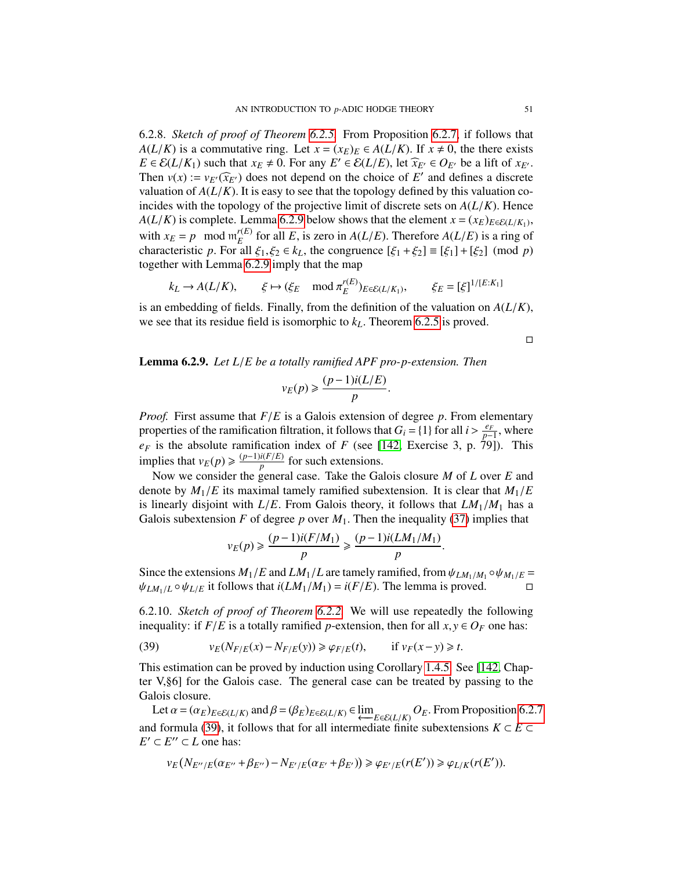6.2.8. *Sketch of proof of Theorem [6.2.5.](#page-48-0)* From Proposition [6.2.7,](#page-49-0) if follows that *A*(*L*/*K*) is a commutative ring. Let  $x = (x_E)_E \in A(L/K)$ . If  $x \neq 0$ , the there exists *E* ∈  $E(L/K_1)$  such that  $x_E \neq 0$ . For any  $E' \in E(L/E)$ , let  $\widehat{x}_{E'} \in O_{E'}$  be a lift of  $x_{E'}$ .<br>Then  $y(x) := y_{E'}(\widehat{x}_{E'})$  does not depend on the choice of  $F'$  and defines a discrete Then  $v(x) := v_{E'}(\widehat{x}_{E'})$  does not depend on the choice of *E'* and defines a discrete<br>valuation of  $A(L/K)$ . It is easy to see that the topology defined by this valuation so valuation of  $A(L/K)$ . It is easy to see that the topology defined by this valuation coincides with the topology of the projective limit of discrete sets on  $A(L/K)$ . Hence *A*( $L/K$ ) is complete. Lemma [6.2.9](#page-50-0) below shows that the element *x* = ( $x_E$ ) $_{E \in E(L/K_1)}$ , with  $x_E = p \mod m_E^{r(E)}$  for all *E*, is zero in  $A(L/E)$ . Therefore  $A(L/E)$  is a ring of  $E_E^{(E)}$  for all *E*, is zero in *A*(*L*/*E*). Therefore *A*(*L*/*E*) is a ring of all  $\xi$ ,  $\xi$ <sub>0</sub>  $\in$   $k_L$ , the congruence  $[\xi_1 + \xi_2] = [\xi_1] + [\xi_2]$  (mod *n*) characteristic *p*. For all  $\xi_1, \xi_2 \in k_L$ , the congruence  $[\xi_1 + \xi_2] \equiv [\xi_1] + [\xi_2] \pmod{p}$ <br>together with I emma 6.2.9 imply that the man together with Lemma [6.2.9](#page-50-0) imply that the map

$$
k_L \to A(L/K), \qquad \xi \mapsto (\xi_E \mod \pi_E^{r(E)})_{E \in \mathcal{E}(L/K_1)}, \qquad \xi_E = [\xi]^{1/[E:K_1]}
$$

is an embedding of fields. Finally, from the definition of the valuation on *<sup>A</sup>*(*L*/*K*), we see that its residue field is isomorphic to *<sup>k</sup>L*. Theorem [6.2.5](#page-48-0) is proved.

 $\Box$ 

<span id="page-50-0"></span>Lemma 6.2.9. *Let L*/*E be a totally ramified APF pro-p-extension. Then*

$$
v_E(p) \geqslant \frac{(p-1)i(L/E)}{p}.
$$

*Proof.* First assume that *<sup>F</sup>*/*<sup>E</sup>* is a Galois extension of degree *<sup>p</sup>*. From elementary properties of the ramification filtration, it follows that  $G_i = \{1\}$  for all  $i > \frac{e_F}{p}$ <br>*exists* the absolute ramification index of *F* (see 1142 Exercise 3, p. 79)  $\frac{e_F}{p-1}$ , where<br>701) This  $e_F$  is the absolute ramification index of *F* (see [\[142,](#page-130-4) Exercise 3, p. 79]). This implies that  $v_E(p) \ge \frac{(p-1)i(F/E)}{p}$  for such extensions.

Now we consider the general case. Take the Galois closure *M* of *L* over *E* and denote by  $M_1/E$  its maximal tamely ramified subextension. It is clear that  $M_1/E$ is linearly disjoint with  $L/E$ . From Galois theory, it follows that  $LM_1/M_1$  has a Galois subextension *F* of degree *p* over  $M_1$ . Then the inequality [\(37\)](#page-48-1) implies that

$$
v_E(p) \ge \frac{(p-1)i(F/M_1)}{p} \ge \frac{(p-1)i(LM_1/M_1)}{p}.
$$

Since the extensions  $M_1/E$  and  $LM_1/L$  are tamely ramified, from  $\psi_{LM_1/M_1} \circ \psi_{M_1/E} = \psi_{LM_1/L} \circ \psi_{M_1/E}$  it follows that  $i(LM_1/M_1) - i(F/F)$ . The lemma is proved  $\psi_{LM_1/L} \circ \psi_{L/E}$  it follows that  $i(LM_1/M_1) = i(F/E)$ . The lemma is proved.

6.2.10. *Sketch of proof of Theorem [6.2.2.](#page-47-1)* We will use repeatedly the following inequality: if  $F/E$  is a totally ramified *p*-extension, then for all  $x, y \in O_F$  one has:

<span id="page-50-1"></span>(39) 
$$
v_E(N_{F/E}(x) - N_{F/E}(y)) \ge \varphi_{F/E}(t), \quad \text{if } v_F(x - y) \ge t.
$$

This estimation can be proved by induction using Corollary [1.4.5.](#page-13-1) See [\[142,](#page-130-4) Chapter V,§6] for the Galois case. The general case can be treated by passing to the Galois closure.

Let  $\alpha = (\alpha_E)_{E \in \mathcal{E}(L/K)}$  and  $\beta = (\beta_E)_{E \in \mathcal{E}(L/K)} \in \varprojlim_{E \in \mathcal{E}(L/K)} O_E$ . From Proposition [6.2.7](#page-49-0)<br>A formula (39) it follows that for all intermediate finite subextensions  $K \subset F \subset$ and formula [\(39\)](#page-50-1), it follows that for all intermediate finite subextensions  $K \subset E \subset$  $E' \subset E'' \subset L$  one has:

$$
\nu_E\big(N_{E''/E}(\alpha_{E''}+\beta_{E''})-N_{E'/E}(\alpha_{E'}+\beta_{E'})\big)\geqslant \varphi_{E'/E}(r(E'))\geqslant \varphi_{L/K}(r(E')).
$$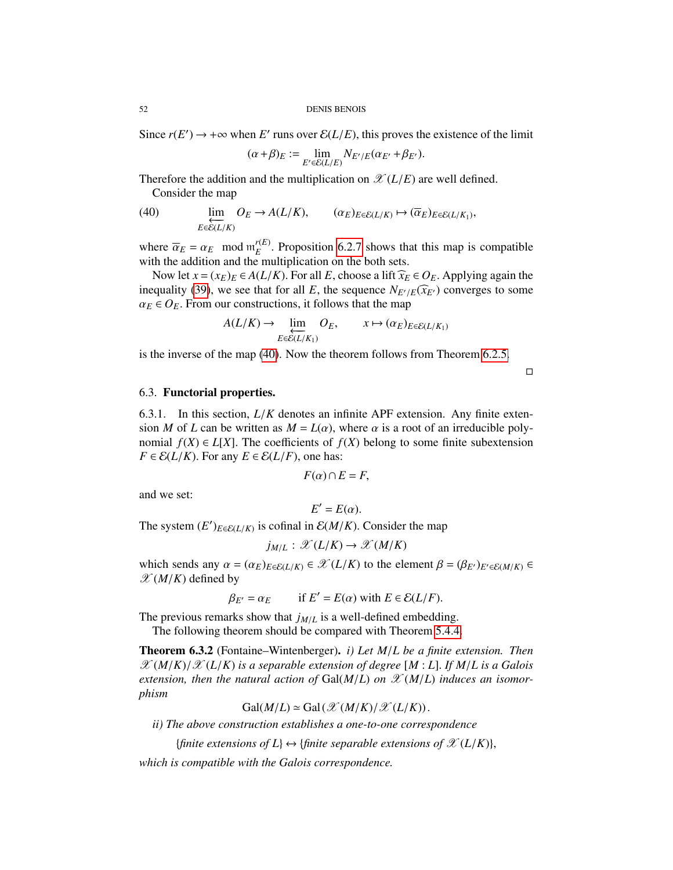Since  $r(E') \to +\infty$  when *E'* runs over  $\mathcal{E}(L/E)$ , this proves the existence of the limit

$$
(\alpha+\beta)_E := \lim_{E' \in \mathcal{E}(L/E)} N_{E'/E}(\alpha_{E'}+\beta_{E'}).
$$

Therefore the addition and the multiplication on  $\mathscr{X}(L/E)$  are well defined. Consider the map

<span id="page-51-0"></span>(40) 
$$
\lim_{E \in \mathcal{E}(L/K)} O_E \to A(L/K), \qquad (\alpha_E)_{E \in \mathcal{E}(L/K)} \mapsto (\overline{\alpha}_E)_{E \in \mathcal{E}(L/K_1)},
$$

where  $\overline{\alpha}_E = \alpha_E \mod \mathfrak{m}_E^{r(E)}$ <br>with the addition and the m  $E_E^{(E)}$ . Proposition [6.2.7](#page-49-0) shows that this map is compatible multiplication on the both sets with the addition and the multiplication on the both sets.

Now let  $x = (x_E)_E \in A(L/K)$ . For all *E*, choose a lift  $\hat{x}_E \in O_E$ . Applying again the inequality [\(39\)](#page-50-1), we see that for all *E*, the sequence  $N_{E'/E}(\hat{x}_{E'})$  converges to some  $\alpha_E \in O_E$ . From our constructions, it follows that the map

$$
A(L/K) \to \lim_{E \in \mathcal{E}(L/K_1)} O_E, \qquad x \mapsto (\alpha_E)_{E \in \mathcal{E}(L/K_1)}
$$

is the inverse of the map [\(40\)](#page-51-0). Now the theorem follows from Theorem [6.2.5.](#page-48-0)

 $\Box$ 

## 6.3. Functorial properties.

6.3.1. In this section, *<sup>L</sup>*/*<sup>K</sup>* denotes an infinite APF extension. Any finite extension *M* of *L* can be written as  $M = L(\alpha)$ , where  $\alpha$  is a root of an irreducible polynomial  $f(X) \in L[X]$ . The coefficients of  $f(X)$  belong to some finite subextension  $F \in \mathcal{E}(L/K)$ . For any  $E \in \mathcal{E}(L/F)$ , one has:

$$
F(\alpha) \cap E = F,
$$

and we set:

$$
E'=E(\alpha).
$$

 $E' = E(\alpha)$ .<br>The system  $(E')_{E \in \mathcal{E}(L/K)}$  is cofinal in  $\mathcal{E}(M/K)$ . Consider the map

$$
j_{M/L}: \mathscr{X}(L/K) \to \mathscr{X}(M/K)
$$

which sends any  $\alpha = (\alpha_E)_{E \in \mathcal{E}(L/K)} \in \mathcal{X}(L/K)$  to the element  $\beta = (\beta_{E'})_{E' \in \mathcal{E}(M/K)} \in \mathcal{X}(M/K)$  defined by  $\mathscr{X}(M/K)$  defined by

 $\beta_{E'} = \alpha_E$  if  $E' = E(\alpha)$  with  $E \in \mathcal{E}(L/F)$ .

The previous remarks show that  $j_{M/L}$  is a well-defined embedding.

The following theorem should be compared with Theorem [5.4.4.](#page-43-2)

Theorem 6.3.2 (Fontaine–Wintenberger). *i) Let M*/*L be a finite extension. Then*  $\mathscr{X}(M/K)/\mathscr{X}(L/K)$  *is a separable extension of degree* [*M* : *L*]. *If*  $M/L$  *is a Galois* extension, then the natural action of  $Gal(M/L)$  on  $\mathscr{X}(M/L)$  induces an isomor*phism*

$$
Gal(M/L) \simeq Gal(\mathcal{X}(M/K)/\mathcal{X}(L/K)).
$$

 $Gal(M/L) \simeq Gal(\mathcal{X}(M/K)/\mathcal{X}(L/K))$ .<br> *ii*) The above construction establishes a one-to-one correspondence

{*finite extensions of*  $L$ }  $\leftrightarrow$  {*finite separable extensions of*  $\mathscr{X}(L/K)$ },

*which is compatible with the Galois correspondence.*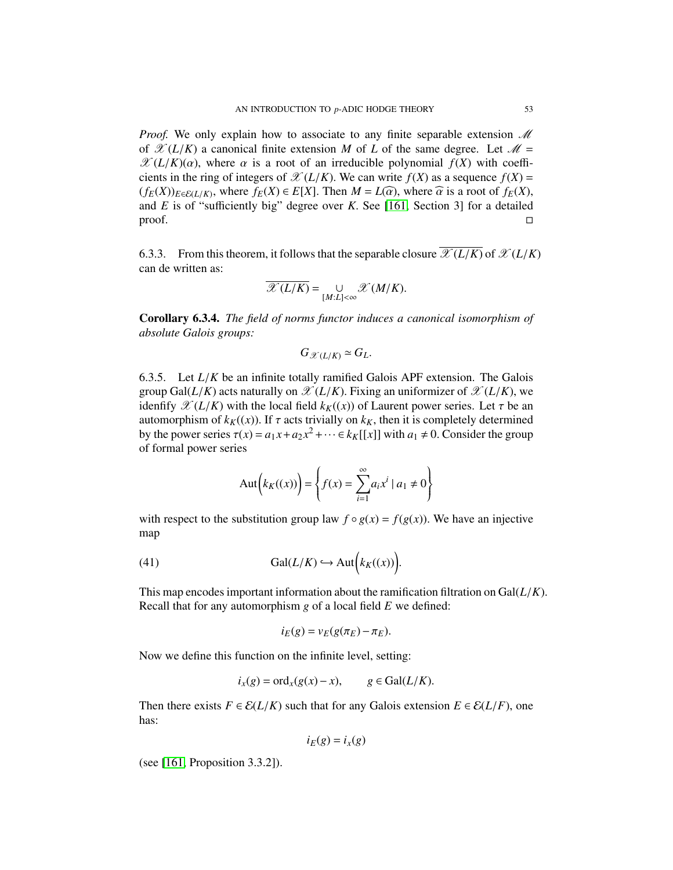*Proof.* We only explain how to associate to any finite separable extension  $\mathcal M$ of  $\mathscr{X}(L/K)$  a canonical finite extension *M* of *L* of the same degree. Let  $\mathscr{M} =$  $\mathscr{X}(L/K)(\alpha)$ , where  $\alpha$  is a root of an irreducible polynomial  $f(X)$  with coefficients in the ring of integers of  $\mathcal{X}(L/K)$ . We can write  $f(X)$  as a sequence  $f(X)$  =  $(f_E(X))_{E \in \mathcal{E}(L/K)}$ , where  $f_E(X) \in E[X]$ . Then  $M = L(\widehat{\alpha})$ , where  $\widehat{\alpha}$  is a root of  $f_E(X)$ , and *F* is of "sufficiently big" degree over *K*. See 1161. Section 31 for a detailed and *E* is of "sufficiently big" degree over *K*. See [\[161,](#page-131-0) Section 3] for a detailed proof.  $\Box$ 

6.3.3. From this theorem, it follows that the separable closure  $\overline{\mathscr{X}(L/K)}$  of  $\mathscr{X}(L/K)$ can de written as:

$$
\overline{\mathscr{X}(L/K)} = \bigcup_{[M:L]<\infty} \mathscr{X}(M/K).
$$

<span id="page-52-1"></span>Corollary 6.3.4. *The field of norms functor induces a canonical isomorphism of absolute Galois groups:*

<span id="page-52-0"></span>
$$
G_{\mathscr{X}(L/K)} \simeq G_L.
$$

6.3.5. Let *<sup>L</sup>*/*<sup>K</sup>* be an infinite totally ramified Galois APF extension. The Galois group Gal( $L/K$ ) acts naturally on  $\mathscr{X}(L/K)$ . Fixing an uniformizer of  $\mathscr{X}(L/K)$ , we idenfify  $\mathscr{X}(L/K)$  with the local field  $k_K((x))$  of Laurent power series. Let  $\tau$  be an automorphism of  $k_K(x)$ ). If  $\tau$  acts trivially on  $k_K$ , then it is completely determined by the power series  $\tau(x) = a_1 x + a_2 x^2 + \cdots \in k_K[[x]]$  with  $a_1 \neq 0$ . Consider the group of formal power series of formal power series

$$
Aut(k_K((x))) = \left\{ f(x) = \sum_{i=1}^{\infty} a_i x^i \mid a_1 \neq 0 \right\}
$$

with respect to the substitution group law  $f \circ g(x) = f(g(x))$ . We have an injective map

(41) 
$$
\operatorname{Gal}(L/K) \hookrightarrow \operatorname{Aut}(k_K((x)))
$$

This map encodes important information about the ramification filtration on Gal(*L*/*K*). Recall that for any automorphism *g* of a local field *E* we defined:

$$
i_E(g) = v_E(g(\pi_E) - \pi_E).
$$

Now we define this function on the infinite level, setting:

$$
i_x(g) = \text{ord}_x(g(x) - x), \qquad g \in \text{Gal}(L/K).
$$

Then there exists  $F \in \mathcal{E}(L/K)$  such that for any Galois extension  $E \in \mathcal{E}(L/F)$ , one has:

$$
i_E(g) = i_x(g)
$$

(see [\[161,](#page-131-0) Proposition 3.3.2]).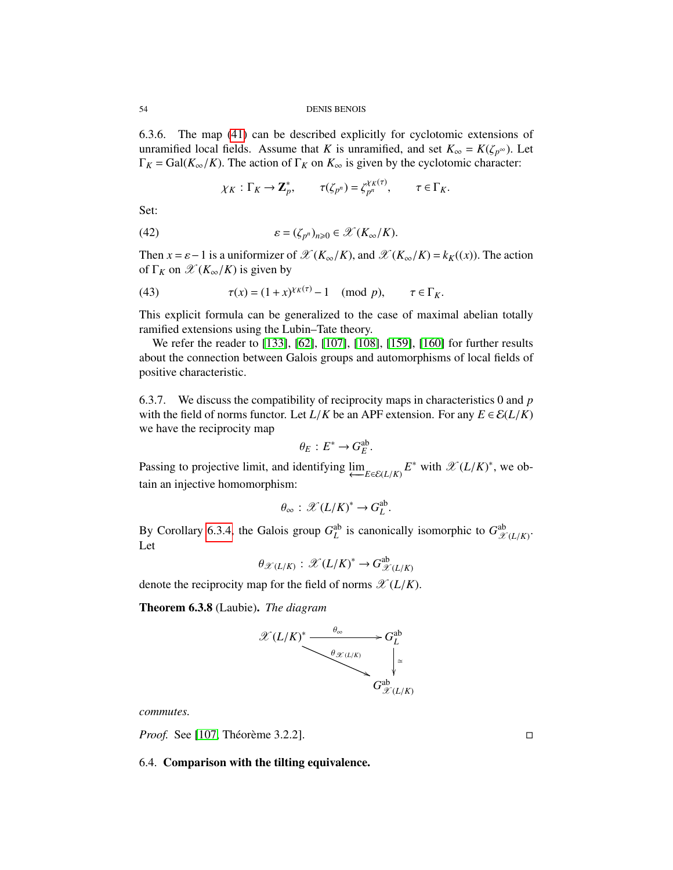54 DENIS BENOIS

6.3.6. The map [\(41\)](#page-52-0) can be described explicitly for cyclotomic extensions of unramified local fields. Assume that *K* is unramified, and set  $K_{\infty} = K(\zeta_{p^{\infty}})$ . Let  $\Gamma_K = \text{Gal}(K_{\infty}/K)$ . The action of  $\Gamma_K$  on  $K_{\infty}$  is given by the cyclotomic character:

$$
\chi_K : \Gamma_K \to \mathbf{Z}_p^*, \qquad \tau(\zeta_{p^n}) = \zeta_{p^n}^{\chi_K(\tau)}, \qquad \tau \in \Gamma_K.
$$

Set:

(42) 
$$
\varepsilon = (\zeta_{p^n})_{n \geq 0} \in \mathscr{X}(K_\infty/K).
$$

Then  $x = \varepsilon - 1$  is a uniformizer of  $\mathcal{X}(K_\infty/K)$ , and  $\mathcal{X}(K_\infty/K) = k_K(x)$ . The action of  $\Gamma_K$  on  $\mathscr{X}(K_\infty/K)$  is given by

<span id="page-53-0"></span>(43) 
$$
\tau(x) = (1+x)^{\chi_K(\tau)} - 1 \pmod{p}, \qquad \tau \in \Gamma_K.
$$

This explicit formula can be generalized to the case of maximal abelian totally ramified extensions using the Lubin–Tate theory.

We refer the reader to [\[133\]](#page-130-5), [\[62\]](#page-127-4), [\[107\]](#page-129-2), [\[108\]](#page-129-3), [\[159\]](#page-131-1), [\[160\]](#page-131-2) for further results about the connection between Galois groups and automorphisms of local fields of positive characteristic.

6.3.7. We discuss the compatibility of reciprocity maps in characteristics 0 and *p* with the field of norms functor. Let  $L/K$  be an APF extension. For any  $E \in \mathcal{E}(L/K)$ we have the reciprocity map

$$
\theta_E: E^* \to G_E^{\text{ab}}.
$$

Passing to projective limit, and identifying  $\lim_{E \in \mathcal{E}(L/K)} E^*$  with  $\mathcal{X}(L/K)^*$ , we obtain an injective homomorphism: tain an injective homomorphism:

$$
\theta_{\infty}: \mathscr{X}(L/K)^* \to G_L^{\text{ab}}.
$$

By Corollary [6.3.4,](#page-52-1) the Galois group  $G_L^{\text{ab}}$  is canonically isomorphic to  $G_{\mathcal{X}}^{\text{ab}}$  $\mathscr{X}(L/K)$ <sup>.</sup> Let

$$
\theta_{\mathscr{X}(L/K)}:\mathscr{X}(L/K)^*\to G_{\mathscr{X}(L/K)}^{\text{ab}}
$$

denote the reciprocity map for the field of norms  $\mathscr{X}(L/K)$ .

Theorem 6.3.8 (Laubie). *The diagram*



*commutes.*

*Proof.* See [\[107,](#page-129-2) Théorème 3.2.2].

6.4. Comparison with the tilting equivalence.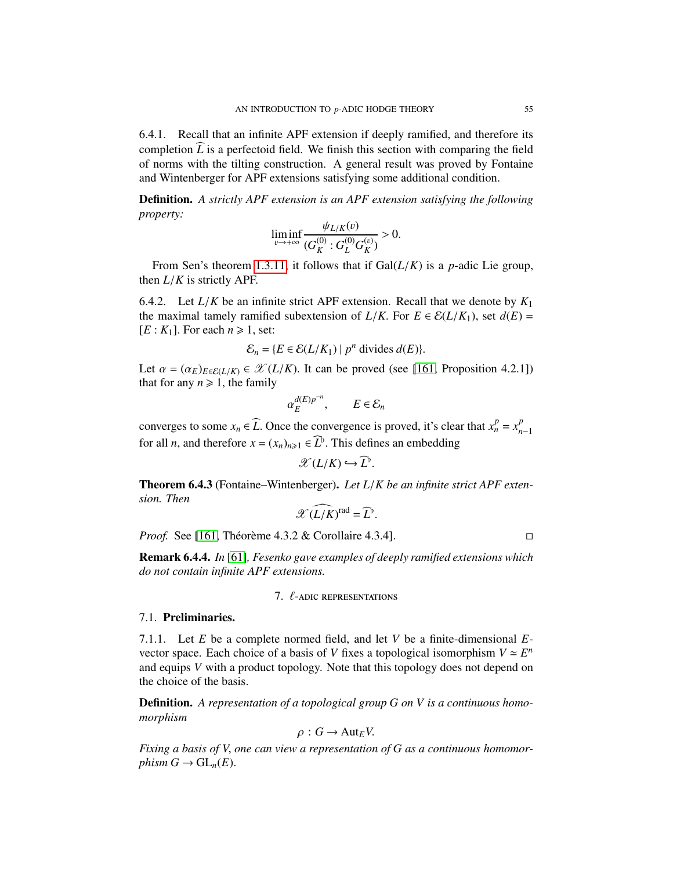6.4.1. Recall that an infinite APF extension if deeply ramified, and therefore its completion  $\widehat{L}$  is a perfectoid field. We finish this section with comparing the field of norms with the tilting construction. A general result was proved by Fontaine and Wintenberger for APF extensions satisfying some additional condition.

Definition. *A strictly APF extension is an APF extension satisfying the following property:*

$$
\liminf_{v \to +\infty} \frac{\psi_{L/K}(v)}{(G_K^{(0)} : G_L^{(0)} G_K^{(v)})} > 0.
$$

From Sen's theorem [1.3.11,](#page-12-0) it follows that if  $Gal(L/K)$  is a *p*-adic Lie group, then *<sup>L</sup>*/*<sup>K</sup>* is strictly APF.

6.4.2. Let  $L/K$  be an infinite strict APF extension. Recall that we denote by  $K_1$ the maximal tamely ramified subextension of  $L/K$ . For  $E \in \mathcal{E}(L/K_1)$ , set  $d(E)$  =  $[E: K_1]$ . For each  $n \ge 1$ , set:

$$
\mathcal{E}_n = \{ E \in \mathcal{E}(L/K_1) \mid p^n \text{ divides } d(E) \}.
$$

Let  $\alpha = (\alpha_E)_{E \in \mathcal{E}(L/K)} \in \mathcal{X}(L/K)$ . It can be proved (see [\[161,](#page-131-0) Proposition 4.2.1]) that for any  $n > 1$  the family that for any  $n \ge 1$ , the family

$$
\alpha_E^{d(E)p^{-n}}, \qquad E \in \mathcal{E}_n
$$

converges to some  $x_n \in \widehat{L}$ . Once the convergence is proved, it's clear that  $x_n^p = x_n^p$ *n*−1 for all *n*, and therefore  $x = (x_n)_{n \geq 1} \in L^p$ . This defines an embedding

$$
\mathscr{X}(L/K) \hookrightarrow \widehat{L}^{\flat}
$$

<span id="page-54-0"></span>Theorem 6.4.3 (Fontaine–Wintenberger). *Let L*/*K be an infinite strict APF extension. Then*

$$
\mathscr{X}(\widehat{L/K})^{\mathrm{rad}} = \widehat{L}^{\flat}
$$

*Proof.* See [\[161,](#page-131-0) Théorème 4.3.2 & Corollaire 4.3.4].

Remark 6.4.4. *In* [\[61\]](#page-127-3)*, Fesenko gave examples of deeply ramified extensions which do not contain infinite APF extensions.*

7. 
$$
\ell
$$
-adic representation

#### 7.1. Preliminaries.

7.1.1. Let *E* be a complete normed field, and let *V* be a finite-dimensional *E*vector space. Each choice of a basis of *V* fixes a topological isomorphism  $V \simeq E^n$ and equips *V* with a product topology. Note that this topology does not depend on the choice of the basis.

Definition. *A representation of a topological group G on V is a continuous homomorphism*

$$
\rho: G \to \text{Aut}_E V.
$$

*Fixing a basis of V*, *one can view a representation of G as a continuous homomorphism*  $G \to GL_n(E)$ .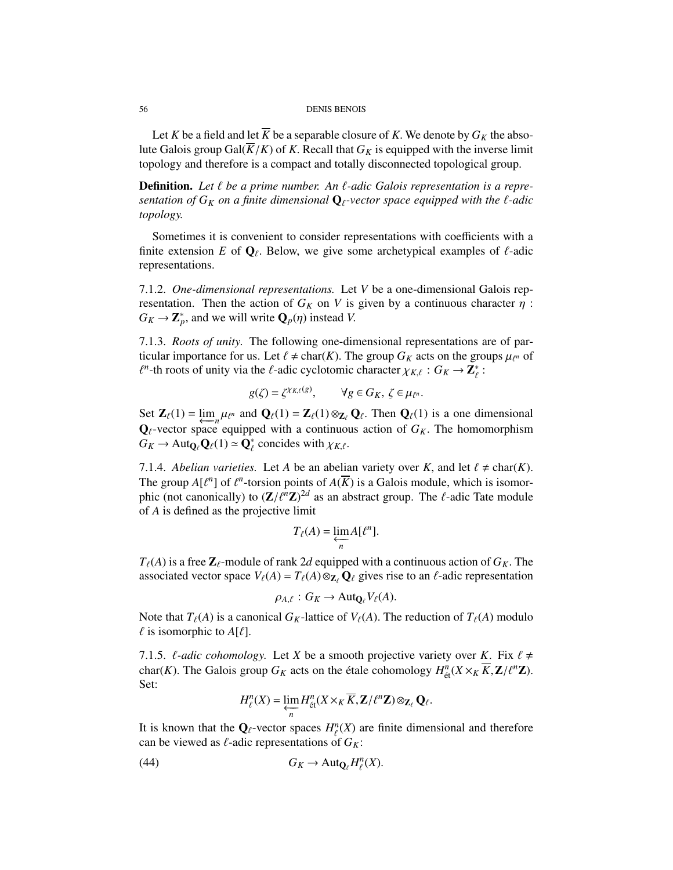#### 56 DENIS BENOIS

Let *K* be a field and let  $\overline{K}$  be a separable closure of *K*. We denote by  $G_K$  the absolute Galois group Gal( $\overline{K}/K$ ) of *K*. Recall that  $G_K$  is equipped with the inverse limit topology and therefore is a compact and totally disconnected topological group.

**Definition.** Let  $\ell$  be a prime number. An  $\ell$ -adic Galois representation is a repre*sentation of*  $G_K$  *on a finite dimensional*  $\mathbf{Q}_\ell$ -vector space equipped with the  $\ell$ -adic *topology.*

Sometimes it is convenient to consider representations with coefficients with a finite extension *E* of  $\mathbf{Q}_\ell$ . Below, we give some archetypical examples of  $\ell$ -adic representations.

7.1.2. *One-dimensional representations.* Let *V* be a one-dimensional Galois representation. Then the action of  $G_K$  on V is given by a continuous character  $\eta$ :  $G_K \to \mathbb{Z}_p^*$ , and we will write  $\mathbf{Q}_p(\eta)$  instead *V*.

7.1.3. *Roots of unity.* The following one-dimensional representations are of particular importance for us. Let  $\ell \neq \text{char}(K)$ . The group  $G_K$  acts on the groups  $\mu_{\ell^n}$  of  $\ell^n$ -th roots of unity via the  $\ell$ -adic cyclotomic character  $y_K \in G_K \to \mathbb{Z}^*$ . *n*-th roots of unity via the  $\ell$ -adic cyclotomic character  $\chi_{K,\ell} : G_K \to \mathbb{Z}_{\ell}^*$ :

$$
g(\zeta) = \zeta^{\chi_{K,\zeta}}(g), \qquad \forall g \in G_K, \ \zeta \in \mu_{\ell^n}.
$$

Set  $\mathbf{Z}_{\ell}(1) = \lim_{\epsilon \to 0} \mu_{\ell^n}$  and  $\mathbf{Q}_{\ell}(1) = \mathbf{Z}_{\ell}(1) \otimes_{\mathbf{Z}_{\ell}} \mathbf{Q}_{\ell}$ . Then  $\mathbf{Q}_{\ell}(1)$  is a one dimensional  $\mathbf{Q}_{\ell}$  vector and  $\mathbf{Q}_{\ell}$  and  $\mathbf{Q}_{\ell}(1) = \mathbf{Z}_{\ell}(1) \otimes_{\mathbf{Z}_{\ell}} \mathbf{Q}_{\ell}$ . Then  $Q_\ell$ -vector space equipped with a continuous action of  $G_K$ . The homomorphism  $G_K \to$  Auto  $Q_\ell(1) \approx Q^*$  concides with  $Y_K$ .  $G_K \to \text{Aut}_{\mathbf{Q}_\ell} \mathbf{Q}_\ell(1) \simeq \mathbf{Q}_\ell^*$  concides with  $\chi_{K,\ell}$ .

7.1.4. *Abelian varieties.* Let *A* be an abelian variety over *K*, and let  $\ell \neq \text{char}(K)$ . The group  $A[\ell^n]$  of  $\ell^n$ -torsion points of  $A(\overline{K})$  is a Galois module, which is isomor-<br>phic (not canonically) to  $(Z/\ell^n Z)^{2d}$  as an abstract group. The *f*-adic Tate module ] of  $\ell$ <br>ically phic (not canonically) to  $(\mathbf{Z}/\ell^n \mathbf{Z})^{2d}$  as an abstract group. The  $\ell$ -adic Tate module<br>of A is defined as the projective limit of *A* is defined as the projective limit

$$
T_{\ell}(A) = \varprojlim_{n} A[\ell^{n}].
$$

 $T_{\ell}(A)$  is a free  $\mathbb{Z}_{\ell}$ -module of rank 2*d* equipped with a continuous action of  $G_K$ . The associated vector space  $V_{\ell}(A) = T_{\ell}(A) \otimes_{\mathbf{Z}_{\ell}} \mathbf{Q}_{\ell}$  gives rise to an  $\ell$ -adic representation

$$
\rho_{A,\ell}: G_K \to \mathrm{Aut}_{{\mathbf Q}_{\ell}}V_{\ell}(A).
$$

Note that  $T_{\ell}(A)$  is a canonical  $G_K$ -lattice of  $V_{\ell}(A)$ . The reduction of  $T_{\ell}(A)$  modulo  $\ell$  is isomorphic to  $A[\ell]$ .

7.1.5.  $\ell$ -adic cohomology. Let *X* be a smooth projective variety over *K*. Fix  $\ell \neq$ char(*K*). The Galois group  $G_K$  acts on the étale cohomology  $H_{\text{\'et}}^n$ <br>Set:  $_{\text{\'et}}^n(X\times_K\overline{K},\mathbf{Z}/\ell^n\mathbf{Z}).$ Set:

<span id="page-55-0"></span>
$$
H_{\ell}^{n}(X)=\varprojlim_{n}H_{\text{\'et}}^{n}(X\times_{K}\overline{K},\mathbf{Z}/\ell^{n}\mathbf{Z})\otimes_{\mathbf{Z}_{\ell}}\mathbf{Q}_{\ell}.
$$

It is known that the  $\mathbf{Q}_\ell$ -vector spaces  $H_\ell^n(X)$  are finite dimensional and therefore can be viewed as  $\ell$ -adic representations of  $G_K$ :

(44) 
$$
G_K \to \mathrm{Aut}_{\mathbf{Q}_\ell} H^n_\ell(X).
$$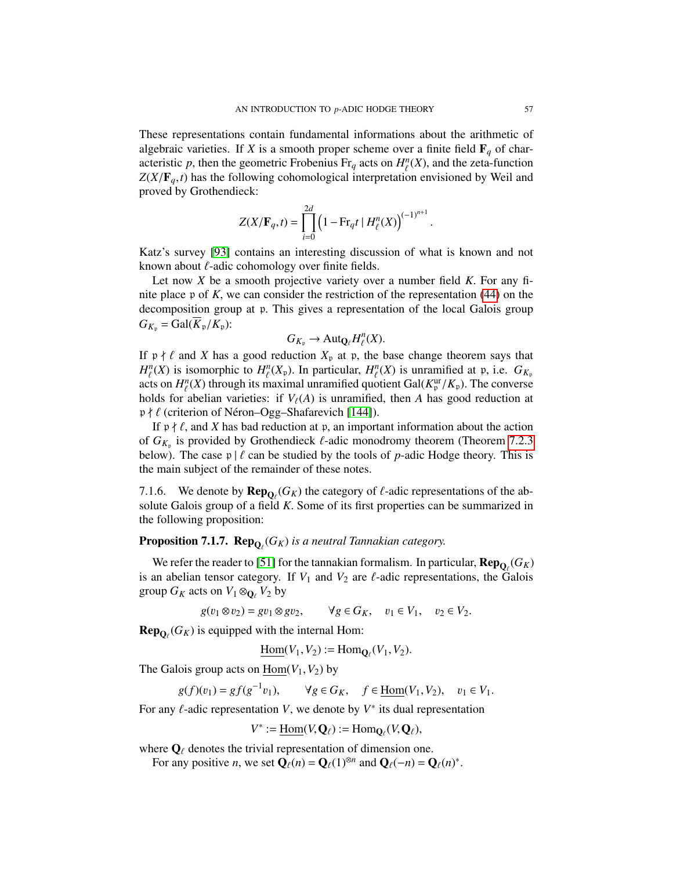These representations contain fundamental informations about the arithmetic of algebraic varieties. If *X* is a smooth proper scheme over a finite field  $\mathbf{F}_q$  of characteristic *p*, then the geometric Frobenius Fr<sub>q</sub> acts on  $H_l^n(X)$ , and the zeta-function  $Z(X/\mathbf{F} - t)$  has the following cohomological interpretation envisioned by Weil and  $Z(X/\mathbf{F}_q, t)$  has the following cohomological interpretation envisioned by Weil and proved by Grothendieck: proved by Grothendieck:

$$
Z(X/\mathbf{F}_q, t) = \prod_{i=0}^{2d} \left(1 - \text{Fr}_q t \mid H^n_{\ell}(X)\right)^{(-1)^{n+1}}
$$

Katz's survey [\[93\]](#page-129-4) contains an interesting discussion of what is known and not known about  $\ell$ -adic cohomology over finite fields.

Let now *<sup>X</sup>* be a smooth projective variety over a number field *<sup>K</sup>*. For any finite place <sup>p</sup> of *<sup>K</sup>*, we can consider the restriction of the representation [\(44\)](#page-55-0) on the decomposition group at <sup>p</sup>. This gives a representation of the local Galois group  $G_{K_p} = \text{Gal}(K_p/K_p)$ :

<span id="page-56-0"></span>
$$
G_{K_{\mathfrak{p}}}\to \mathrm{Aut}_{{\mathbf Q}_{\ell}}H^{n}_{\ell}(X).
$$

If  $p \nmid \ell$  and *X* has a good reduction  $X_p$  at p, the base change theorem says that  $H^n(X)$  is isomorphic to  $H^n(X)$ . In particular,  $H^n(Y)$  is unramified at n i.e.  $G_X$  $H_l^n(X)$  is isomorphic to  $H_l^n(X_p)$ . In particular,  $H_l^n(X)$  is unramified at p, i.e.  $G_{K_p}$ <br>acts on  $H^n(X)$  through its maximal unramified quotient  $Gal(K^{\text{ur}}/K)$ . The converse acts on  $H_{\ell}^{n}(X)$  through its maximal unramified quotient Gal( $K_{\mu}^{\text{ur}}/K_{\text{p}}$ ). The converse<br>holds for abelian varieties: if  $V_{\ell}(A)$  is unramified, then A has good reduction at holds for abelian varieties: if  $V_{\ell}(A)$  is unramified, then *A* has good reduction at  $\frac{R}{\ell}$  (criterion of Népen Ogg Shaferovich [1441])  $p \nmid \ell$  (criterion of Néron–Ogg–Shafarevich [\[144\]](#page-130-6)).

If  $p \nmid \ell$ , and *X* has bad reduction at p, an important information about the action of  $G_{K_p}$  is provided by Grothendieck  $\ell$ -adic monodromy theorem (Theorem [7.2.3](#page-57-0)<br>helow). The case  $n \mid \ell$  can be studied by the tools of *n*-adic Hodge theory. This is below). The case  $p \mid \ell$  can be studied by the tools of *p*-adic Hodge theory. This is the main subject of the remainder of these notes.

7.1.6. We denote by  $\mathbf{Rep}_{\mathbf{Q}_\ell}(G_K)$  the category of  $\ell$ -adic representations of the absolute Galois group of a field K. Some of its first properties can be summarized in solute Galois group of a field *<sup>K</sup>*. Some of its first properties can be summarized in the following proposition:

# **Proposition 7.1.7.**  $\mathbf{Rep}_{\mathbf{Q}_{\ell}}(G_K)$ *is a neutral Tannakian category.*

We refer the reader to [\[51\]](#page-127-5) for the tannakian formalism. In particular,  $\mathbf{Rep}_{\mathbf{Q}_\ell}(G_K)$ is an abelian tensor category. If  $V_1$  and  $V_2$  are  $\ell$ -adic representations, the Galois group  $G_K$  acts on  $V_1 \otimes_{\mathbf{O}_\ell} V_2$  by

 $g(v_1 \otimes v_2) = gv_1 \otimes gv_2, \qquad \forall g \in G_K, \quad v_1 \in V_1, \quad v_2 \in V_2.$ 

**Rep** $_{\mathbf{Q}_{\ell}}(G_K)$  is equipped with the internal Hom:

$$
\underline{\text{Hom}}(V_1, V_2) := \text{Hom}_{\mathbf{Q}_{\ell}}(V_1, V_2).
$$

The Galois group acts on  $\text{Hom}(V_1, V_2)$  by

$$
g(f)(v_1) = gf(g^{-1}v_1), \qquad \forall g \in G_K, \quad f \in \underline{\text{Hom}}(V_1, V_2), \quad v_1 \in V_1.
$$

For any  $\ell$ -adic representation *V*, we denote by  $V^*$  its dual representation

$$
V^* := \underline{\text{Hom}}(V, \mathbf{Q}_{\ell}) := \text{Hom}_{\mathbf{Q}_{\ell}}(V, \mathbf{Q}_{\ell}),
$$

where  $\mathbf{Q}_{\ell}$  denotes the trivial representation of dimension one.<br>For any positive n we set  $\mathbf{Q}_{\ell}(n) = \mathbf{Q}_{\ell}(1)^{\otimes n}$  and  $\mathbf{Q}_{\ell}(n) = \mathbf{C}_{\ell}(n)$ 

For any positive *n*, we set  $\mathbf{Q}_{\ell}(n) = \mathbf{Q}_{\ell}(1)^{\otimes n}$  and  $\mathbf{Q}_{\ell}(-n) = \mathbf{Q}_{\ell}(n)^*$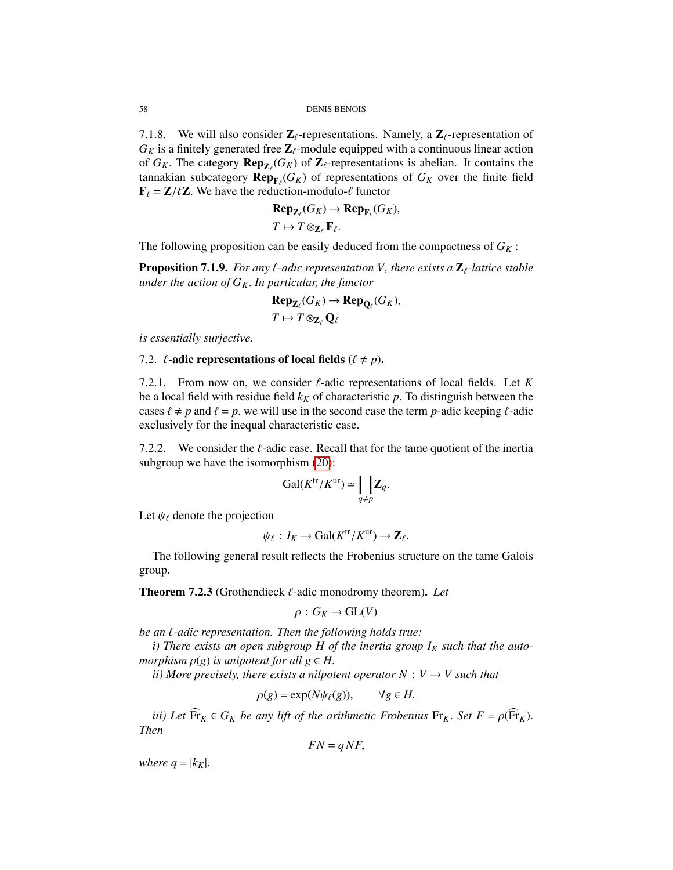7.1.8. We will also consider  $\mathbb{Z}_{\ell}$ -representations. Namely, a  $\mathbb{Z}_{\ell}$ -representation of  $G_K$  is a finitely generated free  $\mathbb{Z}_{\ell}$ -module equipped with a continuous linear action of  $G_K$ . The category  $\mathbf{Rep}_{\mathbf{Z}_{\ell}}(G_K)$  of  $\mathbf{Z}_{\ell}$ -representations is abelian. It contains the finite field tannakian subcategory  $\mathbf{Rep}_{F_{\ell}}(G_K)$  of representations of  $G_K$  over the finite field  $\mathbf{F}_{\ell} = \mathbf{Z}/\ell \mathbf{Z}$ . We have the reduction module  $\ell$  functor  $\mathbf{F}_{\ell} = \mathbf{Z}/\ell \mathbf{Z}$ . We have the reduction-modulo- $\ell$  functor

$$
\begin{aligned} \mathbf{Rep}_{\mathbf{Z}_{\ell}}(G_K) &\to \mathbf{Rep}_{\mathbf{F}_{\ell}}(G_K), \\ T &\mapsto T \otimes_{\mathbf{Z}_{\ell}} \mathbf{F}_{\ell}. \end{aligned}
$$

The following proposition can be easily deduced from the compactness of  $G_K$ :

<span id="page-57-1"></span>**Proposition 7.1.9.** *For any*  $\ell$ *-adic representation V, there exists a*  $\mathbb{Z}_{\ell}$ -lattice stable *under the action of GK*. *In particular, the functor*

$$
\mathbf{Rep}_{\mathbf{Z}_{\ell}}(G_K) \to \mathbf{Rep}_{\mathbf{Q}_{\ell}}(G_K),
$$
  

$$
T \mapsto T \otimes_{\mathbf{Z}_{\ell}} \mathbf{Q}_{\ell}
$$

*is essentially surjective.*

#### 7.2.  $\ell$ -adic representations of local fields ( $\ell \neq p$ ).

7.2.1. From now on, we consider  $\ell$ -adic representations of local fields. Let K be a local field with residue field  $k_K$  of characteristic  $p$ . To distinguish between the cases  $\ell \neq p$  and  $\ell = p$ , we will use in the second case the term *p*-adic keeping  $\ell$ -adic exclusively for the inequal characteristic case.

7.2.2. We consider the  $\ell$ -adic case. Recall that for the tame quotient of the inertia subgroup we have the isomorphism [\(20\)](#page-20-0):

$$
\mathrm{Gal}(K^{\mathrm{tr}}/K^{\mathrm{ur}}) \simeq \prod_{q \neq p} \mathbf{Z}_q.
$$

Let  $\psi_{\ell}$  denote the projection

$$
\psi_{\ell}: I_K \to \text{Gal}(K^{\text{tr}}/K^{\text{ur}}) \to \mathbb{Z}_{\ell}.
$$

The following general result reflects the Frobenius structure on the tame Galois group.

<span id="page-57-0"></span>Theorem 7.2.3 (Grothendieck  $\ell$ -adic monodromy theorem). Let

$$
\rho: G_K \to \mathrm{GL}(V)
$$

*be an*  $\ell$ *-adic representation. Then the following holds true:* 

*i*) There exists an open subgroup H of the inertia group  $I_K$  such that the auto*morphism*  $\rho(g)$  *is unipotent for all*  $g \in H$ .

*ii*) More precisely, there exists a nilpotent operator  $N: V \rightarrow V$  such that

$$
\rho(g) = \exp(N\psi_{\ell}(g)), \qquad \forall g \in H.
$$

*iii)* Let  $\overline{\mathrm{Fr}}_K \in G_K$  *be any lift of the arithmetic Frobenius*  $\overline{\mathrm{Fr}}_K$ . *Set*  $F = \rho(\overline{\mathrm{Fr}}_K)$ . *Then*

$$
FN = qNF,
$$

*where*  $q = |k_K|$ .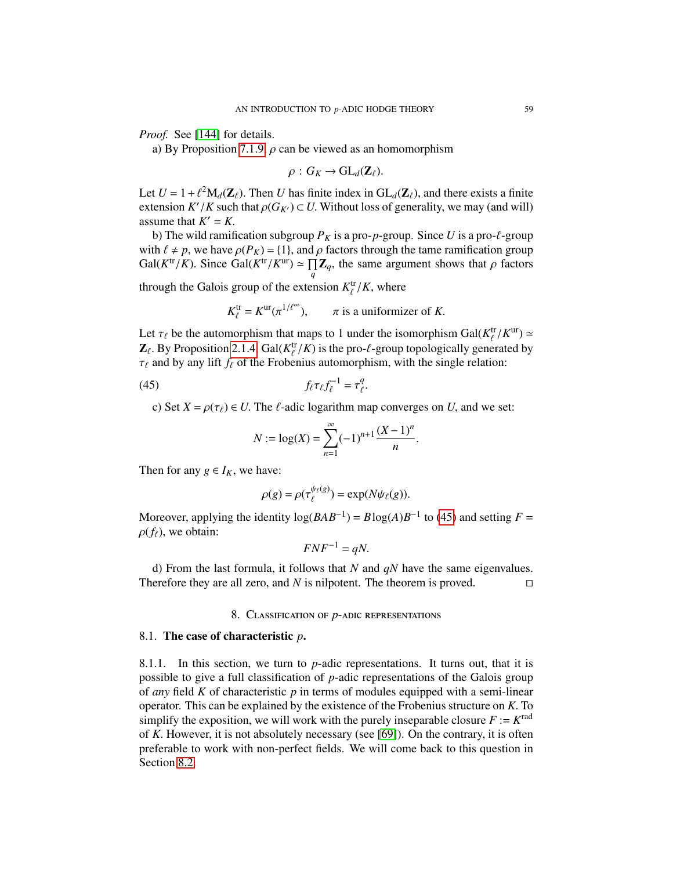*Proof.* See [\[144\]](#page-130-6) for details.

a) By Proposition [7.1.9,](#page-57-1)  $\rho$  can be viewed as an homomorphism

$$
\rho:G_K\to\mathrm{GL}_d(\mathbf{Z}_\ell).
$$

Let  $U = 1 + \ell^2 M_d(\mathbb{Z}_\ell)$ . Then *U* has finite index in  $GL_d(\mathbb{Z}_\ell)$ , and there exists a finite extension  $K'/K$  such that  $\alpha(G_K) \subset U$ . Without loss of generality, we may (and will) extension  $K'/K$  such that  $\rho(G_{K'}) \subset U$ . Without loss of generality, we may (and will) assume that  $K' - K$ assume that  $K' = K$ .<br>b) The wild ramif

b) The wild ramification subgroup  $P_K$  is a pro-*p*-group. Since U is a pro- $\ell$ -group with  $\ell \neq p$ , we have  $\rho(P_K) = \{1\}$ , and  $\rho$  factors through the tame ramification group  $Gal(K<sup>tr</sup>/K)$ . Since  $Gal(K<sup>tr</sup>/K<sup>ur</sup>) \simeq \prod_{q}$  $\prod_{q} \mathbf{Z}_q$ , the same argument shows that  $\rho$  factors

through the Galois group of the extension  $K_{\ell}^{\text{tr}}/K$ , where

$$
K_{\ell}^{\text{tr}} = K^{\text{ur}}(\pi^{1/\ell^{\infty}}), \qquad \pi \text{ is a uniformizer of } K.
$$

Let  $\tau_{\ell}$  be the automorphism that maps to 1 under the isomorphism Gal( $K_{\ell}^{tr}/K^{ur}$ )  $\simeq$ <br>**Z**<sub>A</sub> By Proposition 2.1.4. Gal( $K^{tr}/K$ ) is the pro $\ell$  group topologically generated by  $\mathbf{Z}_{\ell}$ . By Proposition [2.1.4,](#page-20-1) Gal( $K_{\ell}^{tr}/K$ ) is the pro- $\ell$ -group topologically generated by  $\tau_{\ell}$  and by any lift  $f_{\ell}$  of the Frobenius automorphism with the single relation:  $\tau_\ell$  and by any lift  $f_\ell$  of the Frobenius automorphism, with the single relation:

$$
(45) \t f_{\ell} \tau_{\ell} f_{\ell}^{-1} = \tau_{\ell}^{q}.
$$

c) Set  $X = \rho(\tau_\ell) \in U$ . The  $\ell$ -adic logarithm map converges on *U*, and we set:

$$
N := \log(X) = \sum_{n=1}^{\infty} (-1)^{n+1} \frac{(X-1)^n}{n}
$$

Then for any  $g \in I_K$ , we have:

$$
\rho(g) = \rho(\tau_{\ell}^{\psi_{\ell}(g)}) = \exp(N\psi_{\ell}(g)).
$$

Moreover, applying the identity  $log(BAB^{-1}) = Blog(A)B^{-1}$  to [\(45\)](#page-56-0) and setting *F* =  $\rho(f_\ell)$ , we obtain:

$$
FNF^{-1} = qN.
$$

d) From the last formula, it follows that *N* and *qN* have the same eigenvalues. Therefore they are all zero, and  $N$  is nilpotent. The theorem is proved.  $\square$ 

## 8. Classification of *p*-adic representations

### <span id="page-58-0"></span>8.1. The case of characteristic *p*.

8.1.1. In this section, we turn to *p*-adic representations. It turns out, that it is possible to give a full classification of *p*-adic representations of the Galois group of *any* field *K* of characteristic *p* in terms of modules equipped with a semi-linear operator. This can be explained by the existence of the Frobenius structure on *<sup>K</sup>*. To simplify the exposition, we will work with the purely inseparable closure  $F := K^{rad}$ of *<sup>K</sup>*. However, it is not absolutely necessary (see [\[69\]](#page-128-3)). On the contrary, it is often preferable to work with non-perfect fields. We will come back to this question in Section [8.2.](#page-63-0)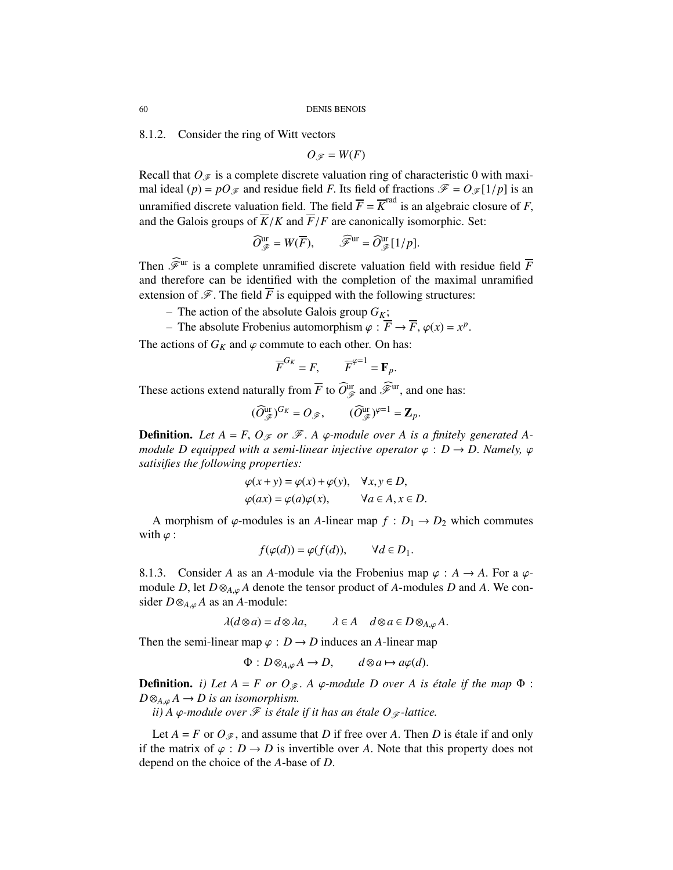8.1.2. Consider the ring of Witt vectors

 $O_{\mathscr{F}} = W(F)$ 

Recall that  $O_F$  is a complete discrete valuation ring of characteristic 0 with maximal ideal (*p*) =  $pO_{\mathscr{F}}$  and residue field *F*. Its field of fractions  $\mathscr{F} = O_{\mathscr{F}}[1/p]$  is an unramified discrete valuation field. The field  $\overline{F} = \overline{K}^{\text{rad}}$  is an algebraic closure of *F*, and the Galois groups of  $\overline{K}/K$  and  $\overline{F}/F$  are canonically isomorphic. Set: and the Galois groups of  $\overline{K}/K$  and  $\overline{F}/F$  are canonically isomorphic. Set:

$$
\widehat{O}_{\mathscr{F}}^{\text{ur}} = W(\overline{F}), \qquad \widehat{\mathscr{F}}^{\text{ur}} = \widehat{O}_{\mathscr{F}}^{\text{ur}}[1/p].
$$

Then  $\widehat{\mathscr{F}}^{\text{ur}}$  is a complete unramified discrete valuation field with residue field  $\overline{F}$ and therefore can be identified with the completion of the maximal unramified extension of  $\mathscr F$ . The field *F* is equipped with the following structures:

– The action of the absolute Galois group  $G_K$ ;

– The absolute Frobenius automorphism  $\varphi : \overline{F} \to \overline{F}$ ,  $\varphi(x) = x^p$ 

The actions of  $G_K$  and  $\varphi$  commute to each other. On has:

$$
\overline{F}^{G_K} = F, \qquad \overline{F}^{\varphi=1} = \mathbf{F}_p.
$$

These actions extend naturally from  $\overline{F}$  to  $\widehat{O}_{\mathscr{F}}^{\text{ur}}$  and  $\widehat{\mathscr{F}}^{\text{ur}}$ , and one has:

$$
(\widehat{O}_{\mathscr{F}}^{\text{ur}})^{G_K}=O_{\mathscr{F}},\qquad (\widehat{O}_{\mathscr{F}}^{\text{ur}})^{\varphi=1}=\mathbf{Z}_p.
$$

**Definition.** Let  $A = F$ ,  $O_{\mathscr{F}}$  or  $\mathscr{F}$ . A  $\varphi$ -module over A is a finitely generated A*module D equipped with a semi-linear injective operator*  $\varphi : D \to D$ . *Namely,*  $\varphi$ *satisifies the following properties:*

<span id="page-59-0"></span>
$$
\varphi(x+y) = \varphi(x) + \varphi(y), \quad \forall x, y \in D, \n\varphi(ax) = \varphi(a)\varphi(x), \quad \forall a \in A, x \in D.
$$

A morphism of  $\varphi$ -modules is an *A*-linear map  $f : D_1 \to D_2$  which commutes with  $\varphi$  :

$$
f(\varphi(d)) = \varphi(f(d)), \qquad \forall d \in D_1.
$$

8.1.3. Consider *A* as an *A*-module via the Frobenius map  $\varphi : A \to A$ . For a  $\varphi$ module *D*, let  $D \otimes_{A,\varphi} A$  denote the tensor product of *A*-modules *D* and *A*. We consider  $D \otimes_{A,\varphi} A$  as an *A*-module:

$$
\lambda(d\otimes a) = d\otimes \lambda a, \qquad \lambda \in A \quad d\otimes a \in D\otimes_{A,\varphi} A.
$$

Then the semi-linear map  $\varphi : D \to D$  induces an *A*-linear map

$$
\Phi: D\otimes_{A,\varphi} A \to D, \qquad d\otimes a \mapsto a\varphi(d).
$$

**Definition.** *i)* Let  $A = F$  or  $O_{\mathcal{F}}$ . A  $\varphi$ -module D over A is étale if the map  $\Phi$  :  $D \otimes_{A,\omega} A \to D$  is an isomorphism.

*ii*) A  $\varphi$ *-module over*  $\mathcal F$  *is étale if it has an étale O*  $\varphi$ *-lattice.* 

Let  $A = F$  or  $O_{\mathscr{F}}$ , and assume that *D* if free over *A*. Then *D* is étale if and only if the matrix of  $\varphi : D \to D$  is invertible over *A*. Note that this property does not depend on the choice of the *<sup>A</sup>*-base of *<sup>D</sup>*.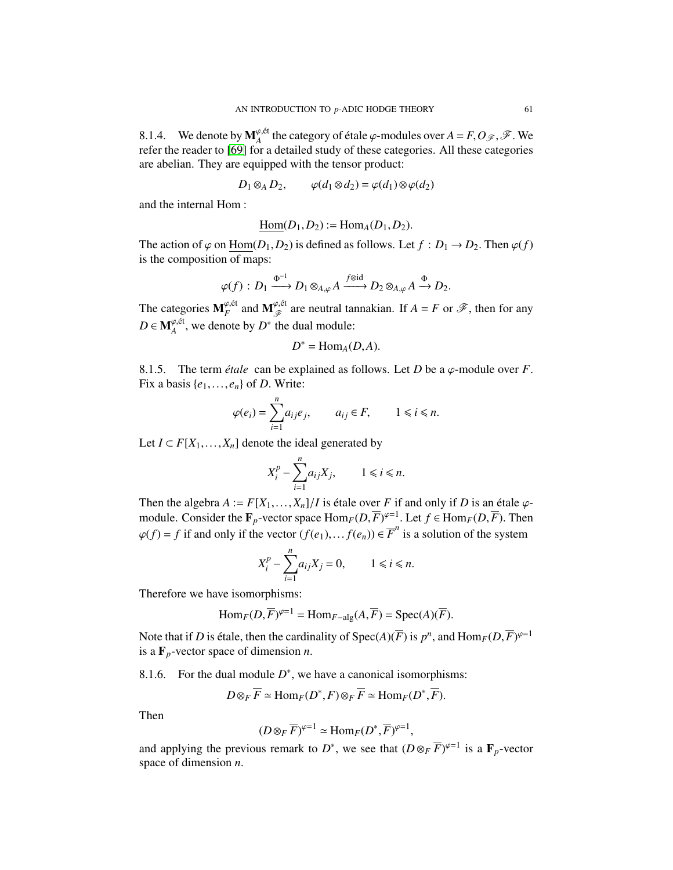8.1.4. We denote by  $M_A^{\varphi, \text{\'et}}$  the category of étale  $\varphi$ -modules over  $A = F, O_{\mathscr{F}}, \mathscr{F}$ . We refer the reader to [69] for a detailed study of these categories. All these categories refer the reader to [\[69\]](#page-128-3) for a detailed study of these categories. All these categories are abelian. They are equipped with the tensor product:

$$
D_1 \otimes_A D_2, \qquad \varphi(d_1 \otimes d_2) = \varphi(d_1) \otimes \varphi(d_2)
$$

and the internal Hom :

$$
\underline{\mathrm{Hom}}(D_1, D_2) := \mathrm{Hom}_A(D_1, D_2).
$$

The action of  $\varphi$  on  $\underline{\text{Hom}}(D_1, D_2)$  is defined as follows. Let  $f : D_1 \to D_2$ . Then  $\varphi(f)$  is the composition of mans: is the composition of maps:

$$
\varphi(f) : D_1 \xrightarrow{\Phi^{-1}} D_1 \otimes_{A,\varphi} A \xrightarrow{f \otimes id} D_2 \otimes_{A,\varphi} A \xrightarrow{\Phi} D_2.
$$

The categories  $M_F^{\varphi, \text{\'et}}$  and  $M_{\mathscr{F}}^{\varphi, \text{\'et}}$  are neutral tannakian. If  $A = F$  or  $\mathscr{F}$ , then for any  $D \in \mathbf{M}_{A}^{\varphi, \text{\'et}}$ , we denote by  $D^*$  the dual module:

$$
D^* = \text{Hom}_A(D, A).
$$

8.1.5. The term *étale* can be explained as follows. Let *D* be a  $\varphi$ -module over *F*. Fix a basis  $\{e_1, \ldots, e_n\}$  of *D*. Write:

$$
\varphi(e_i) = \sum_{i=1}^n a_{ij} e_j, \qquad a_{ij} \in F, \qquad 1 \le i \le n.
$$

Let *I* ⊂ *F*[ $X_1$ ,..., $X_n$ ] denote the ideal generated by

$$
X_i^p - \sum_{i=1}^n a_{ij} X_j, \qquad 1 \le i \le n.
$$

Then the algebra  $A := F[X_1, \ldots, X_n]/I$  is étale over  $F$  if and only if  $D$  is an étale  $\varphi$ -<br>module. Consider the  $\mathbf{F}$  -vector space  $\text{Hom}_{\mathcal{D}}(D, \overline{F})^{\varphi=1}$ . Let  $f \in \text{Hom}_{\mathcal{D}}(D, \overline{F})$ . Then module. Consider the  $\mathbf{F}_p$ -vector space  $\text{Hom}_F(D, \overline{F})^{\varphi=1}$ . Let  $f \in \text{Hom}_F(D, \overline{F})$ . Then<br> $\varphi(f) = f$  if and only if the vector  $(f(x)) = f(x)$ .  $\overline{F}^n$  is a solution of the system  $\varphi(f) = f$  if and only if the vector  $(f(e_1),..., f(e_n)) \in \overline{F}^n$  is a solution of the system

$$
X_i^p - \sum_{i=1}^n a_{ij} X_j = 0, \qquad 1 \le i \le n.
$$

Therefore we have isomorphisms:

$$
\text{Hom}_F(D, \overline{F})^{\varphi=1} = \text{Hom}_{F-\text{alg}}(A, \overline{F}) = \text{Spec}(A)(\overline{F}).
$$

Note that if *D* is étale, then the cardinality of  $Spec(A)(\overline{F})$  is  $p^n$ , and  $Hom_F(D, \overline{F})^{\varphi=1}$ <br>is a **F** -vector space of dimension *n* is a <sup>F</sup>*p*-vector space of dimension *<sup>n</sup>*.

<span id="page-60-0"></span>8.1.6. For the dual module  $D^*$ , we have a canonical isomorphisms:

$$
D \otimes_F \overline{F} \simeq \text{Hom}_F(D^*, F) \otimes_F \overline{F} \simeq \text{Hom}_F(D^*, \overline{F}).
$$

Then

$$
(D \otimes_F \overline{F})^{\varphi=1} \simeq \text{Hom}_F(D^*, \overline{F})^{\varphi=1},
$$

 $(D \otimes_F F)^{\varphi=1} \simeq \text{Hom}_F(D^*, F)^{\varphi=1},$ <br>and applying the previous remark to *D*<sup>\*</sup>, we see that  $(D \otimes_F \overline{F})^{\varphi=1}$  is a  $\mathbf{F}_p$ -vector<br>space of dimension *n* space of dimension *<sup>n</sup>*.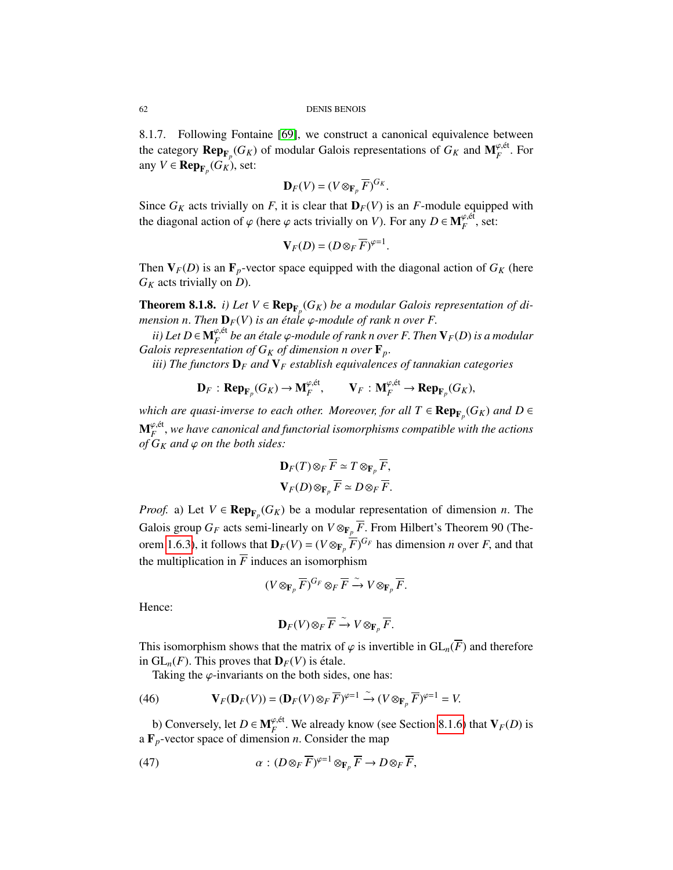8.1.7. Following Fontaine [\[69\]](#page-128-3), we construct a canonical equivalence between the category  $\mathbf{Rep}_{\mathbf{F}_p}(G_K)$  of modular Galois representations of  $G_K$  and  $\mathbf{M}_F^{\varphi,\text{\'et}}$ . For  $\mathbf{P}(\mathbf{F}_K) \subset \mathbf{R}$  and  $\mathbf{G}_K$  and  $\mathbf{F}_F$ . any  $V \in \mathbf{Rep}_{\mathbf{F}_p}(G_K)$ , set:

$$
\mathbf{D}_F(V) = (V \otimes_{\mathbf{F}_p} \overline{F})^{G_K}.
$$

Since  $G_K$  acts trivially on *F*, it is clear that  $\mathbf{D}_F(V)$  is an *F*-module equipped with the diagonal ection of  $\alpha$  (here  $\alpha$  acts trivially on *V*). For any  $D \subset \mathbf{M}^{\varphi, \text{\'et}}$  est. the diagonal action of  $\varphi$  (here  $\varphi$  acts trivially on *V*). For any  $D \in \mathbf{M}_{F}^{\varphi, \text{\'et}}$ , set:

$$
\mathbf{V}_F(D) = (D \otimes_F \overline{F})^{\varphi=1}.
$$

Then  $V_F(D)$  is an  $\mathbf{F}_p$ -vector space equipped with the diagonal action of  $G_K$  (here *G<sup>K</sup>* acts trivially on *D*).

<span id="page-61-1"></span>**Theorem 8.1.8.** *i*) Let  $V \in \mathbf{Rep}_{\mathbf{F}_p}(G_K)$  be a modular Galois representation of di*mension n. Then*  $D_F(V)$  *is an étale*  $\varphi$ *-module of rank n over F.* 

*ii*) Let D ∈  $\mathbf{M}_{F}^{\varphi,\text{\'et}}$  be an étale  $\varphi$ -module of rank n over F. Then  $\mathbf{V}_{F}(D)$  is a modular plois representation of G<sub>X</sub> of dimension n over **F**. *Galois representation of*  $G_K$  *of dimension n over*  $\mathbf{F}_p$ .

*iii) The functors* D*<sup>F</sup> and* V*<sup>F</sup> establish equivalences of tannakian categories*

$$
\mathbf{D}_F: \mathbf{Rep}_{\mathbf{F}_p}(G_K) \to \mathbf{M}_F^{\varphi, \text{\'et}}, \qquad \mathbf{V}_F: \mathbf{M}_F^{\varphi, \text{\'et}} \to \mathbf{Rep}_{\mathbf{F}_p}(G_K),
$$

*which are quasi-inverse to each other. Moreover, for all*  $T \in \mathbf{Rep}_{\mathbf{F}_p}(G_K)$  and  $D \in$  ${\bf M}^{\varphi, \text{\'et}}_F$ , we have canonical and functorial isomorphisms compatible with the actions<br>of G<sub>K</sub> and  $\varphi$  on the both sides:  $of G_K$  *and*  $\varphi$  *on the both sides:* 

$$
\mathbf{D}_F(T) \otimes_F \overline{F} \simeq T \otimes_{\mathbf{F}_p} \overline{F},
$$
  

$$
\mathbf{V}_F(D) \otimes_{\mathbf{F}_p} \overline{F} \simeq D \otimes_F \overline{F}.
$$

*Proof.* a) Let  $V \in \mathbf{Rep}_{\mathbf{F}_p}(G_K)$  be a modular representation of dimension *n*. The Galois group  $G_F$  acts semi-linearly on  $V \otimes_{\mathbf{F}_p} \overline{F}$ . From Hilbert's Theorem 90 (The-orem [1.6.3\)](#page-19-0), it follows that  $\mathbf{D}_F(V) = (V \otimes_{\mathbf{F}_p} \overline{F})^{G_F}$  has dimension *n* over *F*, and that the multiplication in  $\overline{F}$  induces an isomorphism

$$
(V \otimes_{\mathbf{F}_p} \overline{F})^{G_F} \otimes_F \overline{F} \xrightarrow{\sim} V \otimes_{\mathbf{F}_p} \overline{F}.
$$

Hence:

$$
\mathbf{D}_F(V)\otimes_F \overline{F} \xrightarrow{\sim} V \otimes_{\mathbf{F}_p} \overline{F}.
$$

This isomorphism shows that the matrix of  $\varphi$  is invertible in  $GL_n(\overline{F})$  and therefore in  $GL_n(F)$ . This proves that  $\mathbf{D}_F(V)$  is étale.

Taking the  $\varphi$ -invariants on the both sides, one has:

(46) 
$$
\mathbf{V}_F(\mathbf{D}_F(V)) = (\mathbf{D}_F(V) \otimes_F \overline{F})^{\varphi=1} \xrightarrow{\sim} (V \otimes_{\mathbf{F}_p} \overline{F})^{\varphi=1} = V.
$$

b) Conversely, let *D* ∈  $\mathbf{M}_{F}^{\varphi,\text{\'et}}$ . We already know (see Section [8.1.6\)](#page-60-0) that  $\mathbf{V}_{F}(D)$  is  $\mathbf{F}_{F}$  -vector space of dimension *n*. Consider the man a  $\mathbf{F}_p$ -vector space of dimension *n*. Consider the map

<span id="page-61-0"></span>(47) 
$$
\alpha: (D \otimes_F \overline{F})^{\varphi=1} \otimes_{\mathbf{F}_p} \overline{F} \to D \otimes_F \overline{F},
$$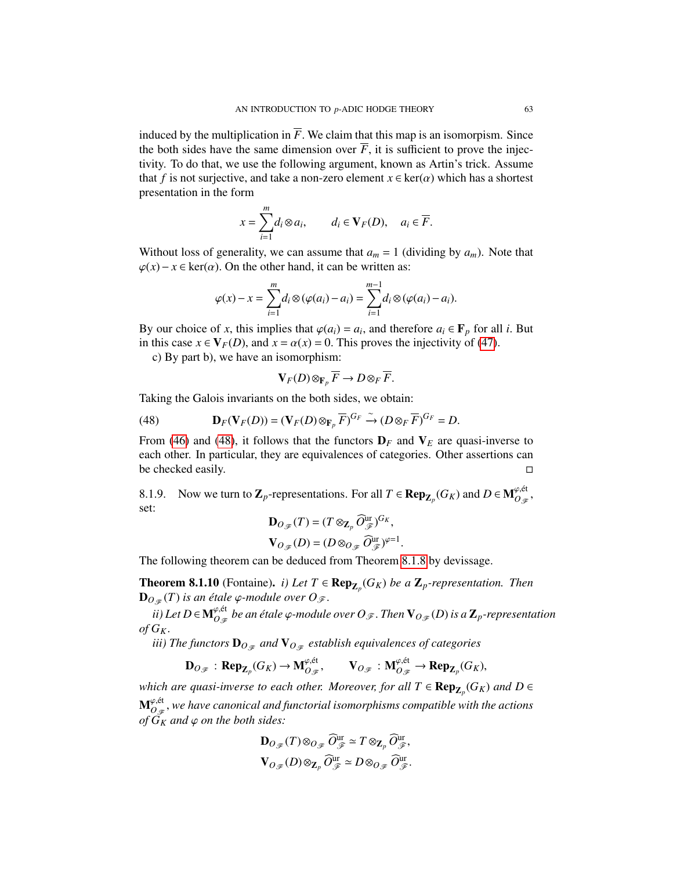induced by the multiplication in  $\overline{F}$ . We claim that this map is an isomorpism. Since the both sides have the same dimension over  $\overline{F}$ , it is sufficient to prove the injectivity. To do that, we use the following argument, known as Artin's trick. Assume that *f* is not surjective, and take a non-zero element  $x \in \text{ker}(\alpha)$  which has a shortest presentation in the form

$$
x = \sum_{i=1}^{m} d_i \otimes a_i, \qquad d_i \in \mathbf{V}_F(D), \quad a_i \in \overline{F}.
$$

Without loss of generality, we can assume that  $a_m = 1$  (dividing by  $a_m$ ). Note that  $\varphi(x) - x \in \text{ker}(\alpha)$ . On the other hand, it can be written as:

$$
\varphi(x) - x = \sum_{i=1}^m d_i \otimes (\varphi(a_i) - a_i) = \sum_{i=1}^{m-1} d_i \otimes (\varphi(a_i) - a_i).
$$

By our choice of *x*, this implies that  $\varphi(a_i) = a_i$ , and therefore  $a_i \in \mathbf{F}_p$  for all *i*. But in this case  $x \in \mathbf{V}_p(D)$  and  $x = \alpha(x) = 0$ . This proves the injectivity of (47) in this case  $x \in V_F(D)$ , and  $x = \alpha(x) = 0$ . This proves the injectivity of [\(47\)](#page-61-0).

c) By part b), we have an isomorphism:

$$
\mathbf{V}_F(D)\otimes_{\mathbf{F}_p}\overline{F}\to D\otimes_F\overline{F}.
$$

Taking the Galois invariants on the both sides, we obtain:

<span id="page-62-0"></span>(48) 
$$
\mathbf{D}_F(\mathbf{V}_F(D)) = (\mathbf{V}_F(D) \otimes_{\mathbf{F}_p} \overline{F})^{G_F} \xrightarrow{\sim} (D \otimes_F \overline{F})^{G_F} = D.
$$

From [\(46\)](#page-59-0) and [\(48\)](#page-62-0), it follows that the functors  $D_F$  and  $V_E$  are quasi-inverse to each other. In particular, they are equivalences of categories. Other assertions can be checked easily.

8.1.9. Now we turn to  $\mathbf{Z}_p$ -representations. For all  $T \in \mathbf{Rep}_{\mathbf{Z}_p}(G_K)$  and  $D \in \mathbf{M}_{O_{\mathscr{F}}}^{\varphi, \text{\'et}}$ , set:

$$
\mathbf{D}_{O_{\mathscr{F}}}(T) = (T \otimes_{\mathbf{Z}_p} \widehat{O}_{\mathscr{F}}^{\text{ur}})^{G_K},
$$

$$
\mathbf{V}_{O_{\mathscr{F}}}(D) = (D \otimes_{O_{\mathscr{F}}} \widehat{O}_{\mathscr{F}}^{\text{ur}})^{\varphi=1}.
$$

The following theorem can be deduced from Theorem [8.1.8](#page-61-1) by devissage.

<span id="page-62-2"></span>**Theorem 8.1.10** (Fontaine). *i)* Let  $T \in \mathbf{Rep}_{\mathbf{Z}_p}(G_K)$  be a  $\mathbf{Z}_p$ -representation. Then  $\mathbf{D}_{O_{\mathscr{F}}}(T)$  *is an étale*  $\varphi$ *-module over*  $O_{\mathscr{F}}$ *.* 

 $\partial f$  *ii) Let D* ∈ **M** $_{O_{\mathscr{F}}}^{\varphi,\text{\'et}}$  *be an étale*  $\varphi$ -module over  $O_{\mathscr{F}}$  . Then  $\mathbf{V}_{O_{\mathscr{F}}}(D)$  is a  $\mathbf{Z}_p$ -representation  $of G_K$ .

*iii)* The functors  $\mathbf{D}_{O_{\mathscr{F}}}$  and  $\mathbf{V}_{O_{\mathscr{F}}}$  establish equivalences of categories

$$
\mathbf{D}_{O_{\mathscr{F}}} : \mathbf{Rep}_{\mathbf{Z}_p}(G_K) \to \mathbf{M}_{O_{\mathscr{F}}}^{\varphi, \text{\'et}}, \qquad \mathbf{V}_{O_{\mathscr{F}}} : \mathbf{M}_{O_{\mathscr{F}}}^{\varphi, \text{\'et}} \to \mathbf{Rep}_{\mathbf{Z}_p}(G_K),
$$

*which are quasi-inverse to each other. Moreover, for all*  $T \in \mathbf{Rep}_{\mathbf{Z}_p}(G_K)$  *and*  $D \in$  $\mathbf{M}_{O_{\mathscr{F}}}^{\varphi,\text{\'et}}$ , we have canonical and functorial isomorphisms compatible with the actions<br>of G<sub>ye</sub> and  $\varphi$  on the both sides: *of*  $G_K$  *and*  $\varphi$  *on the both sides:* 

<span id="page-62-1"></span>
$$
\mathbf{D}_{O_{\mathscr{F}}}(T) \otimes_{O_{\mathscr{F}}} \widehat{O}_{\mathscr{F}}^{\text{ur}} \simeq T \otimes_{\mathbf{Z}_p} \widehat{O}_{\mathscr{F}}^{\text{ur}},
$$

$$
\mathbf{V}_{O_{\mathscr{F}}}(D) \otimes_{\mathbf{Z}_p} \widehat{O}_{\mathscr{F}}^{\text{ur}} \simeq D \otimes_{O_{\mathscr{F}}} \widehat{O}_{\mathscr{F}}^{\text{ur}}.
$$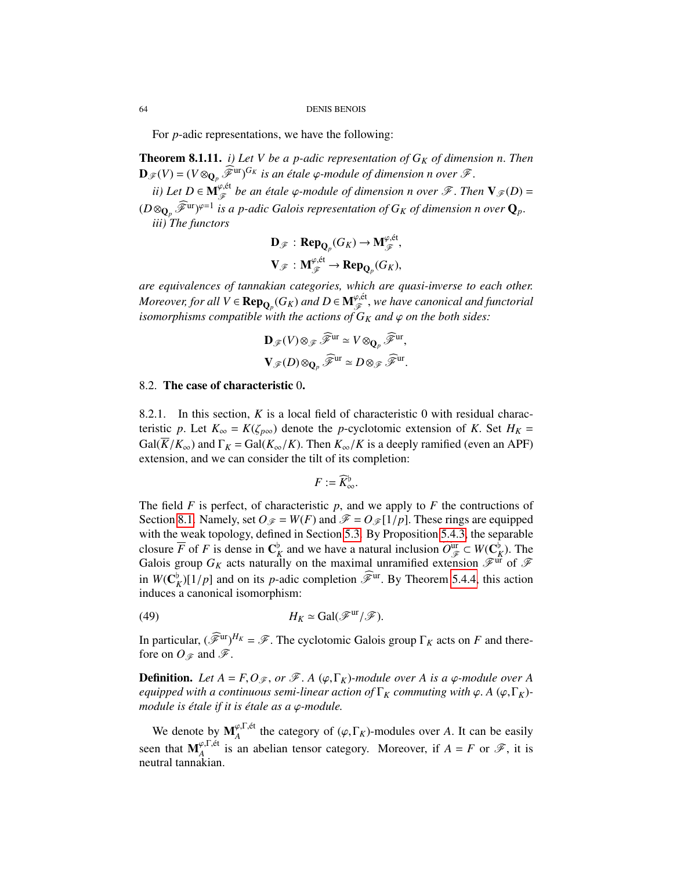For *p*-adic representations, we have the following:

<span id="page-63-1"></span>Theorem 8.1.11. *i) Let V be a p-adic representation of G<sup>K</sup> of dimension n*. *Then*  $\mathbf{D}_{\mathscr{F}}(V) = (V \otimes_{\mathbf{Q}_p} \tilde{\mathscr{F}}^{\text{ur}})^{G_K}$  *is an étale*  $\varphi$ -module of dimension n over  $\mathscr{F}$ .

*ii*) Let  $D \in M_{\mathscr{F}}^{\varphi, \text{\'et}}$  be an étale  $\varphi$ -module of dimension n over  $\mathscr{F}$ . Then  $V_{\mathscr{F}}(D) =$  $(D \otimes_{\mathbf{Q}_p} \widetilde{\mathcal{F}}^{\text{ur}})^{\varphi=1}$  is a p-adic Galois representation of  $G_K$  of dimension n over  $\mathbf{Q}_p$ .<br>*iii*) The functors *iii) The functors*

$$
\mathbf{D}_{\mathscr{F}}: \mathbf{Rep}_{\mathbf{Q}_p}(G_K) \to \mathbf{M}_{\mathscr{F}}^{\varphi, \text{\'et}},
$$

$$
\mathbf{V}_{\mathscr{F}}: \mathbf{M}_{\mathscr{F}}^{\varphi, \text{\'et}} \to \mathbf{Rep}_{\mathbf{Q}_p}(G_K),
$$

*are equivalences of tannakian categories, which are quasi-inverse to each other. Moreover, for all*  $V \in \mathbf{Rep}_{\mathbf{Q}_p}(G_K)$  and  $D \in \mathbf{M}_{\mathscr{F}}^{\varphi, \text{\'et}}$ , we have canonical and functorial<br>isomorphisms compatible with the actions of  $G_K$  and  $\varphi$  on the both sides: *isomorphisms compatible with the actions of*  $G_K$  *and*  $\varphi$  *on the both sides:* 

$$
\mathbf{D}_{\mathscr{F}}(V)\otimes_{\mathscr{F}}\widehat{\mathscr{F}}^{\mathrm{ur}}\simeq V\otimes_{\mathbf{Q}_p}\widehat{\mathscr{F}}^{\mathrm{ur}},
$$

$$
\mathbf{V}_{\mathscr{F}}(D)\otimes_{\mathbf{Q}_p}\widehat{\mathscr{F}}^{\mathrm{ur}}\simeq D\otimes_{\mathscr{F}}\widehat{\mathscr{F}}^{\mathrm{ur}}.
$$

#### <span id="page-63-0"></span>8.2. The case of characteristic 0.

8.2.1. In this section, *K* is a local field of characteristic 0 with residual characteristic *p*. Let  $K_{\infty} = K(\zeta_{p\infty})$  denote the *p*-cyclotomic extension of *K*. Set  $H_K =$  $Gal(\overline{K}/K_{\infty})$  and  $\Gamma_K = Gal(K_{\infty}/K)$ . Then  $K_{\infty}/K$  is a deeply ramified (even an APF) extension, and we can consider the tilt of its completion:

$$
F:=\widehat{K}_{\infty}^{\flat}.
$$

The field  $F$  is perfect, of characteristic  $p$ , and we apply to  $F$  the contructions of Section [8.1.](#page-58-0) Namely, set  $O_F = W(F)$  and  $\mathcal{F} = O_F[1/p]$ . These rings are equipped with the weak topology, defined in Section [5.3.](#page-39-2) By Proposition [5.4.3,](#page-43-0) the separable closure  $\overline{F}$  of *F* is dense in  $\mathbb{C}_{K}^{\flat}$  and we have a natural inclusion  $\widehat{O}_{\mathcal{F}}^{\text{ur}} \subset W(\mathbb{C}_{K}^{\flat})$ . The Galois group  $G_K$  acts naturally on the maximal unramified extension  $\mathcal{F}_{\text{ur}}^{\text{ur}}$  of  $\mathcal{$ Galois group  $G_K$  acts naturally on the maximal unramified extension  $\mathscr{F}^{\text{ur}}$  of  $\mathscr{F}$ <br>Galois group  $G_K$  acts naturally on the maximal unramified extension  $\mathscr{F}^{\text{ur}}$  of  $\mathscr{F}$ in  $W(\mathbf{C}_K^{\flat})[1/p]$  and on its *p*-adic completion  $\widehat{\mathcal{F}}^{\text{ur}}$ . By Theorem [5.4.4,](#page-43-2) this action induces a canonical isomorphism: induces a canonical isomorphism:

(49) 
$$
H_K \simeq \text{Gal}(\mathscr{F}^{\text{ur}}/\mathscr{F}).
$$

In particular,  $(\mathscr{F}^{\text{ur}})^{H_K} = \mathscr{F}$ . The cyclotomic Galois group  $\Gamma_K$  acts on *F* and there-<br>fore on  $O \approx$  and  $\mathscr{F}$ fore on  $O \in \mathfrak{m}$  and  $\mathscr{F}$ .

**Definition.** Let  $A = F, O_{\mathscr{F}},$  or  $\mathscr{F}$ . A ( $\varphi$ ,  $\Gamma_K$ )-module over A is a  $\varphi$ -module over A *equipped with a continuous semi-linear action of*  $\Gamma_K$  *commuting with*  $\varphi$ . *A* ( $\varphi$ ,  $\Gamma_K$ )*module is étale if it is étale as a φ-module.* 

We denote by  $M_A^{\varphi,\Gamma,\text{\'et}}$  the category of  $(\varphi,\Gamma_K)$ -modules over *A*. It can be easily seen that  $M_A^{\varphi,\Gamma,\text{\'et}}$  is an abelian tensor category. Moreover, if  $A = F$  or  $\mathscr{F}$ , it is neutral tannakian neutral tannakian.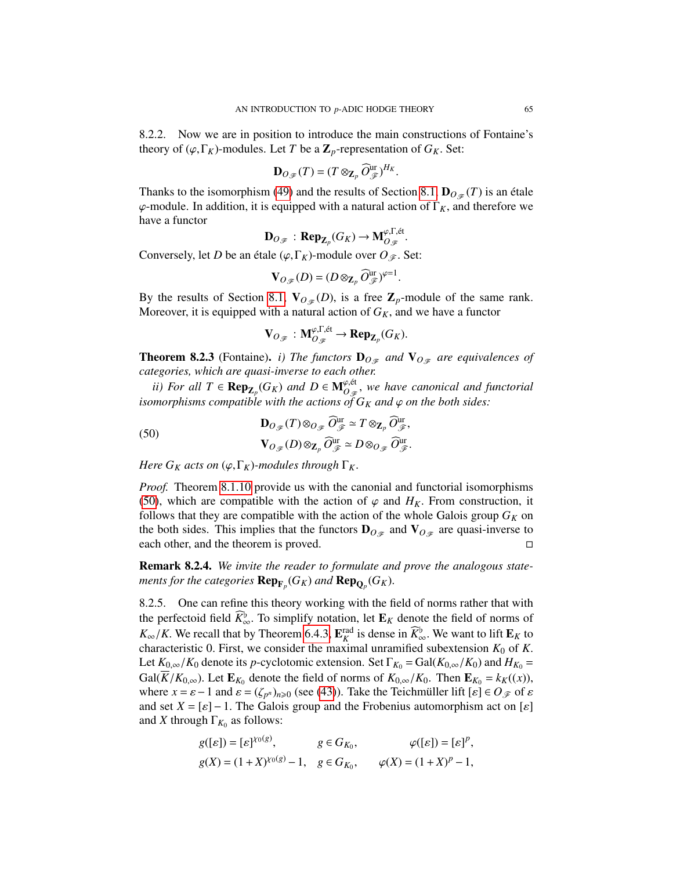8.2.2. Now we are in position to introduce the main constructions of Fontaine's theory of  $(\varphi, \Gamma_K)$ -modules. Let *T* be a  $\mathbb{Z}_p$ -representation of  $G_K$ . Set:

$$
\mathbf{D}_{O_{\mathscr{F}}}(T)=(T\otimes_{\mathbf{Z}_p}\widehat{O}_{\mathscr{F}}^{\text{ur}})^{H_K}
$$

Thanks to the isomorphism [\(49\)](#page-62-1) and the results of Section [8.1,](#page-58-0)  $\mathbf{D}_{O_{\mathscr{F}}}(T)$  is an étale  $\varphi$ -module. In addition, it is equipped with a natural action of  $\Gamma_K$ , and therefore we have a functor

$$
\mathbf{D}_{O_{\mathscr{F}}} : \mathbf{Rep}_{\mathbf{Z}_p}(G_K) \to \mathbf{M}_{O_{\mathscr{F}}}^{\varphi,\Gamma,\text{\'et}}.
$$

Conversely, let *D* be an étale  $(\varphi, \Gamma_K)$ -module over  $O_{\mathscr{F}}$ . Set:

$$
\mathbf{V}_{O_{\mathscr{F}}}(D) = (D \otimes_{\mathbf{Z}_p} \widehat{O}_{\mathscr{F}}^{\text{ur}})^{\varphi=1}
$$

By the results of Section [8.1,](#page-58-0)  $\mathbf{V}_{O_{\mathscr{F}}}(D)$ , is a free  $\mathbf{Z}_p$ -module of the same rank. Moreover, it is equipped with a natural action of  $G_K$ , and we have a functor

<span id="page-64-0"></span>
$$
\mathbf{V}_{O_{\mathscr{F}}} : \mathbf{M}_{O_{\mathscr{F}}}^{\varphi,\Gamma,\text{\'et}} \to \mathbf{Rep}_{\mathbf{Z}_p}(G_K).
$$

<span id="page-64-1"></span>**Theorem 8.2.3** (Fontaine). *i) The functors*  $\mathbf{D}_{O_{\mathscr{F}}}$  *and*  $\mathbf{V}_{O_{\mathscr{F}}}$  *are equivalences of categories, which are quasi-inverse to each other.*

*ii)* For all  $T \in \mathbf{Rep}_{\mathbf{Z}_p}(G_K)$  and  $D \in \mathbf{M}_{O_{\mathscr{F}}}^{\varphi, \text{\'et}}$ , we have canonical and functorial morphisms compatible with the actions of  $G_{\mathcal{F}}$  and  $\varphi$  on the hoth sides: *isomorphisms compatible with the actions of*  $G_K$  *and*  $\varphi$  *on the both sides:* 

(50)  
\n
$$
\mathbf{D}_{O_{\mathscr{F}}}(T) \otimes_{O_{\mathscr{F}}} \widehat{O}_{\mathscr{F}}^{\text{ur}} \simeq T \otimes_{\mathbf{Z}_p} \widehat{O}_{\mathscr{F}}^{\text{ur}},
$$
\n
$$
\mathbf{V}_{O_{\mathscr{F}}}(D) \otimes_{\mathbf{Z}_p} \widehat{O}_{\mathscr{F}}^{\text{ur}} \simeq D \otimes_{O_{\mathscr{F}}} \widehat{O}_{\mathscr{F}}^{\text{ur}}.
$$

*Here*  $G_K$  *acts on*  $(\varphi, \Gamma_K)$ *-modules through*  $\Gamma_K$ *.* 

*Proof.* Theorem [8.1.10](#page-62-2) provide us with the canonial and functorial isomorphisms [\(50\)](#page-64-0), which are compatible with the action of  $\varphi$  and  $H_K$ . From construction, it follows that they are compatible with the action of the whole Galois group  $G_K$  on the both sides. This implies that the functors  $\mathbf{D}_{O_{\mathscr{F}}}$  and  $\mathbf{V}_{O_{\mathscr{F}}}$  are quasi-inverse to each other, and the theorem is proved.

Remark 8.2.4. *We invite the reader to formulate and prove the analogous statements for the categories*  $\mathbf{Rep}_{\mathbf{F}_p}(G_K)$  and  $\mathbf{Rep}_{\mathbf{Q}_p}(G_K)$ .

8.2.5. One can refine this theory working with the field of norms rather that with the perfectoid field  $K^b_{\infty}$ . To simplify notation, let  $\mathbf{E}_K$  denote the field of norms of  $K^b \neq K^c$ . We recall that by Theorem 6.4.3. **Finally** denote in  $\widehat{K}^b$ . We want to lift  $\mathbf{F}_{\infty}$  to  $K_{\infty}/K$ . We recall that by Theorem [6.4.3,](#page-54-0)  $\mathbf{E}_{K}^{\text{rad}}$  is dense in  $\widehat{K}_{\infty}^{\flat}$ . We want to lift  $\mathbf{E}_{K}$  to characteristic 0. First, we consider the maximal unramified subextension  $K_{\infty}$  of K characteristic 0. First, we consider the maximal unramified subextension  $K_0$  of  $K$ . Let  $K_{0,\infty}/K_0$  denote its *p*-cyclotomic extension. Set  $\Gamma_{K_0} = \text{Gal}(K_{0,\infty}/K_0)$  and  $H_{K_0} =$ Gal(*K*/*K*<sub>0,∞</sub>). Let  $\mathbf{E}_{K_0}$  denote the field of norms of  $K_{0,\infty}/K_0$ . Then  $\mathbf{E}_{K_0} = k_K((x))$ , where  $x = s - 1$  and  $s = (k_0)$ ,  $s$  (see (43)). Take the Teichmüller lift  $[s] \in Q \otimes \mathfrak{g}$  is where  $x = \varepsilon - 1$  and  $\varepsilon = (\zeta_{p^n})_{n \ge 0}$  (see [\(43\)](#page-53-0)). Take the Teichmüller lift  $[\varepsilon] \in O_{\mathscr{F}}$  of  $\varepsilon$ <br>and set  $X - [\varepsilon] - 1$ . The Galois group and the Frobenius automorphism act on [s] and set  $X = [\varepsilon] - 1$ . The Galois group and the Frobenius automorphism act on  $[\varepsilon]$ and *X* through  $\Gamma_{K_0}$  as follows:

$$
g([{\varepsilon}]) = [{\varepsilon}]^{Y_0(g)}, \qquad g \in G_{K_0}, \qquad \varphi([{\varepsilon}]) = [{\varepsilon}]^p,
$$
  

$$
g(X) = (1+X)^{Y_0(g)} - 1, \quad g \in G_{K_0}, \qquad \varphi(X) = (1+X)^p - 1,
$$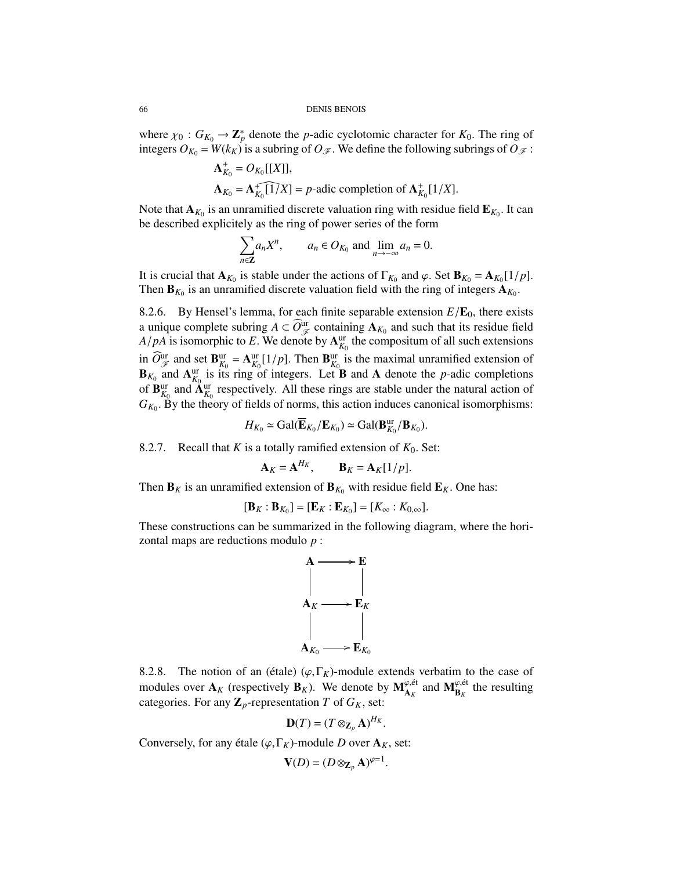where  $\chi_0$ :  $G_{K_0} \to \mathbb{Z}_p^*$  denote the *p*-adic cyclotomic character for  $K_0$ . The ring of integers  $G_K - W(k_K)$  is a subring of  $G_{\mathcal{R}}$ . integers  $O_{K_0} = W(k_K)$  is a subring of  $O_{\mathscr{F}}$ . We define the following subrings of  $O_{\mathscr{F}}$ :

$$
\mathbf{A}_{K_0}^+ = O_{K_0}[[X]],
$$
  
\n
$$
\mathbf{A}_{K_0} = \mathbf{A}_{K_0}^+[\mathbf{1}/X] = p
$$
-adic completion of 
$$
\mathbf{A}_{K_0}^+[1/X].
$$

Note that  $\mathbf{A}_{K_0}$  is an unramified discrete valuation ring with residue field  $\mathbf{E}_{K_0}$ . It can<br>be described explicitely as the ring of power series of the form be described explicitely as the ring of power series of the form

$$
\sum_{n \in \mathbb{Z}} a_n X^n, \qquad a_n \in O_{K_0} \text{ and } \lim_{n \to \infty} a_n = 0.
$$

It is crucial that  $\mathbf{A}_{K_0}$  is stable under the actions of  $\Gamma_{K_0}$  and  $\varphi$ . Set  $\mathbf{B}_{K_0} = \mathbf{A}_{K_0} [1/p]$ .<br>Then  $\mathbf{B}_{K_0}$  is an unramified discrete valuation field with the ring of integers  $\mathbf{A}_{K_0}$ Then  $\mathbf{B}_{K_0}$  is an unramified discrete valuation field with the ring of integers  $\mathbf{A}_{K_0}$ .

8.2.6. By Hensel's lemma, for each finite separable extension  $E/E_0$ , there exists a unique complete subring  $A \subset \widehat{O}_{\mathscr{F}}^{\text{ur}}$  containing  $\mathbf{A}_{K_0}$  and such that its residue field *A*/*pA* is isomorphic to *E*. We denote by  $A_{K_0}^{ur}$  the compositum of all such extensions in  $\widehat{O}_{K}^{\text{ur}}$  and set  $\mathbf{B}_{K}^{\text{ur}} = \mathbf{A}_{K0}^{\text{ur}}[1/p]$ . Then  $\mathbf{B}_{K0}^{\text{ur}}$  is the maximal unramified extension of  $\mathbf{B}_{K_0}$  and  $\mathbf{A}_{K_0}^{\text{ur}}$  is its ring of integers. Let **B** and **A** denote the *p*-adic completions of  $\mathbf{B}_{K_0}^{\text{ur}}$  and  $\mathbf{A}_{K_0}^{\text{ur}}$  respectively. All these rings are stable under the natural action of  $G_{K_0}$ . By the theory of fields of norms, this action induces canonical isomorphisms:

$$
H_{K_0} \simeq \text{Gal}(\overline{\mathbf{E}}_{K_0}/\mathbf{E}_{K_0}) \simeq \text{Gal}(\mathbf{B}_{K_0}^{\text{ur}}/\mathbf{B}_{K_0}).
$$

8.2.7. Recall that *K* is a totally ramified extension of  $K_0$ . Set:

$$
\mathbf{A}_K = \mathbf{A}^{H_K}, \qquad \mathbf{B}_K = \mathbf{A}_K[1/p].
$$

Then  $\mathbf{B}_K$  is an unramified extension of  $\mathbf{B}_{K_0}$  with residue field  $\mathbf{E}_K$ . One has:

$$
[\mathbf{B}_K : \mathbf{B}_{K_0}] = [\mathbf{E}_K : \mathbf{E}_{K_0}] = [K_{\infty} : K_{0,\infty}].
$$

These constructions can be summarized in the following diagram, where the horizontal maps are reductions modulo *p* :



8.2.8. The notion of an (étale)  $(\varphi, \Gamma_K)$ -module extends verbatim to the case of modules over  $A_K$  (respectively  $B_K$ ). We denote by  $M_{A_K}^{\varphi, \text{\'et}}$  and  $M_{B_K}^{\varphi, \text{\'et}}$  the resulting categories. For any  $\mathbb{Z}_p$ -representation *T* of  $G_K$ , set:

$$
\mathbf{D}(T)=(T\otimes_{\mathbf{Z}_p}\mathbf{A})^{H_K}.
$$

Conversely, for any étale  $(\varphi, \Gamma_K)$ -module *D* over  $\mathbf{A}_K$ , set:

$$
\mathbf{V}(D) = (D \otimes_{\mathbf{Z}_p} \mathbf{A})^{\varphi=1}.
$$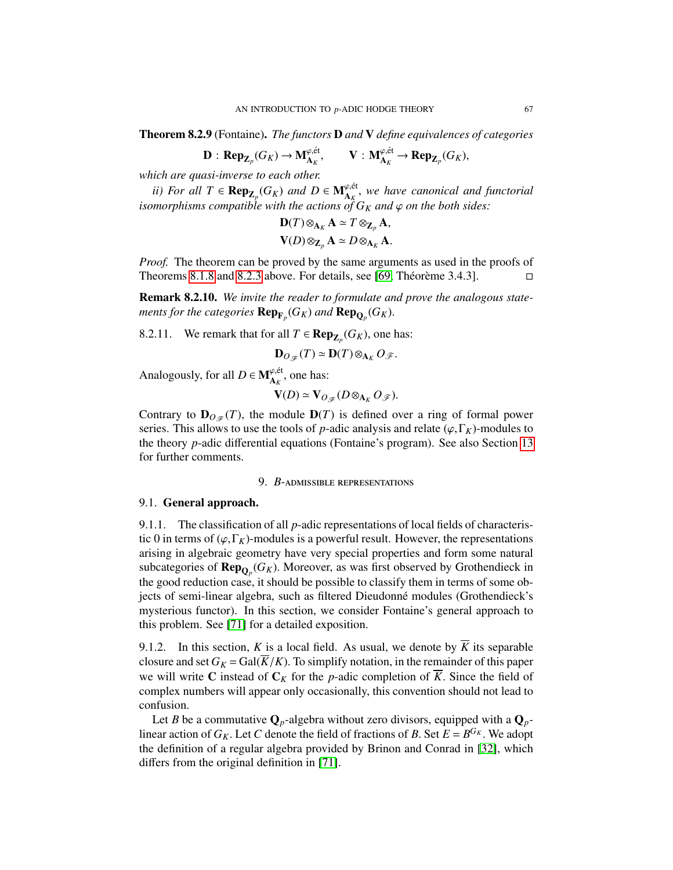Theorem 8.2.9 (Fontaine). *The functors* D *and* V *define equivalences of categories*

$$
\mathbf{D}: \mathbf{Rep}_{\mathbf{Z}_p}(G_K) \to \mathbf{M}_{\mathbf{A}_K}^{\varphi, \text{\'et}}, \qquad \mathbf{V}: \mathbf{M}_{\mathbf{A}_K}^{\varphi, \text{\'et}} \to \mathbf{Rep}_{\mathbf{Z}_p}(G_K),
$$

*which are quasi-inverse to each other.*

*ii)* For all  $T$  ∈  $\mathbf{Rep}_{\mathbf{Z}_p}(G_K)$  and  $D$  ∈  $\mathbf{M}_{\mathbf{A}_K}^{\varphi,\text{\'et}}$ , we have canonical and functorial morphisms compatible with the actions of  $G_{\mathbf{Z}}$  and  $\varphi$  on the both sides: *isomorphisms compatible with the actions of*  $G_K$  *and*  $\varphi$  *on the both sides:* 

$$
\mathbf{D}(T) \otimes_{\mathbf{A}_K} \mathbf{A} \simeq T \otimes_{\mathbf{Z}_p} \mathbf{A},
$$

$$
\mathbf{V}(D) \otimes_{\mathbf{Z}_p} \mathbf{A} \simeq D \otimes_{\mathbf{A}_K} \mathbf{A}.
$$

*Proof.* The theorem can be proved by the same arguments as used in the proofs of Theorems [8.1.8](#page-61-1) and [8.2.3](#page-64-1) above. For details, see [\[69,](#page-128-3) Théorème 3.4.3].  $\square$ 

Remark 8.2.10. *We invite the reader to formulate and prove the analogous state*ments for the categories  $\mathbf{Rep}_{\mathbf{F}_p}(G_K)$  and  $\mathbf{Rep}_{\mathbf{Q}_p}(G_K)$ .

8.2.11. We remark that for all  $T \in \mathbf{Rep}_{\mathbf{Z}_p}(G_K)$ , one has:

$$
\mathbf{D}_{O_{\mathscr{F}}}(T) \simeq \mathbf{D}(T) \otimes_{\mathbf{A}_K} O_{\mathscr{F}}.
$$

Analogously, for all  $D \in M_{A_K}^{\varphi,\text{\'et}}$ , one has:

$$
\mathbf{V}(D) \simeq \mathbf{V}_{O_{\mathscr{F}}}(D \otimes_{\mathbf{A}_K} O_{\mathscr{F}}).
$$

Contrary to  $D_{O_{\mathscr{F}}}(T)$ , the module  $D(T)$  is defined over a ring of formal power series. This allows to use the tools of *p*-adic analysis and relate ( $\varphi$ ,  $\Gamma_K$ )-modules to the theory *p*-adic differential equations (Fontaine's program). See also Section [13](#page-86-0) for further comments.

#### 9. *B*-admissible representations

#### <span id="page-66-0"></span>9.1. General approach.

9.1.1. The classification of all *p*-adic representations of local fields of characteristic 0 in terms of  $(\varphi, \Gamma_K)$ -modules is a powerful result. However, the representations arising in algebraic geometry have very special properties and form some natural subcategories of  $\mathbf{Rep}_{\mathbf{Q}_p}(G_K)$ . Moreover, as was first observed by Grothendieck in the good reduction case, it should be possible to classify them in terms of some ob the good reduction case, it should be possible to classify them in terms of some objects of semi-linear algebra, such as filtered Dieudonné modules (Grothendieck's mysterious functor). In this section, we consider Fontaine's general approach to this problem. See [\[71\]](#page-128-4) for a detailed exposition.

9.1.2. In this section, *K* is a local field. As usual, we denote by  $\overline{K}$  its separable closure and set  $G_K = \text{Gal}(\overline{K}/K)$ . To simplify notation, in the remainder of this paper we will write C instead of  $C_K$  for the *p*-adic completion of  $\overline{K}$ . Since the field of complex numbers will appear only occasionally, this convention should not lead to confusion.

Let *B* be a commutative  $\mathbf{Q}_p$ -algebra without zero divisors, equipped with a  $\mathbf{Q}_p$ linear action of  $G_K$ . Let *C* denote the field of fractions of *B*. Set  $E = B^{G_K}$ . We adopt the definition of a regular algebra provided by Brinon and Conrad in [32], which the definition of a regular algebra provided by Brinon and Conrad in [\[32\]](#page-126-3), which differs from the original definition in [\[71\]](#page-128-4).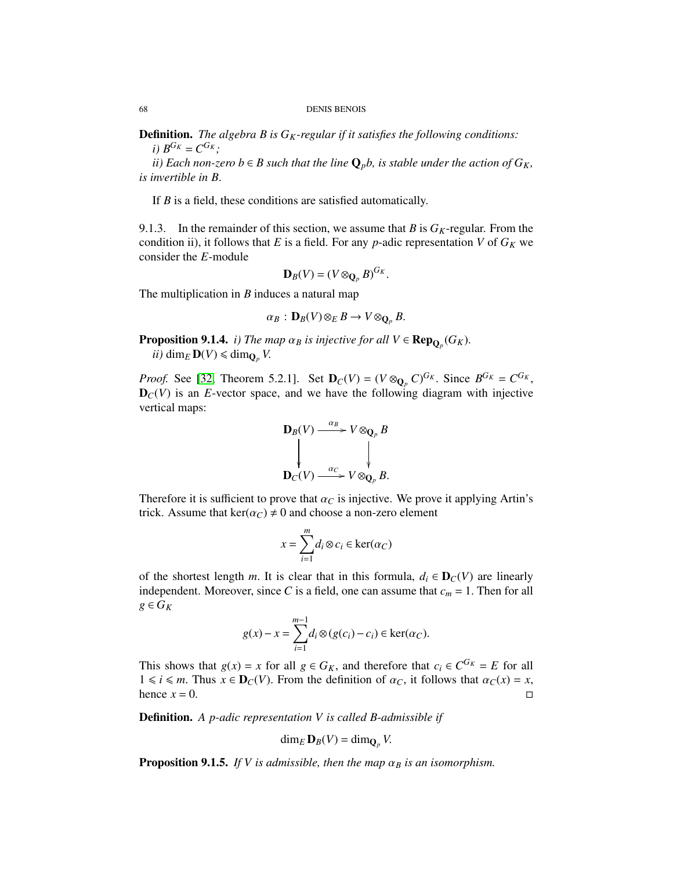Definition. *The algebra B is GK-regular if it satisfies the following conditions: i*)  $B^{G_K} = C^{G_K}$ ;

*ii*) Each non-zero  $b \in B$  such that the line  $\mathbf{Q}_p b$ , is stable under the action of  $G_K$ , *is invertible in B*.

If *B* is a field, these conditions are satisfied automatically.

9.1.3. In the remainder of this section, we assume that *B* is  $G_K$ -regular. From the condition ii), it follows that *E* is a field. For any *p*-adic representation *V* of  $G_K$  we consider the *E*-module

$$
\mathbf{D}_B(V)=(V\otimes_{\mathbf{Q}_p}B)^{G_K}.
$$

The multiplication in *B* induces a natural map

<span id="page-67-0"></span>
$$
\alpha_B: \mathbf{D}_B(V) \otimes_E B \to V \otimes_{\mathbf{Q}_p} B.
$$

<span id="page-67-1"></span>**Proposition 9.1.4.** *i) The map*  $\alpha_B$  *is injective for all*  $V \in \mathbf{Rep}_{\mathbf{Q}_p}(G_K)$ .<br>*ii)* dime  $\mathbf{D}(V) \leq \dim_Q V$ *ii*) dim<sub>*E*</sub>  $\mathbf{D}(V) \le \dim_{\mathbf{Q}_p} V$ .

*Proof.* See [\[32,](#page-126-3) Theorem 5.2.1]. Set  $D_C(V) = (V \otimes_{Q_p} C)^{G_K}$ . Since  $B^{G_K} = C^{G_K}$ <br> $D_C(V)$  is an *F*-vector space, and we have the following diagram with injective  $D_C(V)$  is an *E*-vector space, and we have the following diagram with injective vertical maps:

$$
\mathbf{D}_B(V) \xrightarrow{\alpha_B} V \otimes_{\mathbf{Q}_p} B
$$
\n
$$
\downarrow \qquad \qquad \downarrow
$$
\n
$$
\mathbf{D}_C(V) \xrightarrow{\alpha_C} V \otimes_{\mathbf{Q}_p} B.
$$

Therefore it is sufficient to prove that  $\alpha_C$  is injective. We prove it applying Artin's trick. Assume that  $\ker(\alpha_C) \neq 0$  and choose a non-zero element

$$
x = \sum_{i=1}^{m} d_i \otimes c_i \in \ker(\alpha_C)
$$

of the shortest length *m*. It is clear that in this formula,  $d_i \in \mathbf{D}_C(V)$  are linearly independent. Moreover, since *C* is a field, one can assume that  $c_m = 1$ . Then for all  $g$  ∈  $G_K$ 

$$
g(x) - x = \sum_{i=1}^{m-1} d_i \otimes (g(c_i) - c_i) \in \ker(\alpha_C).
$$

This shows that  $g(x) = x$  for all  $g \in G_K$ , and therefore that  $c_i \in C^{G_K} = E$  for all  $1 \le i \le m$ . Thus  $x \in \mathbf{D}_G(V)$ . From the definition of  $\alpha_G$  it follows that  $\alpha_G(x) = x$ . 1 ≤ *i* ≤ *m*. Thus *x* ∈ **D**<sub>*C*</sub>(*V*). From the definition of α*c*, it follows that  $α$ *c*(*x*) = *x*, hence *x* = 0.  $\Box$ hence  $x = 0$ .

Definition. *A p-adic representation V is called B-admissible if*

$$
\dim_E \mathbf{D}_B(V) = \dim_{\mathbf{Q}_p} V.
$$

<span id="page-67-2"></span>**Proposition 9.1.5.** *If V is admissible, then the map*  $\alpha_B$  *is an isomorphism.*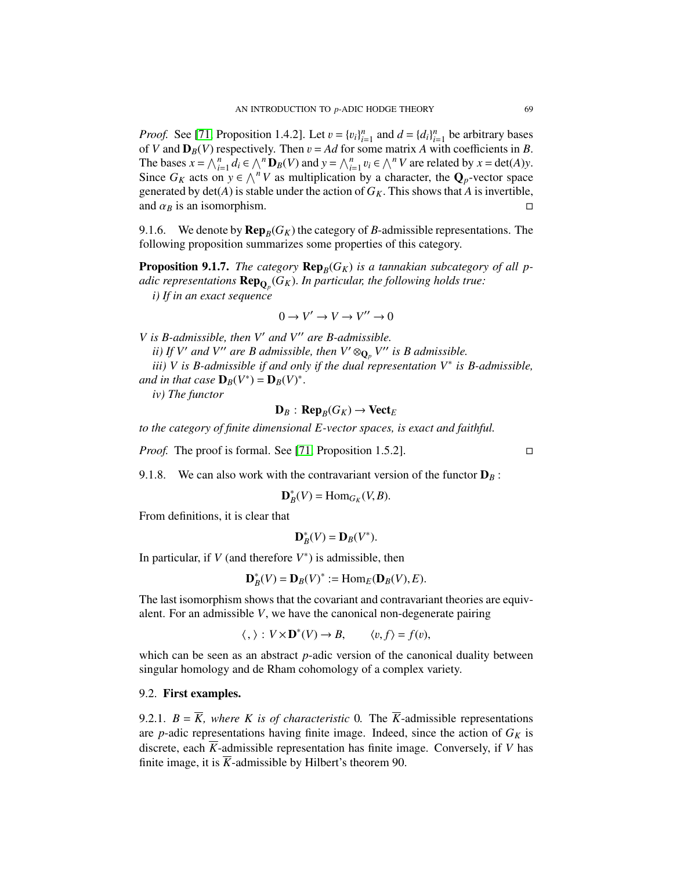*Proof.* See [\[71,](#page-128-4) Proposition 1.4.2]. Let  $v = \{v_i\}_{i=1}^n$  and  $d = \{d_i\}_{i=1}^n$  be arbitrary bases of *V* and  $D_B(V)$  respectively. Then  $v = Ad$  for some matrix *A* with coefficients in *B*. The bases  $x = \bigwedge_{i=1}^{n} d_i \in \bigwedge^{n} \mathbf{D}_B(V)$  and  $y = \bigwedge_{i=1}^{n} v_i \in \bigwedge^{n} V$  are related by  $x = \det(A)y$ .<br>Since  $G_K$  acts on  $y \in \bigwedge^{n} V$  as multiplication by a character, the  $\mathbf{Q}_p$ -vector space generated by det(*A*) is stable under the action of  $G_K$ . This shows that *A* is invertible, and  $G_F$  is an isomorphism and  $\alpha_B$  is an isomorphism.

9.1.6. We denote by  $\mathbf{Rep}_B(G_K)$  the category of *B*-admissible representations. The following proposition summarizes some properties of this category.

**Proposition 9.1.7.** The category  $\mathbf{Rep}_B(G_K)$  is a tannakian subcategory of all p*adic representations*  $\mathbf{Rep}_{\mathbf{Q}_p}(G_K)$ . In particular, the following holds true:<br> *i*) If in an exact sequence *i) If in an exact sequence*

$$
0 \to V' \to V \to V'' \to 0
$$

*V* is *B*-admissible, then *V'* and *V''* are *B*-admissible.

*ii) If V'* and *V''* are *B* admissible, then  $V' \otimes_{\mathbf{Q}_p} V''$  is *B* admissible.

*iii) V is B-admissible if and only if the dual representation V*<sup>∗</sup> *is B-admissible, and in that case*  $\mathbf{D}_B(V^*) = \mathbf{D}_B(V)^*$ 

*iv) The functor*

$$
\mathbf{D}_B : \mathbf{Rep}_B(G_K) \to \mathbf{Vect}_E
$$

*to the category of finite dimensional E-vector spaces, is exact and faithful.*

*Proof.* The proof is formal. See [\[71,](#page-128-4) Proposition 1.5.2]. □

9.1.8. We can also work with the contravariant version of the functor  $D_B$ :

$$
\mathbf{D}_{B}^{*}(V)=\mathrm{Hom}_{G_{K}}(V,B).
$$

From definitions, it is clear that

$$
\mathbf{D}_B^*(V) = \mathbf{D}_B(V^*).
$$

In particular, if  $V$  (and therefore  $V^*$ ) is admissible, then

$$
\mathbf{D}_B^*(V) = \mathbf{D}_B(V)^* := \text{Hom}_E(\mathbf{D}_B(V), E).
$$

The last isomorphism shows that the covariant and contravariant theories are equivalent. For an admissible *V*, we have the canonical non-degenerate pairing

$$
\langle , \rangle : V \times \mathbf{D}^*(V) \to B, \qquad \langle v, f \rangle = f(v),
$$

which can be seen as an abstract *p*-adic version of the canonical duality between singular homology and de Rham cohomology of a complex variety.

#### 9.2. First examples.

9.2.1.  $B = \overline{K}$ , where K is of characteristic 0. The  $\overline{K}$ -admissible representations are *p*-adic representations having finite image. Indeed, since the action of  $G_K$  is discrete, each  $\overline{K}$ -admissible representation has finite image. Conversely, if *V* has finite image, it is  $\overline{K}$ -admissible by Hilbert's theorem 90.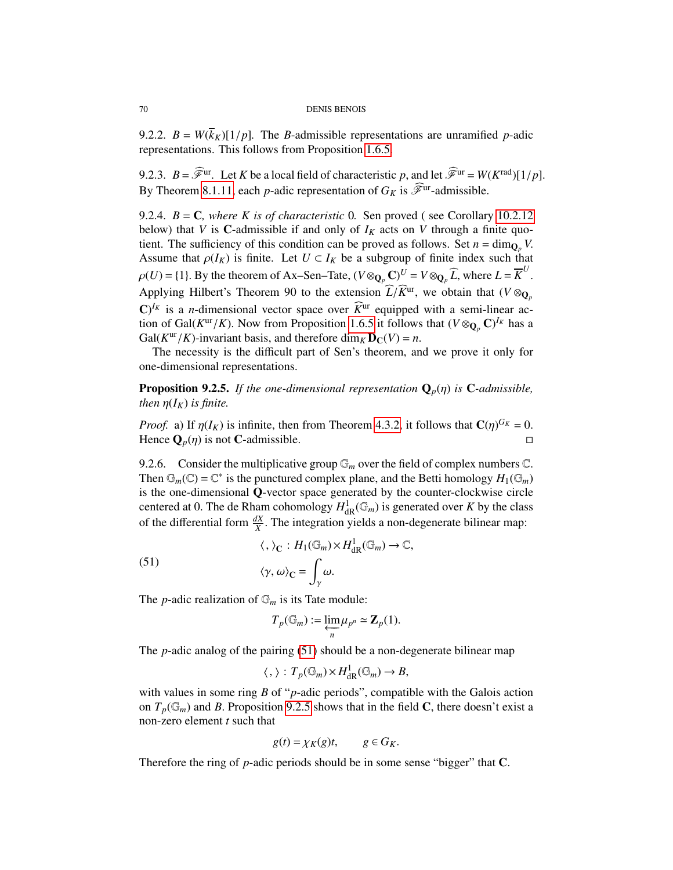#### 70 DENIS BENOIS

9.2.2.  $B = W(\overline{k}_K)[1/p]$ . The *B*-admissible representations are unramified *p*-adic representations. This follows from Proposition [1.6.5.](#page-19-1)

9.2.3.  $B = \mathscr{F}^{\text{ur}}$ . Let *K* be a local field of characteristic *p*, and let  $\mathscr{F}^{\text{ur}} = W(K^{\text{rad}})[1/p]$ . By Theorem [8.1.11,](#page-63-1) each *p*-adic representation of  $G_K$  is  $\widehat{\mathscr{F}}^{\text{ur}}$ -admissible.

9.2.4. *B* = C*, where K is of characteristic* 0*.* Sen proved ( see Corollary [10.2.12](#page-74-0) below) that *V* is **C**-admissible if and only of  $I_K$  acts on *V* through a finite quotient. The sufficiency of this condition can be proved as follows. Set  $n = \dim_{\mathbb{Q}_p} V$ . Assume that  $\rho(I_K)$  is finite. Let  $U \subset I_K$  be a subgroup of finite index such that  $\rho(U) = \{1\}$ . By the theorem of Ax–Sen–Tate,  $(V \otimes_{\mathbf{Q}_p} \mathbf{C})^U = V \otimes_{\mathbf{Q}_p} \widehat{L}$ , where  $L = \overline{K}^U$ Applying Hilbert's Theorem 90 to the extension  $\widehat{L}/\widehat{K}^{ur}$ , we obtain that  $(V \otimes_{\mathbf{Q}_p} \mathbf{C})^{I_k}$  is a continuous part of  $\widehat{K}^{ur}$  and  $\widehat{K}^{ur}$  and  $\widehat{K}^{ur}$  $\mathbb{C}^{f_K}$  is a *n*-dimensional vector space over  $\widehat{K}^{\text{ur}}$  equipped with a semi-linear action of Gal( $K^{\text{ur}}/K$ ). Now from Proposition [1.6.5](#page-19-1) it follows that  $(V \otimes_{\mathbf{Q}_p} \mathbf{C})^{I_K}$  has a Gal( $K^{\text{ur}}/K$ )-invariant basis, and therefore dim  $\kappa \mathbf{D}_G(V) = n$ Gal( $K^{ur}/K$ )-invariant basis, and therefore dim<sub>*K*</sub>  $\mathbf{D}_C(V) = n$ .<br>The necessity is the difficult part of Sen's theorem and

The necessity is the difficult part of Sen's theorem, and we prove it only for one-dimensional representations.

<span id="page-69-0"></span>**Proposition 9.2.5.** *If the one-dimensional representation*  $\mathbf{Q}_p(\eta)$  *is* C-*admissible*, *then*  $\eta(I_K)$  *is finite.* 

*Proof.* a) If  $\eta(I_K)$  is infinite, then from Theorem [4.3.2,](#page-36-0) it follows that  $\mathbf{C}(\eta)^{G_K} = 0$ .<br>Hence  $\Omega$  (*n*) is not C-admissible Hence  $\mathbf{Q}_p(\eta)$  is not C-admissible.

9.2.6. Consider the multiplicative group  $\mathbb{G}_m$  over the field of complex numbers  $\mathbb{C}$ . Then  $\mathbb{G}_m(\mathbb{C}) = \mathbb{C}^*$  is the punctured complex plane, and the Betti homology  $H_1(\mathbb{G}_m)$ is the one-dimensional Q-vector space generated by the counter-clockwise circle centered at 0. The de Rham cohomology  $H_{\text{dR}}^1(\mathbb{G}_m)$  is generated over *K* by the class<br>of the differential form  $\frac{dX}{dx}$ . The integration vialds a non-decensate bilinear man: of the differential form  $\frac{dX}{X}$ . The integration yields a non-degenerate bilinear map:

(51)  

$$
\langle , \rangle_{\mathbb{C}} : H_1(\mathbb{G}_m) \times H^1_{\mathrm{dR}}(\mathbb{G}_m) \to \mathbb{C},
$$

$$
\langle \gamma, \omega \rangle_{\mathbb{C}} = \int_{\gamma} \omega.
$$

The *p*-adic realization of  $\mathbb{G}_m$  is its Tate module:

$$
T_p(\mathbb{G}_m):=\underset{n}{\varprojlim}\mu_{p^n}\simeq \mathbf{Z}_p(1).
$$

The *p*-adic analog of the pairing [\(51\)](#page-67-0) should be a non-degenerate bilinear map

$$
\langle , \rangle : T_p(\mathbb{G}_m) \times H^1_{\mathrm{dR}}(\mathbb{G}_m) \to B,
$$

with values in some ring *B* of "*p*-adic periods", compatible with the Galois action on  $T_p(\mathbb{G}_m)$  and *B*. Proposition [9.2.5](#page-69-0) shows that in the field **C**, there doesn't exist a non-zero element *t* such that

$$
g(t) = \chi_K(g)t, \qquad g \in G_K.
$$

Therefore the ring of *p*-adic periods should be in some sense "bigger" that **C**.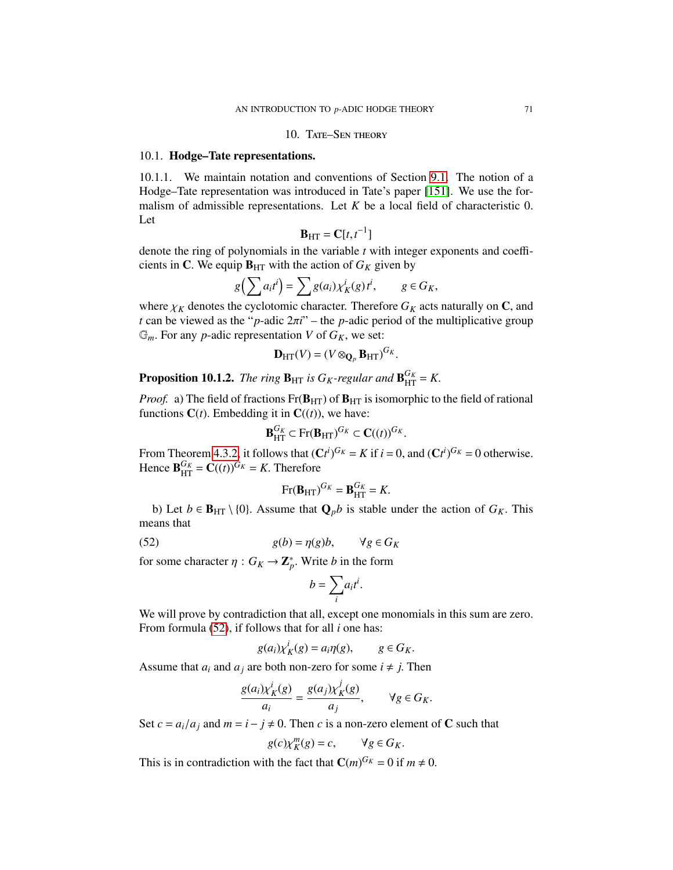#### 10. TATE-SEN THEORY

#### 10.1. Hodge–Tate representations.

10.1.1. We maintain notation and conventions of Section [9.1.](#page-66-0) The notion of a Hodge–Tate representation was introduced in Tate's paper [\[151\]](#page-131-3). We use the formalism of admissible representations. Let *<sup>K</sup>* be a local field of characteristic 0. Let

$$
\mathbf{B}_{\mathrm{HT}} = \mathbf{C}[t, t^{-1}]
$$

**<br>denote the ring of polynomials in the variable** *t* **with integer exponents and coeffi**cients in C. We equip  $B_{HT}$  with the action of  $G_K$  given by

$$
g\left(\sum a_i t^i\right) = \sum g(a_i) \chi_K^i(g) t^i, \qquad g \in G_K,
$$

where  $\chi_K$  denotes the cyclotomic character. Therefore  $G_K$  acts naturally on **C**, and *t* can be viewed as the "*p*-adic  $2\pi i$ " – the *p*-adic period of the multiplicative group  $\mathbb{G}_m$ . For any *p*-adic representation *V* of  $G_K$ , we set:

$$
\mathbf{D}_{\mathrm{HT}}(V) = (V \otimes_{\mathbf{Q}_p} \mathbf{B}_{\mathrm{HT}})^{G_K}.
$$

**Proposition 10.1.2.** *The ring*  $\mathbf{B}_{\text{HT}}$  *is G<sub>K</sub>*-regular and  $\mathbf{B}_{\text{HT}}^{G_K} = K$ .

*Proof.* a) The field of fractions  $Fr(B_{HT})$  of  $B_{HT}$  is isomorphic to the field of rational functions  $C(t)$ . Embedding it in  $C((t))$ , we have:

$$
\mathbf{B}_{\mathrm{HT}}^{G_K} \subset \mathrm{Fr}(\mathbf{B}_{\mathrm{HT}})^{G_K} \subset \mathbf{C}((t))^{G_K}
$$

From Theorem [4.3.2,](#page-36-0) it follows that  $(Ct^i)^{G_K} = K$  if  $i = 0$ , and  $(Ct^i)^{G_K} = 0$  otherwise.<br>Hence  $\mathbf{R}^{G_K} - C(t)G_K - K$  Therefore Hence  $\mathbf{B}_{\text{HT}}^{G_K} = \mathbf{C}((t))^{G_K} = K$ . Therefore

<span id="page-70-0"></span>
$$
Fr(\mathbf{B}_{HT})^{G_K} = \mathbf{B}_{HT}^{G_K} = K.
$$

b) Let *b* ∈ **B**<sub>HT</sub> \ {0}. Assume that  $\mathbf{Q}_p b$  is stable under the action of *G<sub>K</sub>*. This means that

(52) 
$$
g(b) = \eta(g)b, \qquad \forall g \in G_K
$$

for some character  $\eta$  :  $G_K \to \mathbb{Z}_p^*$ . Write *b* in the form

$$
b=\sum_i a_i t^i.
$$

We will prove by contradiction that all, except one monomials in this sum are zero. From formula [\(52\)](#page-70-0), if follows that for all *i* one has:

$$
g(a_i)\chi_K^i(g) = a_i \eta(g), \qquad g \in G_K.
$$

Assume that  $a_i$  and  $a_j$  are both non-zero for some  $i \neq j$ . Then

$$
\frac{g(a_i)\chi_K^i(g)}{a_i} = \frac{g(a_j)\chi_K^j(g)}{a_j}, \qquad \forall g \in G_K.
$$

Set  $c = a_i/a_j$  and  $m = i - j \neq 0$ . Then *c* is a non-zero element of **C** such that

$$
g(c)\chi_K^m(g) = c, \qquad \forall g \in G_K.
$$

This is in contradiction with the fact that  $C(m)^{G_K} = 0$  if  $m \neq 0$ .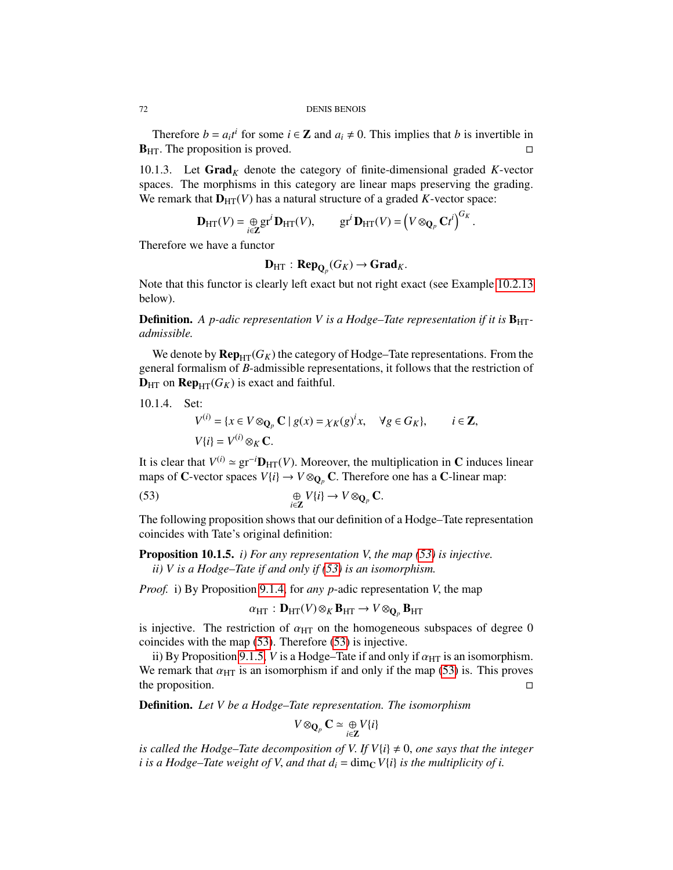Therefore *b* =  $a_i t^i$  for some  $i \in \mathbb{Z}$  and  $a_i \neq 0$ . This implies that *b* is invertible in  $B_{HT}$ . The proposition is proved.

10.1.3. Let  $\text{Grad}_K$  denote the category of finite-dimensional graded K-vector spaces. The morphisms in this category are linear maps preserving the grading. We remark that  $D_{HT}(V)$  has a natural structure of a graded *K*-vector space:

$$
\mathbf{D}_{\mathrm{HT}}(V) = \underset{i \in \mathbf{Z}}{\oplus} \mathrm{gr}^i \mathbf{D}_{\mathrm{HT}}(V), \qquad \mathrm{gr}^i \mathbf{D}_{\mathrm{HT}}(V) = \left(V \otimes_{\mathbf{Q}_p} \mathbf{C}t^i\right)^{G_K}.
$$

Therefore we have a functor

$$
\mathbf{D}_{\mathrm{HT}}: \mathbf{Rep}_{\mathbf{Q}_p}(G_K) \to \mathbf{Grad}_K.
$$

Note that this functor is clearly left exact but not right exact (see Example [10.2.13](#page-74-1) below).

**Definition.** A *p*-adic representation V is a Hodge–Tate representation if it is  $B_{HT}$ *admissible.*

We denote by  $\mathbf{Rep}_{HT}(G_K)$  the category of Hodge–Tate representations. From the general formalism of *B*-admissible representations, it follows that the restriction of  $D_{\text{HT}}$  on  $\text{Rep}_{\text{HT}}(G_K)$  is exact and faithful.

10.1.4. Set:

<span id="page-71-0"></span>
$$
V^{(i)} = \{x \in V \otimes_{\mathbf{Q}_p} \mathbf{C} \mid g(x) = \chi_K(g)^i x, \quad \forall g \in G_K\}, \qquad i \in \mathbf{Z},
$$
  

$$
V\{i\} = V^{(i)} \otimes_K \mathbf{C}.
$$

It is clear that  $V^{(i)} \approx \text{gr}^{-i} \mathbf{D}_{\text{HT}}(V)$ . Moreover, the multiplication in C induces linear mans of  $C$ -vector spaces  $V^{(i)} \rightarrow V \otimes_{\mathbf{C}} C$ . Therefore one has a C-linear man: maps of C-vector spaces  $V{i} \rightarrow V \otimes_{\mathbf{O}_n} \mathbf{C}$ . Therefore one has a C-linear map:

(53) 
$$
\bigoplus_{i\in\mathbb{Z}} V\{i\} \to V \otimes_{\mathbb{Q}_p} \mathbb{C}.
$$

The following proposition shows that our definition of a Hodge–Tate representation coincides with Tate's original definition:

Proposition 10.1.5. *i) For any representation V*, *the map [\(53\)](#page-71-0) is injective. ii) V is a Hodge–Tate if and only if [\(53\)](#page-71-0) is an isomorphism.*

*Proof.* i) By Proposition [9.1.4,](#page-67-1) for *any p*-adic representation *<sup>V</sup>*, the map

$$
\alpha_{\text{HT}}: \mathbf{D}_{\text{HT}}(V) \otimes_K \mathbf{B}_{\text{HT}} \to V \otimes_{\mathbf{Q}_p} \mathbf{B}_{\text{HT}}
$$

is injective. The restriction of  $\alpha_{\text{HT}}$  on the homogeneous subspaces of degree 0<br>coincides with the man (53) Therefore (53) is injective coincides with the map [\(53\)](#page-71-0). Therefore [\(53\)](#page-71-0) is injective.

ii) By Proposition [9.1.5,](#page-67-2) *V* is a Hodge–Tate if and only if  $\alpha_{HT}$  is an isomorphism. We remark that  $\alpha_{\text{HT}}$  is an isomorphism if and only if the map [\(53\)](#page-71-0) is. This proves the proposition. the proposition.

Definition. *Let V be a Hodge–Tate representation. The isomorphism*

$$
V\otimes_{\mathbf{Q}_p}\mathbf{C}\simeq \underset{i\in\mathbf{Z}}{\oplus}V\{i\}
$$

*is called the Hodge–Tate decomposition of V. If*  $V$ *{i}*  $\neq$  0, *one says that the integer i* is a Hodge–Tate weight of V, and that  $d_i = \dim_{\mathbb{C}} V\{i\}$  is the multiplicity of i.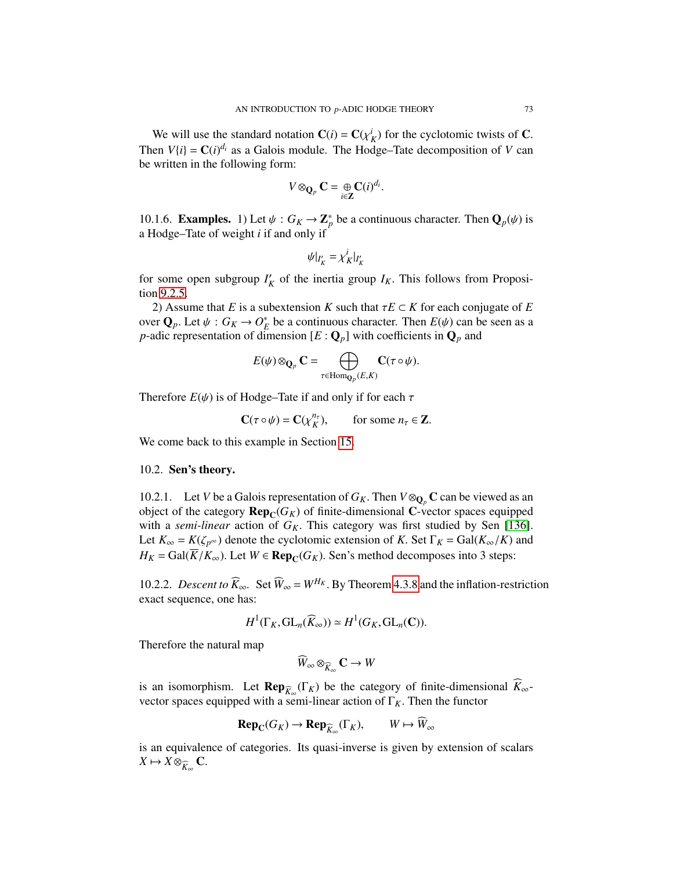We will use the standard notation  $C(i) = C(\chi_K^i)$  for the cyclotomic twists of C.<br>
on  $V(i) = C(i)^{d_i}$  as a Galois modula. The Hodge Tate decomposition of V can Then  $V(i) = \mathbf{C}(i)^{d_i}$  as a Galois module. The Hodge–Tate decomposition of *V* can be written in the following form:

$$
V\otimes_{\mathbf{Q}_p}\mathbf{C}=\underset{i\in\mathbf{Z}}{\oplus}\mathbf{C}(i)^{d_i}.
$$

10.1.6. **Examples.** 1) Let  $\psi$  :  $G_K \to \mathbb{Z}_p^*$  be a continuous character. Then  $\mathbf{Q}_p(\psi)$  is a Hodge–Tate of weight *i* if and only if a Hodge–Tate of weight *i* if and only if

$$
\psi|_{I'_K} = \chi_K^i|_{I'_K}
$$

for some open subgroup  $I'_k$  $K'$  of the inertia group  $I_K$ . This follows from Proposition [9.2.5.](#page-69-0)

2) Assume that *E* is a subextension *K* such that  $\tau E \subset K$  for each conjugate of *E* over  $\mathbf{Q}_p$ . Let  $\psi : G_K \to O_F^*$ <br>*n*-adic representation of di-*E* be a continuous character. Then  $E(\psi)$  can be seen as a linension  $[F : \Omega]$  with coefficients in  $\Omega$  and *p*-adic representation of dimension  $[E: \mathbf{Q}_p]$  with coefficients in  $\mathbf{Q}_p$  and

$$
E(\psi)\otimes_{\mathbf{Q}_p}\mathbf{C}=\bigoplus_{\tau\in \mathrm{Hom}_{\mathbf{Q}_p}(E,K)}\mathbf{C}(\tau\circ\psi).
$$

Therefore  $E(\psi)$  is of Hodge–Tate if and only if for each  $\tau$ 

$$
\mathbf{C}(\tau \circ \psi) = \mathbf{C}(\chi_K^{n_\tau}), \qquad \text{for some } n_\tau \in \mathbf{Z}.
$$

We come back to this example in Section [15.](#page-106-0)

## 10.2. Sen's theory.

10.2.1. Let *V* be a Galois representation of  $G_K$ . Then  $V \otimes_{\mathbf{O}_n} \mathbf{C}$  can be viewed as an object of the category  $\mathbf{Rep}_{\mathbb{C}}(G_K)$  of finite-dimensional C-vector spaces equipped with a *semi-linear* action of  $G_K$ . This category was first studied by Sen [\[136\]](#page-130-0). Let  $K_{\infty} = K(\zeta_{p^{\infty}})$  denote the cyclotomic extension of *K*. Set  $\Gamma_K = \text{Gal}(K_{\infty}/K)$  and  $H_K = \text{Gal}(\overline{K}/K_\infty)$ . Let  $W \in \text{Rep}_{\mathbb{C}}(G_K)$ . Sen's method decomposes into 3 steps:

10.2.2. *Descent to*  $\widehat{K}_{\infty}$ . Set  $\widehat{W}_{\infty} = W^{H_K}$ . By Theorem [4.3.8](#page-37-0) and the inflation-restriction exact sequence, one has:

$$
H^1(\Gamma_K, GL_n(\widehat{K}_{\infty})) \simeq H^1(G_K, GL_n(\mathbb{C})).
$$

Therefore the natural map

$$
\widehat{W}_{\infty} \otimes_{\widehat{K}_{\infty}} \mathbf{C} \to W
$$

is an isomorphism. Let  $\mathbf{Rep}_{\widehat{K}_{\infty}}(\Gamma_K)$  be the category of finite-dimensional  $K_{\infty}$ vector spaces equipped with a semi-linear action of  $\Gamma_K$ . Then the functor

$$
\operatorname{Rep}_{\mathbb{C}}(G_K) \to \operatorname{Rep}_{\widehat{K}_{\infty}}(\Gamma_K), \qquad W \mapsto \widehat{W}_{\infty}
$$

is an equivalence of categories. Its quasi-inverse is given by extension of scalars  $X \mapsto X \otimes_{\widehat{K}_{\infty}} \mathbf{C}.$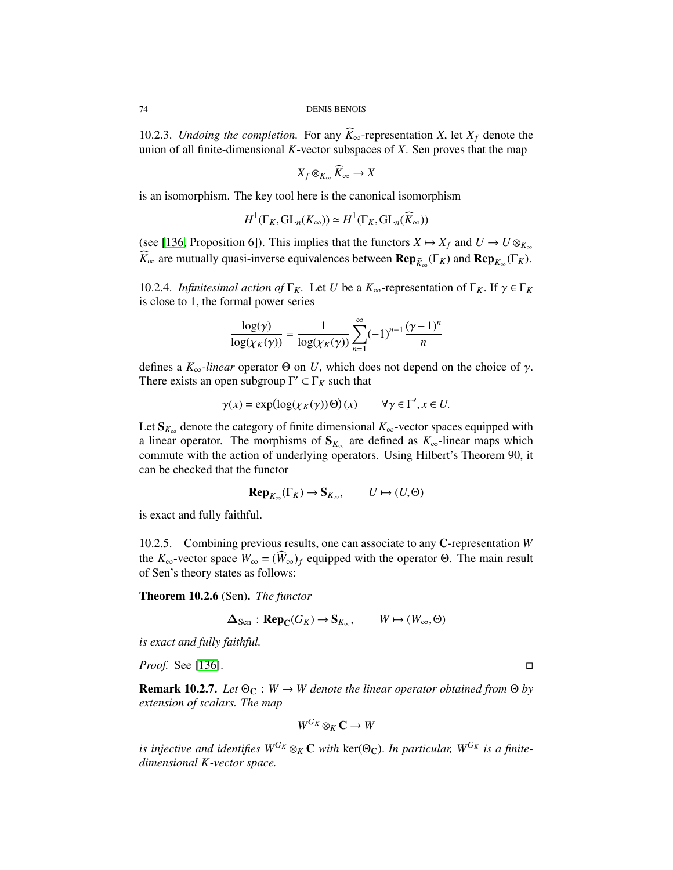10.2.3. *Undoing the completion.* For any  $\tilde{K}_{\infty}$ -representation *X*, let  $X_f$  denote the union of all finite-dimensional *K*-vector subspaces of *X*. Sen proves that the map

$$
X_f \otimes_{K_\infty} \widehat{K}_\infty \to X
$$

is an isomorphism. The key tool here is the canonical isomorphism

$$
H^1(\Gamma_K, \mathrm{GL}_n(K_\infty)) \simeq H^1(\Gamma_K, \mathrm{GL}_n(\widehat{K}_\infty))
$$

(see [\[136,](#page-130-0) Proposition 6]). This implies that the functors  $X \mapsto X_f$  and  $U \to U \otimes_{K_\infty}$ *K*<sub>∞</sub> are mutually quasi-inverse equivalences between **Rep**<sub>*K*<sub>∞</sub></sub>(Γ*K*) and **Rep**<sub>*K*<sub>∞</sub></sub>(Γ*K*).

10.2.4. *Infinitesimal action of*  $\Gamma_K$ . Let *U* be a  $K_\infty$ -representation of  $\Gamma_K$ . If  $\gamma \in \Gamma_K$ is close to 1, the formal power series

$$
\frac{\log(\gamma)}{\log(\chi_K(\gamma))} = \frac{1}{\log(\chi_K(\gamma))} \sum_{n=1}^{\infty} (-1)^{n-1} \frac{(\gamma - 1)^n}{n}
$$

defines a *<sup>K</sup>*∞*-linear* operator <sup>Θ</sup> on *<sup>U</sup>*, which does not depend on the choice of γ. There exists an open subgroup  $\Gamma' \subset \Gamma_K$  such that

$$
\gamma(x) = \exp(\log(\chi_K(\gamma))\Theta)(x)
$$
  $\forall \gamma \in \Gamma', x \in U.$ 

Let S*K*<sup>∞</sup> denote the category of finite dimensional *K*∞-vector spaces equipped with a linear operator. The morphisms of  $S_{K_{\infty}}$  are defined as  $K_{\infty}$ -linear maps which commute with the action of underlying operators. Using Hilbert's Theorem 90, it can be checked that the functor

$$
\operatorname{Rep}_{K_{\infty}}(\Gamma_K) \to \mathbf{S}_{K_{\infty}}, \qquad U \mapsto (U, \Theta)
$$

is exact and fully faithful.

10.2.5. Combining previous results, one can associate to any C-representation *W* the  $K_{\infty}$ -vector space  $W_{\infty} = (W_{\infty})_f$  equipped with the operator  $\Theta$ . The main result of Sen's theory states as follows:

Theorem 10.2.6 (Sen). *The functor*

$$
\Delta_{\text{Sen}} : \mathbf{Rep}_{\mathbb{C}}(G_K) \to \mathbf{S}_{K_{\infty}}, \qquad W \mapsto (W_{\infty}, \Theta)
$$

*is exact and fully faithful.*

*Proof.* See [\[136\]](#page-130-0). □

**Remark 10.2.7.** *Let*  $\Theta_C : W \to W$  *denote the linear operator obtained from*  $\Theta$  *by extension of scalars. The map*

$$
W^{G_K}\otimes_K{\mathbf C}\to W
$$

*is injective and identifies*  $W^{G_K} \otimes_K \mathbb{C}$  *with*  $\text{ker}(\Theta_{\mathbb{C}})$ . In particular,  $W^{G_K}$  is a finite*dimensional K-vector space.*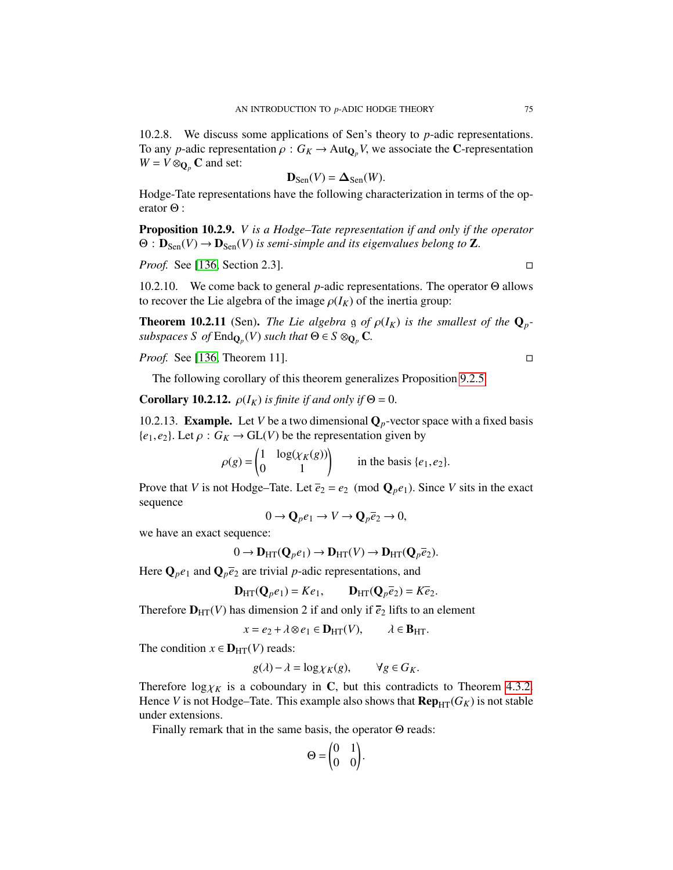10.2.8. We discuss some applications of Sen's theory to *p*-adic representations. To any *p*-adic representation  $\rho : G_K \to \text{Aut}_{\mathbb{Q}_p} V$ , we associate the C-representation  $W = V \otimes_{\mathbf{Q}_p} \mathbf{C}$  and set:

$$
\mathbf{D}_{\text{Sen}}(V) = \Delta_{\text{Sen}}(W).
$$

 $D_{\text{Sen}}(V) = \Delta_{\text{Sen}}(W)$ .<br>Hodge-Tate representations have the following characterization in terms of the operator Θ :

<span id="page-74-0"></span>Proposition 10.2.9. *V is a Hodge–Tate representation if and only if the operator*  $\Theta$  :  $\mathbf{D}_{\text{Sen}}(V) \to \mathbf{D}_{\text{Sen}}(V)$  *is semi-simple and its eigenvalues belong to* **Z**.

*Proof.* See [\[136,](#page-130-0) Section 2.3]. □

10.2.10. We come back to general *p*-adic representations. The operator Θ allows to recover the Lie algebra of the image  $\rho(I_K)$  of the inertia group:

**Theorem 10.2.11** (Sen). *The Lie algebra* g *of*  $\rho(I_K)$  *is the smallest of the*  $\mathbf{Q}_p$ *subspaces S of*  $\text{End}_{\mathbf{Q}_p}(V)$  *such that*  $\Theta \in S \otimes_{\mathbf{Q}_p} \mathbf{C}$ *.* 

*Proof.* See [\[136,](#page-130-0) Theorem 11]. □

The following corollary of this theorem generalizes Proposition [9.2.5.](#page-69-0)

**Corollary 10.2.12.**  $\rho(I_K)$  *is finite if and only if*  $\Theta = 0$ .

10.2.13. **Example.** Let *V* be a two dimensional  $\mathbf{Q}_p$ -vector space with a fixed basis  ${e_1, e_2}$ . Let  $\rho: G_K \to GL(V)$  be the representation given by

> $\rho(g)$  =  $\begin{pmatrix} 1 & \log(\chi_K(g)) \\ 0 & 1 \end{pmatrix}$  in the basis {*e*<sub>1</sub>, *e*<sub>2</sub>}.

Prove that *V* is not Hodge–Tate. Let  $\overline{e}_2 = e_2 \pmod{Q_p e_1}$ . Since *V* sits in the exact sequence

 $0 \rightarrow \mathbf{Q}_p e_1 \rightarrow V \rightarrow \mathbf{Q}_p \overline{e}_2 \rightarrow 0,$ 

we have an exact sequence:

$$
0 \to \mathbf{D}_{\mathrm{HT}}(\mathbf{Q}_p e_1) \to \mathbf{D}_{\mathrm{HT}}(V) \to \mathbf{D}_{\mathrm{HT}}(\mathbf{Q}_p \overline{e}_2).
$$

Here  $\mathbf{Q}_p e_1$  and  $\mathbf{Q}_p \overline{e}_2$  are trivial *p*-adic representations, and

$$
\mathbf{D}_{\mathrm{HT}}(\mathbf{Q}_p e_1) = Ke_1, \qquad \mathbf{D}_{\mathrm{HT}}(\mathbf{Q}_p \overline{e}_2) = K \overline{e}_2.
$$

Therefore  $D_{HT}(V)$  has dimension 2 if and only if  $\bar{e}_2$  lifts to an element

$$
x = e_2 + \lambda \otimes e_1 \in \mathbf{D}_{\mathrm{HT}}(V), \qquad \lambda \in \mathbf{B}_{\mathrm{HT}}.
$$

The condition  $x \in D_{HT}(V)$  reads:

$$
g(\lambda) - \lambda = \log \chi_K(g), \qquad \forall g \in G_K.
$$

Therefore  $\log \chi_K$  is a coboundary in C, but this contradicts to Theorem [4.3.2.](#page-36-0)<br>Hence *V* is not Hodge-Tate. This example also shows that **Rep.** (*G<sub>K</sub>*) is not stable Hence *V* is not Hodge–Tate. This example also shows that  $\mathbf{Rep}_{HT}(G_K)$  is not stable under extensions.

Finally remark that in the same basis, the operator Θ reads:

$$
\Theta = \begin{pmatrix} 0 & 1 \\ 0 & 0 \end{pmatrix}.
$$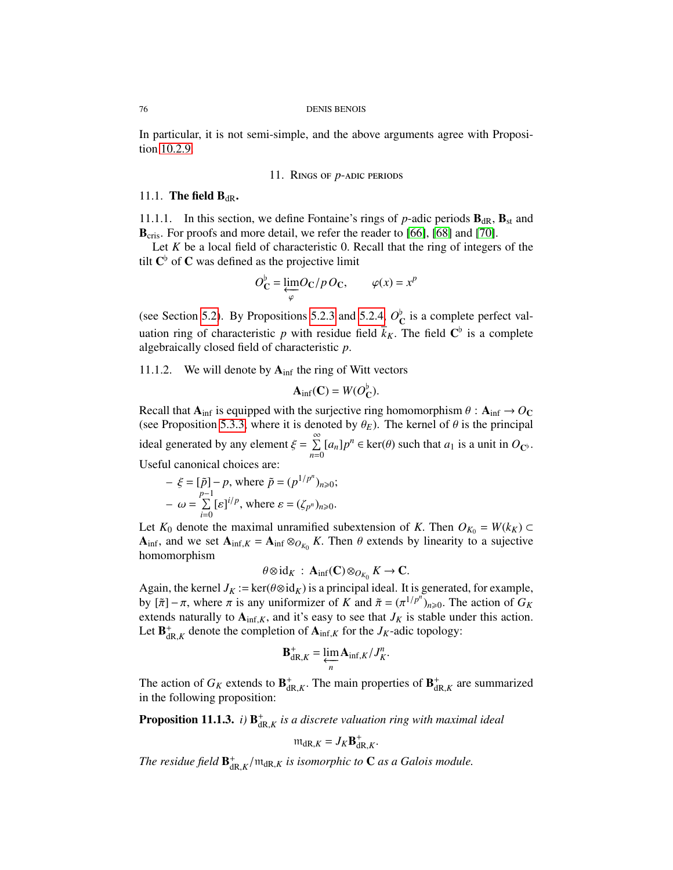In particular, it is not semi-simple, and the above arguments agree with Proposition [10.2.9.](#page-74-0)

# 11. Rings of *p*-adic periods

# <span id="page-75-1"></span>11.1. The field  $B_{dR}$ .

11.1.1. In this section, we define Fontaine's rings of  $p$ -adic periods  $\mathbf{B}_{dR}$ ,  $\mathbf{B}_{st}$  and B<sub>cris</sub>. For proofs and more detail, we refer the reader to [\[66\]](#page-128-0), [\[68\]](#page-128-1) and [\[70\]](#page-128-2).

Let *K* be a local field of characteristic 0. Recall that the ring of integers of the tilt  $\mathbf{C}^{\flat}$  of  $\mathbf C$  was defined as the projective limit

$$
O_{\mathbf{C}}^{\flat} = \underbrace{\lim_{\varphi} O_{\mathbf{C}}}_{\varphi} / p O_{\mathbf{C}}, \qquad \varphi(x) = x^{p}
$$

(see Section [5.2\)](#page-37-1). By Propositions [5.2.3](#page-39-0) and [5.2.4,](#page-39-1)  $O_{\mathbb{C}}^{\flat}$  is a complete perfect valuation ring of characteristic *p* with residue field  $k_K$ . The field  $\mathbb{C}^{\flat}$  is a complete algebraically closed field of characteristic *n* algebraically closed field of characteristic *<sup>p</sup>*.

11.1.2. We will denote by  $A_{\text{inf}}$  the ring of Witt vectors

$$
\mathbf{A}_{\text{inf}}(\mathbf{C}) = W(O_{\mathbf{C}}^{\flat}).
$$

Recall that  $A_{\text{inf}}$  is equipped with the surjective ring homomorphism  $\theta$  :  $A_{\text{inf}} \rightarrow O_C$ <br>(see Proposition 5.3.3, where it is denoted by  $\theta_{\text{E}}$ ). The kernel of  $\theta$  is the principal (see Proposition [5.3.3,](#page-40-0) where it is denoted by  $\theta_E$ ). The kernel of  $\theta$  is the principal ideal generated by any element  $\xi = \sum_{n=0}^{\infty}$  $\sum_{n=0}^{\infty} [a_n] p^n \in \text{ker}(\theta)$  such that  $a_1$  is a unit in  $O_{\mathbb{C}^{\flat}}$ . Useful canonical choices are:

$$
-\xi = [\tilde{p}] - p, \text{ where } \tilde{p} = (p^{1/p^n})_{n \ge 0};
$$
  

$$
-\omega = \sum_{i=0}^{p-1} [\varepsilon]^{i/p}, \text{ where } \varepsilon = (\zeta_{p^n})_{n \ge 0}.
$$

Let  $K_0$  denote the maximal unramified subextension of *K*. Then  $O_{K_0} = W(k_K) \subset$  $\mathbf{A}_{\text{inf}}$ , and we set  $\mathbf{A}_{\text{inf},K} = \mathbf{A}_{\text{inf}} \otimes_{O_{K_0}} K$ . Then  $\theta$  extends by linearity to a sujective homomorphism homomorphism

$$
\theta \otimes id_K : \mathbf{A}_{\text{inf}}(\mathbf{C}) \otimes_{O_{K_0}} K \to \mathbf{C}.
$$

Again, the kernel *J<sub>K</sub>* := ker( $\theta \otimes id_K$ ) is a principal ideal. It is generated, for example,<br>by  $\lceil \frac{\pi}{4} \rceil - \pi$ , where  $\pi$  is any uniformizer of K and  $\tilde{\pi} - (\pi^1/\ell^2)$  and  $\tilde{\pi}$  be action of  $G_K$ by  $[*π*] – *π*$ , where *π* is any uniformizer of *K* and *. The action of <i>G<sub>K</sub>* extends naturally to **A**<sub>i</sub> c*K* and it's easy to see that *L<sub>K</sub>* is stable under this action extends naturally to  $A_{\text{inf},K}$ , and it's easy to see that  $J_K$  is stable under this action. Let  $\mathbf{B}_{dR,K}^+$  denote the completion of  $\mathbf{A}_{\text{inf},K}$  for the *J<sub>K</sub>*-adic topology:

$$
\mathbf{B}_{\mathrm{dR},K}^+ = \varprojlim_n \mathbf{A}_{\mathrm{inf},K} / J_K^n
$$

The action of  $G_K$  extends to  $\mathbf{B}^+_{dR,K}$ . The main properties of  $\mathbf{B}^+_{dR,K}$  are summarized in the following proposition: in the following proposition:

<span id="page-75-0"></span>**Proposition 11.1.3.** *i*)  $\mathbf{B}_{dR,K}^+$  *is a discrete valuation ring with maximal ideal* 

$$
\mathfrak{m}_{\mathrm{dR},K}=J_K\mathbf{B}_{\mathrm{dR},K}^+.
$$

The residue field  $\mathbf{B}^+_{\mathrm{dR},K}/\mathfrak{m}_{\mathrm{dR},K}$  is isomorphic to **C** as a Galois module.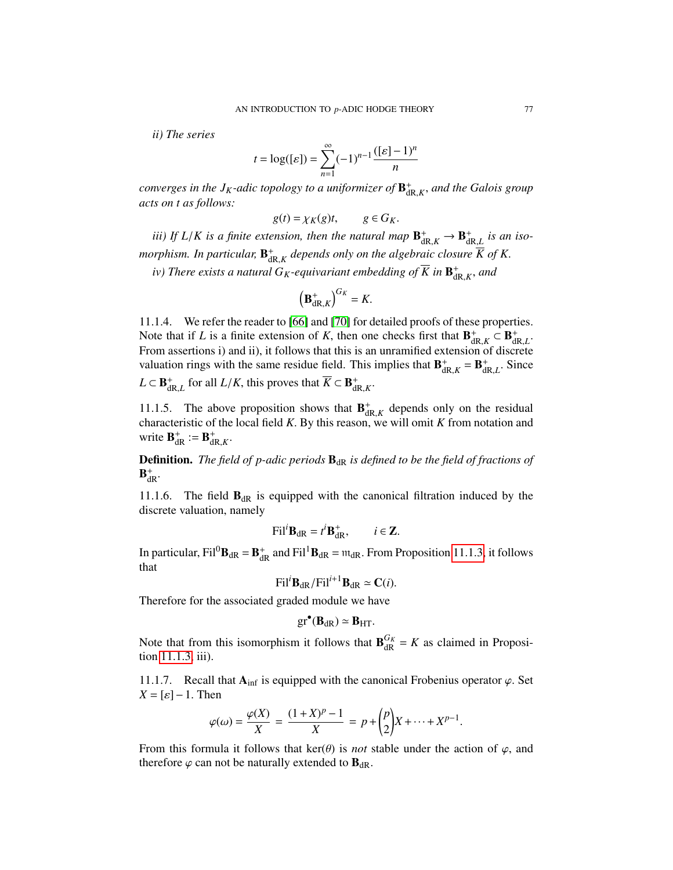*ii) The series*

$$
t = \log([\varepsilon]) = \sum_{n=1}^{\infty} (-1)^{n-1} \frac{([\varepsilon]-1)^n}{n}
$$

*converges in the*  $J_K$ *-adic topology to a uniformizer of*  $\mathbf{B}^+_{\mathrm{dR},K}$ *, and the Galois group*<br>*acts on t as follows*: *acts on t as follows:*

$$
g(t) = \chi_K(g)t, \qquad g \in G_K.
$$

*iii)* If  $L/K$  is a finite extension, then the natural map  $\mathbf{B}^+_{dR,K} \to \mathbf{B}^+_{dR,L}$  is an iso-<br>
denoting the neutral map  $\mathbf{P}^+$  denotes the subset of the planetic density  $\overline{K}$  of  $K$ *morphism. In particular,*  $\mathbf{B}^+_{dR,K}$  depends only on the algebraic closure  $\overline{K}$  of  $K$ .

iv) There exists a natural  $G_K$ -equivariant embedding of  $\overline{K}$  in  $\mathbf{B}^+_{dR,K}$ , and iv)

$$
\left(\mathbf{B}_{\mathrm{dR},K}^+\right)^{G_K}=K.
$$

11.1.4. We refer the reader to [\[66\]](#page-128-0) and [\[70\]](#page-128-2) for detailed proofs of these properties. Note that if *L* is a finite extension of *K*, then one checks first that  $\mathbf{B}_{dR,K}^+ \subset \mathbf{B}_{dR}^+$ <br>From assertions i) and ii) it follows that this is an unramified extension of discre From assertions i) and ii), it follows that this is an unramified extension of discrete valuation rings with the same residue field. This implies that  $\mathbf{B}_{dR,K}^+ = \mathbf{B}_{dR,L}^+$ . Since  $L \subset \mathbf{B}_{dR,L}^+$  for all  $L/K$ , this proves that  $\overline{K} \subset \mathbf{B}_{dR,K}^+$ .

11.1.5. The above proposition shows that  $\mathbf{B}_{dR,K}^+$  depends only on the residual characteristic of the local field *K*. By this reason, we will omit *K* from notation and write  $\mathbf{R}^+ \cdot - \mathbf{R}^+$ write  $\mathbf{B}_{dR}^+ := \mathbf{B}_{dR,K}^+$ .

**Definition.** *The field of p-adic periods*  $B_{dR}$  *is defined to be the field of fractions of*  $B_{\text{dR}}^+$ .

11.1.6. The field  $\mathbf{B}_{dR}$  is equipped with the canonical filtration induced by the discrete valuation, namely

$$
\text{Fil}^i \mathbf{B}_{\mathrm{dR}} = t^i \mathbf{B}_{\mathrm{dR}}^+, \qquad i \in \mathbf{Z}.
$$

In particular,  $\text{Fil}^0 \mathbf{B}_{\text{dR}} = \mathbf{B}_{\text{dR}}^+$  and  $\text{Fil}^1 \mathbf{B}_{\text{dR}} = \mathfrak{m}_{\text{dR}}$ . From Proposition [11.1.3,](#page-75-0) it follows that that

$$
\text{Fil}^i \mathbf{B}_{\text{dR}} / \text{Fil}^{i+1} \mathbf{B}_{\text{dR}} \simeq \mathbf{C}(i).
$$

Therefore for the associated graded module we have

<span id="page-76-0"></span>
$$
gr^{\bullet}(\mathbf{B}_{dR}) \simeq \mathbf{B}_{HT}.
$$

Note that from this isomorphism it follows that  $\mathbf{B}_{\text{dR}}^{G_K} = K$  as claimed in Proposition [11.1.3,](#page-75-0) iii).

11.1.7. Recall that  $A_{\text{inf}}$  is equipped with the canonical Frobenius operator  $\varphi$ . Set  $X = [\varepsilon] - 1$ . Then

$$
\varphi(\omega) = \frac{\varphi(X)}{X} = \frac{(1+X)^p - 1}{X} = p + \binom{p}{2} X + \dots + X^{p-1}
$$

From this formula it follows that  $\ker(\theta)$  is *not* stable under the action of  $\varphi$ , and therefore  $\varphi$  can not be naturally extended to  $\mathbf{B}_{dR}$ .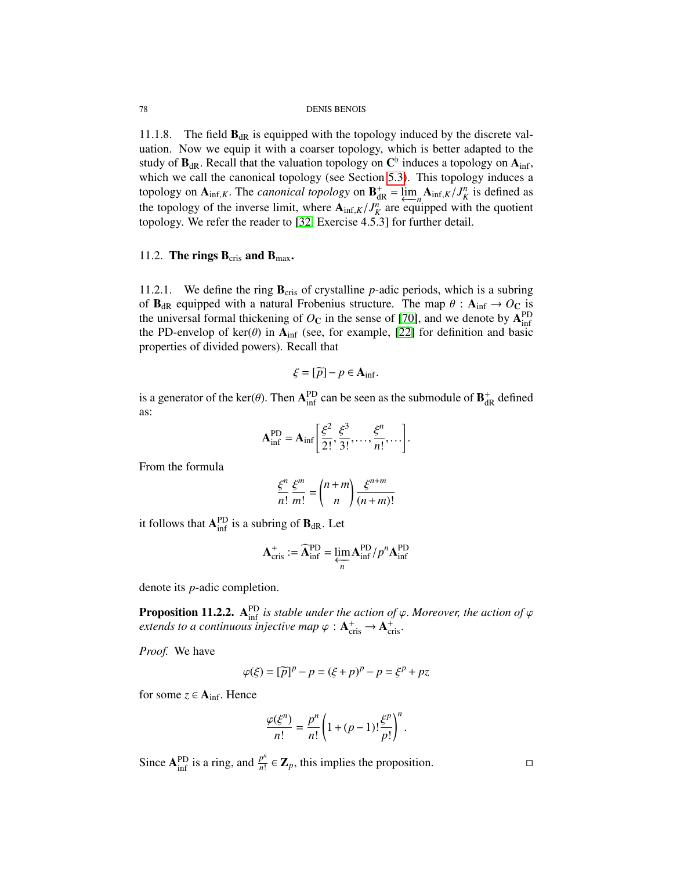11.1.8. The field  $\mathbf{B}_{dR}$  is equipped with the topology induced by the discrete valuation. Now we equip it with a coarser topology, which is better adapted to the study of  $\mathbf{B}_{dR}$ . Recall that the valuation topology on  $\mathbf{C}^{\text{b}}$  induces a topology on  $\mathbf{A}_{\text{inf}}$ ,<br>which we call the canonical topology (see Section 5.3). This topology induces a which we call the canonical topology (see Section [5.3\)](#page-39-2). This topology induces a topology on  $\mathbf{A}_{\text{inf},K}$ . The *canonical topology* on  $\mathbf{B}_{dR}^+ = \lim_{\epsilon \to 0} \mathbf{A}_{\text{inf},K}/J_K^n$  is defined as the topology of the inverse limit, where  $\mathbf{A}_{\text{inf},K}/J_K^n$  are equipped with the quotient<br>topology We refer the reader to [32] Exercise 4.5.31 for further detail topology. We refer the reader to [\[32,](#page-126-0) Exercise 4.5.3] for further detail.

# 11.2. The rings  $B_{\text{cris}}$  and  $B_{\text{max}}$ .

11.2.1. We define the ring  $\mathbf{B}_{\text{cris}}$  of crystalline *p*-adic periods, which is a subring of  $B_{dR}$  equipped with a natural Frobenius structure. The map  $\theta$  :  $A_{inf} \rightarrow O_C$  is the universal formal thickening of  $O<sub>C</sub>$  in the sense of [\[70\]](#page-128-2), and we denote by  $A<sub>inf</sub><sup>PD</sup>$ the PD-envelop of ker( $\theta$ ) in  $A_{\text{inf}}$  (see, for example, [\[22\]](#page-126-1) for definition and basic properties of divided powers). Recall that

$$
\xi = [\widetilde{p}] - p \in \mathbf{A}_{\text{inf}}.
$$

is a generator of the ker( $\theta$ ). Then  $A_{\text{inf}}^{\text{PD}}$  can be seen as the submodule of  $B_{\text{dR}}^{+}$  defined as:

$$
\mathbf{A}_{\text{inf}}^{\text{PD}} = \mathbf{A}_{\text{inf}} \left[ \frac{\xi^2}{2!}, \frac{\xi^3}{3!}, \dots, \frac{\xi^n}{n!}, \dots \right].
$$

From the formula

$$
\frac{\xi^n}{n!} \frac{\xi^m}{m!} = {n+m \choose n} \frac{\xi^{n+m}}{(n+m)!}
$$

it follows that  $A_{\text{inf}}^{\text{PD}}$  is a subring of  $B_{\text{dR}}$ . Let

$$
\mathbf{A}_{\mathrm{cris}}^{+} := \widehat{\mathbf{A}}_{\mathrm{inf}}^{\mathrm{PD}} = \varprojlim_{n} \mathbf{A}_{\mathrm{inf}}^{\mathrm{PD}} / p^{n} \mathbf{A}_{\mathrm{inf}}^{\mathrm{PD}}
$$

denote its *p*-adic completion.

**Proposition 11.2.2.** A<sup>pp</sup> is stable under the action of  $\varphi$ . Moreover, the action of  $\varphi$  extends to a continuous injective man  $\varphi : A^+ \to A^+$ *extends to a continuous injective map*  $\varphi$  :  $A_{\text{cris}}^+ \rightarrow A_{\text{cris}}^+$ .

*Proof.* We have

$$
\varphi(\xi) = [\widetilde{p}]^p - p = (\xi + p)^p - p = \xi^p + pz
$$

for some  $z \in A_{\text{inf}}$ . Hence

$$
\frac{\varphi(\xi^n)}{n!} = \frac{p^n}{n!} \left( 1 + (p-1)! \frac{\xi^p}{p!} \right)^n.
$$

Since  $A_{\text{inf}}^{\text{PD}}$  is a ring, and  $\frac{p^n}{n!}$  $\frac{p^n}{n!} \in \mathbb{Z}_p$ , this implies the proposition.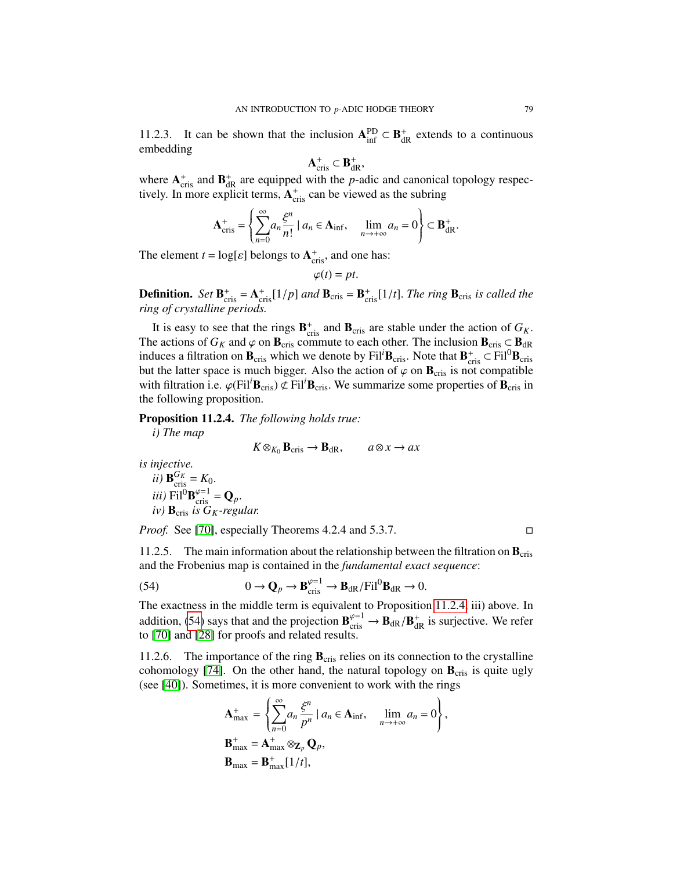11.2.3. It can be shown that the inclusion  $A_{\text{inf}}^{\text{PD}} \subset B_{\text{dR}}^+$  extends to a continuous embedding

$$
\mathbf{A}_{\mathrm{cris}}^+ \subset \mathbf{B}_{\mathrm{dR}}^+,
$$

where  $A_{\text{cris}}^+$  and  $B_{\text{dR}}^+$  are equipped with the *p*-adic and canonical topology respectively. In more explicit terms,  $A_{\text{cris}}^+$  can be viewed as the subring

$$
\mathbf{A}_{\mathrm{cris}}^+ = \left\{ \sum_{n=0}^\infty a_n \frac{\xi^n}{n!} \mid a_n \in \mathbf{A}_{\mathrm{inf}}, \quad \lim_{n \to +\infty} a_n = 0 \right\} \subset \mathbf{B}_{\mathrm{dR}}^+.
$$

The element  $t = \log[\varepsilon]$  belongs to  $\mathbf{A}_{\text{cris}}^+$ , and one has:

$$
\varphi(t)=pt.
$$

**Definition.** *Set*  $\mathbf{B}_{\text{cris}}^+ = \mathbf{A}_{\text{cris}}^+[1/p]$  *and*  $\mathbf{B}_{\text{cris}} = \mathbf{B}_{\text{cris}}^+[1/t]$ . *The ring*  $\mathbf{B}_{\text{cris}}$  *is called the ring of crystalline periods ring of crystalline periods.*

It is easy to see that the rings  $\mathbf{B}_{\text{cris}}^+$  and  $\mathbf{B}_{\text{cris}}$  are stable under the action of  $G_K$ . The actions of  $G_K$  and  $\varphi$  on  $\mathbf{B}_{cris}$  commute to each other. The inclusion  $\mathbf{B}_{cris} \subset \mathbf{B}_{dR}$ induces a filtration on  $B_{\text{cris}}$  which we denote by Fil<sup>*i*</sup>B<sub>cris</sub>. Note that  $B_{\text{cris}}^+ \subset Fil^0B_{\text{cris}}$ but the latter space is much bigger. Also the action of  $\varphi$  on  $\mathbf{B}_{\text{cris}}$  is not compatible with filtration i.e.  $\varphi$ (Fil<sup>*I*B<sub>cris</sub>)  $\not\subset$  Fil<sup>*I*B<sub>cris</sub>. We summarize some properties of B<sub>cris</sub> in</sup></sup> the following proposition.

<span id="page-78-0"></span>Proposition 11.2.4. *The following holds true:*

*i) The map*

 $K \otimes_{K_0} \mathbf{B}_{\text{cris}} \to \mathbf{B}_{\text{dR}}, \quad a \otimes x \to ax$ 

*is injective.*

*ii)* 
$$
\mathbf{B}_{\text{cris}}^{G_K} = K_0.
$$
  
*iii)*  $\text{Fil}^0 \mathbf{B}_{\text{cris}}^{\varphi=1} = \mathbf{Q}_p.$   
*iv)*  $\mathbf{B}_{\text{cris}} \text{ is } G_K\text{-}regular.$ 

*Proof.* See [\[70\]](#page-128-2), especially Theorems 4.2.4 and 5.3.7.

11.2.5. The main information about the relationship between the filtration on  $\mathbf{B}_{\text{cris}}$ and the Frobenius map is contained in the *fundamental exact sequence*:

(54) 
$$
0 \to \mathbf{Q}_p \to \mathbf{B}_{\text{cris}}^{\varphi=1} \to \mathbf{B}_{\text{dR}}/\text{Fil}^0\mathbf{B}_{\text{dR}} \to 0.
$$

The exactness in the middle term is equivalent to Proposition [11.2.4,](#page-78-0) iii) above. In addition, [\(54\)](#page-76-0) says that and the projection  $\mathbf{B}_{\text{cris}}^{\varphi=1} \to \mathbf{B}_{\text{dR}}/\mathbf{B}_{\text{dR}}^+$  is surjective. We refer to [70] and [28] for proofs and related results to [\[70\]](#page-128-2) and [\[28\]](#page-126-2) for proofs and related results.

11.2.6. The importance of the ring  $B_{\text{cris}}$  relies on its connection to the crystalline cohomology [\[74\]](#page-128-3). On the other hand, the natural topology on  $\mathbf{B}_{\text{cris}}$  is quite ugly (see [\[40\]](#page-127-0)). Sometimes, it is more convenient to work with the rings

$$
\mathbf{A}_{\text{max}}^+ = \left\{ \sum_{n=0}^\infty a_n \frac{\xi^n}{p^n} \mid a_n \in \mathbf{A}_{\text{inf}}, \quad \lim_{n \to +\infty} a_n = 0 \right\},
$$
  

$$
\mathbf{B}_{\text{max}}^+ = \mathbf{A}_{\text{max}}^+ \otimes \mathbf{Z}_p \mathbf{Q}_p,
$$
  

$$
\mathbf{B}_{\text{max}} = \mathbf{B}_{\text{max}}^+ [1/t],
$$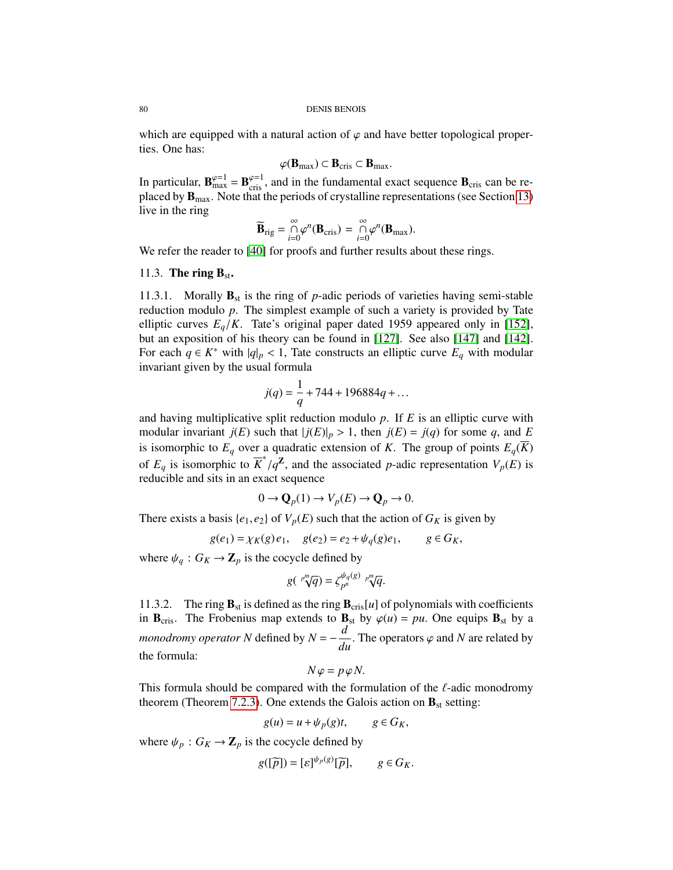which are equipped with a natural action of  $\varphi$  and have better topological properties. One has:

$$
\varphi(\mathbf{B}_{\max}) \subset \mathbf{B}_{\text{cris}} \subset \mathbf{B}_{\max}.
$$

In particular,  $\mathbf{B}_{\text{max}}^{\varphi=1} = \mathbf{B}_{\text{cris}}^{\varphi=1}$ , and in the fundamental exact sequence  $\mathbf{B}_{\text{cris}}$  can be re-<br>placed by **R** Note that the periods of crystalline representations (see Section 13) placed by  $\mathbf{B}_{\text{max}}$ . Note that the periods of crystalline representations (see Section [13\)](#page-86-0) live in the ring

$$
\widetilde{\mathbf{B}}_{\mathrm{rig}} = \bigcap_{i=0}^{\infty} \varphi^n(\mathbf{B}_{\mathrm{cris}}) = \bigcap_{i=0}^{\infty} \varphi^n(\mathbf{B}_{\mathrm{max}}).
$$

We refer the reader to [\[40\]](#page-127-0) for proofs and further results about these rings.

# <span id="page-79-0"></span>11.3. The ring  $B_{st}$ .

11.3.1. Morally  $\mathbf{B}_{st}$  is the ring of *p*-adic periods of varieties having semi-stable reduction modulo *p*. The simplest example of such a variety is provided by Tate elliptic curves  $E_q/K$ . Tate's original paper dated 1959 appeared only in [\[152\]](#page-131-0), but an exposition of his theory can be found in [\[127\]](#page-130-1). See also [\[147\]](#page-131-1) and [\[142\]](#page-130-2). For each  $q \in K^*$  with  $|q|_p < 1$ , Tate constructs an elliptic curve  $E_q$  with modular invariant given by the usual formula invariant given by the usual formula

$$
j(q) = \frac{1}{q} + 744 + 196884q + \dots
$$

and having multiplicative split reduction modulo *p*. If *E* is an elliptic curve with modular invariant  $j(E)$  such that  $|j(E)|_p > 1$ , then  $j(E) = j(q)$  for some q, and E is isomorphic to  $E_q$  over a quadratic extension of *K*. The group of points  $E_q(\overline{K})$ of  $E_q$  is isomorphic to  $\overline{K}^*/q^{\mathbb{Z}}$ , and the associated *p*-adic representation  $V_p(E)$  is reducible and sits in an exact sequence reducible and sits in an exact sequence

$$
0 \to \mathbf{Q}_p(1) \to V_p(E) \to \mathbf{Q}_p \to 0.
$$

There exists a basis  $\{e_1, e_2\}$  of  $V_p(E)$  such that the action of  $G_K$  is given by

$$
g(e_1) = \chi_K(g)e_1, \quad g(e_2) = e_2 + \psi_q(g)e_1, \quad g \in G_K,
$$

where  $\psi_q : G_K \to \mathbb{Z}_p$  is the cocycle defined by

$$
g(\sqrt[p^m]{q}) = \zeta_{p^n}^{\psi_q(g)} \sqrt[p^m]{q}.
$$

11.3.2. The ring  $\mathbf{B}_{st}$  is defined as the ring  $\mathbf{B}_{cris}[u]$  of polynomials with coefficients in  $\mathbf{B}_{\text{cris}}$ . The Frobenius map extends to  $\mathbf{B}_{\text{st}}$  by  $\varphi(u) = pu$ . One equips  $\mathbf{B}_{\text{st}}$  by a *monodromy operator N* defined by  $N = -\frac{d}{dt}$  $\frac{d}{du}$ . The operators  $\varphi$  and *N* are related by the formula:

$$
N\varphi = p\varphi N.
$$

This formula should be compared with the formulation of the  $\ell$ -adic monodromy theorem (Theorem 7.2.3). One extends the Galois action on **B**, setting: theorem (Theorem [7.2.3\)](#page-57-0). One extends the Galois action on  $\mathbf{B}_{st}$  setting:

$$
g(u) = u + \psi_p(g)t, \qquad g \in G_K,
$$

where  $\psi_p$  :  $G_K \to \mathbb{Z}_p$  is the cocycle defined by

$$
g([\widetilde{p}]) = [\varepsilon]^{\psi_p(g)}[\widetilde{p}], \qquad g \in G_K.
$$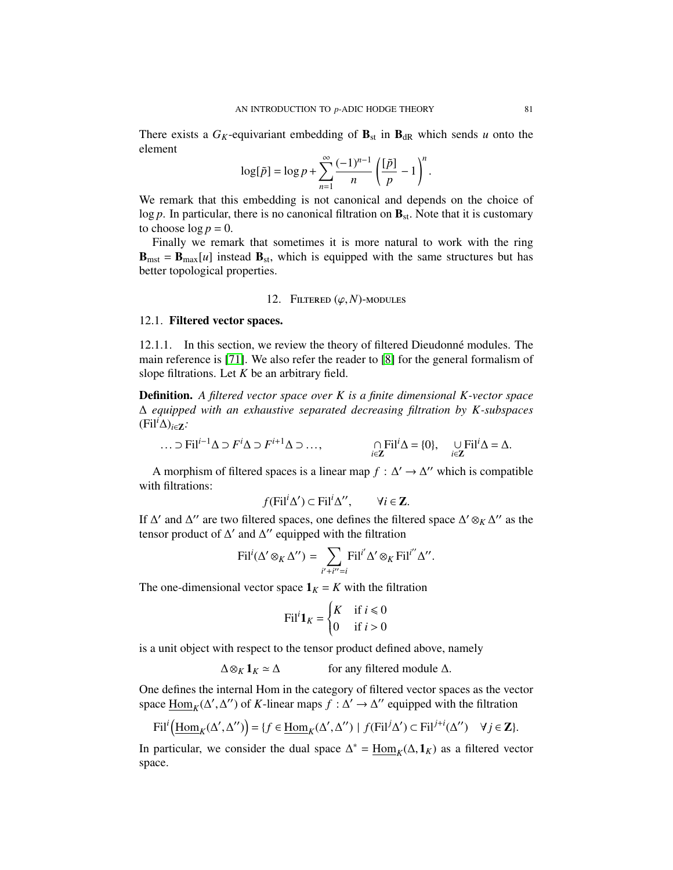There exists a  $G_K$ -equivariant embedding of  $\mathbf{B}_{st}$  in  $\mathbf{B}_{dR}$  which sends *u* onto the element

$$
\log[\tilde{p}] = \log p + \sum_{n=1}^{\infty} \frac{(-1)^{n-1}}{n} \left(\frac{[\tilde{p}]}{p} - 1\right)^n.
$$

We remark that this embedding is not canonical and depends on the choice of log  $p$ . In particular, there is no canonical filtration on  $\mathbf{B}_{st}$ . Note that it is customary to choose  $\log p = 0$ .

Finally we remark that sometimes it is more natural to work with the ring  **instead**  $**B**<sub>st</sub>$ **, which is equipped with the same structures but has** better topological properties.

# 12. FILTERED  $(\varphi, N)$ -MODULES

## 12.1. Filtered vector spaces.

12.1.1. In this section, we review the theory of filtered Dieudonné modules. The main reference is [\[71\]](#page-128-4). We also refer the reader to [\[8\]](#page-125-0) for the general formalism of slope filtrations. Let *K* be an arbitrary field.

Definition. *A filtered vector space over K is a finite dimensional K-vector space* ∆ *equipped with an exhaustive separated decreasing filtration by K-subspaces* (Fil*i*∆)*i*∈Z*:*

$$
\dots \supset \text{Fil}^{i-1} \Delta \supset F^i \Delta \supset F^{i+1} \Delta \supset \dots, \qquad \bigcap_{i \in \mathbf{Z}} \text{Fil}^i \Delta = \{0\}, \quad \bigcup_{i \in \mathbf{Z}} \text{Fil}^i \Delta = \Delta.
$$

A morphism of filtered spaces is a linear map  $f : \Delta' \to \Delta''$  which is compatible with filtrations:

$$
f(\text{Fil}^i \Delta') \subset \text{Fil}^i \Delta'', \qquad \forall i \in \mathbb{Z}.
$$

If  $\Delta'$  and  $\Delta''$  are two filtered spaces, one defines the filtered space  $\Delta' \otimes_K \Delta''$  as the tensor product of  $\Delta'$  and  $\Delta''$  equipped with the filtration

$$
\operatorname{Fil}^i(\Delta' \otimes_K \Delta'') = \sum_{i'+i''=i} \operatorname{Fil}^{i'} \Delta' \otimes_K \operatorname{Fil}^{i''} \Delta''.
$$

The one-dimensional vector space  $\mathbf{1}_K = K$  with the filtration

$$
\text{Fil}^i \mathbf{1}_K = \begin{cases} K & \text{if } i \leq 0 \\ 0 & \text{if } i > 0 \end{cases}
$$

is a unit object with respect to the tensor product defined above, namely

 $\Delta \otimes_K 1_K \simeq \Delta$  for any filtered module  $\Delta$ .

One defines the internal Hom in the category of filtered vector spaces as the vector space  $\underline{Hom}_K(\Delta', \Delta'')$  of *K*-linear maps  $f : \Delta' \to \Delta''$  equipped with the filtration

$$
\text{Fil}^i\Big(\underline{\text{Hom}}_K(\Delta', \Delta'')\Big) = \{f \in \underline{\text{Hom}}_K(\Delta', \Delta'') \mid f(\text{Fil}^j \Delta') \subset \text{Fil}^{j+i}(\Delta'') \quad \forall j \in \mathbb{Z}\}.
$$

In particular, we consider the dual space  $\Delta^* = \underline{\text{Hom}}_K(\Delta, \mathbf{1}_K)$  as a filtered vector space space.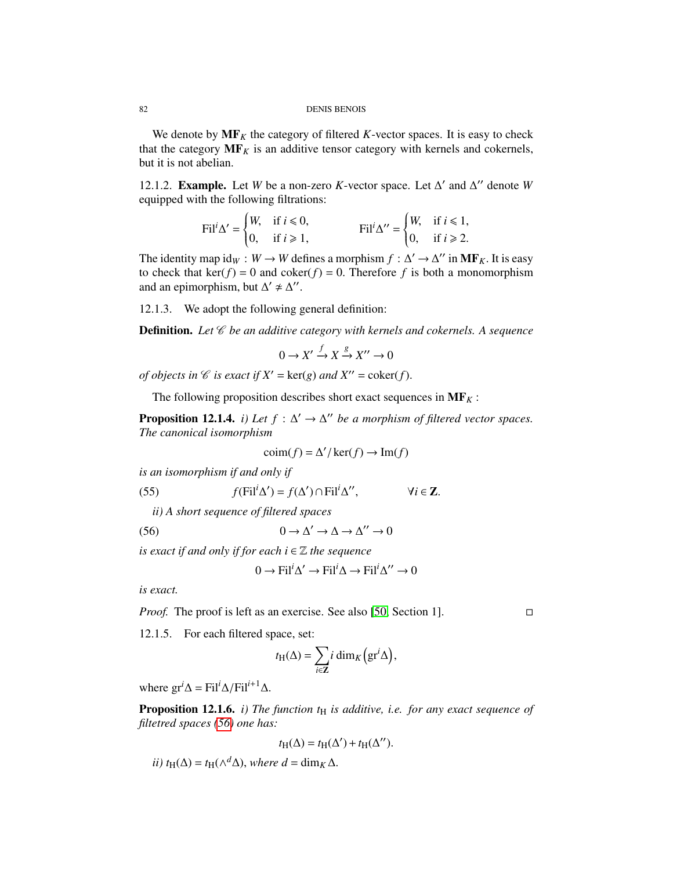We denote by  $MF<sub>K</sub>$  the category of filtered *K*-vector spaces. It is easy to check that the category  $MF<sub>K</sub>$  is an additive tensor category with kernels and cokernels, but it is not abelian.

12.1.2. **Example.** Let *W* be a non-zero *K*-vector space. Let  $\Delta'$  and  $\Delta''$  denote *W* equipped with the following filtrations:

$$
\text{Fil}^i \Delta' = \begin{cases} W, & \text{if } i \leq 0, \\ 0, & \text{if } i \geq 1, \end{cases} \qquad \qquad \text{Fil}^i \Delta'' = \begin{cases} W, & \text{if } i \leq 1, \\ 0, & \text{if } i \geq 2. \end{cases}
$$

The identity map  $id_W : W \to W$  defines a morphism  $f : \Delta' \to \Delta''$  in  $MF_K$ . It is easy to check that ker( $f$ ) = 0 and coker( $f$ ) = 0. Therefore  $f$  is both a monomorphism to check that  $\ker(f) = 0$  and  $\operatorname{coker}(f) = 0$ . Therefore f is both a monomorphism and an epimorphism, but  $\Delta' \neq \Delta''$ 

12.1.3. We adopt the following general definition:

**Definition.** Let  $\mathscr C$  be an additive category with kernels and cokernels. A sequence

$$
0 \to X' \xrightarrow{f} X \xrightarrow{g} X'' \to 0
$$

*of objects in*  $\mathcal C$  *is exact if*  $X' = \text{ker}(g)$  *and*  $X'' = \text{coker}(f)$ .

The following proposition describes short exact sequences in  $\mathbf{MF}_K$ :

**Proposition 12.1.4.** *i)* Let  $f : \Delta' \to \Delta''$  be a morphism of filtered vector spaces. *The canonical isomorphism*

<span id="page-81-1"></span>
$$
\operatorname{coim}(f) = \Delta'/\ker(f) \to \operatorname{Im}(f)
$$

*is an isomorphism if and only if*

(55) 
$$
f(\text{Fil}^i \Delta') = f(\Delta') \cap \text{Fil}^i \Delta'', \qquad \forall i \in \mathbb{Z}.
$$

*ii) A short sequence of filtered spaces*

(56)  $0 \to \Delta' \to \Delta \to \Delta'' \to 0$ 

*is exact if and only if for each*  $i \in \mathbb{Z}$  *the sequence* 

<span id="page-81-0"></span>
$$
0 \to \text{Fil}^i \Delta' \to \text{Fil}^i \Delta \to \text{Fil}^i \Delta'' \to 0
$$

*is exact.*

*Proof.* The proof is left as an exercise. See also [\[50,](#page-127-1) Section 1]. □

12.1.5. For each filtered space, set:

$$
t_{\mathrm{H}}(\Delta) = \sum_{i \in \mathbb{Z}} i \dim_K \left( \mathrm{gr}^i \Delta \right),
$$

where  $gr^i\Delta = Fil^i\Delta/Fil^{i+1}\Delta$ .

**Proposition 12.1.6.** *i) The function*  $t_H$  *is additive, i.e. for any exact sequence of filtetred spaces [\(56\)](#page-81-0) one has:*

$$
t_{\mathrm{H}}(\Delta) = t_{\mathrm{H}}(\Delta') + t_{\mathrm{H}}(\Delta'').
$$

*ii)*  $t_H(\Delta) = t_H(\wedge^d \Delta)$ , *where d* = dim<sub>*K*</sub> ∆.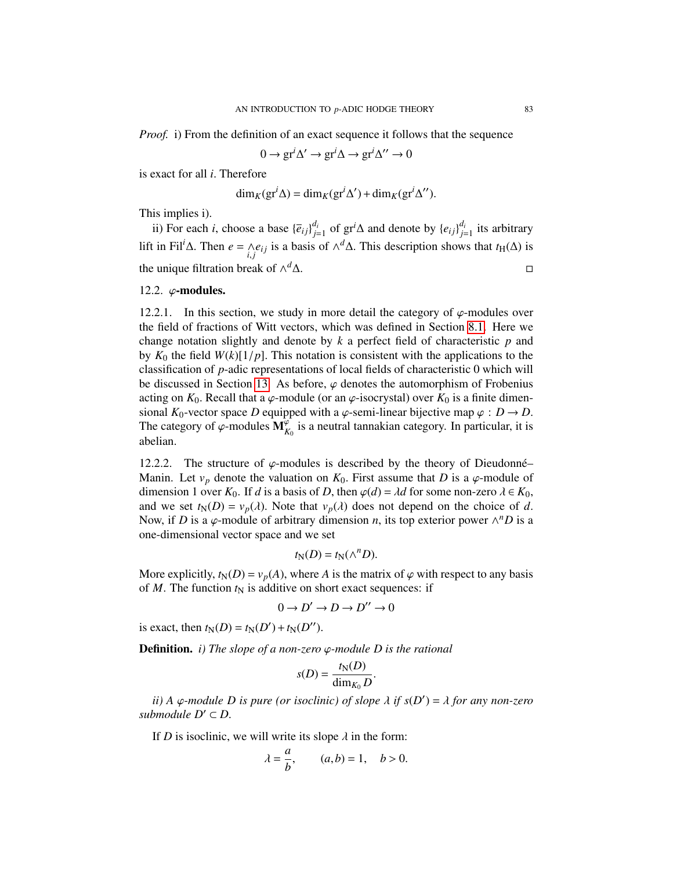*Proof.* i) From the definition of an exact sequence it follows that the sequence

0 →  $\text{gr}^i \Delta' \rightarrow \text{gr}^i \Delta \rightarrow \text{gr}^i \Delta'' \rightarrow 0$ 

is exact for all *<sup>i</sup>*. Therefore

$$
\dim_K(\mathrm{gr}^i \Delta) = \dim_K(\mathrm{gr}^i \Delta') + \dim_K(\mathrm{gr}^i \Delta'').
$$

This implies i).

ii) For each *i*, choose a base  ${\overline{e}_{ij}}_{i}^{d_i}$  $j$ <sup>d<sub>*i*</sub></sup> =1 of gr<sup>*i*</sup>∆ and denote by {*e*<sub>*i*j</sub>} $\frac{d_i}{j}$  $j=1$  its arbitrary lift in Fil<sup>*i*</sup>∆. Then *e* =  $\wedge$ <br>*i*,*j*  $e_{ij}$  is a basis of  $\wedge^d \Delta$ . This description shows that *t*<sub>H</sub>( $\Delta$ ) is the unique filtration break of  $\wedge^d \Delta$ . *<sup>d</sup>*∆.

## 12.2.  $\varphi$ -modules.

12.2.1. In this section, we study in more detail the category of  $\varphi$ -modules over the field of fractions of Witt vectors, which was defined in Section [8.1.](#page-58-0) Here we change notation slightly and denote by *k* a perfect field of characteristic *p* and by  $K_0$  the field  $W(k)[1/p]$ . This notation is consistent with the applications to the classification of *p*-adic representations of local fields of characteristic 0 which will be discussed in Section [13.](#page-86-0) As before,  $\varphi$  denotes the automorphism of Frobenius acting on  $K_0$ . Recall that a  $\varphi$ -module (or an  $\varphi$ -isocrystal) over  $K_0$  is a finite dimensional  $K_0$ -vector space *D* equipped with a  $\varphi$ -semi-linear bijective map  $\varphi : D \to D$ . The category of  $\varphi$ -modules  $\mathbf{M}_{K_0}^{\varphi}$  is a neutral tannakian category. In particular, it is abelian abelian.

12.2.2. The structure of  $\varphi$ -modules is described by the theory of Dieudonné– Manin. Let  $v_p$  denote the valuation on  $K_0$ . First assume that *D* is a  $\varphi$ -module of dimension 1 over  $K_0$ . If *d* is a basis of *D*, then  $\varphi(d) = \lambda d$  for some non-zero  $\lambda \in K_0$ , and we set  $t_N(D) = v_p(\lambda)$ . Note that  $v_p(\lambda)$  does not depend on the choice of d. Now, if *D* is a  $\varphi$ -module of arbitrary dimension *n*, its top exterior power  $\wedge^n D$  is a one-dimensional vector space and we set one-dimensional vector space and we set

$$
t_N(D) = t_N(\wedge^n D).
$$

More explicitly,  $t_N(D) = v_p(A)$ , where *A* is the matrix of  $\varphi$  with respect to any basis of *M*. The function  $t_N$  is additive on short exact sequences: if

$$
0 \to D' \to D \to D'' \to 0
$$

is exact, then  $t_N(D) = t_N(D') + t_N(D'')$ .

Definition. *i) The slope of a non-zero* ϕ*-module D is the rational*

$$
s(D) = \frac{t_{\rm N}(D)}{\dim_{K_0} D}.
$$

*ii*) *A*  $\varphi$ -module *D* is pure (or isoclinic) of slope  $\lambda$  if  $s(D') = \lambda$  for any non-zero hypodule  $D' \subset D$ *submodule*  $D' \subset D$ *.* 

If *D* is isoclinic, we will write its slope  $\lambda$  in the form:

$$
\lambda = \frac{a}{b}, \qquad (a, b) = 1, \quad b > 0.
$$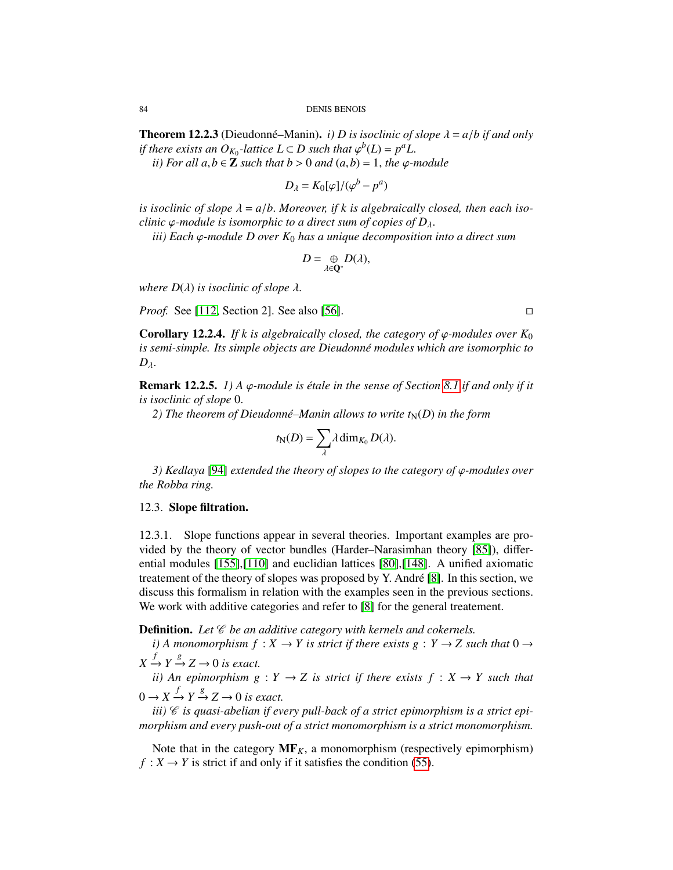**Theorem 12.2.3** (Dieudonné–Manin). *i) D is isoclinic of slope*  $\lambda = a/b$  *if and only if there exists an O<sub><i>K*0</sub></sub>-lattice L ⊂ *D* such that  $\varphi^b(L) = p^a L$ .<br> *ii*) For all a  $b \in \mathbb{Z}$  such that  $b > 0$  and  $(a, b) = 1$ , the co-

*ii*) For all  $a, b \in \mathbb{Z}$  such that  $b > 0$  and  $(a, b) = 1$ , the  $\varphi$ -module

$$
D_{\lambda} = K_0[\varphi]/(\varphi^b - p^a)
$$

*is isoclinic of slope*  $\lambda = a/b$ . Moreover, if k is algebraically closed, then each iso*clinic*  $\varphi$ *-module is isomorphic to a direct sum of copies of D*<sub> $\lambda$ </sub>.

*iii) Each* <sup>ϕ</sup>*-module D over K*<sup>0</sup> *has a unique decomposition into a direct sum*

$$
D=\underset{\lambda\in\mathbf{Q}^*}{\oplus}D(\lambda),
$$

*where*  $D(\lambda)$  *is isoclinic of slope*  $\lambda$ *.* 

*Proof.* See [\[112,](#page-129-0) Section 2]. See also [\[56\]](#page-127-2). □

**Corollary 12.2.4.** *If k is algebraically closed, the category of*  $\varphi$ *-modules over*  $K_0$ *is semi-simple. Its simple objects are Dieudonn´e modules which are isomorphic to D*λ.

**Remark 12.2.5.** *1)* A  $\varphi$ -module is étale in the sense of Section [8.1](#page-58-0) if and only if it *is isoclinic of slope* <sup>0</sup>.

2) The theorem of Dieudonné–Manin allows to write  $t_N(D)$  in the form

$$
t_{\mathbb{N}}(D) = \sum_{\lambda} \lambda \dim_{K_0} D(\lambda).
$$

*3) Kedlaya* [\[94\]](#page-129-1) *extended the theory of slopes to the category of* ϕ*-modules over the Robba ring.*

# 12.3. Slope filtration.

12.3.1. Slope functions appear in several theories. Important examples are provided by the theory of vector bundles (Harder–Narasimhan theory [\[85\]](#page-128-5)), differential modules [\[155\]](#page-131-2),[\[110\]](#page-129-2) and euclidian lattices [\[80\]](#page-128-6),[\[148\]](#page-131-3). A unified axiomatic treatement of the theory of slopes was proposed by Y. Andre [\[8\]](#page-125-0). In this section, we ´ discuss this formalism in relation with the examples seen in the previous sections. We work with additive categories and refer to [\[8\]](#page-125-0) for the general treatement.

**Definition.** Let  $\mathscr C$  be an additive category with kernels and cokernels.

*i*) A monomorphism  $f : X \to Y$  is strict if there exists  $g : Y \to Z$  such that  $0 \to Y$  $X \xrightarrow{f} Y \xrightarrow{g} Z \rightarrow 0$  *is exact.* 

*ii*) An epimorphism  $g: Y \to Z$  is strict if there exists  $f: X \to Y$  such that  $0 \to X \xrightarrow{f} Y \xrightarrow{g} Z \to 0$  *is exact.* 

iii)  $\mathscr C$  is quasi-abelian if every pull-back of a strict epimorphism is a strict epi*morphism and every push-out of a strict monomorphism is a strict monomorphism.*

Note that in the category  $MF<sub>K</sub>$ , a monomorphism (respectively epimorphism)  $f: X \to Y$  is strict if and only if it satisfies the condition [\(55\)](#page-81-1).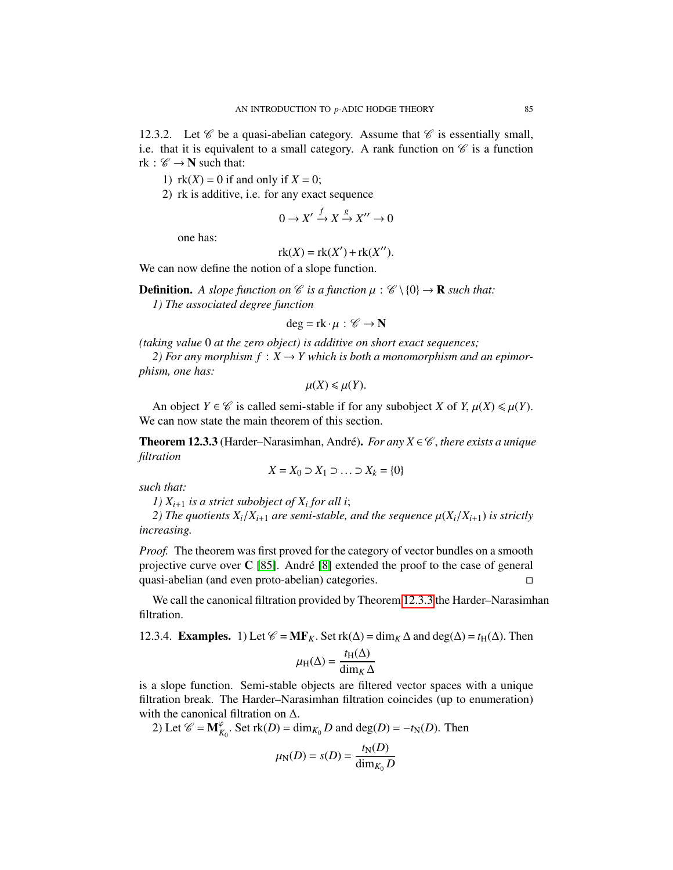12.3.2. Let  $\mathscr C$  be a quasi-abelian category. Assume that  $\mathscr C$  is essentially small, i.e. that it is equivalent to a small category. A rank function on  $\mathscr C$  is a function rk :  $\mathscr{C} \rightarrow \mathbb{N}$  such that:

1)  $rk(X) = 0$  if and only if  $X = 0$ ;

2) rk is additive, i.e. for any exact sequence

$$
0\to X'\xrightarrow{f} X\xrightarrow{g} X''\to 0
$$

one has:

$$
rk(X) = rk(X') + rk(X'').
$$

We can now define the notion of a slope function.

**Definition.** A slope function on  $\mathcal C$  is a function  $\mu : \mathcal C \setminus \{0\} \to \mathbf{R}$  such that: *1) The associated degree function*

$$
\deg = \mathrm{rk} \cdot \mu : \mathscr{C} \to \mathbf{N}
$$

*(taking value* 0 *at the zero object) is additive on short exact sequences;*

2) For any morphism  $f: X \to Y$  which is both a monomorphism and an epimor*phism, one has:*

$$
\mu(X) \leq \mu(Y).
$$

An object  $Y \in \mathcal{C}$  is called semi-stable if for any subobject *X* of *Y*,  $\mu(X) \le \mu(Y)$ . We can now state the main theorem of this section.

<span id="page-84-0"></span>**Theorem 12.3.3** (Harder–Narasimhan, André). *For any X*  $\in \mathcal{C}$ , *there exists a unique filtration*

$$
X = X_0 \supset X_1 \supset \ldots \supset X_k = \{0\}
$$

*such that:*

*1) Xi*+<sup>1</sup> *is a strict subobject of X<sup>i</sup> for all i*;

2) The quotients  $X_i/X_{i+1}$  are semi-stable, and the sequence  $\mu(X_i/X_{i+1})$  is strictly *increasing.*

*Proof.* The theorem was first proved for the category of vector bundles on a smooth projective curve over  $C$  [\[85\]](#page-128-5). André [\[8\]](#page-125-0) extended the proof to the case of general quasi-abelian (and even proto-abelian) categories.

We call the canonical filtration provided by Theorem [12.3.3](#page-84-0) the Harder–Narasimhan filtration.

12.3.4. **Examples.** 1) Let  $\mathcal{C} = \mathbf{MF}_K$ . Set rk( $\Delta$ ) = dim<sub>K</sub>  $\Delta$  and deg( $\Delta$ ) =  $t_H(\Delta)$ . Then

$$
\mu_{\rm H}(\Delta) = \frac{t_{\rm H}(\Delta)}{\dim_K \Delta}
$$

is a slope function. Semi-stable objects are filtered vector spaces with a unique filtration break. The Harder–Narasimhan filtration coincides (up to enumeration) with the canonical filtration on ∆.

2) Let  $\mathcal{C} = \mathbf{M}_{K_0}^{\varphi}$ . Set  $\text{rk}(D) = \dim_{K_0} D$  and  $\text{deg}(D) = -t_N(D)$ . Then

$$
\mu_N(D) = s(D) = \frac{t_N(D)}{\dim_{K_0} D}
$$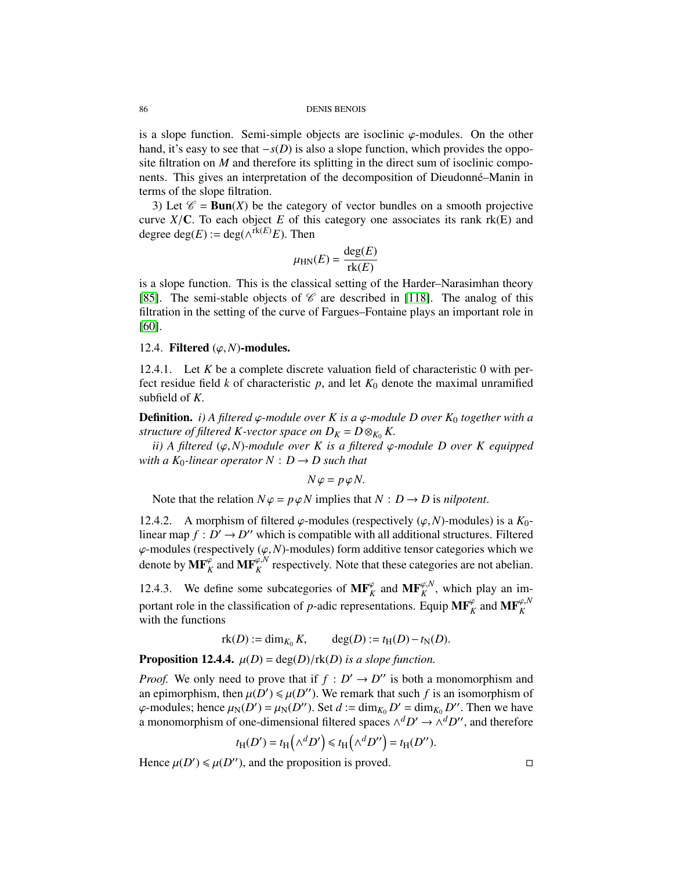is a slope function. Semi-simple objects are isoclinic  $\varphi$ -modules. On the other hand, it's easy to see that −*s*(*D*) is also a slope function, which provides the opposite filtration on *M* and therefore its splitting in the direct sum of isoclinic components. This gives an interpretation of the decomposition of Dieudonné–Manin in terms of the slope filtration.

3) Let  $\mathcal{C} = \text{Bun}(X)$  be the category of vector bundles on a smooth projective curve  $X/C$ . To each object E of this category one associates its rank rk(E) and degree deg( $E$ ) := deg( $\wedge^{rk(E)}E$ ). Then

$$
\mu_{\rm HN}(E) = \frac{\deg(E)}{\text{rk}(E)}
$$

is a slope function. This is the classical setting of the Harder–Narasimhan theory [\[85\]](#page-128-5). The semi-stable objects of  $\mathscr C$  are described in [\[118\]](#page-130-3). The analog of this filtration in the setting of the curve of Fargues–Fontaine plays an important role in [\[60\]](#page-127-3).

## 12.4. Filtered  $(\varphi, N)$ -modules.

12.4.1. Let *K* be a complete discrete valuation field of characteristic 0 with perfect residue field  $k$  of characteristic  $p$ , and let  $K_0$  denote the maximal unramified subfield of *<sup>K</sup>*.

**Definition.** *i*) A filtered  $\varphi$ -module over K is a  $\varphi$ -module D over K<sub>0</sub> together with a *structure of filtered K-vector space on*  $D_K = D \otimes_{K_0} K$ .

*ii) A filtered* (ϕ,*N*)*-module over K is a filtered* ϕ*-module D over K equipped with a K*<sup>0</sup>-linear operator  $N : D \rightarrow D$  such that

$$
N\varphi = p\varphi N.
$$

Note that the relation  $N\varphi = p\varphi N$  implies that  $N : D \to D$  is *nilpotent*.

12.4.2. A morphism of filtered  $\varphi$ -modules (respectively  $(\varphi, N)$ -modules) is a  $K_0$ linear map  $f : D' \to D''$  which is compatible with all additional structures. Filtered  $\varphi$ -modules (respectively  $(\varphi, N)$ -modules) form additive tensor categories which we denote by  $\mathbf{MF}_K^{\varphi}$  and  $\mathbf{MF}_K^{\varphi,N}$  respectively. Note that these categories are not abelian.

12.4.3. We define some subcategories of  $\mathbf{MF}_K^{\varphi}$  and  $\mathbf{MF}_K^{\varphi,N}$ , which play an important role in the classification of *p*-adic representations. Equip  $\mathbf{MF}_K^{\varphi}$  and  $\mathbf{MF}_K^{\varphi,N}$ with the functions

$$
rk(D) := dim_{K_0} K
$$
,  $deg(D) := t_H(D) - t_N(D)$ .

**Proposition 12.4.4.**  $\mu(D) = \deg(D)/\text{rk}(D)$  *is a slope function.* 

*Proof.* We only need to prove that if  $f : D' \to D''$  is both a monomorphism and an epimorphism, then  $\mu(D') \le \mu(D'')$ . We remark that such *f* is an isomorphism of  $\mu_D$  modules: hence  $\mu_D(D') = \mu_D(D'')$ . Set  $d := \dim_K D' = \dim_K D''$ . Then we have  $\varphi$ -modules; hence  $\mu_N(D') = \mu_N(D'')$ . Set  $d := \dim_{K_0} D' = \dim_{K_0} D''$ . Then we have a monomorphism of one-dimensional filtered spaces  $\wedge^d D' \to \wedge^d D''$ , and therefore

$$
t_{\mathrm{H}}(D') = t_{\mathrm{H}}(\wedge^{d} D') \leq t_{\mathrm{H}}(\wedge^{d} D'') = t_{\mathrm{H}}(D'').
$$

Hence  $\mu(D') \le \mu(D'')$ , and the proposition is proved.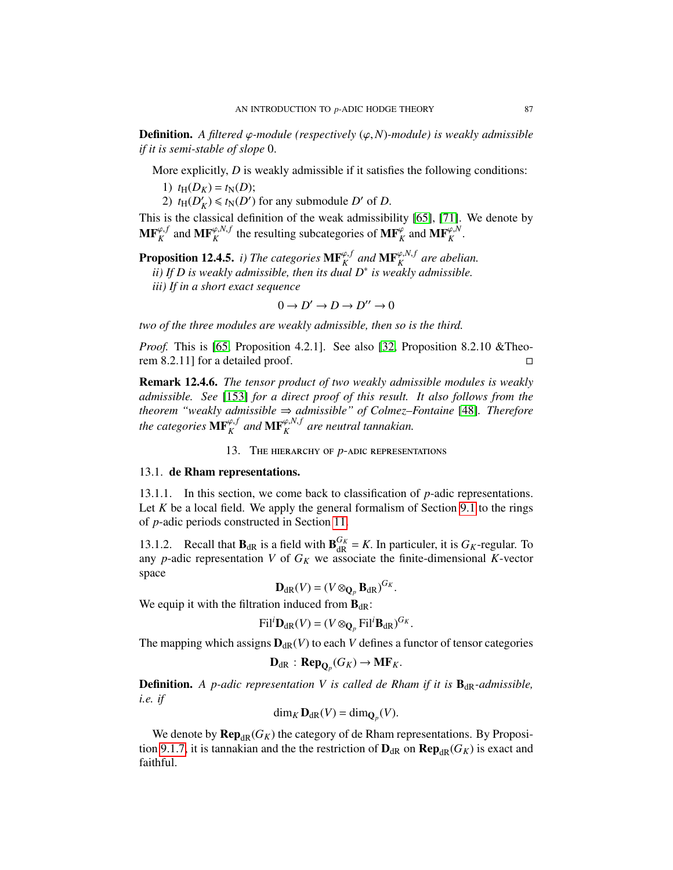**Definition.** A filtered  $\varphi$ -module (respectively  $(\varphi, N)$ -module) is weakly admissible *if it is semi-stable of slope* <sup>0</sup>.

More explicitly, *D* is weakly admissible if it satisfies the following conditions:

- 1)  $t_{\text{H}}(D_K) = t_{\text{N}}(D);$
- 2)  $t_{\rm H}(D)$  $K/K$   $\leq t_N(D')$  for any submodule *D'* of *D*.

This is the classical definition of the weak admissibility [\[65\]](#page-127-4), [\[71\]](#page-128-4). We denote by  $\mathbf{MF}_K^{\varphi,f}$  and  $\mathbf{MF}_K^{\varphi,N,f}$  the resulting subcategories of  $\mathbf{MF}_K^{\varphi}$  and  $\mathbf{MF}_K^{\varphi,N}$ .

**Proposition 12.4.5.** *i)* The categories  $\mathbf{MF}_{K}^{\varphi,f}$  and  $\mathbf{MF}_{K}^{\varphi,N,f}$  are abelian. *ii) If D is weakly admissible, then its dual D*<sup>∗</sup> *is weakly admissible.*

*iii) If in a short exact sequence*

$$
0 \to D' \to D \to D'' \to 0
$$

*two of the three modules are weakly admissible, then so is the third.*

*Proof.* This is [\[65,](#page-127-4) Proposition 4.2.1]. See also [\[32,](#page-126-0) Proposition 8.2.10 &Theorem 8.2.11] for a detailed proof.

Remark 12.4.6. *The tensor product of two weakly admissible modules is weakly admissible. See* [\[153\]](#page-131-4) *for a direct proof of this result. It also follows from the theorem "weakly admissible* ⇒ *admissible" of Colmez–Fontaine* [\[48\]](#page-127-5)*. Therefore* the categories  $\mathbf{MF}^{\varphi, f}_K$  and  $\mathbf{MF}^{\varphi, N, f}_K$  are neutral tannakian.

13. The hierarchy of *p*-adic representations

## <span id="page-86-0"></span>13.1. de Rham representations.

13.1.1. In this section, we come back to classification of *p*-adic representations. Let  $K$  be a local field. We apply the general formalism of Section [9.1](#page-66-0) to the rings of *p*-adic periods constructed in Section [11.](#page-75-1)

13.1.2. Recall that  $\mathbf{B}_{dR}$  is a field with  $\mathbf{B}_{dR}^{G_K} = K$ . In particuler, it is  $G_K$ -regular. To any *p*-adic representation *V* of  $G_K$  we associate the finite-dimensional *K*-vector space

$$
\mathbf{D}_{\mathrm{dR}}(V) = (V \otimes_{\mathbf{Q}_p} \mathbf{B}_{\mathrm{dR}})^{G_K}.
$$

We equip it with the filtration induced from  $\mathbf{B}_{dR}$ :

$$
\mathrm{Fil}^i \mathbf{D}_{\mathrm{dR}}(V) = (V \otimes_{\mathbf{Q}_p} \mathrm{Fil}^i \mathbf{B}_{\mathrm{dR}})^{G_K}.
$$

The mapping which assigns  $D_{dR}(V)$  to each *V* defines a functor of tensor categories

$$
\mathbf{D}_{\mathrm{dR}}:\mathbf{Rep}_{\mathbf{Q}_p}(G_K)\to \mathbf{MF}_K.
$$

**Definition.** *A p-adic representation V is called de Rham if it is*  $B_{\text{dR}}$ *-admissible, i.e. if*

$$
\dim_K \mathbf{D}_{\mathrm{dR}}(V) = \dim_{\mathbf{Q}_p}(V).
$$

We denote by  $\mathbf{Rep}_{dR}(G_K)$  the category of de Rham representations. By Proposi-tion [9.1.7,](#page-68-0) it is tannakian and the the restriction of  $\mathbf{D}_{dR}$  on  $\mathbf{Rep}_{dR}(G_K)$  is exact and faithful.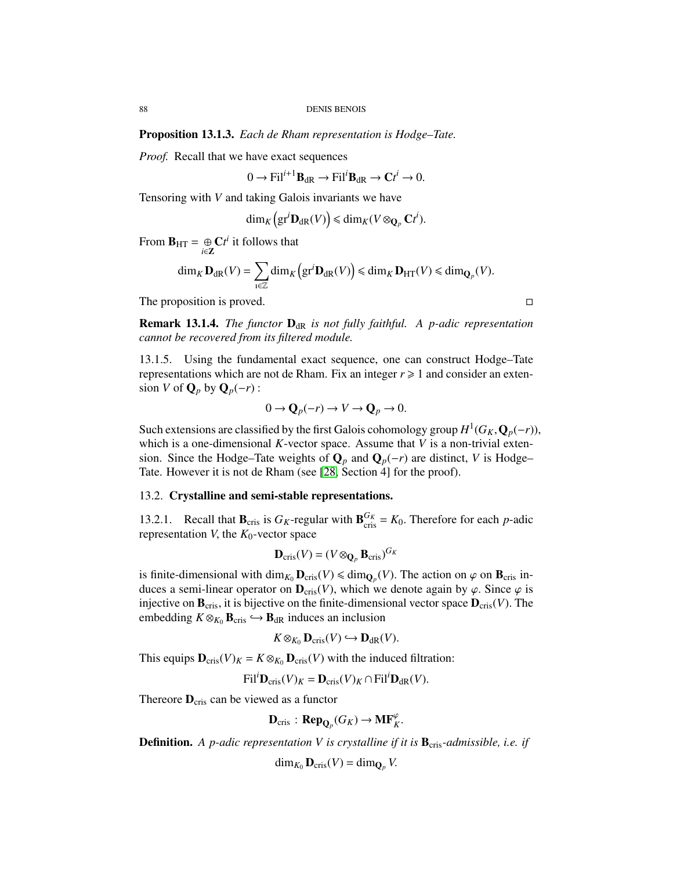Proposition 13.1.3. *Each de Rham representation is Hodge–Tate.*

*Proof.* Recall that we have exact sequences

$$
0 \to \mathrm{Fil}^{i+1} \mathbf{B}_{\mathrm{dR}} \to \mathrm{Fil}^i \mathbf{B}_{\mathrm{dR}} \to \mathbf{C}t^i \to 0.
$$

Tensoring with *V* and taking Galois invariants we have

$$
\dim_K\left(\mathrm{gr}^i\mathbf{D}_{\mathrm{dR}}(V)\right)\leq \dim_K(V\otimes_{\mathbf{Q}_p}\mathbf{C}t^i).
$$

From  $\mathbf{B}_{\text{HT}} = \bigoplus_{i \in \mathbf{Z}} \mathbf{C}t^i$  it follows that

$$
\dim_K \mathbf{D}_{\mathrm{dR}}(V) = \sum_{\mathrm{i} \in \mathbb{Z}} \dim_K \left( \mathrm{gr}^i \mathbf{D}_{\mathrm{dR}}(V) \right) \leq \dim_K \mathbf{D}_{\mathrm{HT}}(V) \leq \dim_{\mathbf{Q}_p}(V).
$$

The proposition is proved.

**Remark 13.1.4.** *The functor*  $D_{dR}$  *is not fully faithful. A p-adic representation cannot be recovered from its filtered module.*

13.1.5. Using the fundamental exact sequence, one can construct Hodge–Tate representations which are not de Rham. Fix an integer  $r \geq 1$  and consider an extension *V* of  $\mathbf{Q}_p$  by  $\mathbf{Q}_p(-r)$  :

$$
0 \to \mathbf{Q}_p(-r) \to V \to \mathbf{Q}_p \to 0.
$$

Such extensions are classified by the first Galois cohomology group  $H^1(G_K, \mathbf{Q}_p(-r))$ ,<br>which is a one-dimensional K-vector space. Assume that V is a non-trivial extenwhich is a one-dimensional *K*-vector space. Assume that *V* is a non-trivial extension. Since the Hodge–Tate weights of  $\mathbf{Q}_p$  and  $\mathbf{Q}_p(-r)$  are distinct, *V* is Hodge– Tate. However it is not de Rham (see [\[28,](#page-126-2) Section 4] for the proof).

# 13.2. Crystalline and semi-stable representations.

13.2.1. Recall that  $\mathbf{B}_{\text{cris}}$  is  $G_K$ -regular with  $\mathbf{B}_{\text{cris}}^{G_K} = K_0$ . Therefore for each *p*-adic representation *V* the *K*<sub>o-</sub>vector space representation *V*, the  $K_0$ -vector space

$$
\mathbf{D}_{\mathrm{cris}}(V) = (V \otimes_{\mathbf{Q}_p} \mathbf{B}_{\mathrm{cris}})^{G_K}
$$

is finite-dimensional with  $\dim_{K_0} \mathbf{D}_{cris}(V) \leq \dim_{\mathbf{Q}_p}(V)$ . The action on  $\varphi$  on  $\mathbf{B}_{cris}$  in-<br>duces a semi-linear operator on  $\mathbf{D}$ . (*V*) which we denote again by  $\varphi$ . Since  $\varphi$  is duces a semi-linear operator on  $\mathbf{D}_{\text{cris}}(V)$ , which we denote again by  $\varphi$ . Since  $\varphi$  is injective on  $\mathbf{B}_{\text{cris}}$ , it is bijective on the finite-dimensional vector space  $\mathbf{D}_{\text{cris}}(V)$ . The embedding  $K \otimes_{K_0} \mathbf{B}_{cris} \hookrightarrow \mathbf{B}_{dR}$  induces an inclusion

$$
K \otimes_{K_0} \mathbf{D}_{\mathrm{cris}}(V) \hookrightarrow \mathbf{D}_{\mathrm{dR}}(V).
$$

This equips  $\mathbf{D}_{\text{cris}}(V)_K = K \otimes_{K_0} \mathbf{D}_{\text{cris}}(V)$  with the induced filtration:

$$
\text{Fil}^i \mathbf{D}_{\text{cris}}(V)_K = \mathbf{D}_{\text{cris}}(V)_K \cap \text{Fil}^i \mathbf{D}_{\text{dR}}(V).
$$

Thereore  $D_{\text{cris}}$  can be viewed as a functor

$$
\mathbf{D}_{\mathrm{cris}}: \mathbf{Rep}_{\mathbf{Q}_p}(G_K) \to \mathbf{MF}_K^{\varphi}.
$$

**Definition.** A p-adic representation V is crystalline if it is  $\mathbf{B}_{\text{cris}}$ -admissible, i.e. if

 $\dim_{K_0} \mathbf{D}_{\mathrm{cris}}(V) = \dim_{\mathbf{Q}_p} V.$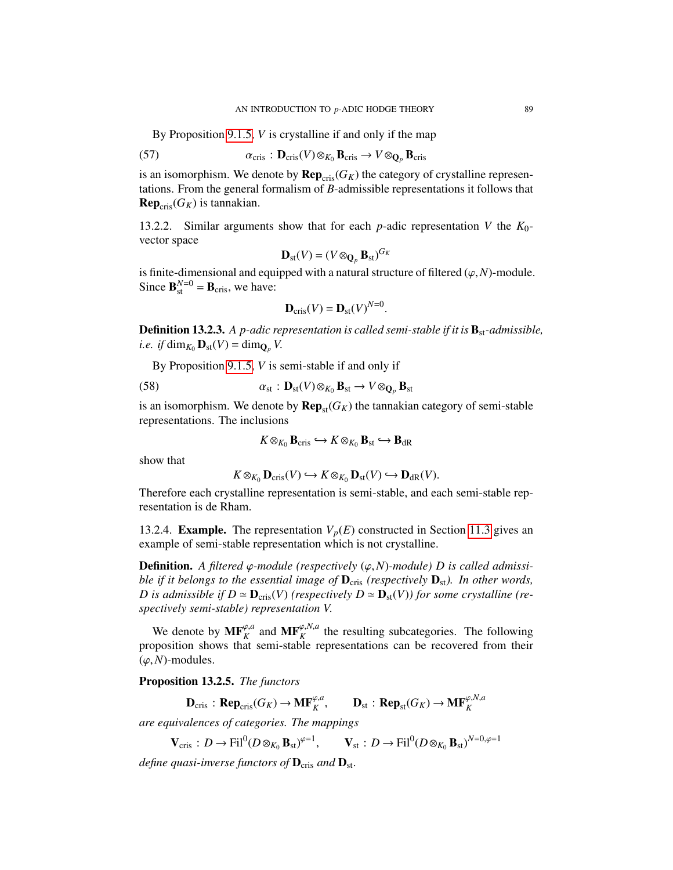By Proposition [9.1.5,](#page-67-0) *V* is crystalline if and only if the map

(57) 
$$
\alpha_{\mathrm{cris}} : \mathbf{D}_{\mathrm{cris}}(V) \otimes_{K_0} \mathbf{B}_{\mathrm{cris}} \to V \otimes_{\mathbf{Q}_p} \mathbf{B}_{\mathrm{cris}}
$$

is an isomorphism. We denote by  $\mathbf{Rep}_{\text{cris}}(G_K)$  the category of crystalline representations. From the general formalism of *B*-admissible representations it follows that  $\mathbf{Rep}_{\text{cris}}(G_K)$  is tannakian.

13.2.2. Similar arguments show that for each *p*-adic representation *V* the *K*0 vector space

$$
\mathbf{D}_{\mathrm{st}}(V) = (V \otimes_{\mathbf{Q}_p} \mathbf{B}_{\mathrm{st}})^{G_K}
$$

is finite-dimensional and equipped with a natural structure of filtered  $(\varphi, N)$ -module. Since  $\mathbf{B}_{\text{st}}^{N=0} = \mathbf{B}_{\text{cris}}$ , we have:

$$
\mathbf{D}_{\mathrm{cris}}(V) = \mathbf{D}_{\mathrm{st}}(V)^{N=0}.
$$

**Definition 13.2.3.** *A p-adic representation is called semi-stable if it is*  $\mathbf{B}_{st}$ -*admissible*, *i.e. if* dim<sub>*K*<sup>0</sup></sub>  $\mathbf{D}_{\text{st}}(V) = \dim_{\mathbf{Q}_p} V$ .

By Proposition [9.1.5,](#page-67-0) *V* is semi-stable if and only if

(58) 
$$
\alpha_{st} : \mathbf{D}_{st}(V) \otimes_{K_0} \mathbf{B}_{st} \to V \otimes_{\mathbf{Q}_p} \mathbf{B}_{st}
$$

is an isomorphism. We denote by  $\mathbf{Rep}_{st}(G_K)$  the tannakian category of semi-stable representations. The inclusions

<span id="page-88-0"></span> $K \otimes_{K_0} \mathbf{B}_{\text{cris}} \hookrightarrow K \otimes_{K_0} \mathbf{B}_{\text{st}} \hookrightarrow \mathbf{B}_{\text{dR}}$ 

show that

$$
K \otimes_{K_0} \mathbf{D}_{\mathrm{cris}}(V) \hookrightarrow K \otimes_{K_0} \mathbf{D}_{\mathrm{st}}(V) \hookrightarrow \mathbf{D}_{\mathrm{dR}}(V).
$$

 $K \otimes_{K_0} \mathbf{D}_{\text{cris}}(V) \hookrightarrow K \otimes_{K_0} \mathbf{D}_{\text{st}}(V) \hookrightarrow \mathbf{D}_{\text{dR}}(V)$ .<br>Therefore each crystalline representation is semi-stable, and each semi-stable representation is de Rham.

13.2.4. **Example.** The representation  $V_p(E)$  constructed in Section [11.3](#page-79-0) gives an example of semi-stable representation which is not crystalline.

**Definition.** A filtered  $\varphi$ -module (respectively  $(\varphi, N)$ -module) D is called admissi*ble if it belongs to the essential image of*  $\mathbf{D}_{cris}$  *(respectively*  $\mathbf{D}_{st}$ *). In other words, D* is admissible if  $D \simeq \mathbf{D}_{\text{cris}}(V)$  (respectively  $D \simeq \mathbf{D}_{\text{st}}(V)$ ) for some crystalline (re*spectively semi-stable) representation V*.

We denote by  $\mathbf{MF}_{K}^{\varphi,a}$  and  $\mathbf{MF}_{K}^{\varphi,N,a}$  the resulting subcategories. The following proposition shows that semi-stable representations can be recovered from their  $(\varphi, N)$ -modules.

Proposition 13.2.5. *The functors*

 $\mathbf{D}_{\text{cris}}$  :  $\mathbf{Rep}_{\text{cris}}(G_K) \to \mathbf{MF}_K^{\varphi,a}, \qquad \mathbf{D}_{\text{st}}$  :  $\mathbf{Rep}_{\text{st}}(G_K) \to \mathbf{MF}_K^{\varphi,N,a}$ 

*are equivalences of categories. The mappings*

 $\mathbf{V}_{\text{cris}}: D \to \text{Fil}^0(D \otimes_{K_0} \mathbf{B}_{\text{st}})^{\varphi=1}, \qquad \mathbf{V}_{\text{st}}: D \to \text{Fil}^0(D \otimes_{K_0} \mathbf{B}_{\text{st}})^{N=0,\varphi=1}$ 

*define quasi-inverse functors of*  $D_{\text{cris}}$  *and*  $D_{\text{st}}$ *.*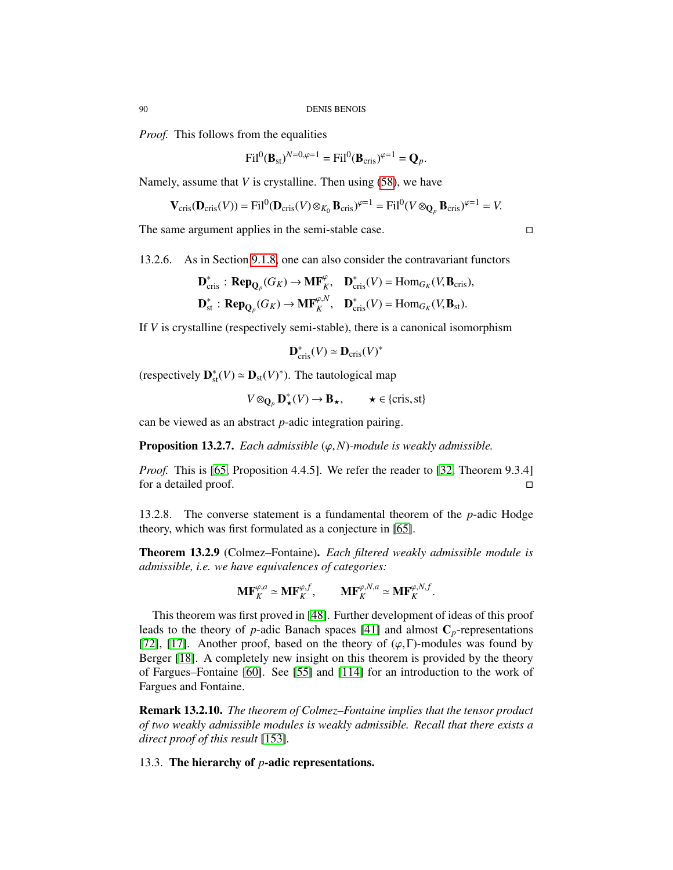*Proof.* This follows from the equalities

$$
\mathrm{Fil}^0(\mathbf{B}_{\mathrm{st}})^{N=0,\varphi=1}=\mathrm{Fil}^0(\mathbf{B}_{\mathrm{cris}})^{\varphi=1}=\mathbf{Q}_p.
$$

Namely, assume that *V* is crystalline. Then using [\(58\)](#page-88-0), we have

$$
\mathbf{V}_{\mathrm{cris}}(\mathbf{D}_{\mathrm{cris}}(V)) = \mathrm{Fil}^0(\mathbf{D}_{\mathrm{cris}}(V) \otimes_{K_0} \mathbf{B}_{\mathrm{cris}})^{\varphi=1} = \mathrm{Fil}^0(V \otimes_{\mathbf{Q}_p} \mathbf{B}_{\mathrm{cris}})^{\varphi=1} = V.
$$

The same argument applies in the semi-stable case.

13.2.6. As in Section [9.1.8,](#page-68-1) one can also consider the contravariant functors

<span id="page-89-0"></span>
$$
\mathbf{D}_{\mathrm{cris}}^* : \mathbf{Rep}_{\mathbf{Q}_p}(G_K) \to \mathbf{MF}_K^{\varphi}, \quad \mathbf{D}_{\mathrm{cris}}^*(V) = \mathrm{Hom}_{G_K}(V, \mathbf{B}_{\mathrm{cris}}),
$$

$$
\mathbf{D}_{\mathrm{st}}^* : \mathbf{Rep}_{\mathbf{Q}_p}(G_K) \to \mathbf{MF}_K^{\varphi, N}, \quad \mathbf{D}_{\mathrm{cris}}^*(V) = \mathrm{Hom}_{G_K}(V, \mathbf{B}_{\mathrm{st}}).
$$

If *V* is crystalline (respectively semi-stable), there is a canonical isomorphism

$$
\mathbf{D}_{\mathrm{cris}}^*(V) \simeq \mathbf{D}_{\mathrm{cris}}(V)^*
$$

(respectively  $\mathbf{D}_{st}^*(V) \simeq \mathbf{D}_{st}(V)^*$ ). The tautological map

$$
V \otimes_{\mathbf{Q}_p} \mathbf{D}_{\star}^*(V) \to \mathbf{B}_{\star}, \qquad \star \in \{\text{cris}, \text{st}\}
$$

can be viewed as an abstract *p*-adic integration pairing.

**Proposition 13.2.7.** *Each admissible*  $(\varphi, N)$ *-module is weakly admissible.* 

*Proof.* This is [\[65,](#page-127-4) Proposition 4.4.5]. We refer the reader to [\[32,](#page-126-0) Theorem 9.3.4] for a detailed proof.

13.2.8. The converse statement is a fundamental theorem of the *p*-adic Hodge theory, which was first formulated as a conjecture in [\[65\]](#page-127-4).

Theorem 13.2.9 (Colmez–Fontaine). *Each filtered weakly admissible module is admissible, i.e. we have equivalences of categories:*

$$
\mathbf{MF}_{K}^{\varphi, a} \simeq \mathbf{MF}_{K}^{\varphi, f}, \qquad \mathbf{MF}_{K}^{\varphi, N, a} \simeq \mathbf{MF}_{K}^{\varphi, N, f}.
$$

This theorem was first proved in [\[48\]](#page-127-5). Further development of ideas of this proof leads to the theory of *p*-adic Banach spaces [\[41\]](#page-127-6) and almost  $C_p$ -representations [\[72\]](#page-128-7), [\[17\]](#page-126-3). Another proof, based on the theory of  $(\varphi, \Gamma)$ -modules was found by Berger [\[18\]](#page-126-4). A completely new insight on this theorem is provided by the theory of Fargues–Fontaine [\[60\]](#page-127-3). See [\[55\]](#page-127-7) and [\[114\]](#page-129-3) for an introduction to the work of Fargues and Fontaine.

Remark 13.2.10. *The theorem of Colmez–Fontaine implies that the tensor product of two weakly admissible modules is weakly admissible. Recall that there exists a direct proof of this result* [\[153\]](#page-131-4)*.*

13.3. The hierarchy of *p*-adic representations.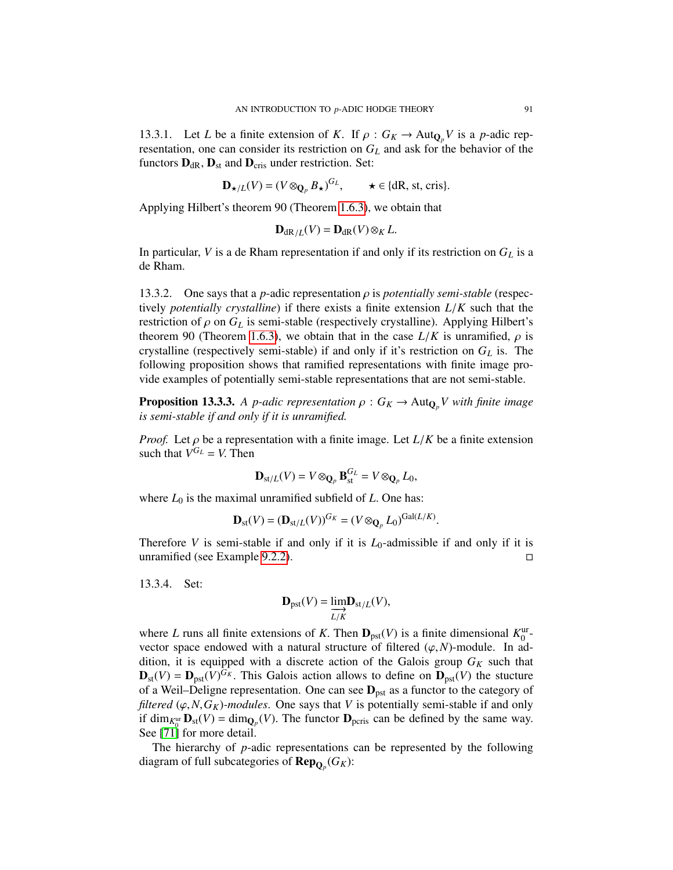13.3.1. Let *L* be a finite extension of *K*. If  $\rho$  :  $G_K \to \text{Aut}_{\mathbb{Q}_p} V$  is a *p*-adic representation, one can consider its restriction on *G<sup>L</sup>* and ask for the behavior of the functors  $D_{dR}$ ,  $D_{st}$  and  $D_{cris}$  under restriction. Set:

$$
\mathbf{D}_{\star/L}(V) = (V \otimes_{\mathbf{Q}_p} B_{\star})^{G_L}, \qquad \star \in \{dR, st, cris\}.
$$

Applying Hilbert's theorem 90 (Theorem [1.6.3\)](#page-19-0), we obtain that

$$
\mathbf{D}_{\mathrm{dR}/L}(V) = \mathbf{D}_{\mathrm{dR}}(V) \otimes_K L.
$$

In particular, *V* is a de Rham representation if and only if its restriction on *G<sup>L</sup>* is a de Rham.

13.3.2. One says that a *p*-adic representation  $\rho$  is *potentially semi-stable* (respectively *potentially crystalline*) if there exists a finite extension *<sup>L</sup>*/*<sup>K</sup>* such that the restriction of  $\rho$  on  $G_L$  is semi-stable (respectively crystalline). Applying Hilbert's theorem 90 (Theorem [1.6.3\)](#page-19-0), we obtain that in the case  $L/K$  is unramified,  $\rho$  is crystalline (respectively semi-stable) if and only if it's restriction on  $G_L$  is. The following proposition shows that ramified representations with finite image provide examples of potentially semi-stable representations that are not semi-stable.

**Proposition 13.3.3.** *A p-adic representation*  $\rho$  :  $G_K \to \text{Aut}_{\mathbf{Q}_p} V$  with finite image *is semi-stable if and only if it is unramified.*

*Proof.* Let  $\rho$  be a representation with a finite image. Let  $L/K$  be a finite extension such that  $V^{G_L} = V$ . Then

$$
\mathbf{D}_{\mathrm{st}/L}(V) = V \otimes_{\mathbf{Q}_p} \mathbf{B}_{\mathrm{st}}^{G_L} = V \otimes_{\mathbf{Q}_p} L_0,
$$

where  $L_0$  is the maximal unramified subfield of  $L$ . One has:

$$
\mathbf{D}_{\mathrm{st}}(V) = (\mathbf{D}_{\mathrm{st}/L}(V))^{G_K} = (V \otimes_{\mathbf{Q}_p} L_0)^{\mathrm{Gal}(L/K)}.
$$

Therefore *V* is semi-stable if and only if it is  $L_0$ -admissible if and only if it is unramified (see Example [9.2.2\)](#page-69-1).  $\square$ 

13.3.4. Set:

$$
\mathbf{D}_{\mathrm{pst}}(V) = \underline{\lim_{L/K}} \mathbf{D}_{\mathrm{st}/L}(V),
$$

where *L* runs all finite extensions of *K*. Then  $D_{\text{pst}}(V)$  is a finite dimensional  $K_0^{\text{ur}}$ -<br>vector space endowed with a natural structure of filtered (*a N*)-module. In advector space endowed with a natural structure of filtered  $(\varphi, N)$ -module. In addition, it is equipped with a discrete action of the Galois group  $G_K$  such that  $\mathbf{D}_{\text{st}}(V) = \mathbf{D}_{\text{pst}}(V)^{G_K}$ . This Galois action allows to define on  $\mathbf{D}_{\text{pst}}(V)$  the stucture of a Weil–Deligne representation. One can see  $\mathbf{D}_{\text{t}}$  as a functor to the category of of a Weil–Deligne representation. One can see  $D_{\text{pst}}$  as a functor to the category of *filtered* ( $\varphi$ , *N*,  $G_K$ )*-modules*. One says that *V* is potentially semi-stable if and only if  $\dim_{K_0^{\text{ur}}} \mathbf{D}_{\text{st}}(V) = \dim_{\mathbf{Q}_p}(V)$ . The functor  $\mathbf{D}_{\text{peris}}$  can be defined by the same way.<br>See [71] for more detail See [\[71\]](#page-128-4) for more detail.

The hierarchy of *p*-adic representations can be represented by the following diagram of full subcategories of RepQ*<sup>p</sup>* (*GK*):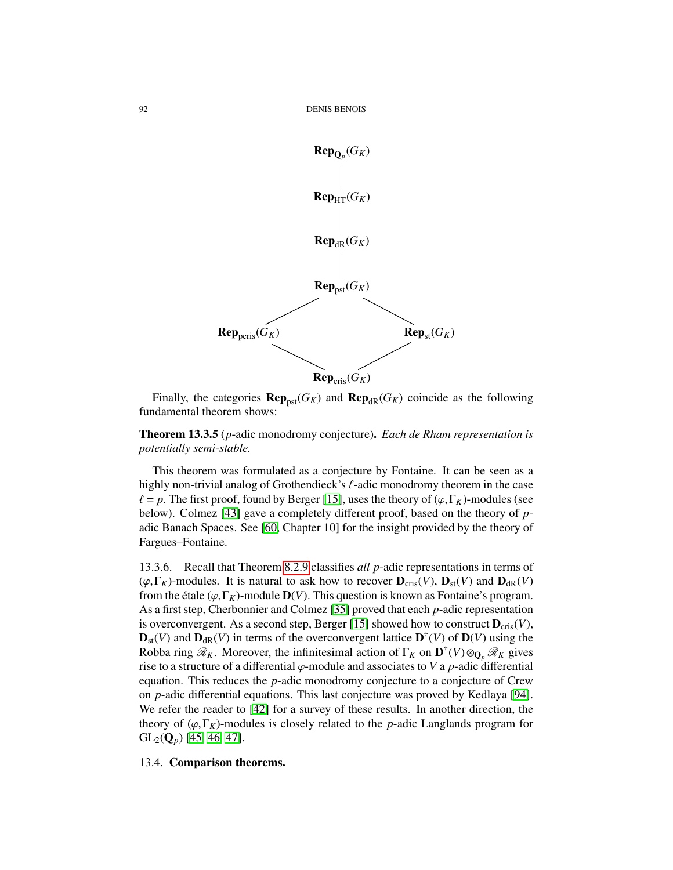

Finally, the categories  $\mathbf{Rep}_{\text{pst}}(G_K)$  and  $\mathbf{Rep}_{\text{dR}}(G_K)$  coincide as the following fundamental theorem shows:

Theorem 13.3.5 (*p*-adic monodromy conjecture). *Each de Rham representation is potentially semi-stable.*

This theorem was formulated as a conjecture by Fontaine. It can be seen as a highly non-trivial analog of Grothendieck's  $\ell$ -adic monodromy theorem in the case  $\ell = p$ . The first proof, found by Berger [\[15\]](#page-126-5), uses the theory of ( $\varphi$ , Γ<sub>K</sub>)-modules (see below). Colmez [\[43\]](#page-127-8) gave a completely different proof, based on the theory of *p*adic Banach Spaces. See [\[60,](#page-127-3) Chapter 10] for the insight provided by the theory of Fargues–Fontaine.

13.3.6. Recall that Theorem [8.2.9](#page-66-1) classifies *all p*-adic representations in terms of  $(\varphi, \Gamma_K)$ -modules. It is natural to ask how to recover  $D_{\text{cris}}(V)$ ,  $D_{\text{st}}(V)$  and  $D_{\text{dR}}(V)$ from the étale ( $\varphi$ , $\Gamma_K$ )-module **D**(*V*). This question is known as Fontaine's program. As a first step, Cherbonnier and Colmez [\[35\]](#page-126-6) proved that each *p*-adic representation is overconvergent. As a second step, Berger [\[15\]](#page-126-5) showed how to construct  $D_{\text{cris}}(V)$ ,  $\mathbf{D}_{st}(V)$  and  $\mathbf{D}_{dR}(V)$  in terms of the overconvergent lattice  $\mathbf{D}^{\dagger}(V)$  of  $\mathbf{D}(V)$  using the Robba ring  $\mathscr{R}_K$ . Moreover, the infinitesimal action of  $\Gamma_K$  on  $\mathbf{D}^\dagger(V) \otimes_{\mathbf{Q}_p} \mathscr{R}_K$  gives rise to a structure of a differential  $\varphi$ -module and associates to *V* a *p*-adic differential equation. This reduces the *p*-adic monodromy conjecture to a conjecture of Crew on *p*-adic differential equations. This last conjecture was proved by Kedlaya [\[94\]](#page-129-1). We refer the reader to [\[42\]](#page-127-9) for a survey of these results. In another direction, the theory of  $(\varphi, \Gamma_K)$ -modules is closely related to the *p*-adic Langlands program for  $GL_2(Q_p)$  [\[45,](#page-127-10) [46,](#page-127-11) [47\]](#page-127-12).

## 13.4. Comparison theorems.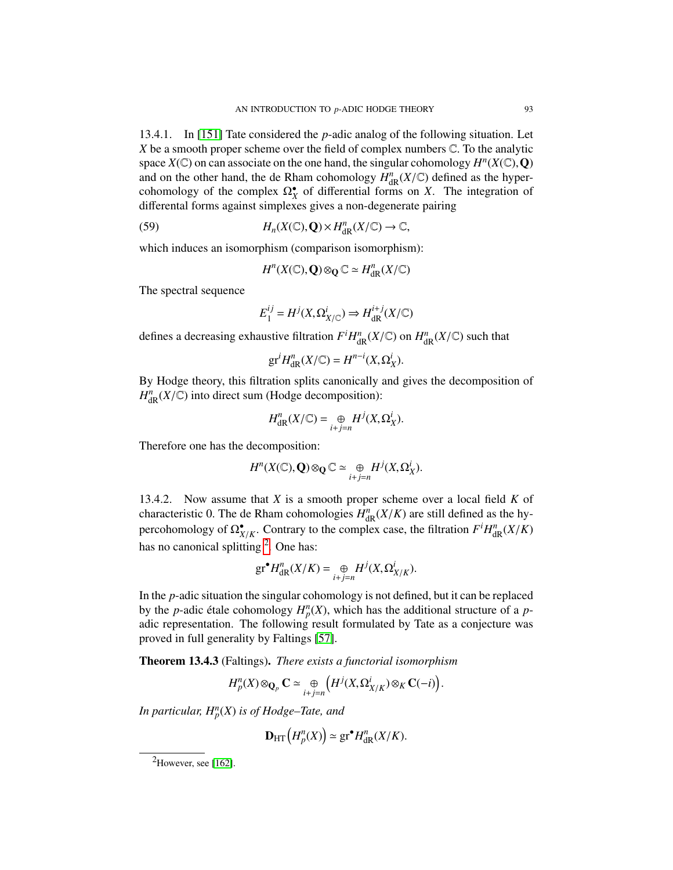13.4.1. In [\[151\]](#page-131-5) Tate considered the *p*-adic analog of the following situation. Let *<sup>X</sup>* be a smooth proper scheme over the field of complex numbers <sup>C</sup>. To the analytic space  $X(\mathbb{C})$  on can associate on the one hand, the singular cohomology  $H^n(X(\mathbb{C}), Q)$ <br>and on the other hand, the de Rham cohomology  $H^n(X(\mathbb{C}))$  defined as the hyperand on the other hand, the de Rham cohomology  $H_{\text{dR}}^n(X/\mathbb{C})$  defined as the hyper-<br>cohomology of the complex  $\Omega^{\bullet}$  of differential forms on X. The integration of cohomology of the complex  $\Omega_X^{\bullet}$  of differential forms on *X*. The integration of differental forms against simplexes gives a non-degenerate pairing

(59) 
$$
H_n(X(\mathbb{C}),\mathbf{Q})\times H^n_{\mathrm{dR}}(X/\mathbb{C})\to\mathbb{C},
$$

which induces an isomorphism (comparison isomorphism):

$$
H^n(X(\mathbb{C}),\mathbf{Q})\otimes_{\mathbf{Q}}\mathbb{C}\simeq H^n_{\mathrm{dR}}(X/\mathbb{C})
$$

The spectral sequence

$$
E_1^{ij} = H^j(X, \Omega^i_{X/\mathbb{C}}) \Rightarrow H^{i+j}_{dR}(X/\mathbb{C})
$$

defines a decreasing exhaustive filtration  $F^i H^n_{\text{dR}}(X/\mathbb{C})$  on  $H^n_{\text{dR}}(X/\mathbb{C})$  such that

$$
\operatorname{gr}^i H^n_{\operatorname{dR} }(X/\mathbb{C}) = H^{n-i}(X,\Omega^i_X).
$$

By Hodge theory, this filtration splits canonically and gives the decomposition of  $H^n_{\text{dR}}(X/\mathbb{C})$  into direct sum (Hodge decomposition):

$$
H_{\mathrm{dR}}^n(X/\mathbb{C}) = \underset{i+j=n}{\oplus} H^j(X,\Omega_X^i).
$$

Therefore one has the decomposition:

$$
H^{n}(X(\mathbb{C}),\mathbf{Q})\otimes_{\mathbf{Q}}\mathbb{C}\simeq\underset{i+j=n}{\oplus}H^{j}(X,\Omega_{X}^{i}).
$$

13.4.2. Now assume that *X* is a smooth proper scheme over a local field *K* of characteristic 0. The de Rham cohomologies  $H_{dR}^{n}(X/K)$  are still defined as the hy-<br>percohomology of  $\Omega^{\bullet}$ . Contrary to the complex case, the filtration  $F^{i}H^{n}(X/K)$ percohomology of  $\Omega_{X/K}^{\bullet}$ . Contrary to the complex case, the filtration  $F^iH_{\text{dR}}^n(X/K)$ has no canonical splitting <sup>[2](#page-92-0)</sup>. One has:

$$
\operatorname{gr}^{\bullet} H^n_{\operatorname{dR} }(X/K) = \bigoplus_{i+j=n} H^j(X,\Omega^i_{X/K}).
$$

In the *p*-adic situation the singular cohomology is not defined, but it can be replaced by the *p*-adic étale cohomology  $H_p^p(X)$ , which has the additional structure of a *p*-<br>adic representation. The following result formulated by Tate as a conjecture was adic representation. The following result formulated by Tate as a conjecture was proved in full generality by Faltings [\[57\]](#page-127-13).

<span id="page-92-1"></span>Theorem 13.4.3 (Faltings). *There exists a functorial isomorphism*

$$
H_p^n(X) \otimes_{\mathbf{Q}_p} \mathbf{C} \simeq \bigoplus_{i+j=n} \left( H^j(X, \Omega^i_{X/K}) \otimes_K \mathbf{C}(-i) \right).
$$

*In particular, H<sup>n</sup> p* (*X*) *is of Hodge–Tate, and*

$$
\mathbf{D}_{\mathrm{HT}}\left(H_p^n(X)\right) \simeq \mathrm{gr}^\bullet H^n_{\mathrm{dR}}(X/K).
$$

<span id="page-92-0"></span> ${}^{2}$ However, see [\[162\]](#page-131-6).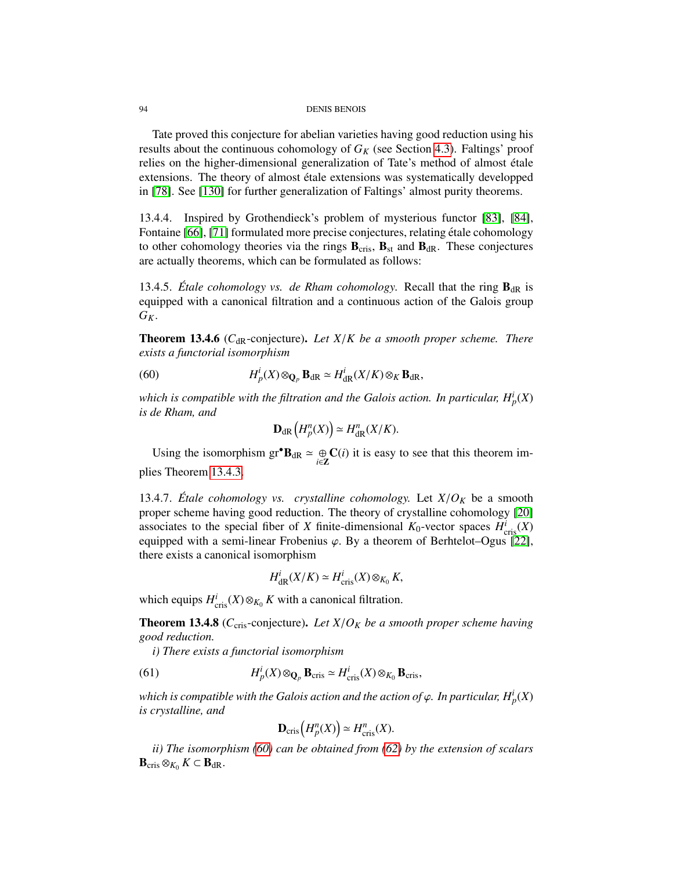Tate proved this conjecture for abelian varieties having good reduction using his results about the continuous cohomology of  $G_K$  (see Section [4.3\)](#page-35-0). Faltings' proof relies on the higher-dimensional generalization of Tate's method of almost étale extensions. The theory of almost étale extensions was systematically developped in [\[78\]](#page-128-8). See [\[130\]](#page-130-4) for further generalization of Faltings' almost purity theorems.

13.4.4. Inspired by Grothendieck's problem of mysterious functor [\[83\]](#page-128-9), [\[84\]](#page-128-10), Fontaine [\[66\]](#page-128-0), [\[71\]](#page-128-4) formulated more precise conjectures, relating étale cohomology to other cohomology theories via the rings  $\mathbf{B}_{\text{cris}}$ ,  $\mathbf{B}_{\text{st}}$  and  $\mathbf{B}_{\text{dR}}$ . These conjectures are actually theorems, which can be formulated as follows:

13.4.5. *Étale cohomology vs. de Rham cohomology.* Recall that the ring  $\mathbf{B}_{dR}$  is equipped with a canonical filtration and a continuous action of the Galois group  $G_K$ .

Theorem 13.4.6 (C<sub>dR</sub>-conjecture). Let X/*K* be a smooth proper scheme. There *exists a functorial isomorphism*

(60) 
$$
H_p^i(X) \otimes_{\mathbf{Q}_p} \mathbf{B}_{\mathrm{dR}} \simeq H_{\mathrm{dR}}^i(X/K) \otimes_K \mathbf{B}_{\mathrm{dR}},
$$

which is compatible with the filtration and the Galois action. In particular,  $H_p^i(X)$ *is de Rham, and*

<span id="page-93-0"></span>
$$
\mathbf{D}_{\mathrm{dR}}\left(H_p^n(X)\right) \simeq H_{\mathrm{dR}}^n(X/K).
$$

Using the isomorphism  $gr^{\bullet}B_{dR} \simeq \bigoplus_{i \in \mathbb{Z}} C(i)$  it is easy to see that this theorem implies Theorem [13.4.3.](#page-92-1)

13.4.7. *Étale cohomology vs. crystalline cohomology.* Let  $X/O_K$  be a smooth proper scheme having good reduction. The theory of crystalline cohomology [\[20\]](#page-126-7) associates to the special fiber of *X* finite-dimensional  $K_0$ -vector spaces  $H^i_{\text{cris}}(X)$ equipped with a semi-linear Frobenius  $\varphi$ . By a theorem of Berhtelot–Ogus [\[22\]](#page-126-1), there exists a canonical isomorphism

$$
H_{\mathrm{dR}}^i(X/K) \simeq H_{\mathrm{cris}}^i(X) \otimes_{K_0} K,
$$

which equips  $H_{\text{cris}}^i(X) \otimes_{K_0} K$  with a canonical filtration.

**Theorem 13.4.8** ( $C_{\text{cris}}$ -conjecture). Let  $X/O_K$  be a smooth proper scheme having *good reduction.*

*i) There exists a functorial isomorphism*

(61) 
$$
H_p^i(X) \otimes_{\mathbf{Q}_p} \mathbf{B}_{\mathrm{cris}} \simeq H_{\mathrm{cris}}^i(X) \otimes_{K_0} \mathbf{B}_{\mathrm{cris}},
$$

*which is compatible with the Galois action and the action of*  $\varphi$ *. In particular,*  $H^i_p(X)$ *<br>is crystalline, and is crystalline, and*

$$
\mathbf{D}_{\mathrm{cris}}\left(H_p^n(X)\right) \simeq H^n_{\mathrm{cris}}(X).
$$

*ii) The isomorphism [\(60\)](#page-93-0) can be obtained from [\(62\)](#page-94-0) by the extension of scalars*  $\mathbf{B}_{\mathrm{cris}} \otimes_{K_0} K \subset \mathbf{B}_{\mathrm{dR}}.$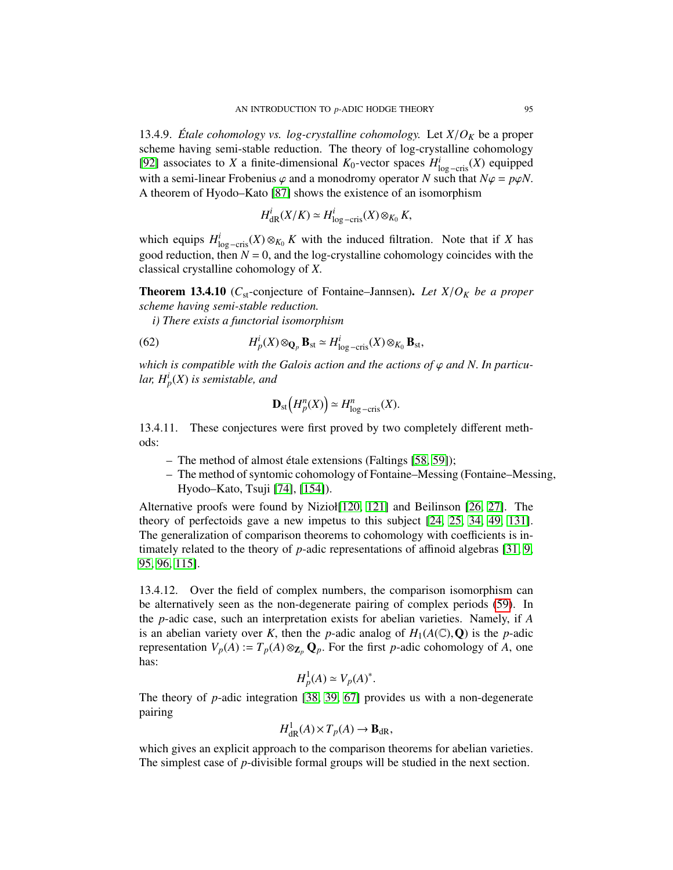13.4.9. *Étale cohomology vs. log-crystalline cohomology.* Let  $X/O_K$  be a proper scheme having semi-stable reduction. The theory of log-crystalline cohomology [\[92\]](#page-129-4) associates to *X* a finite-dimensional  $K_0$ -vector spaces  $H^i_{\text{log}-\text{cris}}(X)$  equipped with a semi-linear Frobenius  $\varphi$  and a monodromy operator *N* such that  $N\varphi = p\varphi N$ . A theorem of Hyodo–Kato [\[87\]](#page-128-11) shows the existence of an isomorphism

$$
H^i_{\mathrm{dR}}(X/K) \simeq H^i_{\mathrm{log-cris}}(X) \otimes_{K_0} K,
$$

which equips  $H^i_{\text{log}-\text{cris}}(X) \otimes_{K_0} K$  with the induced filtration. Note that if *X* has good reduction, then  $N = 0$ , and the log-crystalline cohomology coincides with the classical crystalline cohomology of *<sup>X</sup>*.

Theorem 13.4.10 (*C*st-conjecture of Fontaine–Jannsen). *Let X*/*O<sup>K</sup> be a proper scheme having semi-stable reduction.*

*i) There exists a functorial isomorphism*

(62) 
$$
H_p^i(X) \otimes_{\mathbf{Q}_p} \mathbf{B}_{st} \simeq H_{\log-\text{cris}}^i(X) \otimes_{K_0} \mathbf{B}_{st},
$$

*which is compatible with the Galois action and the actions of*  $\varphi$  *and N. In particular, H<sup>i</sup> p* (*X*) *is semistable, and*

<span id="page-94-0"></span>
$$
\mathbf{D}_{\mathrm{st}}\left(H_p^n(X)\right) \simeq H^n_{\log-\mathrm{cris}}(X).
$$

13.4.11. These conjectures were first proved by two completely different methods:

- The method of almost étale extensions (Faltings [\[58,](#page-127-14) [59\]](#page-127-15));
- The method of syntomic cohomology of Fontaine–Messing (Fontaine–Messing, Hyodo–Kato, Tsuji [\[74\]](#page-128-3), [\[154\]](#page-131-7)).

Alternative proofs were found by Nizioł[\[120,](#page-130-5) [121\]](#page-130-6) and Beilinson [\[26,](#page-126-8) [27\]](#page-126-9). The theory of perfectoids gave a new impetus to this subject [\[24,](#page-126-10) [25,](#page-126-11) [34,](#page-126-12) [49,](#page-127-16) [131\]](#page-130-7). The generalization of comparison theorems to cohomology with coefficients is intimately related to the theory of *p*-adic representations of affinoid algebras [\[31,](#page-126-13) [9,](#page-125-1) [95,](#page-129-5) [96,](#page-129-6) [115\]](#page-129-7).

13.4.12. Over the field of complex numbers, the comparison isomorphism can be alternatively seen as the non-degenerate pairing of complex periods [\(59\)](#page-89-0). In the *p*-adic case, such an interpretation exists for abelian varieties. Namely, if *A* is an abelian variety over *K*, then the *p*-adic analog of  $H_1(A(\mathbb{C}), Q)$  is the *p*-adic representation  $V_p(A) := T_p(A) \otimes_{\mathbb{Z}_p} \mathbb{Q}_p$ . For the first *p*-adic cohomology of *A*, one has:

$$
H_p^1(A) \simeq V_p(A)^*.
$$

The theory of *p*-adic integration [\[38,](#page-126-14) [39,](#page-126-15) [67\]](#page-128-12) provides us with a non-degenerate pairing

$$
H^1_{\mathrm{dR}}(A) \times T_p(A) \to \mathbf{B}_{\mathrm{dR}},
$$

which gives an explicit approach to the comparison theorems for abelian varieties. The simplest case of *p*-divisible formal groups will be studied in the next section.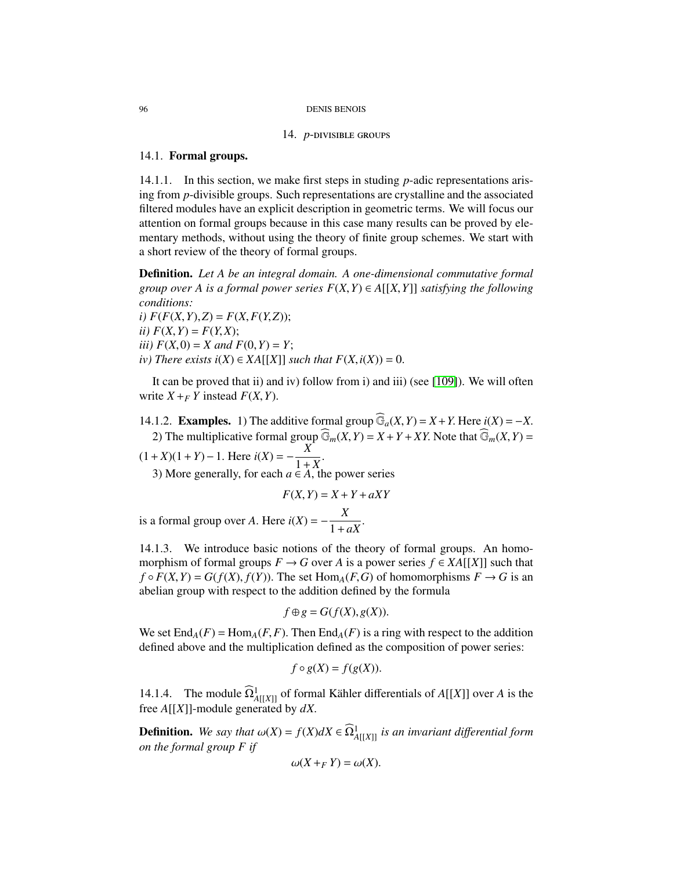#### 14. *p*-divisible groups

## 14.1. Formal groups.

14.1.1. In this section, we make first steps in studing *p*-adic representations arising from *p*-divisible groups. Such representations are crystalline and the associated filtered modules have an explicit description in geometric terms. We will focus our attention on formal groups because in this case many results can be proved by elementary methods, without using the theory of finite group schemes. We start with a short review of the theory of formal groups.

Definition. *Let A be an integral domain. A one-dimensional commutative formal group over A is a formal power series*  $F(X, Y) \in A[[X, Y]]$  *satisfying the following conditions:*

 $i)$   $F(F(X, Y), Z) = F(X, F(Y, Z));$ *ii*)  $F(X, Y) = F(Y, X);$ *iii*)  $F(X, 0) = X$  *and*  $F(0, Y) = Y$ ; *iv*) There exists  $i(X)$  ∈  $XA[[X]]$  such that  $F(X, i(X)) = 0$ .

It can be proved that ii) and iv) follow from i) and iii) (see [\[109\]](#page-129-8)). We will often write  $X + F$  *Y* instead  $F(X, Y)$ .

14.1.2. **Examples.** 1) The additive formal group  $\widehat{\mathbb{G}}_a(X, Y) = X + Y$ . Here  $i(X) = -X$ . 2) The multiplicative formal group  $\widehat{\mathbb{G}}_m(X, Y) = X + Y + XY$ . Note that  $\widehat{\mathbb{G}}_m(X, Y) = X + Y + XY$ .

 $(1+X)(1+Y)$ −1. Here  $i(X) = -\frac{X}{1+X}$ 3) More generally, for each  $a \in A$ , the power series

$$
F(X, Y) = X + Y + aXY
$$

is a formal group over *A*. Here  $i(X) = -\frac{X}{1 + a}$  $1 + aX$ <sup>"</sup>

14.1.3. We introduce basic notions of the theory of formal groups. An homomorphism of formal groups  $F \to G$  over *A* is a power series  $f \in XA[[X]]$  such that  $f \circ F(X, Y) = G(f(X), f(Y))$ . The set Hom<sub>*A*</sub>(*F*,*G*) of homomorphisms  $F \to G$  is an abelian group with respect to the addition defined by the formula

$$
f \oplus g = G(f(X), g(X)).
$$

We set  $\text{End}_{A}(F) = \text{Hom}_{A}(F, F)$ . Then  $\text{End}_{A}(F)$  is a ring with respect to the addition defined above and the multiplication defined as the composition of power series:

$$
f \circ g(X) = f(g(X)).
$$

14.1.4. The module  $\widehat{\Omega}^1_{A[[X]]}$  of formal Kähler differentials of *A*[[*X*]] over *A* is the free *<sup>A</sup>*[[*X*]]-module generated by *dX*.

**Definition.** We say that  $\omega(X) = f(X)dX \in \Omega^1_{A[[X]]}$  is an invariant differential form on the formal group E if *on the formal group F if*

$$
\omega(X+_{F}Y)=\omega(X).
$$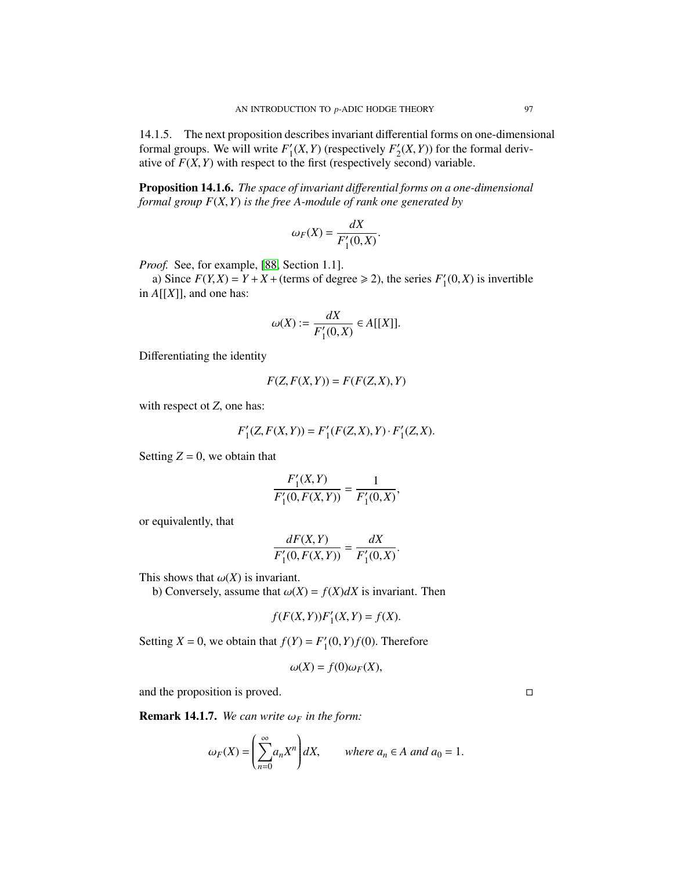14.1.5. The next proposition describes invariant differential forms on one-dimensional formal groups. We will write  $F_1'$  $I_1(X, Y)$  (respectively  $F'_2$ <br>the first (respectively set  $\chi_2'(X, Y)$  for the formal deriv-<br>record) variable ative of  $F(X, Y)$  with respect to the first (respectively second) variable.

<span id="page-96-0"></span>Proposition 14.1.6. *The space of invariant di*ff*erential forms on a one-dimensional formal group F*(*X*,*Y*) *is the free A-module of rank one generated by*

$$
\omega_F(X) = \frac{dX}{F'_1(0,X)}.
$$

*Proof.* See, for example, [\[88,](#page-128-13) Section 1.1].

a) Since  $F(Y, X) = Y + X +$  (terms of degree  $\ge 2$ ), the series  $F'_1$ <br>A[[X]] and one has:  $I_1'(0,X)$  is invertible in *<sup>A</sup>*[[*X*]], and one has:

$$
\omega(X) := \frac{dX}{F'_1(0,X)} \in A[[X]].
$$

Differentiating the identity

$$
F(Z, F(X, Y)) = F(F(Z, X), Y)
$$

with respect ot *<sup>Z</sup>*, one has:

$$
F'_{1}(Z, F(X, Y)) = F'_{1}(F(Z, X), Y) \cdot F'_{1}(Z, X).
$$

Setting  $Z = 0$ , we obtain that

$$
\frac{F_1'(X,Y)}{F_1'(0,F(X,Y))} = \frac{1}{F_1'(0,X)},
$$

or equivalently, that

$$
\frac{dF(X,Y)}{F_1'(0,F(X,Y))} = \frac{dX}{F_1'(0,X)}
$$

This shows that  $\omega(X)$  is invariant.

b) Conversely, assume that  $\omega(X) = f(X)dX$  is invariant. Then

$$
f(F(X,Y))F'_{1}(X,Y) = f(X).
$$

Setting *X* = 0, we obtain that  $f(Y) = F'_1$  $I_1'(0, Y)f(0)$ . Therefore

$$
\omega(X) = f(0)\omega_F(X),
$$

and the proposition is proved.

**Remark 14.1.7.** *We can write*  $\omega_F$  *in the form:* 

$$
\omega_F(X) = \left(\sum_{n=0}^{\infty} a_n X^n\right) dX, \quad \text{where } a_n \in A \text{ and } a_0 = 1.
$$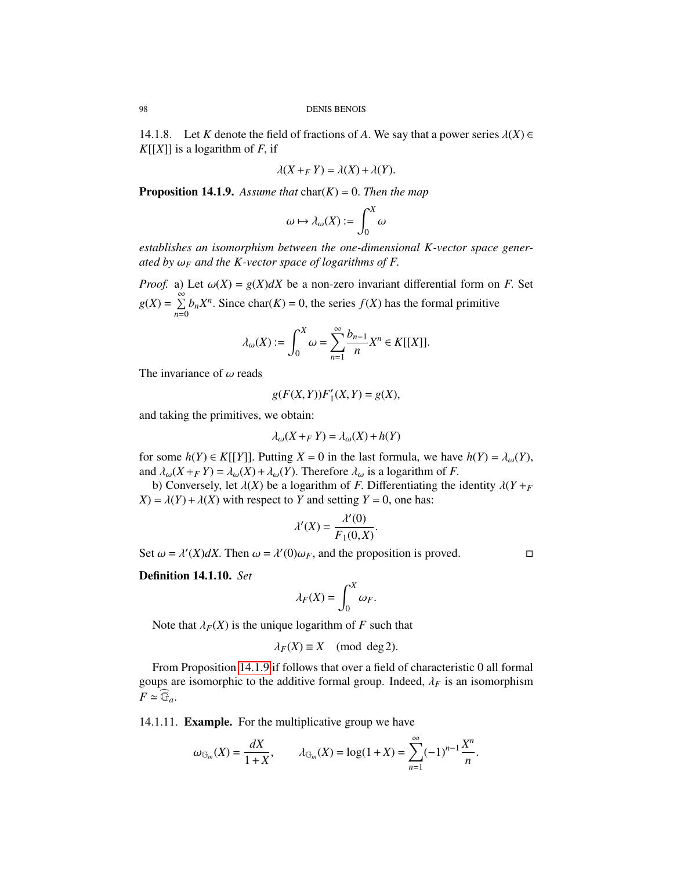14.1.8. Let *K* denote the field of fractions of *A*. We say that a power series  $\lambda(X) \in$  $K[[X]]$  is a logarithm of *F*, if

$$
\lambda(X+_{F}Y)=\lambda(X)+\lambda(Y).
$$

<span id="page-97-0"></span>**Proposition 14.1.9.** Assume that  $char(K) = 0$ . Then the map

$$
\omega \mapsto \lambda_\omega(X) := \int_0^X \omega
$$

*establishes an isomorphism between the one-dimensional K-vector space generated by* <sup>ω</sup>*<sup>F</sup> and the K-vector space of logarithms of F*.

*Proof.* a) Let  $\omega(X) = g(X)dX$  be a non-zero invariant differential form on *F*. Set  $g(X) = \sum_{n=1}^{\infty}$  $\sum_{n=0}$  *b<sub>n</sub>X<sup>n</sup>*. Since char(*K*) = 0, the series *f*(*X*) has the formal primitive

$$
\lambda_{\omega}(X) := \int_0^X \omega = \sum_{n=1}^{\infty} \frac{b_{n-1}}{n} X^n \in K[[X]].
$$

The invariance of  $\omega$  reads

$$
g(F(X,Y))F'_{1}(X,Y) = g(X),
$$

and taking the primitives, we obtain:

$$
\lambda_{\omega}(X +_{F} Y) = \lambda_{\omega}(X) + h(Y)
$$

for some  $h(Y) \in K[[Y]]$ . Putting  $X = 0$  in the last formula, we have  $h(Y) = \lambda_{\omega}(Y)$ , and  $\lambda_{\omega}(X + FY) = \lambda_{\omega}(X) + \lambda_{\omega}(Y)$ . Therefore  $\lambda_{\omega}$  is a logarithm of *F*.

b) Conversely, let  $\lambda(X)$  be a logarithm of *F*. Differentiating the identity  $\lambda(Y + F)$  $X$ ) =  $\lambda$ (*Y*) +  $\lambda$ (*X*) with respect to *Y* and setting *Y* = 0, one has:

$$
\lambda'(X) = \frac{\lambda'(0)}{F_1(0,X)}.
$$

Set  $\omega = \lambda'(X)dX$ . Then  $\omega = \lambda'(0)\omega_F$ , and the proposition is proved.

Definition 14.1.10. *Set*

$$
\lambda_F(X) = \int_0^X \omega_F.
$$

Note that  $\lambda_F(X)$  is the unique logarithm of *F* such that

$$
\lambda_F(X) \equiv X \pmod{\deg 2}.
$$

From Proposition [14.1.9](#page-97-0) if follows that over a field of characteristic 0 all formal goups are isomorphic to the additive formal group. Indeed,  $\lambda_F$  is an isomorphism  $F \simeq \mathbb{G}_a$ .

14.1.11. Example. For the multiplicative group we have

$$
\omega_{\mathbb{G}_m}(X) = \frac{dX}{1+X}
$$
,  $\lambda_{\mathbb{G}_m}(X) = \log(1+X) = \sum_{n=1}^{\infty} (-1)^{n-1} \frac{X^n}{n}$ .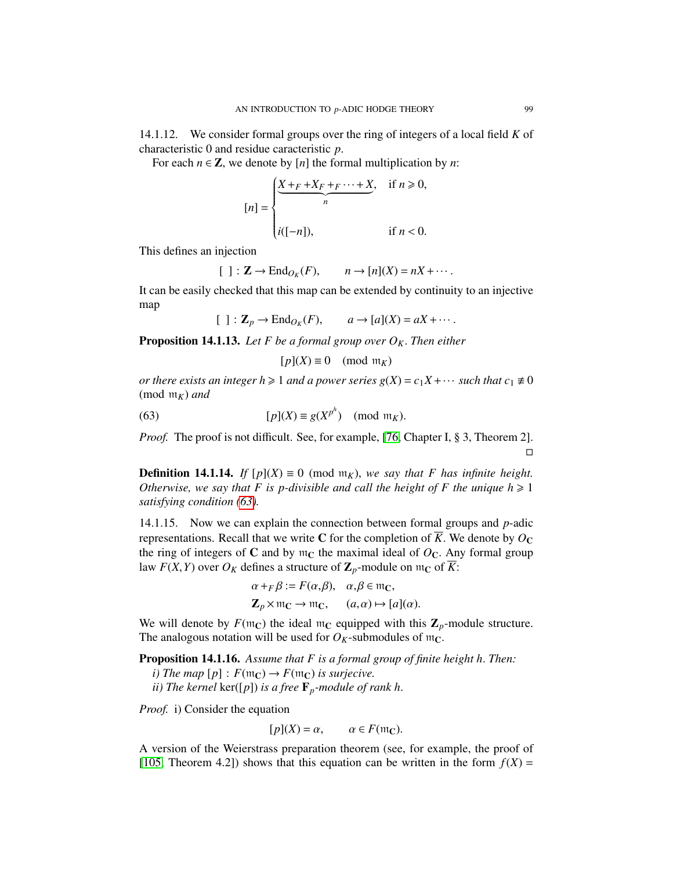14.1.12. We consider formal groups over the ring of integers of a local field *K* of characteristic 0 and residue caracteristic *<sup>p</sup>*.

For each  $n \in \mathbb{Z}$ , we denote by [*n*] the formal multiplication by *n*:

$$
[n] = \begin{cases} \frac{X + F + X_F + F \cdots + X}{n}, & \text{if } n \ge 0, \\ \text{if } n < 0. \end{cases}
$$

This defines an injection

$$
[ ] : \mathbf{Z} \to \mathrm{End}_{O_K}(F), \qquad n \to [n](X) = nX + \cdots
$$

It can be easily checked that this map can be extended by continuity to an injective map

 $[ ] : \mathbf{Z}_p \to \text{End}_{O_K}(F), \qquad a \to [a](X) = aX + \cdots.$ 

**Proposition 14.1.13.** Let F be a formal group over  $O_K$ . Then either

<span id="page-98-0"></span>
$$
[p](X) \equiv 0 \pmod{\mathfrak{m}_K}
$$

*or there exists an integer h*  $\geq 1$  *and a power series g(X)* =  $c_1X + \cdots$  *such that*  $c_1 \neq 0$ (mod  $m_K$ ) *and* 

(63) 
$$
[p](X) \equiv g(X^{p^h}) \pmod{\mathfrak{m}_K}.
$$

*Proof.* The proof is not difficult. See, for example, [\[76,](#page-128-14) Chapter I, § 3, Theorem 2].  $\Box$ 

**Definition 14.1.14.** *If*  $[p](X) \equiv 0 \pmod{m_K}$ , we say that F has infinite height. *Otherwise, we say that* F is p-divisible and call the height of F the unique  $h \ge 1$ *satisfying condition [\(63\)](#page-98-0).*

14.1.15. Now we can explain the connection between formal groups and *p*-adic representations. Recall that we write C for the completion of  $\overline{K}$ . We denote by  $O_{\mathbb{C}}$ the ring of integers of  $C$  and by  $m<sub>C</sub>$  the maximal ideal of  $O<sub>C</sub>$ . Any formal group law  $F(X, Y)$  over  $O_K$  defines a structure of  $\mathbb{Z}_p$ -module on  $m_C$  of  $\overline{K}$ :

$$
\alpha +_{F} \beta := F(\alpha, \beta), \quad \alpha, \beta \in \mathfrak{m}_{\mathbb{C}},
$$
  

$$
\mathbf{Z}_{p} \times \mathfrak{m}_{\mathbb{C}} \to \mathfrak{m}_{\mathbb{C}}, \qquad (a, \alpha) \mapsto [a](\alpha).
$$

We will denote by  $F(\mathfrak{m}_C)$  the ideal  $\mathfrak{m}_C$  equipped with this  $\mathbb{Z}_p$ -module structure. The analogous notation will be used for  $O_K$ -submodules of  $m_C$ .

<span id="page-98-1"></span>Proposition 14.1.16. *Assume that F is a formal group of finite height h*. *Then:*

*i)* The map  $[p]$  :  $F(\mathfrak{m}_\mathbb{C}) \to F(\mathfrak{m}_\mathbb{C})$  *is surjecive.* 

*ii)* The kernel  $\text{ker}([p])$  *is a free*  $\mathbf{F}_p$ *-module of rank h.* 

*Proof.* i) Consider the equation

$$
[p](X) = \alpha, \qquad \alpha \in F(\mathfrak{m}_\mathbb{C}).
$$

A version of the Weierstrass preparation theorem (see, for example, the proof of [\[105,](#page-129-9) Theorem 4.2]) shows that this equation can be written in the form  $f(X) =$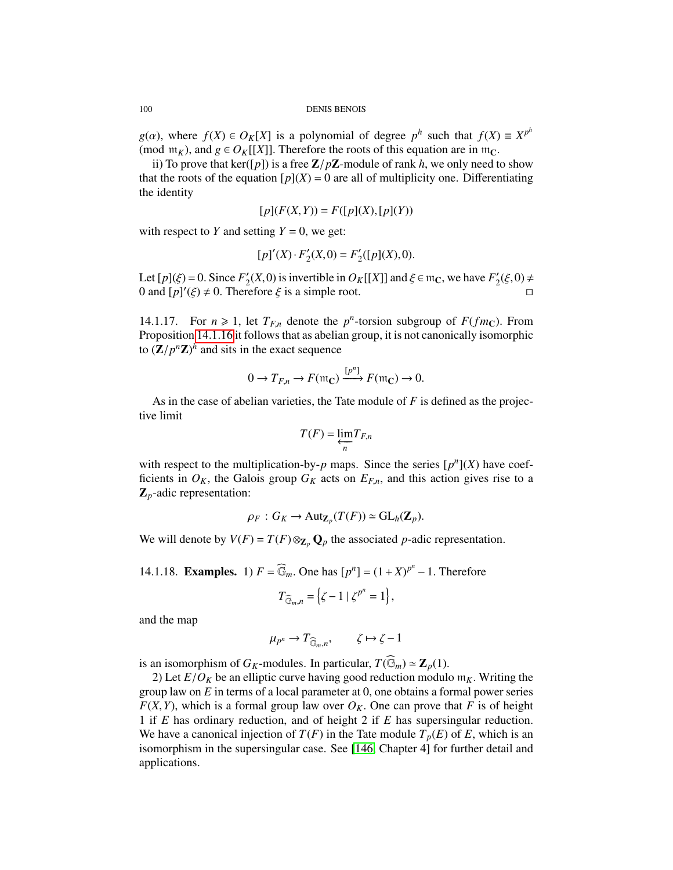*g*(*a*), where *f*(*X*)  $\in$  *O<sub>K</sub>*[*X*] is a polynomial of degree *p*<sup>h</sup> such that *f*(*X*)  $\equiv$  *X*<sup>*p*<sup>h</sup></sup> (mod m<sub>*v*</sub>) and  $g \in O<sub>v</sub>$ [[*X*]] Therefore the roots of this equation are in m<sub>*G*</sub> (mod  $m_K$ ), and  $g \in O_K[[X]]$ . Therefore the roots of this equation are in  $m_C$ .

ii) To prove that ker( $[p]$ ) is a free  $\mathbb{Z}/p\mathbb{Z}$ -module of rank *h*, we only need to show that the roots of the equation  $[p](X) = 0$  are all of multiplicity one. Differentiating the identity

$$
[p](F(X,Y)) = F([p](X), [p](Y))
$$

with respect to *Y* and setting  $Y = 0$ , we get:

$$
[p]'(X) \cdot F_2'(X,0) = F_2'([p](X),0).
$$

Let  $[p](\xi) = 0$ . Since  $F'_2$ <br>0 and  $[n]'(\xi) \neq 0$  Then  $\frac{1}{2}(X,0)$  is invertible in  $O_K[[X]]$  and  $\xi \in \mathfrak{m}_\mathbb{C}$ , we have  $F'_2$ <br>refore  $\xi$  is a simple root  $\frac{1}{2}(\xi,0) \neq$ 0 and  $[p]'(\xi) \neq 0$ . Therefore  $\xi$  is a simple root.

14.1.17. For  $n \ge 1$ , let  $T_{F,n}$  denote the  $p^n$ -torsion subgroup of  $F(fm_C)$ . From<br>Proposition 14.1.16 it follows that as abelian group, it is not canonically isomorphic Proposition [14.1.16](#page-98-1) it follows that as abelian group, it is not canonically isomorphic to  $(\mathbf{Z}/p^n\mathbf{Z})^h$  and sits in the exact sequence

$$
0 \to T_{F,n} \to F(\mathfrak{m}_\mathbb{C}) \xrightarrow{[p^n]} F(\mathfrak{m}_\mathbb{C}) \to 0.
$$

As in the case of abelian varieties, the Tate module of *F* is defined as the projective limit

$$
T(F) = \underleftarrow{\lim_{n}} T_{F,n}
$$

with respect to the multiplication-by- $p$  maps. Since the series  $[p<sup>n</sup>](X)$  have coefficients in  $O_K$ , the Galois group  $G_K$  acts on  $E_{F,n}$ , and this action gives rise to a Z*p*-adic representation:

$$
\rho_F: G_K \to \mathrm{Aut}_{\mathbf{Z}_p}(T(F)) \simeq \mathrm{GL}_h(\mathbf{Z}_p).
$$

We will denote by  $V(F) = T(F) \otimes_{\mathbb{Z}_p} \mathbb{Q}_p$  the associated *p*-adic representation.

<span id="page-99-0"></span>14.1.18. **Examples.** 1)  $F = \widehat{\mathbb{G}}_m$ . One has  $[p^n] = (1 + X)^{p^n} - 1$ . Therefore

$$
T_{\widehat{\mathbb{G}}_m,n} = \left\{ \zeta - 1 \mid \zeta^{p^n} = 1 \right\},\
$$

and the map

$$
\mu_{p^n} \to T_{\widehat{\mathbb{G}}_m,n}, \qquad \zeta \mapsto \zeta - 1
$$

is an isomorphism of  $G_K$ -modules. In particular,  $T(\widehat{\mathbb{G}}_m) \simeq \mathbb{Z}_p(1)$ .

2) Let  $E/O<sub>K</sub>$  be an elliptic curve having good reduction modulo  $m<sub>K</sub>$ . Writing the group law on *<sup>E</sup>* in terms of a local parameter at 0, one obtains a formal power series  $F(X, Y)$ , which is a formal group law over  $O_K$ . One can prove that *F* is of height 1 if *E* has ordinary reduction, and of height 2 if *E* has supersingular reduction. We have a canonical injection of  $T(F)$  in the Tate module  $T_p(E)$  of E, which is an isomorphism in the supersingular case. See [\[146,](#page-130-8) Chapter 4] for further detail and applications.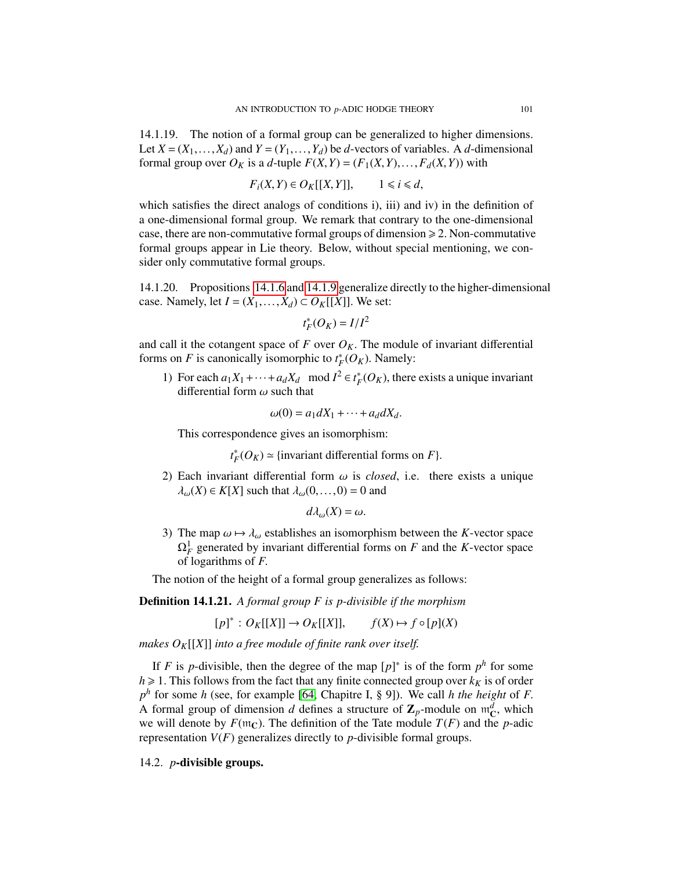14.1.19. The notion of a formal group can be generalized to higher dimensions. Let  $X = (X_1, \ldots, X_d)$  and  $Y = (Y_1, \ldots, Y_d)$  be *d*-vectors of variables. A *d*-dimensional formal group over  $O_K$  is a *d*-tuple  $F(X, Y) = (F_1(X, Y), \ldots, F_d(X, Y))$  with

$$
F_i(X,Y) \in O_K[[X,Y]], \qquad 1 \le i \le d,
$$

which satisfies the direct analogs of conditions i), iii) and iv) in the definition of a one-dimensional formal group. We remark that contrary to the one-dimensional case, there are non-commutative formal groups of dimension  $\geq 2$ . Non-commutative formal groups appear in Lie theory. Below, without special mentioning, we consider only commutative formal groups.

14.1.20. Propositions [14.1.6](#page-96-0) and [14.1.9](#page-97-0) generalize directly to the higher-dimensional case. Namely, let  $I = (X_1, \ldots, X_d) \subset O_K[[X]]$ . We set:

$$
t_F^*(O_K) = I/I^2
$$

and call it the cotangent space of  $F$  over  $O_K$ . The module of invariant differential forms on *F* is canonically isomorphic to  $t^*$  $\sum_{F}^{*}$  (*O<sub>K</sub>*). Namely:

1) For each  $a_1X_1+\cdots+a_dX_d \mod I^2 \in t^*_F$  $F_F^*(O_K)$ , there exists a unique invariant differential form  $\omega$  such that

$$
\omega(0) = a_1 dX_1 + \dots + a_d dX_d.
$$

This correspondence gives an isomorphism:

*t* ∗  $F_F^*(O_K) \simeq$  {invariant differential forms on *F*}.

2) Each invariant differential form  $\omega$  is *closed*, i.e. there exists a unique  $\lambda_{\omega}(X) \in K[X]$  such that  $\lambda_{\omega}(0,...,0) = 0$  and

$$
d\lambda_{\omega}(X)=\omega.
$$

3) The map  $\omega \mapsto \lambda_{\omega}$  establishes an isomorphism between the *K*-vector space  $\Omega_F^1$  generated by invariant differential forms on *F* and the *K*-vector space of logarithms of *<sup>F</sup>*.

The notion of the height of a formal group generalizes as follows:

Definition 14.1.21. *A formal group F is p-divisible if the morphism*

 $[p]^* : O_K[[X]] \to O_K[[X]], \quad f(X) \mapsto f \circ [p](X)$ 

*makes OK*[[*X*]] *into a free module of finite rank over itself.*

If *F* is *p*-divisible, then the degree of the map  $[p]^*$  is of the form  $p^h$  for some  $h \ge 1$ . This follows from the fact that any finite connected group over  $k_K$  is of order  $p^h$  for some *h* (see, for example [\[64,](#page-127-17) Chapitre I, § 9]). We call *h the height* of *F*.<br>A formal group of dimension *d* defines a structure of **7** -module on  $m^d$  which A formal group of dimension *d* defines a structure of  $\mathbb{Z}_p$ -module on  $\mathfrak{m}_C^d$ , which we will denote by  $F(\mathfrak{m}_C)$ . The definition of the Tate module  $T(F)$  and the n-adic we will denote by  $F(\mathfrak{m}_C)$ . The definition of the Tate module  $T(F)$  and the *p*-adic representation  $V(F)$  generalizes directly to *p*-divisible formal groups.

## 14.2. *p*-divisible groups.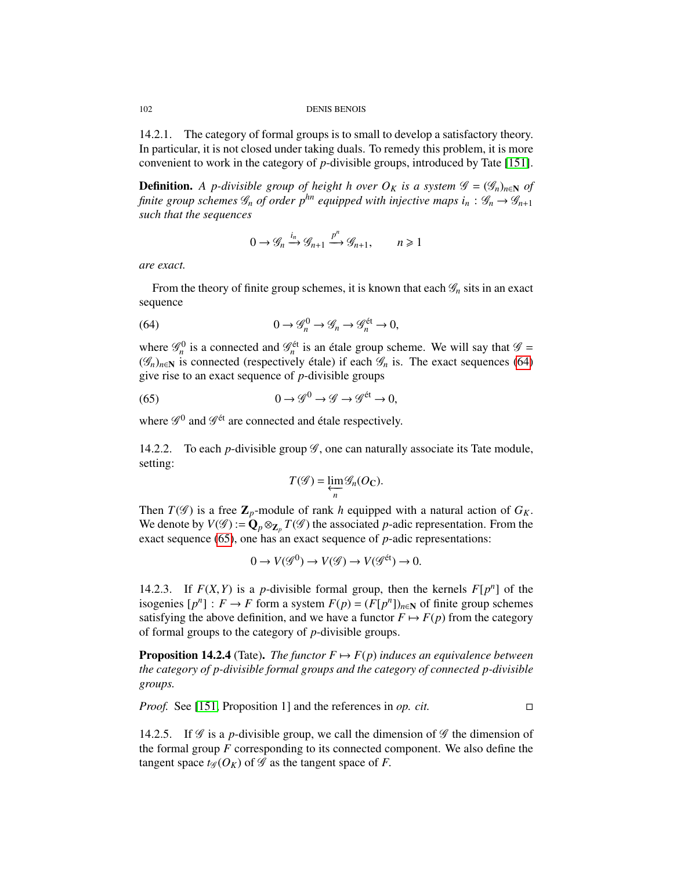14.2.1. The category of formal groups is to small to develop a satisfactory theory. In particular, it is not closed under taking duals. To remedy this problem, it is more convenient to work in the category of *p*-divisible groups, introduced by Tate [\[151\]](#page-131-5).

**Definition.** A p-divisible group of height h over  $O_K$  is a system  $\mathscr{G} = (\mathscr{G}_n)_{n \in \mathbb{N}}$  of *finite group schemes*  $\mathcal{G}_n$  *of order p*<sup>*hn*</sup> *equipped with injective maps*  $i_n : \mathcal{G}_n \rightarrow \mathcal{G}_{n+1}$ *such that the sequences*

<span id="page-101-0"></span>
$$
0 \to \mathcal{G}_n \xrightarrow{i_n} \mathcal{G}_{n+1} \xrightarrow{p^n} \mathcal{G}_{n+1}, \qquad n \ge 1
$$

*are exact.*

From the theory of finite group schemes, it is known that each  $\mathcal{G}_n$  sits in an exact sequence

(64) 
$$
0 \to \mathscr{G}_n^0 \to \mathscr{G}_n \to \mathscr{G}_n^{\text{\'et}} \to 0,
$$

where  $\mathcal{G}_n^0$  is a connected and  $\mathcal{G}_n^{\text{\'et}}$  is an étale group scheme. We will say that  $\mathcal{G} =$ ( $\mathcal{G}_n$ )<sub>*n*∈N</sub> is connected (respectively étale) if each  $\mathcal{G}_n$  is. The exact sequences [\(64\)](#page-101-0) give rise to an exact sequence of *p*-divisible groups

(65) 
$$
0 \to \mathscr{G}^0 \to \mathscr{G} \to \mathscr{G}^{\text{\'et}} \to 0,
$$

where  $\mathscr{G}^0$  and  $\mathscr{G}^{\text{\'et}}$  are connected and étale respectively.

14.2.2. To each *p*-divisible group  $\mathscr G$ , one can naturally associate its Tate module, setting:

<span id="page-101-1"></span>
$$
T(\mathscr{G})=\varprojlim_{n}\mathscr{G}_{n}(O_{\mathbb{C}}).
$$

Then  $T(\mathscr{G})$  is a free  $\mathbb{Z}_p$ -module of rank *h* equipped with a natural action of  $G_K$ . We denote by  $V(\mathscr{G}) := \mathbf{Q}_p \otimes_{\mathbf{Z}_p} T(\mathscr{G})$  the associated *p*-adic representation. From the exact sequence [\(65\)](#page-101-1), one has an exact sequence of *p*-adic representations:

<span id="page-101-2"></span>
$$
0 \to V(\mathcal{G}^0) \to V(\mathcal{G}) \to V(\mathcal{G}^{\text{\'et}}) \to 0.
$$

14.2.3. If  $F(X, Y)$  is a *p*-divisible formal group, then the kernels  $F[p^n]$  of the isogenies  $[n^n] : F \to F$  form a system  $F(n) - (F[n^n])$  as of finite group schemes isogenies  $[p^n] : F \to F$  form a system  $F(p) = (F[p^n])_{n \in \mathbb{N}}$  of finite group schemes satisfying the above definition, and we have a functor  $F \mapsto F(p)$  from the category of formal groups to the category of *p*-divisible groups.

**Proposition 14.2.4** (Tate). *The functor*  $F \mapsto F(p)$  *induces an equivalence between the category of p-divisible formal groups and the category of connected p-divisible groups.*

*Proof.* See [\[151,](#page-131-5) Proposition 1] and the references in *op. cit.* □

14.2.5. If  $\mathscr G$  is a *p*-divisible group, we call the dimension of  $\mathscr G$  the dimension of the formal group *F* corresponding to its connected component. We also define the tangent space  $t_{\mathscr{G}}(O_K)$  of  $\mathscr{G}$  as the tangent space of *F*.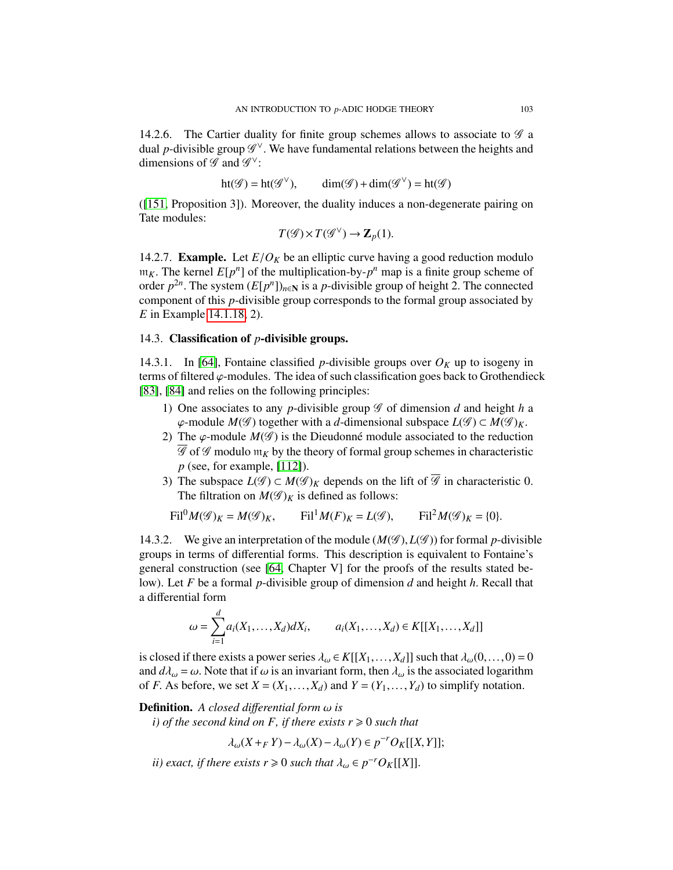14.2.6. The Cartier duality for finite group schemes allows to associate to  $\mathscr G$  a dual *p*-divisible group  $\mathscr{G}^{\vee}$ . We have fundamental relations between the heights and dimensions of  $\mathscr{G}$  and  $\mathscr{G}^{\vee}$ . dimensions of  $\mathscr G$  and  $\mathscr G^\vee$ :

$$
ht(\mathscr{G}) = ht(\mathscr{G}^{\vee}), \qquad dim(\mathscr{G}) + dim(\mathscr{G}^{\vee}) = ht(\mathscr{G})
$$

([\[151,](#page-131-5) Proposition 3]). Moreover, the duality induces a non-degenerate pairing on Tate modules:

$$
T(\mathscr{G})\times T(\mathscr{G}^{\vee})\to \mathbf{Z}_{p}(1).
$$

14.2.7. **Example.** Let  $E/O<sub>K</sub>$  be an elliptic curve having a good reduction modulo  $m_K$ . The kernel  $E[p^n]$  of the multiplication-by- $p^n$  map is a finite group scheme of order  $p^{2n}$ . The system  $(E[p^n])$  and is a *n*-divisible group of height 2. The connected order  $p^{2n}$ . The system  $(E[p^n])_{n \in \mathbb{N}}$  is a *p*-divisible group of height 2. The connected component of this *n*-divisible group corresponds to the formal group associated by component of this *p*-divisible group corresponds to the formal group associated by *E* in Example [14.1.18,](#page-99-0) 2).

# 14.3. Classification of *p*-divisible groups.

14.3.1. In [\[64\]](#page-127-17), Fontaine classified *p*-divisible groups over  $O_K$  up to isogeny in terms of filtered  $\varphi$ -modules. The idea of such classification goes back to Grothendieck [\[83\]](#page-128-9), [\[84\]](#page-128-10) and relies on the following principles:

- 1) One associates to any *p*-divisible group  $\mathscr G$  of dimension *d* and height *h* a  $\varphi$ -module *M*( $\mathscr{G}$ ) together with a *d*-dimensional subspace  $L(\mathscr{G}) \subset M(\mathscr{G})_K$ .
- 2) The  $\varphi$ -module  $M(\mathscr{G})$  is the Dieudonné module associated to the reduction  $\overline{\mathscr{G}}$  of  $\mathscr{G}$  modulo  $\mathfrak{m}_K$  by the theory of formal group schemes in characteristic *p* (see, for example, [\[112\]](#page-129-0)).
- 3) The subspace  $L(\mathscr{G}) \subset M(\mathscr{G})_K$  depends on the lift of  $\overline{\mathscr{G}}$  in characteristic 0. The filtration on  $M(\mathscr{G})_K$  is defined as follows:

$$
\operatorname{Fil}^0 M(\mathscr{G})_K = M(\mathscr{G})_K, \qquad \operatorname{Fil}^1 M(F)_K = L(\mathscr{G}), \qquad \operatorname{Fil}^2 M(\mathscr{G})_K = \{0\}.
$$

14.3.2. We give an interpretation of the module  $(M(\mathscr{G}), L(\mathscr{G}))$  for formal *p*-divisible groups in terms of differential forms. This description is equivalent to Fontaine's general construction (see [\[64,](#page-127-17) Chapter V] for the proofs of the results stated below). Let *<sup>F</sup>* be a formal *<sup>p</sup>*-divisible group of dimension *<sup>d</sup>* and height *<sup>h</sup>*. Recall that a differential form

$$
\omega = \sum_{i=1}^{d} a_i(X_1, \dots, X_d) dX_i, \qquad a_i(X_1, \dots, X_d) \in K[[X_1, \dots, X_d]]
$$

is closed if there exists a power series  $\lambda_{\omega} \in K[[X_1, \ldots, X_d]]$  such that  $\lambda_{\omega}(0, \ldots, 0) = 0$ and  $d\lambda_{\omega} = \omega$ . Note that if  $\omega$  is an invariant form, then  $\lambda_{\omega}$  is the associated logarithm of *F*. As before, we set  $X = (X_1, \ldots, X_d)$  and  $Y = (Y_1, \ldots, Y_d)$  to simplify notation.

# Definition. *A closed di*ff*erential form* ω *is*

*i)* of the second kind on F, if there exists  $r \ge 0$  such that

<sup>λ</sup>ω(*<sup>X</sup>* <sup>+</sup>*<sup>F</sup> <sup>Y</sup>*)−λω(*X*)−λω(*Y*) <sup>∈</sup> *<sup>p</sup>* <sup>−</sup>*rOK*[[*X*,*Y*]];

*ii)* exact, if there exists  $r \ge 0$  such that  $\lambda_\omega \in p^{-r}O_K[[X]]$ .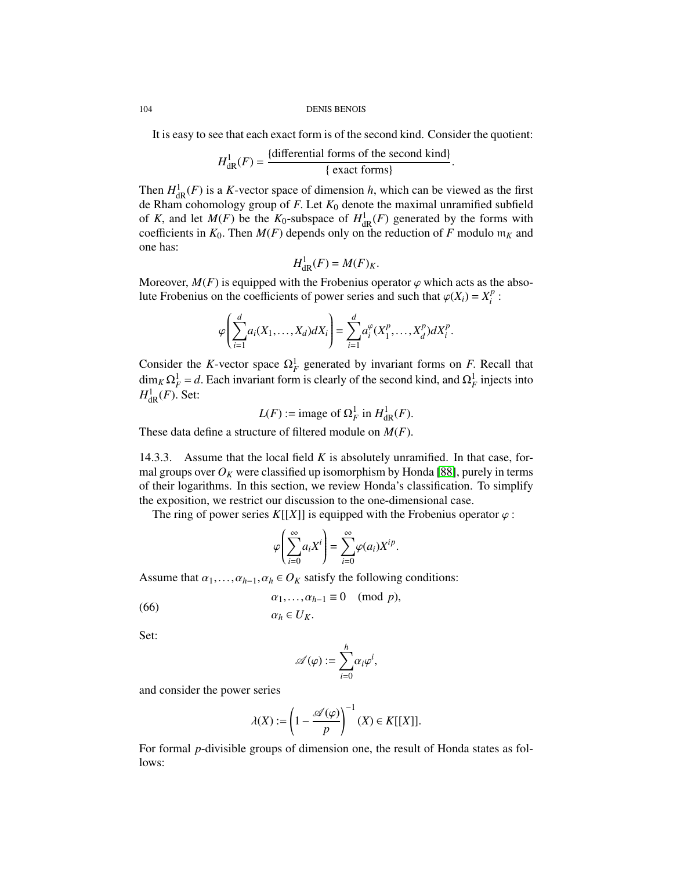It is easy to see that each exact form is of the second kind. Consider the quotient:

$$
H_{\text{dR}}^1(F) = \frac{\{\text{differential forms of the second kind}\}}{\{\text{exact forms}\}}
$$

Then  $H_{\text{dR}}^{1}(F)$  is a *K*-vector space of dimension *h*, which can be viewed as the first  $\mathbf{d} \in \mathbb{R}$  ham cohomology group of *F*. Let  $K_0$  denote the maximal unramified subfield de Rham cohomology group of *<sup>F</sup>*. Let *<sup>K</sup>*<sup>0</sup> denote the maximal unramified subfield of *K*, and let  $M(F)$  be the  $K_0$ -subspace of  $H^1_{\text{dR}}(F)$  generated by the forms with coefficients in  $K_0$ . Then  $M(F)$  depends only on the reduction of *F* modulo w<sub>x</sub> and coefficients in  $K_0$ . Then  $M(F)$  depends only on the reduction of F modulo  $m_K$  and one has:

$$
H^1_{\mathrm{dR}}(F) = M(F)_K.
$$

Moreover,  $M(F)$  is equipped with the Frobenius operator  $\varphi$  which acts as the abso-<br>lute Frobenius on the coefficients of power series and such that  $\varphi(X) - X^p$ . lute Frobenius on the coefficients of power series and such that  $\varphi(X_i) = X_i^p$  $\frac{p}{i}$ :

$$
\varphi\bigg(\sum_{i=1}^d a_i(X_1,\ldots,X_d)dX_i\bigg)=\sum_{i=1}^d a_i^{\varphi}(X_1^p,\ldots,X_d^p)dX_i^p.
$$

Consider the *K*-vector space  $\Omega_F^1$  generated by invariant forms on *F*. Recall that  $\dim_{\mathbb{R}} \Omega^1 = d$ . Fack invariant form is closely of the second kind, and  $\Omega^1$  injects into  $\dim_K \Omega_F^1 = d$ . Each invariant form is clearly of the second kind, and  $\Omega_F^1$  injects into  $H^1$  (*F*) Set:  $H^1_{\mathrm{dR}}(F)$ . Set:

$$
L(F) := \text{image of } \Omega_F^1 \text{ in } H^1_{\text{dR}}(F).
$$

These data define a structure of filtered module on *<sup>M</sup>*(*F*).

14.3.3. Assume that the local field *K* is absolutely unramified. In that case, formal groups over  $O_K$  were classified up isomorphism by Honda [\[88\]](#page-128-13), purely in terms of their logarithms. In this section, we review Honda's classification. To simplify the exposition, we restrict our discussion to the one-dimensional case.

The ring of power series  $K[[X]]$  is equipped with the Frobenius operator  $\varphi$ :

$$
\varphi\left(\sum_{i=0}^{\infty} a_i X^i\right) = \sum_{i=0}^{\infty} \varphi(a_i) X^{ip}.
$$

Assume that  $\alpha_1, \ldots, \alpha_{h-1}, \alpha_h \in O_K$  satisfy the following conditions:

(66) 
$$
\alpha_1, ..., \alpha_{h-1} \equiv 0 \pmod{p},
$$

$$
\alpha_h \in U_K.
$$

Set:

$$
\mathscr{A}(\varphi) := \sum_{i=0}^h \alpha_i \varphi^i,
$$

and consider the power series

$$
\lambda(X) := \left(1 - \frac{\mathscr{A}(\varphi)}{p}\right)^{-1} (X) \in K[[X]].
$$

For formal *p*-divisible groups of dimension one, the result of Honda states as follows: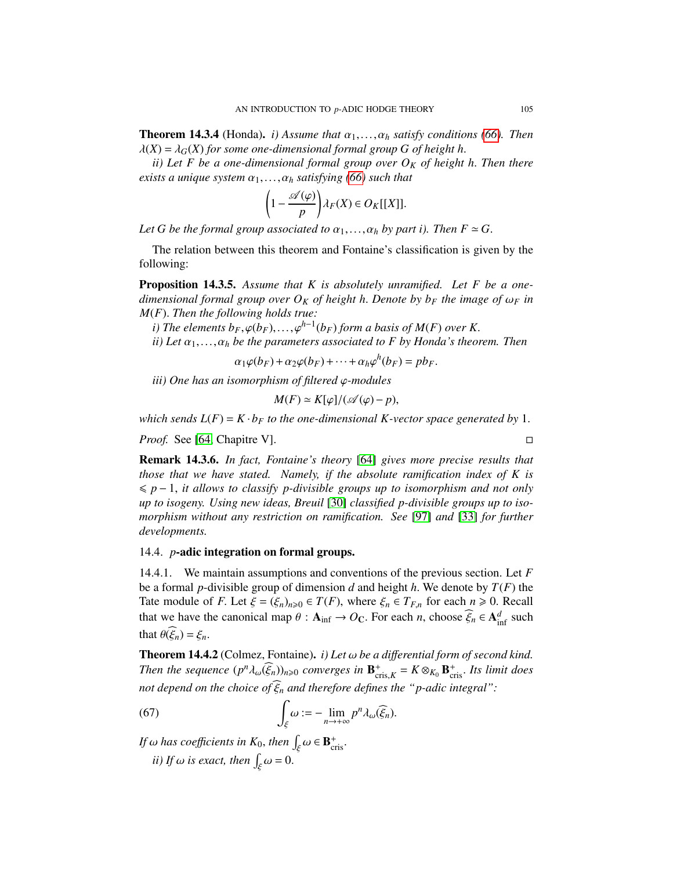**Theorem 14.3.4** (Honda). *i) Assume that*  $\alpha_1, \ldots, \alpha_h$  *satisfy conditions* [\(66\)](#page-101-2). Then  $\lambda(X) = \lambda_G(X)$  for some one-dimensional formal group G of height h.

*ii) Let F be a one-dimensional formal group over O<sup>K</sup> of height h*. *Then there exists a unique system*  $\alpha_1, \ldots, \alpha_h$  *satisfying* [\(66\)](#page-101-2) *such that* 

$$
\left(1-\frac{\mathscr{A}(\varphi)}{p}\right)\lambda_F(X)\in O_K[[X]].
$$

*Let G be the formal group associated to*  $\alpha_1, \ldots, \alpha_h$  *by part i). Then*  $F \simeq G$ .

The relation between this theorem and Fontaine's classification is given by the following:

Proposition 14.3.5. *Assume that K is absolutely unramified. Let F be a onedimensional formal group over*  $O_K$  *of height h. Denote by b<sub>F</sub> the image of*  $\omega_F$  *in <sup>M</sup>*(*F*). *Then the following holds true:*

*i*) The elements  $b_F, \varphi(b_F), \ldots, \varphi^{h-1}(b_F)$  form a basis of  $M(F)$  over K.<br>*ii*) Let  $\alpha_1, \ldots, \alpha_k$  be the parameters associated to F by Honda's theory

*ii)* Let  $\alpha_1, \ldots, \alpha_h$  *be the parameters associated to F by Honda's theorem. Then* 

 $\alpha_1\varphi(b_F) + \alpha_2\varphi(b_F) + \cdots + \alpha_h\varphi^h(b_F) = pb_F.$ 

*iii) One has an isomorphism of filtered* ϕ*-modules*

$$
M(F) \simeq K[\varphi]/(\mathscr{A}(\varphi) - p),
$$

*which sends*  $L(F) = K \cdot b_F$  *to the one-dimensional K-vector space generated by* 1.

*Proof.* See [\[64,](#page-127-17) Chapitre V]. □

Remark 14.3.6. *In fact, Fontaine's theory* [\[64\]](#page-127-17) *gives more precise results that those that we have stated. Namely, if the absolute ramification index of K is*  $\leq p-1$ , *it allows to classify p-divisible groups up to isomorphism and not only up to isogeny. Using new ideas, Breuil* [\[30\]](#page-126-16) *classified p-divisible groups up to isomorphism without any restriction on ramification. See* [\[97\]](#page-129-10) *and* [\[33\]](#page-126-17) *for further developments.*

## 14.4. *p*-adic integration on formal groups.

14.4.1. We maintain assumptions and conventions of the previous section. Let *F* be a formal *<sup>p</sup>*-divisible group of dimension *<sup>d</sup>* and height *<sup>h</sup>*. We denote by *<sup>T</sup>*(*F*) the Tate module of *F*. Let  $\xi = (\xi_n)_{n \geq 0} \in T(F)$ , where  $\xi_n \in T_{F,n}$  for each  $n \geq 0$ . Recall that we have the canonical map  $\theta$ :  $\mathbf{A}_{\text{inf}} \to O_{\mathbf{C}}$ . For each *n*, choose  $\widehat{\xi}_n \in \mathbf{A}_{\text{inf}}^d$  such that  $\theta(\widehat{\xi}_n) = \xi_n$ .

<span id="page-104-1"></span>Theorem 14.4.2 (Colmez, Fontaine). *i) Let* ω *be a di*ff*erential form of second kind. Then the sequence*  $(p^n \lambda_\omega(\widehat{\xi}_n))_{n\geqslant 0}$  *converges in*  $\mathbf{B}^+_{\text{cris},K} = K \otimes_{K_0} \mathbf{B}^+_{\text{cris}}$ . *Its limit does not depend on the choice of*  $\xi_n$  *and therefore defines the "p-adic integral":* 

(67) 
$$
\int_{\xi} \omega := -\lim_{n \to +\infty} p^n \lambda_{\omega}(\widehat{\xi}_n).
$$

<span id="page-104-0"></span>ξ

*If*  $\omega$  *has coefficients in*  $K_0$ , *then*  $\int_{\xi} \omega \in \mathbf{B}_{\text{cris}}^+$ . ξ *ii)* If  $\omega$  *is exact, then*  $\int_{\xi} \omega = 0$ .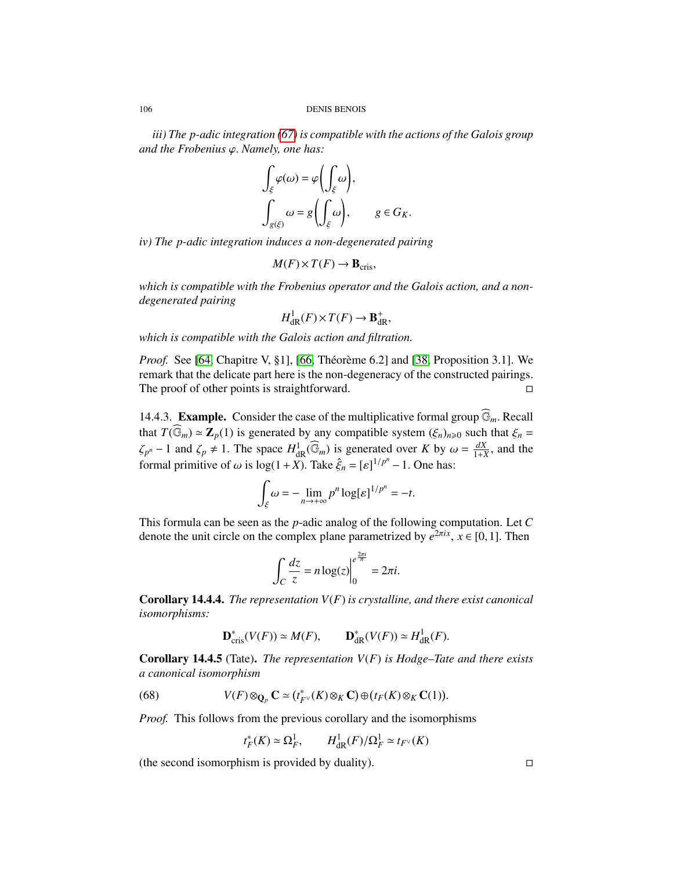*iii) The p-adic integration [\(67\)](#page-104-0) is compatible with the actions of the Galois group and the Frobenius* ϕ. *Namely, one has:*

$$
\int_{\xi} \varphi(\omega) = \varphi \left( \int_{\xi} \omega \right),
$$
  

$$
\int_{g(\xi)} \omega = g \left( \int_{\xi} \omega \right), \qquad g \in G_K.
$$

*iv) The p-adic integration induces a non-degenerated pairing*

$$
M(F) \times T(F) \to \mathbf{B}_{\mathrm{cris}},
$$

*which is compatible with the Frobenius operator and the Galois action, and a nondegenerated pairing*

$$
H^1_{\mathrm{dR}}(F) \times T(F) \to \mathbf{B}^+_{\mathrm{dR}},
$$

*which is compatible with the Galois action and filtration.*

*Proof.* See [\[64,](#page-127-17) Chapitre V,  $\S1$ ], [\[66,](#page-128-0) Théorème 6.2] and [\[38,](#page-126-14) Proposition 3.1]. We remark that the delicate part here is the non-degeneracy of the constructed pairings. The proof of other points is straightforward.  $\Box$ 

14.4.3. **Example.** Consider the case of the multiplicative formal group  $\widehat{\mathbb{G}}_m$ . Recall that  $T(\widehat{\mathbb{G}}_m) \simeq \mathbb{Z}_p(1)$  is generated by any compatible system  $(\xi_n)_{n\geq 0}$  such that  $\xi_n =$ ζ*p n* − 1 and  $\zeta_p \neq 1$ . The space  $H^1_{\text{dR}}(\widehat{\mathbb{G}}_m)$  is generated over *K* by  $\omega = \frac{dX}{1+Y}$ <br>rmal primitive of  $\omega$  is log(1 + Y). Take  $\hat{\zeta} = \frac{\text{d}I}{2}$  on the log(1  $\frac{dX}{1+X}$ , and the formal primitive of  $\omega$  is  $\log(1 + X)$ . Take  $\hat{\xi}_n = [\varepsilon]^{1/p^n} - 1$ . One has:

$$
\int_{\xi} \omega = -\lim_{n \to +\infty} p^n \log[\varepsilon]^{1/p^n} = -t.
$$

This formula can be seen as the *p*-adic analog of the following computation. Let *C* denote the unit circle on the complex plane parametrized by  $e^{2\pi ix}$ ,  $x \in [0,1]$ . Then

$$
\int_C \frac{dz}{z} = n \log(z) \Big|_0^{\frac{2\pi i}{n}} = 2\pi i.
$$

<span id="page-105-0"></span>Corollary 14.4.4. *The representation V*(*F*) *is crystalline, and there exist canonical isomorphisms:*

$$
\mathbf{D}_{\mathrm{cris}}^*(V(F)) \simeq M(F), \qquad \mathbf{D}_{\mathrm{dR}}^*(V(F)) \simeq H_{\mathrm{dR}}^1(F).
$$

Corollary 14.4.5 (Tate). *The representation V*(*F*) *is Hodge–Tate and there exists a canonical isomorphism*

(68) 
$$
V(F) \otimes_{\mathbf{Q}_p} \mathbf{C} \simeq (t_{F^\vee}^*(K) \otimes_K \mathbf{C}) \oplus (t_F(K) \otimes_K \mathbf{C}(1))
$$

*Proof.* This follows from the previous corollary and the isomorphisms

14 C

<span id="page-105-1"></span>
$$
t_F^*(K) \simeq \Omega_F^1
$$
,  $H_{\text{dR}}^1(F)/\Omega_F^1 \simeq t_{F^{\vee}}(K)$ 

(the second isomorphism is provided by duality).  $\square$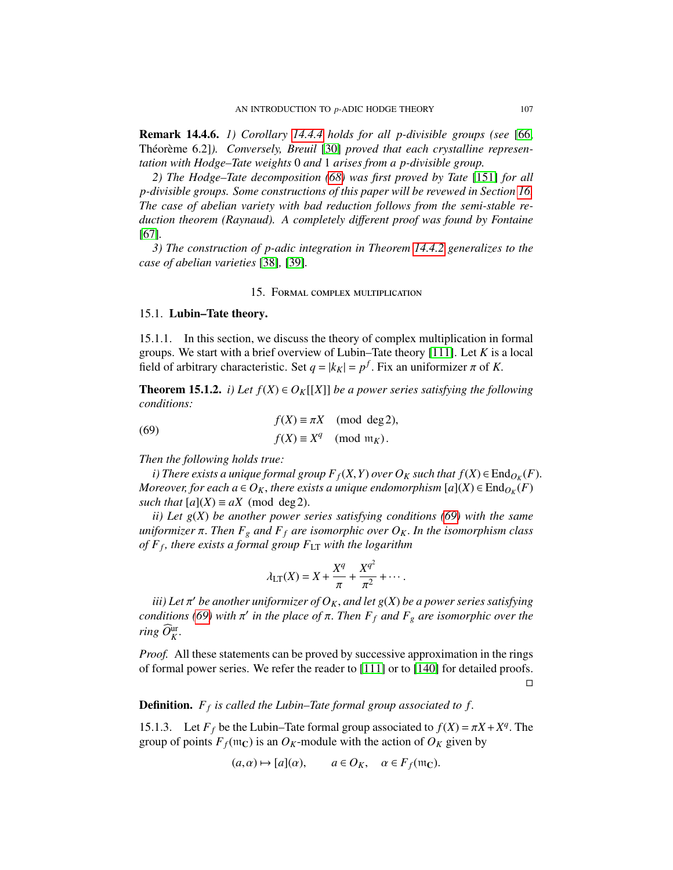Remark 14.4.6. *1) Corollary [14.4.4](#page-105-0) holds for all p-divisible groups (see* [\[66,](#page-128-0) Théorème 6.2]). Conversely, Breuil [\[30\]](#page-126-16) proved that each crystalline represen*tation with Hodge–Tate weights* 0 *and* 1 *arises from a p-divisible group.*

*2) The Hodge–Tate decomposition [\(68\)](#page-105-1) was first proved by Tate* [\[151\]](#page-131-5) *for all p-divisible groups. Some constructions of this paper will be revewed in Section [16.](#page-110-0) The case of abelian variety with bad reduction follows from the semi-stable reduction theorem (Raynaud). A completely di*ff*erent proof was found by Fontaine* [\[67\]](#page-128-12)*.*

*3) The construction of p-adic integration in Theorem [14.4.2](#page-104-1) generalizes to the case of abelian varieties* [\[38\]](#page-126-14)*,* [\[39\]](#page-126-15)*.*

### <span id="page-106-1"></span>15. Formal complex multiplication

## <span id="page-106-0"></span>15.1. Lubin–Tate theory.

15.1.1. In this section, we discuss the theory of complex multiplication in formal groups. We start with a brief overview of Lubin–Tate theory [\[111\]](#page-129-11). Let *K* is a local field of arbitrary characteristic. Set  $q = |k_K| = p^f$ . Fix an uniformizer  $\pi$  of *K*.

**Theorem 15.1.2.** *i)* Let  $f(X) \in O_K[[X]]$  be a power series satisfying the following *conditions:*

(69) 
$$
f(X) \equiv \pi X \pmod{\deg 2},
$$

$$
f(X) \equiv X^q \pmod{\mathfrak{m}_K}.
$$

*Then the following holds true:*

*i*) There exists a unique formal group  $F_f(X, Y)$  over  $O_K$  such that  $f(X) \in \text{End}_{O_K}(F)$ .<br>Orgaver for each  $a \in O_K$ , there exists a unique endomorphism  $[a](X) \in \text{End}_{O_K}(F)$ . *Moreover, for each a* ∈ *O<sub>K</sub>*, *there exists a unique endomorphism* [*a*](*X*) ∈ End<sub>*O<sub>K</sub>*</sub>(*F*) such that [*a*](*X*) = *aX* (mod deg 2) *such that*  $[a](X) \equiv aX \pmod{deg 2}$ .

*ii) Let g*(*X*) *be another power series satisfying conditions [\(69\)](#page-106-1) with the same uniformizer* π. *Then F<sup>g</sup> and F<sup>f</sup> are isomorphic over OK*. *In the isomorphism class of F<sup>f</sup> , there exists a formal group F*LT *with the logarithm*

$$
\lambda_{LT}(X) = X + \frac{X^q}{\pi} + \frac{X^{q^2}}{\pi^2} + \cdots
$$

 $\tilde{u}$  *iii)* Let π' be another uniformizer of  $O_K$ , and let g(X) be a power series satisfying<br>nditions (69) with π' in the place of π. Then E c and E , are isomorphic over the *conditions* [\(69\)](#page-106-1) with  $\pi'$  *in the place of*  $\pi$ . *Then*  $F_f$  *and*  $F_g$  *are isomorphic over the*  $\hat{F}$  *in*  $\hat{F}$  $ring\,\,\widehat{\cal O}_{K}^{\text{ur}}.$ 

*Proof.* All these statements can be proved by successive approximation in the rings of formal power series. We refer the reader to [\[111\]](#page-129-11) or to [\[140\]](#page-130-9) for detailed proofs.

 $\Box$ 

# Definition. *F<sup>f</sup> is called the Lubin–Tate formal group associated to f*.

15.1.3. Let  $F_f$  be the Lubin–Tate formal group associated to  $f(X) = \pi X + X^q$ . The group of points  $F_c(\text{tr}_\Omega)$  is an  $Q_K$ -module with the action of  $Q_K$  given by group of points  $F_f$ ( $m<sub>C</sub>$ ) is an  $O_K$ -module with the action of  $O_K$  given by

$$
(a,\alpha) \mapsto [a](\alpha), \qquad a \in O_K, \quad \alpha \in F_f(\mathfrak{m}_\mathbb{C}).
$$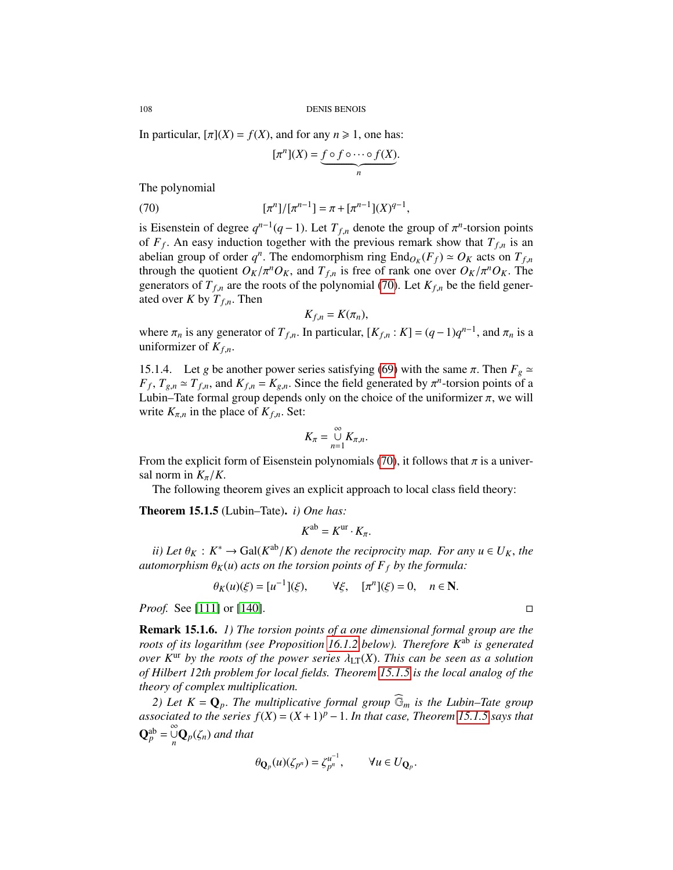In particular,  $[\pi](X) = f(X)$ , and for any  $n \ge 1$ , one has:

<span id="page-107-0"></span>
$$
[\pi^n](X) = \underbrace{f \circ f \circ \cdots \circ f(X)}_{n}.
$$

The polynomial

(70) 
$$
[\pi^n]/[\pi^{n-1}] = \pi + [\pi^{n-1}](X)^{q-1},
$$

is Eisenstein of degree  $q^{n-1}(q-1)$ . Let  $T_{f,n}$  denote the group of  $\pi^n$ -torsion points<br>of  $F_{f,n}$  An easy induction together with the previous remark show that  $T_{f,n}$  is an of  $F_f$ . An easy induction together with the previous remark show that  $T_{f,n}$  is an abelian group of order  $a^n$ . The endomorphism ring End<sub>o</sub>  $(F_c) \sim Q_x$  acts on  $T_c$ abelian group of order  $q^n$ . The endomorphism ring  $End_{O_K}(F_f) \simeq O_K$  acts on  $T_{f,n}$ <br>through the quotient  $O_K/\pi^n O_K$  and  $T_c$  is free of rank one over  $O_K/\pi^n O_K$ . The through the quotient  $O_K/\pi^n O_K$ , and  $T_{f,n}$  is free of rank one over  $O_K/\pi^n O_K$ . The generators of  $T_{f,n}$  are the roots of the polynomial [\(70\)](#page-107-0). Let  $K_{f,n}$  be the field generated over *K* by  $T_{f,n}$ . Then

$$
K_{f,n}=K(\pi_n),
$$

where  $\pi_n$  is any generator of  $T_{f,n}$ . In particular,  $[K_{f,n}: K] = (q-1)q^{n-1}$ , and  $\pi_n$  is a uniformizer of  $K_c$ uniformizer of *<sup>K</sup>f*,*n*.

15.1.4. Let *g* be another power series satisfying [\(69\)](#page-106-1) with the same  $\pi$ . Then  $F_g \simeq$  $F_f$ ,  $T_{g,n} \simeq T_{f,n}$ , and  $K_{f,n} = K_{g,n}$ . Since the field generated by  $\pi^n$ -torsion points of a Lubin–Tate formal group denends only on the choice of the uniformizer  $\pi$ , we will Lubin–Tate formal group depends only on the choice of the uniformizer  $\pi$ , we will write  $K_{\pi,n}$  in the place of  $K_{f,n}$ . Set:

$$
K_{\pi}=\bigcup_{n=1}^{\infty}K_{\pi,n}.
$$

From the explicit form of Eisenstein polynomials [\(70\)](#page-107-0), it follows that  $\pi$  is a universal norm in  $K_{\pi}/K$ .

The following theorem gives an explicit approach to local class field theory:

<span id="page-107-1"></span>Theorem 15.1.5 (Lubin–Tate). *i) One has:*

$$
K^{\mathrm{ab}}=K^{\mathrm{ur}}\cdot K_{\pi}.
$$

*ii*) Let  $\theta_K : K^* \to \text{Gal}(K^{\text{ab}}/K)$  *denote the reciprocity map. For any*  $u \in U_K$ *, the tomorphism*  $\theta_{K}(u)$  *acts on the torsion points of*  $F \circ h$  *the formula: automorphism*  $\theta_K(u)$  *acts on the torsion points of*  $F_f$  *by the formula:* 

$$
\theta_K(u)(\xi) = [u^{-1}](\xi), \quad \forall \xi, \quad [\pi^n](\xi) = 0, \quad n \in \mathbb{N}.
$$

*Proof.* See [\[111\]](#page-129-11) or [\[140\]](#page-130-9). □

Remark 15.1.6. *1) The torsion points of a one dimensional formal group are the roots of its logarithm (see Proposition [16.1.2](#page-110-1) below). Therefore K*ab *is generated over K*<sup>ur</sup> *by the roots of the power series*  $\lambda_{LT}(X)$ . *This can be seen as a solution of Hilbert 12th problem for local fields. Theorem [15.1.5](#page-107-1) is the local analog of the theory of complex multiplication.*

*2) Let*  $K = \mathbf{Q}_p$ . The multiplicative formal group  $\widehat{\mathbb{G}}_m$  *is the Lubin–Tate group associated to the series*  $f(X) = (X + 1)^p - 1$ . *In that case, Theorem [15.1.5](#page-107-1) says that*  $\mathbf{Q}_p^{\text{ab}} = \mathop{\cup}\limits_{n}^{\infty} \mathbf{Q}_p(\zeta_n)$  *and that* 

$$
\theta_{\mathbf{Q}_p}(u)(\zeta_{p^n})=\zeta_{p^n}^{u^{-1}},\qquad \forall u\in U_{\mathbf{Q}_p}
$$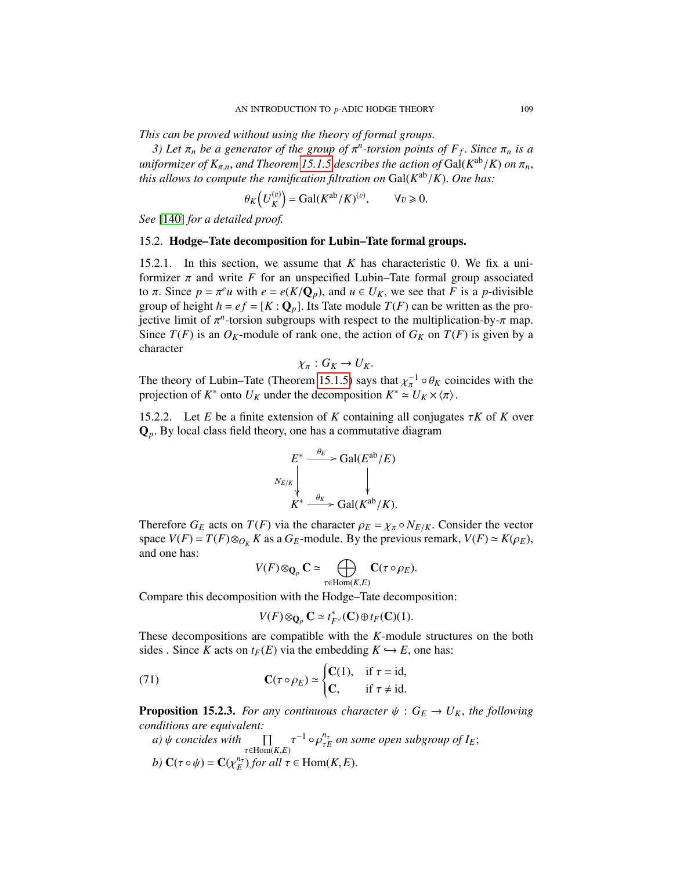*This can be proved without using the theory of formal groups.*

*3)* Let  $\pi_n$  be a generator of the group of  $\pi^n$ -torsion points of  $F_f$ . Since  $\pi_n$  is a<br>iformizer of K and Theorem 15, 1.5 describes the action of Gal(K<sup>ab</sup>/K) on  $\pi$ *uniformizer of*  $K_{\pi,n}$ , *and Theorem [15.1.5](#page-107-0)* describes the action of Gal( $K^{ab}/K$ ) *on*  $\pi_n$ , this allows to compute the ramification filtration on Gal( $K^{ab}/K$ ). One has: *this allows to compute the ramification filtration on*  $Gal(K^{ab}/K)$ . *One has:* 

$$
\theta_K\left(U_K^{(v)}\right) = \text{Gal}(K^{\text{ab}}/K)^{(v)}, \qquad \forall v \geq 0.
$$

*See* [\[140\]](#page-130-0) *for a detailed proof.*

# 15.2. Hodge–Tate decomposition for Lubin–Tate formal groups.

15.2.1. In this section, we assume that *<sup>K</sup>* has characteristic 0. We fix a uniformizer  $\pi$  and write  $F$  for an unspecified Lubin–Tate formal group associated to  $\pi$ . Since  $p = \pi^e u$  with  $e = e(K/Q_p)$ , and  $u \in U_K$ , we see that *F* is a *p*-divisible group of height  $h - e f - [K \cdot \mathbf{O}]$  I is Tate module  $T(F)$  can be written as the progroup of height  $h = ef = [K : \mathbf{Q}_p]$ . Its Tate module  $T(F)$  can be written as the projective limit of  $\pi^n$ -torsion subgroups with respect to the multiplication-by- $\pi$  map.<br>Since  $T(F)$  is an  $Q_{K}$ -module of rank one, the action of  $G_{K}$  on  $T(F)$  is given by a Since  $T(F)$  is an  $O_K$ -module of rank one, the action of  $G_K$  on  $T(F)$  is given by a character

$$
\chi_{\pi}: G_K \to U_K.
$$

The theory of Lubin–Tate (Theorem [15.1.5\)](#page-107-0) says that  $\chi_{\pi}^{-1} \circ \theta_K$  coincides with the projection of  $K^*$  onto  $U_K$  under the decomposition  $K^* \sim U_K \times \pi$ . projection of  $K^*$  onto  $U_K$  under the decomposition  $K^* \simeq U_K \times \langle \pi \rangle$ .

15.2.2. Let *E* be a finite extension of *K* containing all conjugates  $\tau K$  of *K* over <sup>Q</sup>*p*. By local class field theory, one has a commutative diagram

$$
E^* \xrightarrow{\theta_E} \text{Gal}(E^{\text{ab}}/E)
$$
  
\n
$$
\downarrow \qquad \qquad \downarrow
$$
  
\n
$$
K^* \xrightarrow{\theta_K} \text{Gal}(K^{\text{ab}}/K).
$$

Therefore  $G_E$  acts on  $T(F)$  via the character  $\rho_E = \chi_{\pi} \circ N_{E/K}$ . Consider the vector space  $V(F) = T(F) \otimes_{O_K} K$  as a  $G_E$ -module. By the previous remark,  $V(F) \simeq K(\rho_E)$ , and one has:

$$
V(F) \otimes_{\mathbf{Q}_p} \mathbf{C} \simeq \bigoplus_{\tau \in \text{Hom}(K,E)} \mathbf{C}(\tau \circ \rho_E).
$$

Compare this decomposition with the Hodge–Tate decomposition:

<span id="page-108-0"></span>
$$
V(F) \otimes_{\mathbf{Q}_p} \mathbf{C} \simeq t_{F^{\vee}}^*(\mathbf{C}) \oplus t_F(\mathbf{C})(1).
$$

These decompositions are compatible with the *K*-module structures on the both sides . Since *K* acts on  $t_F(E)$  via the embedding  $K \hookrightarrow E$ , one has:

(71) 
$$
\mathbf{C}(\tau \circ \rho_E) \simeq \begin{cases} \mathbf{C}(1), & \text{if } \tau = \text{id}, \\ \mathbf{C}, & \text{if } \tau \neq \text{id}. \end{cases}
$$

<span id="page-108-1"></span>**Proposition 15.2.3.** *For any continuous character*  $\psi$  :  $G_E \rightarrow U_K$ *, the following conditions are equivalent:*

a) 
$$
\psi
$$
 concides with  $\prod_{\tau \in \text{Hom}(K,E)} \tau^{-1} \circ \rho_{\tau E}^{n_{\tau}}$  on some open subgroup of  $I_E$ ;  
b)  $\mathbf{C}(\tau \circ \psi) = \mathbf{C}(\chi_E^{n_{\tau}})$  for all  $\tau \in \text{Hom}(K,E)$ .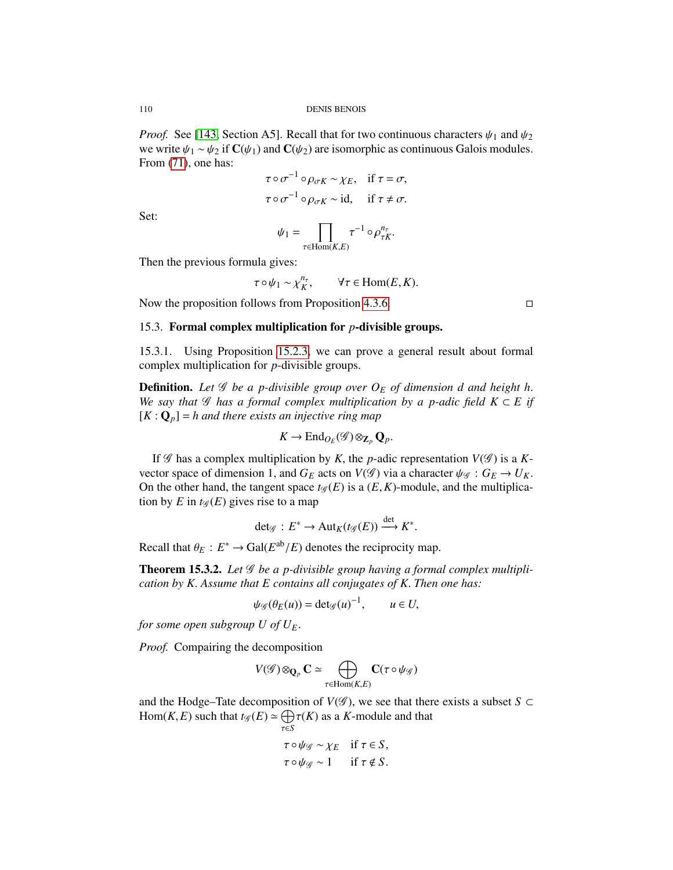*Proof.* See [\[143,](#page-130-1) Section A5]. Recall that for two continuous characters  $\psi_1$  and  $\psi_2$ we write  $\psi_1 \sim \psi_2$  if  $\mathbf{C}(\psi_1)$  and  $\mathbf{C}(\psi_2)$  are isomorphic as continuous Galois modules. From  $(71)$ , one has:

$$
\tau \circ \sigma^{-1} \circ \rho_{\sigma K} \sim \chi_E, \quad \text{if } \tau = \sigma,
$$
  

$$
\tau \circ \sigma^{-1} \circ \rho_{\sigma K} \sim \text{id}, \quad \text{if } \tau \neq \sigma.
$$

Set:

$$
\psi_1 = \prod_{\tau \in \text{Hom}(K,E)} \tau^{-1} \circ \rho_{\tau K}^{n_{\tau}}.
$$

Then the previous formula gives:

$$
\tau \circ \psi_1 \sim \chi_K^{n_\tau}
$$
,  $\forall \tau \in \text{Hom}(E, K)$ .

Now the proposition follows from Proposition [4.3.6.](#page-36-0)  $\Box$ 

# 15.3. Formal complex multiplication for *p*-divisible groups.

15.3.1. Using Proposition [15.2.3,](#page-108-1) we can prove a general result about formal complex multiplication for *p*-divisible groups.

**Definition.** Let  $\mathscr G$  be a p-divisible group over  $O_F$  of dimension d and height h. *We say that*  $\mathscr G$  *has a formal complex multiplication by a p-adic field*  $K \subset E$  *if*  $[K: \mathbf{Q}_p] = h$  and there exists an injective ring map

$$
K \to \mathrm{End}_{O_E}(\mathscr{G}) \otimes_{\mathbf{Z}_p} \mathbf{Q}_p.
$$

If  $\mathscr G$  has a complex multiplication by *K*, the *p*-adic representation  $V(\mathscr G)$  is a *K*vector space of dimension 1, and  $G_E$  acts on  $V(\mathscr{G})$  via a character  $\psi_{\mathscr{G}} : G_E \to U_K$ . On the other hand, the tangent space  $t_{\mathscr{G}}(E)$  is a  $(E, K)$ -module, and the multiplication by *E* in  $t_{\mathscr{G}}(E)$  gives rise to a map

$$
\det \mathcal{G}: E^* \to \mathrm{Aut}_K(t\mathcal{G}(E)) \xrightarrow{\det} K^*.
$$

Recall that  $\theta_E : E^* \to \text{Gal}(E^{\text{ab}}/E)$  denotes the reciprocity map.

τ∈*S*

<span id="page-109-0"></span>**Theorem 15.3.2.** Let *G* be a *p*-divisible group having a formal complex multipli*cation by K*. *Assume that E contains all conjugates of K*. *Then one has:*

$$
\psi_{\mathscr{G}}(\theta_E(u)) = \det_{\mathscr{G}}(u)^{-1}, \qquad u \in U,
$$

*for some open subgroup U of*  $U_F$ *.* 

*Proof.* Compairing the decomposition

$$
V(\mathscr{G}) \otimes_{\mathbf{Q}_p} \mathbf{C} \simeq \bigoplus_{\tau \in \text{Hom}(K,E)} \mathbf{C}(\tau \circ \psi_{\mathscr{G}})
$$

and the Hodge–Tate decomposition of *V*( $\mathscr G$ ), we see that there exists a subset *S* ⊂ Hom(*K*, *E*) such that  $t_{\mathscr{G}}(E) \simeq \bigoplus_{\tau \in S} \tau(K)$  as a *K*-module and that

$$
\tau \circ \psi_{\mathscr{G}} \sim \chi_E \quad \text{if } \tau \in S,
$$
  

$$
\tau \circ \psi_{\mathscr{G}} \sim 1 \quad \text{if } \tau \notin S.
$$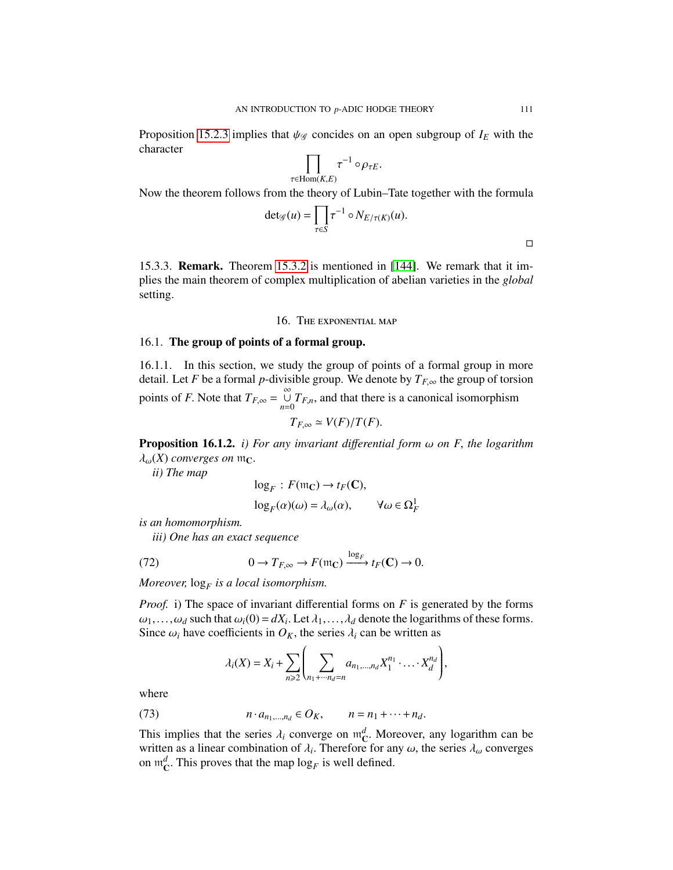Proposition [15.2.3](#page-108-1) implies that  $\psi_{\mathscr{G}}$  concides on an open subgroup of  $I_E$  with the character

$$
\prod_{\tau \in \text{Hom}(K,E)} \tau^{-1} \circ \rho_{\tau E}.
$$

Now the theorem follows from the theory of Lubin–Tate together with the formula

$$
\det_{\mathscr{G}}(u) = \prod_{\tau \in S} \tau^{-1} \circ N_{E/\tau(K)}(u).
$$

15.3.3. Remark. Theorem [15.3.2](#page-109-0) is mentioned in [\[144\]](#page-130-2). We remark that it implies the main theorem of complex multiplication of abelian varieties in the *global* setting.

# 16. The exponential map

# 16.1. The group of points of a formal group.

16.1.1. In this section, we study the group of points of a formal group in more detail. Let *F* be a formal *p*-divisible group. We denote by  $T_{F,\infty}$  the group of torsion points of *F*. Note that  $T_{F,\infty} = \bigcup_{n=0}^{\infty} T_{F,n}$ , and that there is a canonical isomorphism

$$
T_{F,\infty}\simeq V(F)/T(F).
$$

<span id="page-110-2"></span>**Proposition 16.1.2.** *i) For any invariant differential form*  $\omega$  *on F, the logarithm*  $\lambda_{\omega}(X)$  *converges on*  $m_{\mathbb{C}}$ .

*ii) The map*

<span id="page-110-1"></span>
$$
\log_F: F(\mathfrak{m}_\mathbb{C}) \to t_F(\mathbb{C}),
$$
  

$$
\log_F(\alpha)(\omega) = \lambda_\omega(\alpha), \qquad \forall \omega \in \Omega
$$

1 *F*

*is an homomorphism.*

*iii) One has an exact sequence*

(72) 
$$
0 \to T_{F,\infty} \to F(\mathfrak{m}_{\mathbb{C}}) \xrightarrow{\log_F} t_F(\mathbb{C}) \to 0.
$$

*Moreover,* log*<sup>F</sup> is a local isomorphism.*

*Proof.* i) The space of invariant differential forms on *F* is generated by the forms  $\omega_1, \ldots, \omega_d$  such that  $\omega_i(0) = dX_i$ . Let  $\lambda_1, \ldots, \lambda_d$  denote the logarithms of these forms.<br>Since  $\omega_1$  have coefficients in  $\Omega_K$  the series  $\lambda_1$  can be written as Since  $\omega_i$  have coefficients in  $O_K$ , the series  $\lambda_i$  can be written as

<span id="page-110-0"></span>
$$
\lambda_i(X) = X_i + \sum_{n \geq 2} \left( \sum_{n_1 + \dots + n_d = n} a_{n_1, \dots, n_d} X_1^{n_1} \cdot \dots \cdot X_d^{n_d} \right),
$$

where

(73) 
$$
n \cdot a_{n_1,\dots,n_d} \in O_K, \qquad n = n_1 + \dots + n_d.
$$

This implies that the series  $\lambda_i$  converge on  $m_C^d$ . Moreover, any logarithm can be written as a linear combination of  $\lambda$ . Therefore for any  $\omega$ , the series  $\lambda$ , converges written as a linear combination of  $\lambda_i$ . Therefore for any  $\omega$ , the series  $\lambda_{\omega}$  converges on  $m^d$ . This proves that the man log, is well defined on  $\mathfrak{m}_{\mathbf{C}}^d$ . This proves that the map  $\log_F$  is well defined.

 $\Box$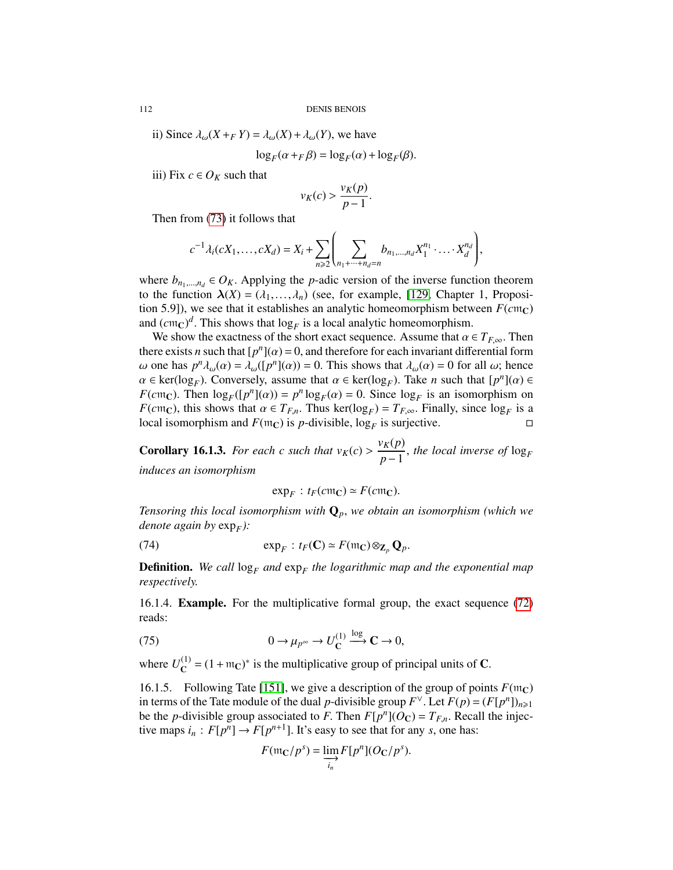ii) Since  $\lambda_{\omega}(X + FY) = \lambda_{\omega}(X) + \lambda_{\omega}(Y)$ , we have

$$
\log_F(\alpha + F\beta) = \log_F(\alpha) + \log_F(\beta).
$$

iii) Fix  $c \in O_K$  such that

$$
v_K(c) > \frac{v_K(p)}{p-1}.
$$

Then from [\(73\)](#page-110-0) it follows that

$$
c^{-1}\lambda_i(cX_1,\ldots,cX_d)=X_i+\sum_{n\geqslant 2}\left(\sum_{n_1+\cdots+n_d=n}b_{n_1,\ldots,n_d}X_1^{n_1}\cdot\ldots\cdot X_d^{n_d}\right),
$$

where  $b_{n_1,\dots,n_d} \in O_K$ . Applying the *p*-adic version of the inverse function theorem to the function  $\lambda(X) = (\lambda_1, ..., \lambda_n)$  (see, for example, [\[129,](#page-130-3) Chapter 1, Proposition 5.9]), we see that it establishes an analytic homeomorphism between  $F(cnc)$ and  $(cnc)^d$ . This shows that  $log_F$  is a local analytic homeomorphism.<br>We show the exactness of the short exact sequence. Assume that  $\alpha$ 

We show the exactness of the short exact sequence. Assume that  $\alpha \in T_{F,\infty}$ . Then there exists *n* such that  $[p^n](\alpha) = 0$ , and therefore for each invariant differential form<br>(a) one has  $n^n \lambda_-(\alpha) = \lambda_-(n^n(\alpha)) = 0$ . This shows that  $\lambda_-(\alpha) = 0$  for all  $\alpha$ ; hence ω one has  $p^n \lambda_ω(α) = \lambda_ω([p^n](α)) = 0$ . This shows that  $\lambda_ω(α) = 0$  for all ω; hence  $α ∈ ker(log_0)$ . Conversely assume that  $α ∈ ker(log_0)$ . Take *n* such that  $[n^n](α) ∈$  $\alpha \in \text{ker}(\log_F)$ . Conversely, assume that  $\alpha \in \text{ker}(\log_F)$ . Take *n* such that  $[p^n](\alpha) \in$ <br> $E(\text{cm}\alpha)$ . Then  $\log_{\alpha}([n^n](\alpha)) = n^n \log_{\alpha}(\alpha) = 0$ . Since  $\log_{\alpha}$  is an isomorphism on  $F(cmc)$ . Then  $log_F([p^n](\alpha)) = p^n log_F(\alpha) = 0$ . Since  $log_F$  is an isomorphism on  $F(cmc)$ , this shows that  $\alpha \in T_F$ . Thus  $ker(log_{\alpha}) = T_F$ . Finally since  $log_{\alpha}$  is a *F*(*c*m<sub>C</sub>), this shows that  $\alpha \in T_{F,n}$ . Thus ker(log<sub>*F*</sub>) =  $T_{F,\infty}$ . Finally, since log<sub>*F*</sub> is a local isomorphism and *F*(m<sub>C</sub>) is *n*-divisible log<sub>7</sub> is surjective local isomorphism and  $F$ ( $m<sub>C</sub>$ ) is *p*-divisible, log<sub>*F*</sub> is surjective.

**Corollary 16.1.3.** *For each c such that*  $v_K(c) > \frac{v_K(p)}{p-1}$  $\frac{f_{\mathbf{A}}(P)}{p-1}$ , *the local inverse of* log<sub>F</sub> *induces an isomorphism*

$$
\exp_F : t_F(c\mathfrak{m}_\mathbb{C}) \simeq F(c\mathfrak{m}_\mathbb{C}).
$$

*Tensoring this local isomorphism with* <sup>Q</sup>*p*, *we obtain an isomorphism (which we denote again by* exp*<sup>F</sup> ):*

(74) 
$$
\exp_F : t_F(\mathbf{C}) \simeq F(\mathfrak{m}_\mathbf{C}) \otimes_{\mathbf{Z}_p} \mathbf{Q}_p.
$$

**Definition.** We call  $\log_F$  and  $\exp_F$  the logarithmic map and the exponential map *respectively.*

16.1.4. Example. For the multiplicative formal group, the exact sequence [\(72\)](#page-110-1) reads:

(75) 
$$
0 \to \mu_{p^{\infty}} \to U_{\mathbf{C}}^{(1)} \xrightarrow{\log} \mathbf{C} \to 0,
$$

where  $U_{\mathbf{C}}^{(1)}$  $C^{(1)}$  = (1 + m<sub>C</sub>)<sup>\*</sup> is the multiplicative group of principal units of **C**.

16.1.5. Following Tate [\[151\]](#page-131-0), we give a description of the group of points  $F(\mathfrak{m}_C)$ in terms of the Tate module of the dual *p*-divisible group  $F^{\vee}$ . Let  $F(p) = (F[p^n])_{n \geq 1}$ <br>be the *n*-divisible group associated to *F*. Then  $F[p^n](Q_0) = T_F$ . Recall the injecbe the *p*-divisible group associated to *F*. Then  $F[p^n](O_C) = T_{F,n}$ . Recall the injective mans  $i : F[n^n] \to F[n^{n+1}]$ . It's easy to see that for any some has: tive maps  $i_n : F[p^n] \to F[p^{n+1}]$ . It's easy to see that for any *s*, one has:

<span id="page-111-0"></span>
$$
F(\mathfrak{m}_\mathbf{C}/p^s) = \varinjlim_{i_n} F[p^n](O_\mathbf{C}/p^s).
$$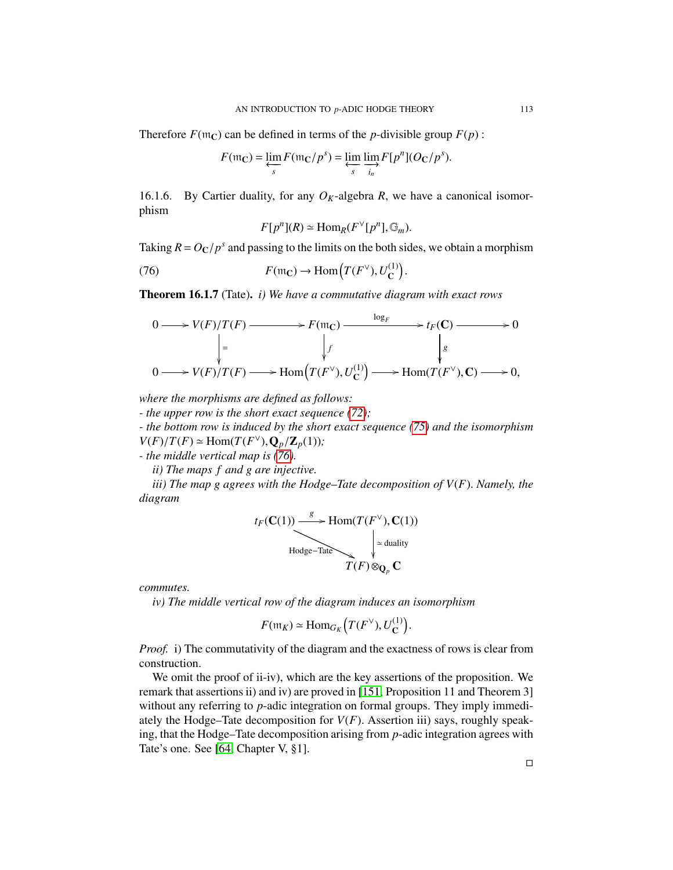Therefore  $F(\mathfrak{m}_C)$  can be defined in terms of the *p*-divisible group  $F(p)$ :

$$
F(\mathfrak{m}_\mathbf{C}) = \varprojlim_s F(\mathfrak{m}_\mathbf{C}/p^s) = \varprojlim_s \varinjlim_{i_n} F[p^n](O_\mathbf{C}/p^s).
$$

16.1.6. By Cartier duality, for any  $O_K$ -algebra *R*, we have a canonical isomorphism

<span id="page-112-0"></span>
$$
F[p^n](R) \simeq \text{Hom}_R(F^{\vee}[p^n], \mathbb{G}_m).
$$

Taking  $R = O_C/p^s$  and passing to the limits on the both sides, we obtain a morphism

(76) 
$$
F(\mathfrak{m}_{\mathbb{C}}) \to \text{Hom}\left(T(F^{\vee}), U_{\mathbb{C}}^{(1)}\right)
$$

<span id="page-112-1"></span>Theorem 16.1.7 (Tate). *i) We have a commutative diagram with exact rows*

<span id="page-112-2"></span>
$$
0 \longrightarrow V(F)/T(F) \longrightarrow F(\mathfrak{m}_\mathbb{C}) \longrightarrow \begin{array}{c} \log_F \\ \downarrow_f \\ \downarrow_f \\ 0 \longrightarrow V(F)/T(F) \longrightarrow \text{Hom}\Big(T(F^\vee), U_\mathbb{C}^{(1)}\Big) \longrightarrow \text{Hom}(T(F^\vee), \mathbb{C}) \longrightarrow 0, \end{array}
$$

*where the morphisms are defined as follows:*

*- the upper row is the short exact sequence [\(72\)](#page-110-1);*

*- the bottom row is induced by the short exact sequence [\(75\)](#page-111-0) and the isomorphism V*(*F*)/*T*(*F*)  $\simeq$  Hom(*T*(*F*<sup> $\vee$ </sup>), $Q_p$ /Z<sub>*p*</sub>(1))*;*<br>*e* the middle vertical man is (76)

*- the middle vertical map is [\(76\)](#page-112-0).*

*ii) The maps f and g are injective.*

*iii) The map g agrees with the Hodge–Tate decomposition of V*(*F*). *Namely, the diagram*

$$
t_F(\mathbf{C}(1)) \xrightarrow{\text{B}} \operatorname{Hom}(T(F^{\vee}), \mathbf{C}(1))
$$
  
Hodge-Tate  

$$
T(F) \otimes_{\mathbf{Q}_p} \mathbf{C}
$$

*commutes.*

*iv) The middle vertical row of the diagram induces an isomorphism*

$$
F(\mathfrak{m}_K) \simeq \text{Hom}_{G_K}\left(T(F^{\vee}), U_{\mathbf{C}}^{(1)}\right)
$$

*Proof.* i) The commutativity of the diagram and the exactness of rows is clear from construction.

We omit the proof of ii-iv), which are the key assertions of the proposition. We remark that assertions ii) and iv) are proved in [\[151,](#page-131-0) Proposition 11 and Theorem 3] without any referring to *p*-adic integration on formal groups. They imply immediately the Hodge–Tate decomposition for  $V(F)$ . Assertion iii) says, roughly speaking, that the Hodge–Tate decomposition arising from *p*-adic integration agrees with Tate's one. See [\[64,](#page-127-0) Chapter V, §1].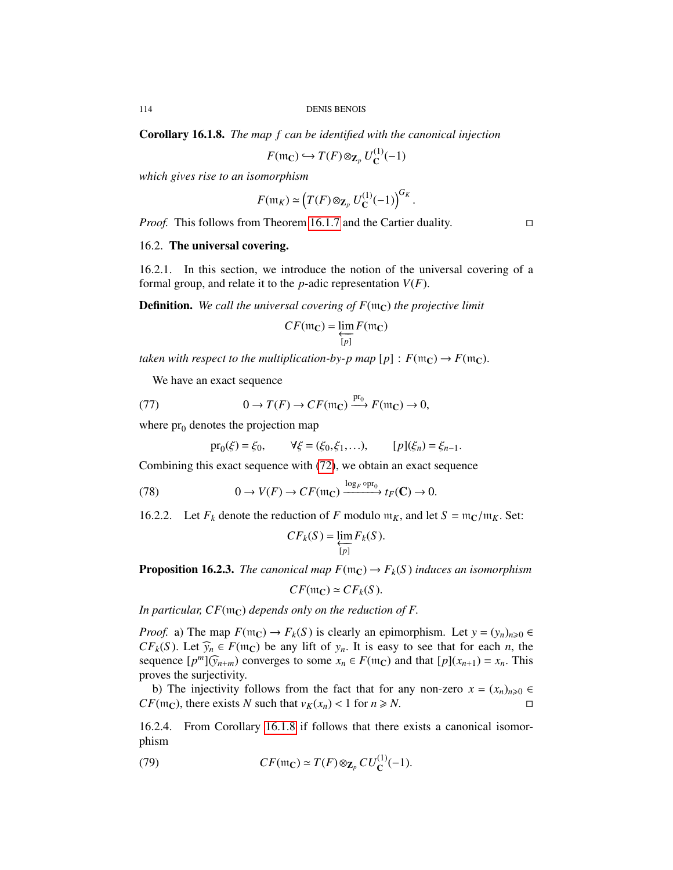<span id="page-113-0"></span>Corollary 16.1.8. *The map f can be identified with the canonical injection*

 $F(\mathfrak{m}_\mathbf{C}) \hookrightarrow T(F) \otimes_{\mathbf{Z}_p} U^{(1)}_\mathbf{C}$  $C^{(1)}(-1)$ 

*which gives rise to an isomorphism*

$$
F(\mathfrak{m}_K) \simeq \left(T(F) \otimes_{\mathbf{Z}_p} U_{\mathbf{C}}^{(1)}(-1)\right)^{G_K}.
$$

*Proof.* This follows from Theorem [16.1.7](#page-112-1) and the Cartier duality. □

## 16.2. The universal covering.

16.2.1. In this section, we introduce the notion of the universal covering of a formal group, and relate it to the *<sup>p</sup>*-adic representation *<sup>V</sup>*(*F*).

**Definition.** We call the universal covering of  $F(\mathfrak{m}_C)$  the projective limit

$$
CF(\mathfrak{m}_\mathbf{C}) = \varprojlim_{[p]} F(\mathfrak{m}_\mathbf{C})
$$

*taken with respect to the multiplication-by-p map*  $[p]$  :  $F(\mathfrak{m}_C) \to F(\mathfrak{m}_C)$ .

We have an exact sequence

(77) 
$$
0 \to T(F) \to CF(\mathfrak{m}_\mathbb{C}) \xrightarrow{\text{pr}_0} F(\mathfrak{m}_\mathbb{C}) \to 0,
$$

where  $pr_0$  denotes the projection map

<span id="page-113-2"></span>
$$
pr_0(\xi) = \xi_0,
$$
  $\forall \xi = (\xi_0, \xi_1, \ldots),$   $[p](\xi_n) = \xi_{n-1}.$ 

Combining this exact sequence with [\(72\)](#page-110-1), we obtain an exact sequence

(78) 
$$
0 \to V(F) \to CF(\mathfrak{m}_\mathbb{C}) \xrightarrow{\log_F \text{opp}_0} t_F(\mathbb{C}) \to 0.
$$

16.2.2. Let  $F_k$  denote the reduction of *F* modulo  $m_K$ , and let  $S = m_C/m_K$ . Set:

$$
CF_k(S) = \varprojlim_{[p]} F_k(S).
$$

<span id="page-113-1"></span>**Proposition 16.2.3.** *The canonical map*  $F(\mathfrak{m}_C) \to F_k(S)$  *induces an isomorphism* 

$$
CF(\mathfrak{m}_\mathbf{C}) \simeq CF_k(S).
$$

*In particular,*  $CF(\mathfrak{m}_\mathbb{C})$  *depends only on the reduction of F.* 

*Proof.* a) The map  $F(\mathfrak{m}_\mathbb{C}) \to F_k(S)$  is clearly an epimorphism. Let  $y = (y_n)_{n \geq 0} \in$ *CF*<sub>k</sub>(S). Let  $\widehat{y}_n \in F(\mathfrak{m}_\mathbb{C})$  be any lift of  $y_n$ . It is easy to see that for each *n*, the sequence  $[p^m](\widehat{y}_{n+m})$  converges to some  $x_n \in F(\mathfrak{m}_\mathbb{C})$  and that  $[p](x_{n+1}) = x_n$ . This proves the surjectivity.

b) The injectivity follows from the fact that for any non-zero  $x = (x_n)_{n \geq 0}$ *CF*( $m<sub>C</sub>$ ), there exists *N* such that  $v_K(x_n) < 1$  for  $n \ge N$ .

16.2.4. From Corollary [16.1.8](#page-113-0) if follows that there exists a canonical isomorphism

(79) 
$$
CF(\mathfrak{m}_{\mathbf{C}}) \simeq T(F) \otimes_{\mathbf{Z}_p} CU_{\mathbf{C}}^{(1)}(-1).
$$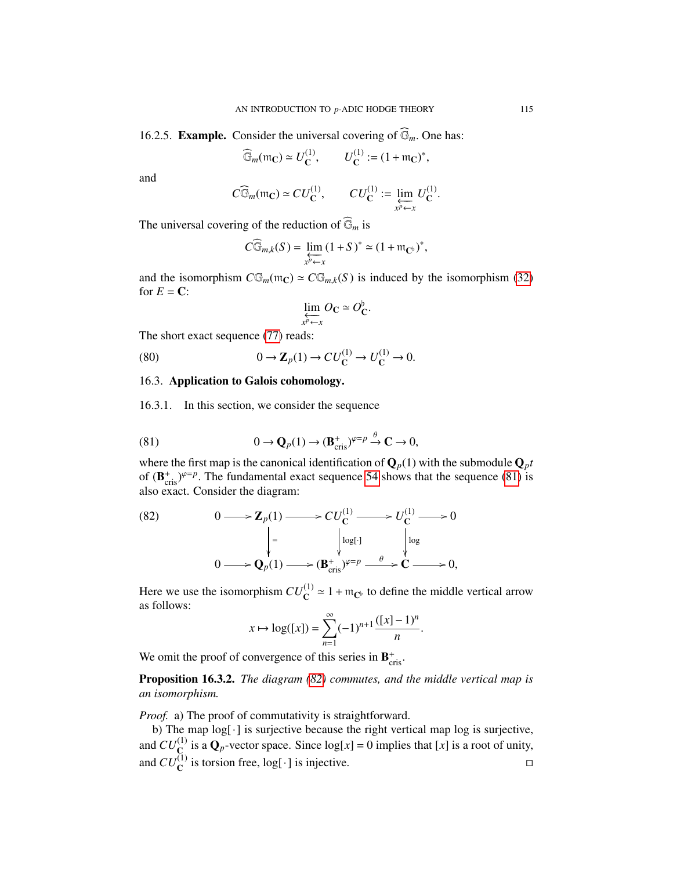<span id="page-114-4"></span>16.2.5. **Example.** Consider the universal covering of  $\widehat{\mathbb{G}}_m$ . One has:

$$
\widehat{\mathbb{G}}_m(\mathfrak{m}_\mathbf{C}) \simeq U^{(1)}_\mathbf{C}, \qquad U^{(1)}_\mathbf{C} := (1 + \mathfrak{m}_\mathbf{C})^*,
$$

and

$$
C\widehat{\mathbb{G}}_m(\mathfrak{m}_\mathbb{C})\simeq CU^{(1)}_\mathbb{C},\qquad CU^{(1)}_\mathbb{C}:=\varprojlim_{x^p\leftarrow x}U^{(1)}_\mathbb{C}.
$$

The universal covering of the reduction of  $\widehat{\mathbb{G}}_m$  is

$$
C\widehat{\mathbb{G}}_{m,k}(S) = \varprojlim_{x^p \leftarrow x} (1+S)^* \simeq (1 + \mathfrak{m}_{\mathbf{C}^{\flat}})^*,
$$

and the isomorphism  $C\mathbb{G}_m(\mathfrak{m}_C) \simeq C\mathbb{G}_{m,k}(S)$  is induced by the isomorphism [\(32\)](#page-38-0) for  $E = \mathbf{C}$ :

<span id="page-114-3"></span>
$$
\varprojlim_{x^p \leftarrow x} O_{\mathbb{C}} \simeq O_{\mathbb{C}}^{\flat}.
$$

The short exact sequence [\(77\)](#page-112-2) reads:

(80) 
$$
0 \to \mathbb{Z}_p(1) \to CU_{\mathbb{C}}^{(1)} \to U_{\mathbb{C}}^{(1)} \to 0.
$$

# 16.3. Application to Galois cohomology.

16.3.1. In this section, we consider the sequence

<span id="page-114-0"></span>(81) 
$$
0 \to \mathbf{Q}_p(1) \to (\mathbf{B}_{\text{cris}}^+)^{\varphi=p} \stackrel{\theta}{\to} \mathbf{C} \to 0,
$$

where the first map is the canonical identification of  $\mathbf{Q}_p(1)$  with the submodule  $\mathbf{Q}_p t$ of  $(\mathbf{B}_{\text{cris}}^{+})^{\varphi=p}$ . The fundamental exact sequence [54](#page-76-0) shows that the sequence [\(81\)](#page-114-0) is also exact. Consider the diagram: also exact. Consider the diagram:

<span id="page-114-1"></span>(82) 
$$
0 \longrightarrow \mathbf{Z}_p(1) \longrightarrow CU_{\mathbf{C}}^{(1)} \longrightarrow U_{\mathbf{C}}^{(1)} \longrightarrow 0
$$

$$
\downarrow \qquad \qquad \downarrow \qquad \qquad \downarrow \qquad \qquad \downarrow \qquad \downarrow \qquad \downarrow \qquad \downarrow \qquad \downarrow \qquad \downarrow \qquad \downarrow \qquad \downarrow \qquad \downarrow \qquad \downarrow \qquad \downarrow \qquad \downarrow \qquad \downarrow \qquad \downarrow \qquad \downarrow \qquad \downarrow \qquad \downarrow \qquad \downarrow \qquad \downarrow \qquad \downarrow \qquad \downarrow \qquad \downarrow \qquad \downarrow \qquad \downarrow \qquad \downarrow \qquad \downarrow \qquad \downarrow \qquad \downarrow \qquad \downarrow \qquad \downarrow \qquad \downarrow \qquad \downarrow \qquad \downarrow \qquad \downarrow \qquad \downarrow \qquad \downarrow \qquad \downarrow \qquad \downarrow \qquad \downarrow \qquad \downarrow \qquad \downarrow \qquad \downarrow \qquad \downarrow \qquad \downarrow \qquad \downarrow \qquad \downarrow \qquad \downarrow \qquad \downarrow \qquad \downarrow \qquad \downarrow \qquad \downarrow \qquad \downarrow \qquad \downarrow \qquad \downarrow \qquad \downarrow \qquad \downarrow \qquad \downarrow \qquad \downarrow \qquad \downarrow \qquad \downarrow \qquad \downarrow \qquad \downarrow \qquad \downarrow \qquad \downarrow \qquad \downarrow \qquad \downarrow \qquad \downarrow \qquad \downarrow \qquad \downarrow \qquad \downarrow \qquad \downarrow \qquad \downarrow \qquad \downarrow \qquad \downarrow \qquad \downarrow \qquad \downarrow \qquad \downarrow \qquad \downarrow \qquad \downarrow \qquad \downarrow \qquad \downarrow \qquad \downarrow \qquad \downarrow \qquad \downarrow \qquad \downarrow \qquad \downarrow \qquad \downarrow \qquad \downarrow \qquad \downarrow \qquad \downarrow \qquad \downarrow \qquad \downarrow \qquad \downarrow \qquad \downarrow \qquad \downarrow \qquad \downarrow \qquad \downarrow \qquad \downarrow \qquad \downarrow \qquad \downarrow \qquad \downarrow \qquad \downarrow \qquad \downarrow \qquad \downarrow \qquad \downarrow \qquad \downarrow \qquad \downarrow \qquad \downarrow \qquad \downarrow \qquad \downarrow \qquad \downarrow \qquad \downarrow \qquad \downarrow \
$$

Here we use the isomorphism  $CU_{\mathbb{C}}^{(1)} \approx 1 + \mathfrak{m}_{\mathbb{C}^{\flat}}$  to define the middle vertical arrow as follows:

$$
x \mapsto \log([x]) = \sum_{n=1}^{\infty} (-1)^{n+1} \frac{([x] - 1)^n}{n}.
$$

We omit the proof of convergence of this series in  $\mathbf{B}_{\text{cris}}^+$ .

<span id="page-114-2"></span>Proposition 16.3.2. *The diagram [\(82\)](#page-114-1) commutes, and the middle vertical map is an isomorphism.*

*Proof.* a) The proof of commutativity is straightforward.

b) The map log[·] is surjective because the right vertical map log is surjective, and  $CU_{\mathbb{C}}^{(1)}$  is a  $\mathbf{Q}_p$ -vector space. Since  $log[x] = 0$  implies that [x] is a root of unity, and  $CU_{\mathbb{C}}^{(1)}$  is torsion free,  $log[\cdot]$  is injective.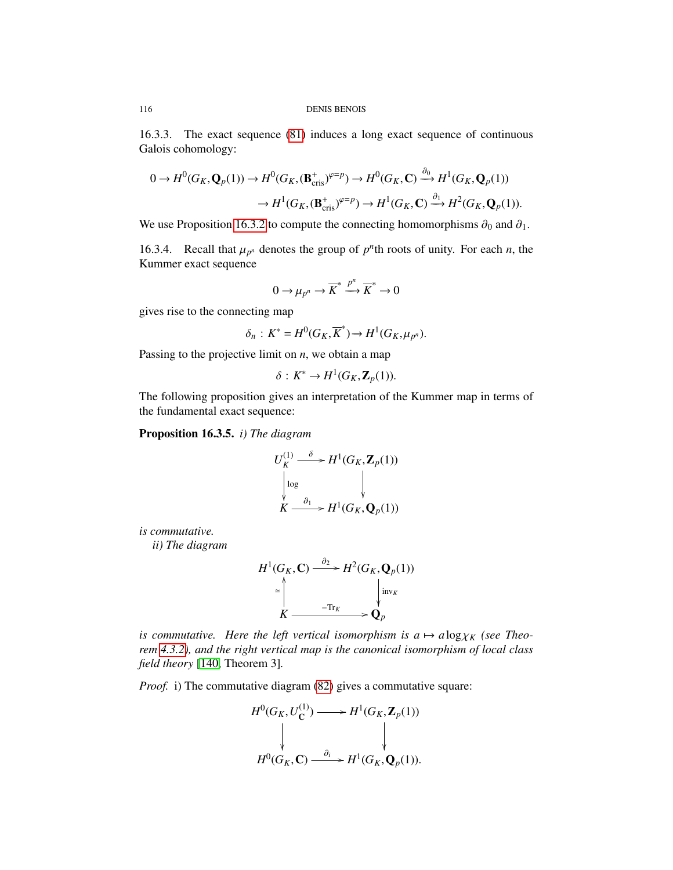16.3.3. The exact sequence [\(81\)](#page-114-0) induces a long exact sequence of continuous Galois cohomology:

$$
0 \to H^0(G_K, \mathbf{Q}_p(1)) \to H^0(G_K, (\mathbf{B}_{\text{cris}}^+)^{\varphi=p}) \to H^0(G_K, \mathbf{C}) \xrightarrow{\partial_0} H^1(G_K, \mathbf{Q}_p(1))
$$

$$
\to H^1(G_K, (\mathbf{B}_{\text{cris}}^+)^{\varphi=p}) \to H^1(G_K, \mathbf{C}) \xrightarrow{\partial_1} H^2(G_K, \mathbf{Q}_p(1)).
$$

We use Proposition [16.3.2](#page-114-2) to compute the connecting homomorphisms  $\partial_0$  and  $\partial_1$ .

16.3.4. Recall that  $\mu_{p^n}$  denotes the group of  $p^n$ th roots of unity. For each *n*, the Kummer exact sequence Kummer exact sequence

$$
0 \to \mu_{p^n} \to \overline{K}^* \xrightarrow{p^n} \overline{K}^* \to 0
$$

gives rise to the connecting map

$$
\delta_n: K^* = H^0(G_K, \overline{K}^*) \to H^1(G_K, \mu_{p^n}).
$$

Passing to the projective limit on *<sup>n</sup>*, we obtain a map

$$
\delta: K^* \to H^1(G_K, \mathbf{Z}_p(1)).
$$

The following proposition gives an interpretation of the Kummer map in terms of the fundamental exact sequence:

<span id="page-115-1"></span>Proposition 16.3.5. *i) The diagram*

<span id="page-115-0"></span>
$$
U_K^{(1)} \xrightarrow{\delta} H^1(G_K, \mathbf{Z}_p(1))
$$
  
\n
$$
\downarrow \log \qquad \qquad \downarrow
$$
  
\n
$$
K \xrightarrow{\partial_1} H^1(G_K, \mathbf{Q}_p(1))
$$

*is commutative.*

*ii) The diagram*

$$
H^1(G_K, \mathbf{C}) \xrightarrow{\partial_2} H^2(G_K, \mathbf{Q}_p(1))
$$
  
\n
$$
\begin{array}{c}\n\searrow \\
\searrow \\
\downarrow \\
K \xrightarrow{\text{Tr}_K} \mathbf{Q}_p\n\end{array}
$$

*is commutative. Here the left vertical isomorphism is*  $a \mapsto a \log \chi_K$  *(see Theorem [4.3.2\)](#page-36-1), and the right vertical map is the canonical isomorphism of local class field theory* [\[140,](#page-130-0) Theorem 3]*.*

*Proof.* i) The commutative diagram [\(82\)](#page-114-1) gives a commutative square:

$$
H^{0}(G_{K}, U_{\mathbf{C}}^{(1)}) \longrightarrow H^{1}(G_{K}, \mathbf{Z}_{p}(1))
$$
\n
$$
\downarrow \qquad \qquad \downarrow
$$
\n
$$
H^{0}(G_{K}, \mathbf{C}) \xrightarrow{\partial_{i}} H^{1}(G_{K}, \mathbf{Q}_{p}(1)).
$$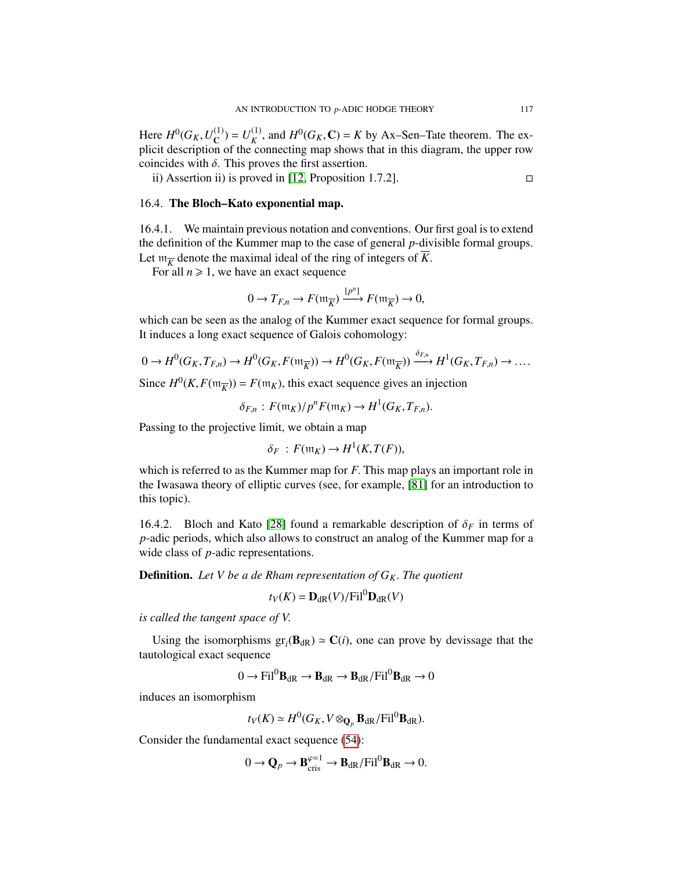Here  $H^0(G_K, U_C^{(1)})$ <br>plicit description  $\mathbf{C}^{(1)}$ ) =  $U_K^{(1)}$ Here  $H^0(G_K, U_C^{(1)}) = U_K^{(1)}$ , and  $H^0(G_K, \mathbb{C}) = K$  by Ax–Sen–Tate theorem. The explicit description of the connecting map shows that in this diagram, the upper row coincides with  $\delta$ . This proves the first assertion.

ii) Assertion ii) is proved in [\[12,](#page-125-0) Proposition 1.7.2].  $\Box$ 

# 16.4. The Bloch–Kato exponential map.

16.4.1. We maintain previous notation and conventions. Our first goal is to extend the definition of the Kummer map to the case of general *p*-divisible formal groups. Let  $m_{\overline{K}}$  denote the maximal ideal of the ring of integers of  $\overline{K}$ .<br>For all  $n > 1$ , we have an exact sequence

For all  $n \geq 1$ , we have an exact sequence

$$
0 \to T_{F,n} \to F(\mathfrak{m}_{\overline{K}}) \xrightarrow{[p^n]} F(\mathfrak{m}_{\overline{K}}) \to 0,
$$

which can be seen as the analog of the Kummer exact sequence for formal groups. It induces a long exact sequence of Galois cohomology:

$$
0 \to H^0(G_K, T_{F,n}) \to H^0(G_K, F(\mathfrak{m}_{\overline{K}})) \to H^0(G_K, F(\mathfrak{m}_{\overline{K}})) \xrightarrow{\delta_{F,n}} H^1(G_K, T_{F,n}) \to \dots
$$

Since  $H^0(K, F(\mathfrak{m}_{\overline{K}})) = F(\mathfrak{m}_K)$ , this exact sequence gives an injection

$$
\delta_{F,n}: F(\mathfrak{m}_K)/p^n F(\mathfrak{m}_K) \to H^1(G_K, T_{F,n}).
$$

Passing to the projective limit, we obtain a map

$$
\delta_F : F(\mathfrak{m}_K) \to H^1(K, T(F)),
$$

which is referred to as the Kummer map for *<sup>F</sup>*. This map plays an important role in the Iwasawa theory of elliptic curves (see, for example, [\[81\]](#page-128-0) for an introduction to this topic).

16.4.2. Bloch and Kato [\[28\]](#page-126-0) found a remarkable description of  $\delta_F$  in terms of *p*-adic periods, which also allows to construct an analog of the Kummer map for a wide class of *p*-adic representations.

**Definition.** Let V be a de Rham representation of  $G_K$ . The quotient

$$
t_V(K) = \mathbf{D}_{\mathrm{dR}}(V) / \mathrm{Fil}^0 \mathbf{D}_{\mathrm{dR}}(V)
$$

*is called the tangent space of V*.

Using the isomorphisms  $gr_i(\mathbf{B}_{dR}) \simeq \mathbf{C}(i)$ , one can prove by devissage that the trological exact sequence tautological exact sequence

$$
0 \to \text{Fil}^0 \mathbf{B}_{\text{dR}} \to \mathbf{B}_{\text{dR}} \to \mathbf{B}_{\text{dR}} / \text{Fil}^0 \mathbf{B}_{\text{dR}} \to 0
$$

induces an isomorphism

$$
t_V(K) \simeq H^0(G_K, V \otimes_{\mathbf{Q}_p} \mathbf{B}_{dR}/\mathrm{Fil}^0 \mathbf{B}_{dR}).
$$

Consider the fundamental exact sequence [\(54\)](#page-76-0):

$$
0 \to \mathbf{Q}_p \to \mathbf{B}_{\mathrm{cris}}^{\varphi=1} \to \mathbf{B}_{\mathrm{dR}}/\mathrm{Fil}^0\mathbf{B}_{\mathrm{dR}} \to 0.
$$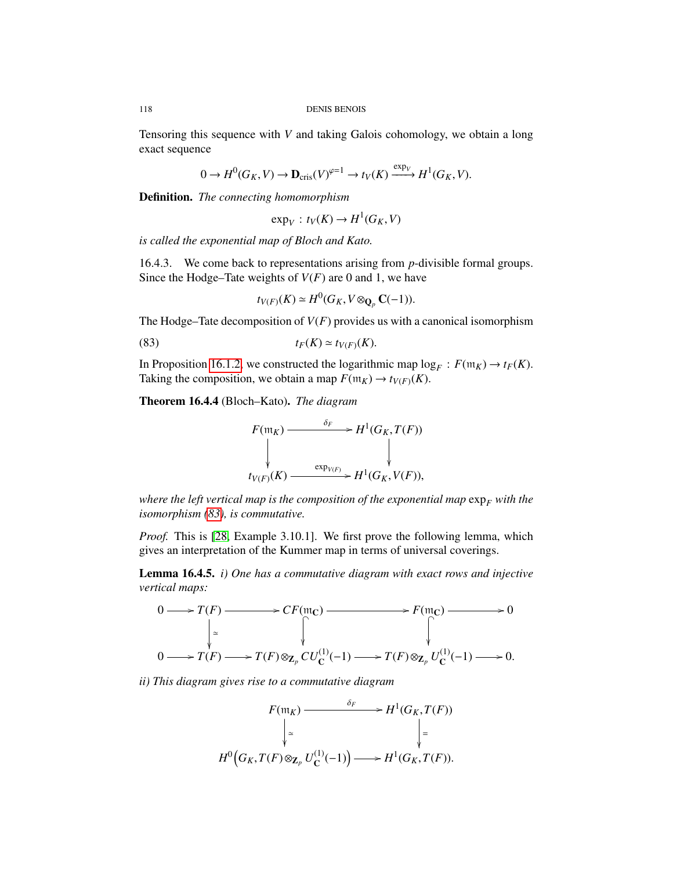Tensoring this sequence with *V* and taking Galois cohomology, we obtain a long exact sequence

$$
0 \to H^0(G_K, V) \to \mathbf{D}_{\mathrm{cris}}(V)^{\varphi=1} \to t_V(K) \xrightarrow{\exp_V} H^1(G_K, V).
$$

Definition. *The connecting homomorphism*

$$
\exp_V: t_V(K) \to H^1(G_K, V)
$$

*is called the exponential map of Bloch and Kato.*

16.4.3. We come back to representations arising from *p*-divisible formal groups. Since the Hodge–Tate weights of *<sup>V</sup>*(*F*) are 0 and 1, we have

$$
t_{V(F)}(K) \simeq H^0(G_K, V \otimes_{\mathbf{Q}_p} \mathbf{C}(-1)).
$$

The Hodge–Tate decomposition of  $V(F)$  provides us with a canonical isomorphism

(83) 
$$
t_F(K) \simeq t_{V(F)}(K).
$$

In Proposition [16.1.2,](#page-110-2) we constructed the logarithmic map  $\log_F : F(\mathfrak{m}_K) \to t_F(K)$ .<br>Taking the composition, we obtain a map  $F(\mathfrak{m}_K) \to t_{K/K}(K)$ . Taking the composition, we obtain a map  $F(\mathfrak{m}_K) \to t_{V(F)}(K)$ .

<span id="page-117-1"></span>Theorem 16.4.4 (Bloch–Kato). *The diagram*



*where the left vertical map is the composition of the exponential map*  $\exp_F$  *with the isomorphism [\(83\)](#page-115-0), is commutative.*

*Proof.* This is [\[28,](#page-126-0) Example 3.10.1]. We first prove the following lemma, which gives an interpretation of the Kummer map in terms of universal coverings.

<span id="page-117-0"></span>Lemma 16.4.5. *i) One has a commutative diagram with exact rows and injective vertical maps:*



*ii) This diagram gives rise to a commutative diagram*

$$
F(\mathfrak{m}_K) \xrightarrow{\delta_F} H^1(G_K, T(F))
$$
  
\n
$$
\downarrow \simeq \qquad \qquad \downarrow
$$
  
\n
$$
H^0\Big(G_K, T(F) \otimes_{\mathbf{Z}_p} U_{\mathbf{C}}^{(1)}(-1)\Big) \longrightarrow H^1(G_K, T(F)).
$$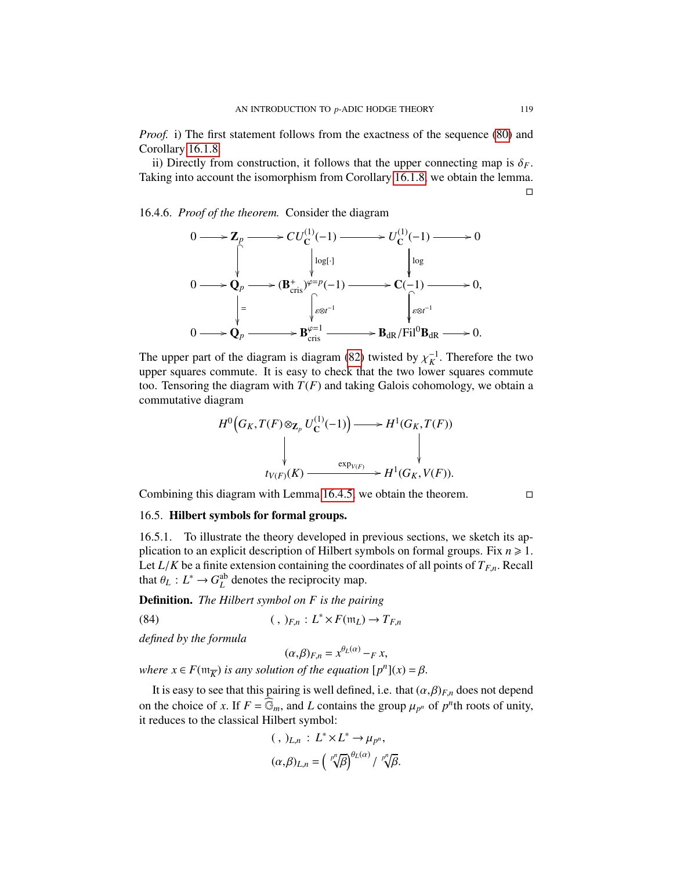*Proof.* i) The first statement follows from the exactness of the sequence [\(80\)](#page-114-3) and Corollary [16.1.8.](#page-113-0)

ii) Directly from construction, it follows that the upper connecting map is  $\delta_F$ . Taking into account the isomorphism from Corollary [16.1.8,](#page-113-0) we obtain the lemma.  $\Box$ 

16.4.6. *Proof of the theorem.* Consider the diagram

<span id="page-118-0"></span>

The upper part of the diagram is diagram [\(82\)](#page-114-1) twisted by  $\chi_K^{-1}$ . Therefore the two upper squares commute. It is easy to check that the two lower squares commute upper squares commute. It is easy to check that the two lower squares commute too. Tensoring the diagram with  $T(F)$  and taking Galois cohomology, we obtain a commutative diagram

$$
H^{0}(G_{K}, T(F) \otimes_{\mathbf{Z}_{p}} U_{\mathbf{C}}^{(1)}(-1)) \longrightarrow H^{1}(G_{K}, T(F))
$$
\n
$$
\downarrow \qquad \qquad \downarrow
$$
\n
$$
t_{V(F)}(K) \longrightarrow H^{1}(G_{K}, V(F)).
$$

Combining this diagram with Lemma [16.4.5,](#page-117-0) we obtain the theorem.  $\Box$ 

# 16.5. Hilbert symbols for formal groups.

16.5.1. To illustrate the theory developed in previous sections, we sketch its application to an explicit description of Hilbert symbols on formal groups. Fix  $n \geq 1$ . Let  $L/K$  be a finite extension containing the coordinates of all points of  $T_{F,n}$ . Recall that  $\theta_L : L^* \to G_L^{\text{ab}}$  denotes the reciprocity map.

Definition. *The Hilbert symbol on F is the pairing*

(84) 
$$
(\, , \, )_{F,n}: L^* \times F(\mathfrak{m}_L) \to T_{F,n}
$$

*defined by the formula*

 $(\alpha, \beta)_{F,n} = x^{\theta_L(\alpha)} - F x,$ <br>consider a section  $\mathcal{L}^n$ 

*where*  $x \in F(\mathfrak{m}_{\overline{K}})$  *is any solution of the equation*  $[p^n](x) = \beta$ .

It is easy to see that this pairing is well defined, i.e. that  $(\alpha, \beta)_{F,n}$  does not depend on the choice of *x*. If  $F = \widehat{\mathbb{G}}_m$ , and *L* contains the group  $\mu_{p^n}$  of  $p^n$ th roots of unity, it reduces to the classical Hilbert symbol: it reduces to the classical Hilbert symbol:

$$
(\, , \,)_{L,n} : L^* \times L^* \to \mu_{p^n},
$$

$$
(\alpha, \beta)_{L,n} = \left(\sqrt[p^n]{\beta}\right)^{\theta_L(\alpha)}/\sqrt[p^n]{\beta}.
$$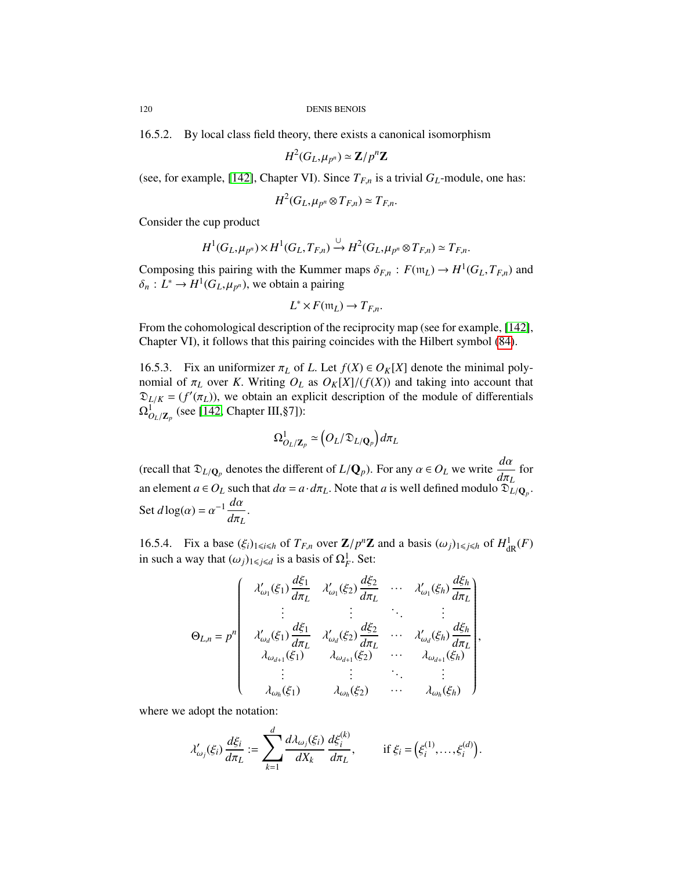16.5.2. By local class field theory, there exists a canonical isomorphism

$$
H^2(G_L, \mu_{p^n}) \simeq \mathbf{Z}/p^n\mathbf{Z}
$$

(see, for example, [\[142\]](#page-130-4), Chapter VI). Since  $T_{F,n}$  is a trivial  $G_L$ -module, one has:

$$
H^2(G_L, \mu_{p^n} \otimes T_{F,n}) \simeq T_{F,n}.
$$

Consider the cup product

$$
H^1(G_L, \mu_{p^n}) \times H^1(G_L, T_{F,n}) \xrightarrow{\cup} H^2(G_L, \mu_{p^n} \otimes T_{F,n}) \simeq T_{F,n}.
$$

Composing this pairing with the Kummer maps  $\delta_{F,n}$ :  $F(\mathfrak{m}_L) \to H^1(G_L, T_{F,n})$  and  $\delta : L^* \to H^1(G_L, \mu)$ , we obtain a pairing  $\delta_n: L^* \to H^1(G_L, \mu_{p^n})$ , we obtain a pairing

$$
L^* \times F(\mathfrak{m}_L) \to T_{F,n}.
$$

From the cohomological description of the reciprocity map (see for example, [\[142\]](#page-130-4), Chapter VI), it follows that this pairing coincides with the Hilbert symbol [\(84\)](#page-118-0).

16.5.3. Fix an uniformizer  $\pi_L$  of *L*. Let  $f(X) \in O_K[X]$  denote the minimal polynomial of  $\pi_L$  over *K*. Writing  $O_L$  as  $O_K[X]/(f(X))$  and taking into account that  $\mathfrak{D}_{L/K} = (f'(\pi_L))$ , we obtain an explicit description of the module of differentials  $Q^1$  (see [142 Chapter III 871).  $\Omega^1_{O_L/\mathbf{Z}_p}$  (see [\[142,](#page-130-4) Chapter III, §7]):

$$
\Omega^1_{O_L/\mathbf{Z}_p} \simeq \big(O_L/\mathfrak{D}_{L/\mathbf{Q}_p}\big)d\pi_L
$$

(recall that  $\mathfrak{D}_{L/\mathbf{Q}_p}$  denotes the different of  $L/\mathbf{Q}_p$ ). For any  $\alpha \in O_L$  we write  $\frac{d\alpha}{d\pi_L}$  for *d*π*L* an element  $a \in O_L$  such that  $d\alpha = a \cdot d\pi_L$ . Note that *a* is well defined modulo  $\mathfrak{D}_L/\mathbf{Q}_p$ . Set  $d \log(\alpha) = \alpha^{-1} \frac{d\alpha}{d\pi_l}$ *d*π*L* .

16.5.4. Fix a base  $(\xi_i)_{1\leq i\leq h}$  of  $T_{F,n}$  over  $\mathbb{Z}/p^n\mathbb{Z}$  and a basis  $(\omega_j)_{1\leq j\leq h}$  of  $H^1_{\mathrm{dR}}(F)$ in such a way that  $(\omega_j)_{1 \leq j \leq d}$  is a basis of  $\Omega_F^1$ . Set:

$$
\Theta_{L,n} = p^n \begin{pmatrix}\n\lambda'_{\omega_1}(\xi_1) \frac{d\xi_1}{d\pi_L} & \lambda'_{\omega_1}(\xi_2) \frac{d\xi_2}{d\pi_L} & \cdots & \lambda'_{\omega_1}(\xi_h) \frac{d\xi_h}{d\pi_L} \\
\vdots & \vdots & \ddots & \vdots \\
\lambda'_{\omega_d}(\xi_1) \frac{d\xi_1}{d\pi_L} & \lambda'_{\omega_d}(\xi_2) \frac{d\xi_2}{d\pi_L} & \cdots & \lambda'_{\omega_d}(\xi_h) \frac{d\xi_h}{d\pi_L} \\
\lambda_{\omega_{d+1}}(\xi_1) & \lambda_{\omega_{d+1}}(\xi_2) & \cdots & \lambda_{\omega_{d+1}}(\xi_h) \\
\vdots & \vdots & \ddots & \vdots \\
\lambda_{\omega_h}(\xi_1) & \lambda_{\omega_h}(\xi_2) & \cdots & \lambda_{\omega_h}(\xi_h)\n\end{pmatrix},
$$

where we adopt the notation:

$$
\lambda'_{\omega_j}(\xi_i)\frac{d\xi_i}{d\pi_L}:=\sum_{k=1}^d\frac{d\lambda_{\omega_j}(\xi_i)}{dX_k}\frac{d\xi_i^{(k)}}{d\pi_L},\qquad\text{if }\xi_i=\left(\xi_i^{(1)},\ldots,\xi_i^{(d)}\right).
$$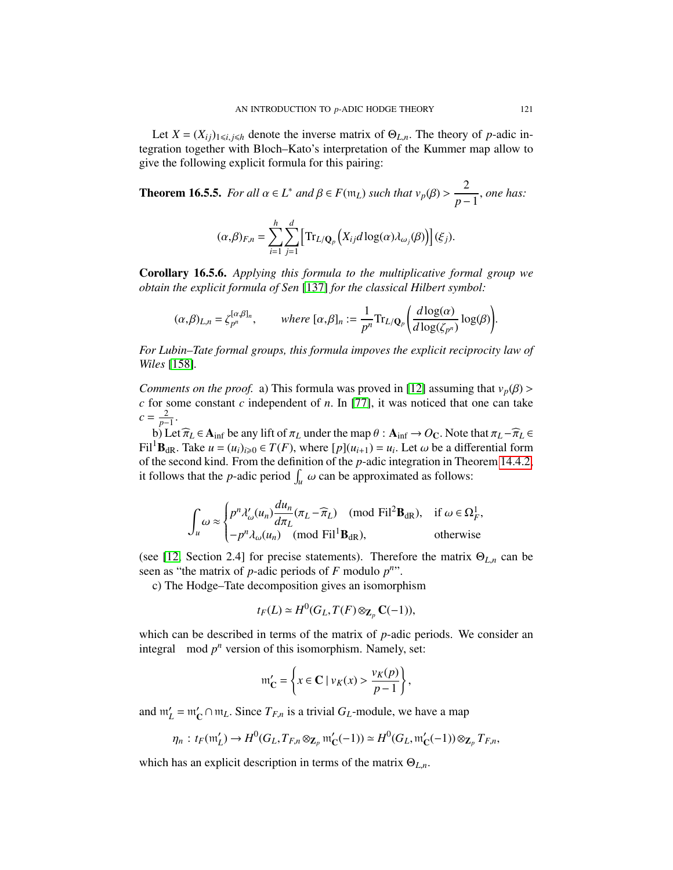Let  $X = (X_{ij})_{1 \le i,j \le h}$  denote the inverse matrix of  $\Theta_{L,n}$ . The theory of *p*-adic integration together with Bloch–Kato's interpretation of the Kummer map allow to give the following explicit formula for this pairing:

**Theorem 16.5.5.** *For all*  $\alpha \in L^*$  *and*  $\beta \in F(\mathfrak{m}_L)$  *such that*  $v_p(\beta) > \frac{2}{p-1}$ *p*−1 , *one has:*

$$
(\alpha,\beta)_{F,n} = \sum_{i=1}^h \sum_{j=1}^d \left[ \text{Tr}_{L/\mathbf{Q}_p} \left( X_{ij} d \log(\alpha) \lambda_{\omega_j}(\beta) \right) \right] (\xi_j).
$$

Corollary 16.5.6. *Applying this formula to the multiplicative formal group we obtain the explicit formula of Sen* [\[137\]](#page-130-5) *for the classical Hilbert symbol:*

$$
(\alpha,\beta)_{L,n} = \zeta_{p^n}^{[\alpha,\beta]_n}, \qquad \text{where } [\alpha,\beta]_n := \frac{1}{p^n} \text{Tr}_{L/\mathbf{Q}_p}\left(\frac{d \log(\alpha)}{d \log(\zeta_{p^n})} \log(\beta)\right).
$$

*For Lubin–Tate formal groups, this formula impoves the explicit reciprocity law of Wiles* [\[158\]](#page-131-1)*.*

*Comments on the proof.* a) This formula was proved in [\[12\]](#page-125-0) assuming that  $v_p(\beta)$  > *<sup>c</sup>* for some constant *<sup>c</sup>* independent of *<sup>n</sup>*. In [\[77\]](#page-128-1), it was noticed that one can take  $c = \frac{2}{p-1}$ 

b) Let  $\widehat{\pi}_L \in A_{\text{inf}}$  be any lift of  $\pi_L$  under the map  $\theta : A_{\text{inf}} \to O_C$ . Note that  $\pi_L - \widehat{\pi}_L \in$ <br><sup>1</sup>**B**  $\ln$  Take  $\mu = (\mu)_{\text{inf}} \in T(F)$ , where  $\ln[(\mu, \mu)] = \mu$ . Let  $\omega$  be a differential form Fil<sup>1</sup>B<sub>dR</sub>. Take  $u = (u_i)_{i \ge 0} \in T(F)$ , where  $[p](u_{i+1}) = u_i$ . Let  $\omega$  be a differential form of the second kind. From the definition of the *n*-adic integration in Theorem 14.4.2. of the second kind. From the definition of the *p*-adic integration in Theorem [14.4.2,](#page-104-0) it follows that the *p*-adic period  $\int_u \omega$  can be approximated as follows:

$$
\int_{u} \omega \approx \begin{cases} p^{n} \lambda_{\omega}^{\prime}(u_{n}) \frac{du_{n}}{d\pi_{L}} (\pi_{L} - \widehat{\pi}_{L}) \pmod{\text{Fil}^{2}B_{\text{dR}}}, & \text{if } \omega \in \Omega_{F}^{1}, \\ -p^{n} \lambda_{\omega}(u_{n}) \pmod{\text{Fil}^{1}B_{\text{dR}}}, & \text{otherwise} \end{cases}
$$

(see [\[12,](#page-125-0) Section 2.4] for precise statements). Therefore the matrix <sup>Θ</sup>*L*,*<sup>n</sup>* can be seen as "the matrix of  $p$ -adic periods of  $F$  modulo  $p^n$ ".

c) The Hodge–Tate decomposition gives an isomorphism

$$
t_F(L) \simeq H^0(G_L, T(F) \otimes_{\mathbf{Z}_p} \mathbf{C}(-1)),
$$

which can be described in terms of the matrix of *p*-adic periods. We consider an integral mod  $p^n$  version of this isomorphism. Namely, set:

$$
\mathfrak{m}_{\mathbf{C}}' = \left\{ x \in \mathbf{C} \mid v_K(x) > \frac{v_K(p)}{p-1} \right\},\
$$

and  $m'_L = m'_C \cap m_L$ . Since  $T_{F,n}$  is a trivial  $G_L$ -module, we have a map

$$
\eta_n: t_F(\mathfrak{m}'_L) \to H^0(G_L, T_{F,n} \otimes_{\mathbf{Z}_p} \mathfrak{m}'_C(-1)) \simeq H^0(G_L, \mathfrak{m}'_C(-1)) \otimes_{\mathbf{Z}_p} T_{F,n},
$$

which has an explicit description in terms of the matrix <sup>Θ</sup>*L*,*n*.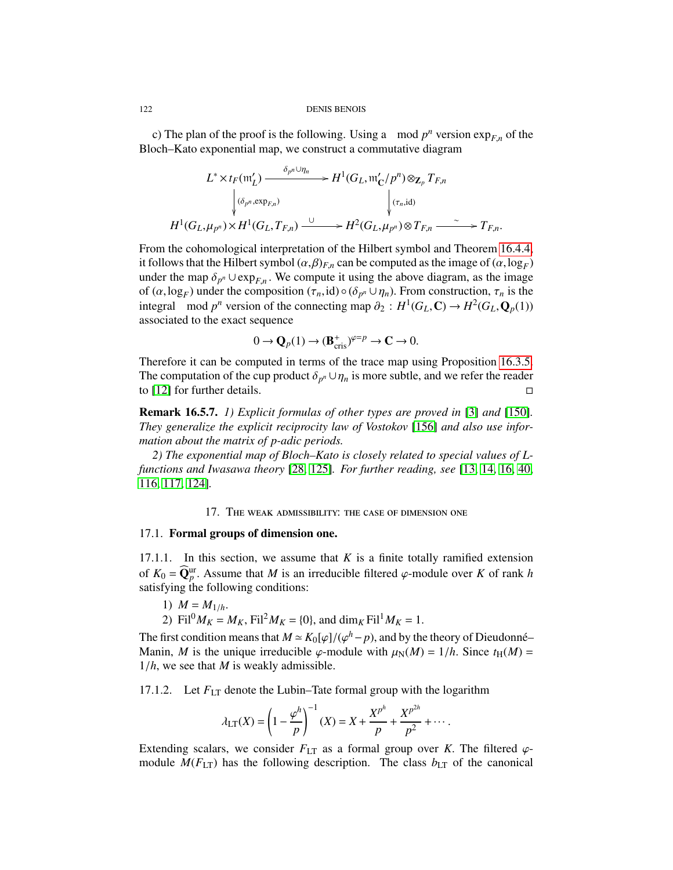c) The plan of the proof is the following. Using a mod  $p^n$  version  $exp_{F,n}$  of the poch-Kato exponential map we construct a commutative diagram Bloch–Kato exponential map, we construct a commutative diagram

$$
L^* \times t_F(\mathfrak{m}'_L) \xrightarrow{\delta_{p^n} \cup \eta_n} H^1(G_L, \mathfrak{m}'_C/p^n) \otimes_{\mathbf{Z}_p} T_{F,n}
$$
  

$$
\downarrow^{(\delta_{p^n}, \exp_{F,n})} \qquad \qquad \downarrow^{(\tau_n, \text{id})}
$$
  

$$
H^1(G_L, \mu_{p^n}) \times H^1(G_L, T_{F,n}) \xrightarrow{\cup} H^2(G_L, \mu_{p^n}) \otimes T_{F,n} \xrightarrow{\sim} T_{F,n}.
$$

From the cohomological interpretation of the Hilbert symbol and Theorem [16.4.4,](#page-117-1) it follows that the Hilbert symbol  $(\alpha, \beta)_{F,n}$  can be computed as the image of  $(\alpha, \log_F)$ <br>under the man  $\delta_{F}$  U exp<sub>re</sub> We compute it using the above diagram, as the image under the map  $\delta_{p^n} \cup \exp_{F,n}$ . We compute it using the above diagram, as the image<br>of  $(\alpha \log n)$  under the composition  $(\tau \log n)$  of  $(\delta_{n+1}|n)$ . From construction  $\tau$  is the of  $(\alpha, \log_F)$  under the composition  $(\tau_n, id) \circ (\delta_{p^n} \cup \eta_n)$ . From construction,  $\tau_n$  is the integral mod  $n^n$  version of the connecting man  $\partial_{\Omega} : H^1(G, \mathbb{C}) \to H^2(G, \Omega_0(\Omega))$ integral mod  $p^n$  version of the connecting map  $\partial_2 : H^1(G_L, \mathbb{C}) \to H^2(G_L, \mathbb{Q}_p(1))$ <br>associated to the exact sequence associated to the exact sequence

$$
0 \to \mathbf{Q}_p(1) \to (\mathbf{B}_{\mathrm{cris}}^+)^{\varphi=p} \to \mathbf{C} \to 0.
$$

Therefore it can be computed in terms of the trace map using Proposition [16.3.5.](#page-115-1) The computation of the cup product  $\delta_{p^n} \cup \eta_n$  is more subtle, and we refer the reader to [12] for further details to [\[12\]](#page-125-0) for further details.  $\square$ 

Remark 16.5.7. *1) Explicit formulas of other types are proved in* [\[3\]](#page-125-1) *and* [\[150\]](#page-131-2)*. They generalize the explicit reciprocity law of Vostokov* [\[156\]](#page-131-3) *and also use information about the matrix of p-adic periods.*

*2) The exponential map of Bloch–Kato is closely related to special values of Lfunctions and Iwasawa theory* [\[28,](#page-126-0) [125\]](#page-130-6)*. For further reading, see* [\[13,](#page-126-1) [14,](#page-126-2) [16,](#page-126-3) [40,](#page-127-1) [116,](#page-129-0) [117,](#page-129-1) [124\]](#page-130-7)*.*

# 17. The weak admissibility: the case of dimension one

# 17.1. Formal groups of dimension one.

17.1.1. In this section, we assume that  $K$  is a finite totally ramified extension of  $K_0 = \widehat{Q}_{p}^{\text{ur}}$ . Assume that *M* is an irreducible filtered  $\varphi$ -module over *K* of rank *h* satisfying the following conditions: satisfying the following conditions:

- 1)  $M = M_{1/h}$ .
- 2) Fil<sup>0</sup> $M_K = M_K$ , Fil<sup>2</sup> $M_K = \{0\}$ , and dim<sub>*K*</sub> Fil<sup>1</sup> $M_K = 1$ .

The first condition means that  $M \simeq K_0[\varphi]/(\varphi^h - p)$ , and by the theory of Dieudonné–<br>Manin *M* is the unique irreducible  $\varphi$ -module with  $\mu_Y(M) = 1/h$ . Since  $t_Y(M) =$ Manin, *M* is the unique irreducible  $\varphi$ -module with  $\mu_N(M) = 1/h$ . Since  $t_H(M) =$ <sup>1</sup>/*h*, we see that *<sup>M</sup>* is weakly admissible.

17.1.2. Let  $F_{LT}$  denote the Lubin–Tate formal group with the logarithm

$$
\lambda_{LT}(X) = \left(1 - \frac{\varphi^h}{p}\right)^{-1} (X) = X + \frac{X^{p^h}}{p} + \frac{X^{p^{2h}}}{p^2} + \cdots
$$

Extending scalars, we consider  $F_{LT}$  as a formal group over *K*. The filtered  $\varphi$ module  $M(F_{LT})$  has the following description. The class  $b_{LT}$  of the canonical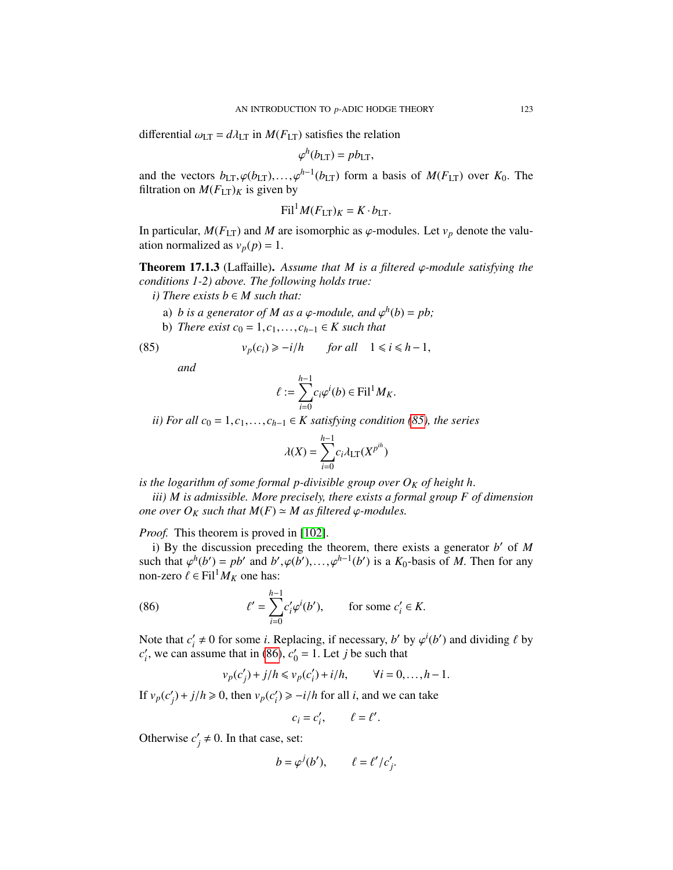differential  $\omega_{LT} = d\lambda_{LT}$  in  $M(F_{LT})$  satisfies the relation

$$
\varphi^h(b_{LT}) = pb_{LT},
$$

and the vectors  $b_{LT}$ ,  $\varphi(b_{LT})$ ,...,  $\varphi^{h-1}(b_{LT})$  form a basis of  $M(F_{LT})$  over  $K_0$ . The filtration on  $M(F_{LT})$  is given by filtration on  $M(F_{LT})_K$  is given by

$$
\mathrm{Fil}^1 M(F_{\mathrm{LT}})_K = K \cdot b_{\mathrm{LT}}.
$$

In particular,  $M(F_{LT})$  and M are isomorphic as  $\varphi$ -modules. Let  $v_p$  denote the valuation normalized as  $v_p(p) = 1$ .

<span id="page-122-2"></span>Theorem 17.1.3 (Laffaille). *Assume that M is a filtered* ϕ*-module satisfying the conditions 1-2) above. The following holds true:*

*i*) There exists  $b \in M$  such that:

- a) *b* is a generator of *M* as a  $\varphi$ -module, and  $\varphi^h(b) = pb$ ;<br>b) There exist  $c_0 = 1$ ,  $c_1 \neq K$  such that
- **b**) *There exist*  $c_0 = 1, c_1, \ldots, c_{h-1}$  ∈ *K such that*

(85) 
$$
v_p(c_i) \ge -i/h \quad \text{for all} \quad 1 \le i \le h-1,
$$

*and*

<span id="page-122-0"></span>
$$
\ell := \sum_{i=0}^{h-1} c_i \varphi^i(b) \in \text{Fil}^1 M_K.
$$

*ii) For all*  $c_0 = 1, c_1, \ldots, c_{h-1}$  ∈ *K satisfying condition [\(85\)](#page-122-0), the series* 

$$
\lambda(X) = \sum_{i=0}^{h-1} c_i \lambda_{\text{LT}}(X^{p^{ih}})
$$

*is the logarithm of some formal p-divisible group over O<sup>K</sup> of height h*.

*iii) M is admissible. More precisely, there exists a formal group F of dimension one over*  $O_K$  *such that*  $M(F) \simeq M$  *as filtered*  $\varphi$ *-modules.* 

*Proof.* This theorem is proved in [\[102\]](#page-129-2).

i) By the discussion preceding the theorem, there exists a generator  $b'$  of  $M$ such that  $\varphi^h(b') = pb'$  and  $b', \varphi(b'), \ldots, \varphi^{h-1}(b')$  is a  $K_0$ -basis of *M*. Then for any non-zero  $\ell \in \text{Fil}^1 M_{\mathcal{H}}$  one has: non-zero  $\ell \in \text{Fil}^1 M_K$  one has:

(86) 
$$
\ell' = \sum_{i=0}^{h-1} c'_i \varphi^i(b'), \quad \text{for some } c'_i \in K.
$$

Note that  $c_i'$  $a_i' \neq 0$  for some *i*. Replacing, if necessary, *b*' by  $\varphi^i(b')$  and dividing  $\ell$  by assume that in (86)  $c' = 1$  Let *i* be such that  $c_i'$ <sup>*i*</sup>, we can assume that in [\(86\)](#page-122-1),  $c_0$ <sup>*i*</sup>  $y'_0 = 1$ . Let *j* be such that

<span id="page-122-1"></span>
$$
v_p(c'_j) + j/h \le v_p(c'_i) + i/h, \qquad \forall i = 0, \dots, h-1.
$$

If  $v_p(c)$  $y'_j$  +  $j/h \ge 0$ , then  $v_p(c'_i)$  $i'_i$ )  $\ge -i/h$  for all *i*, and we can take

$$
c_i = c'_i, \qquad \ell = \ell'.
$$

Otherwise  $c'$  $y' \neq 0$ . In that case, set:

$$
b = \varphi^{j}(b'), \qquad \ell = \ell'/c'_{j}.
$$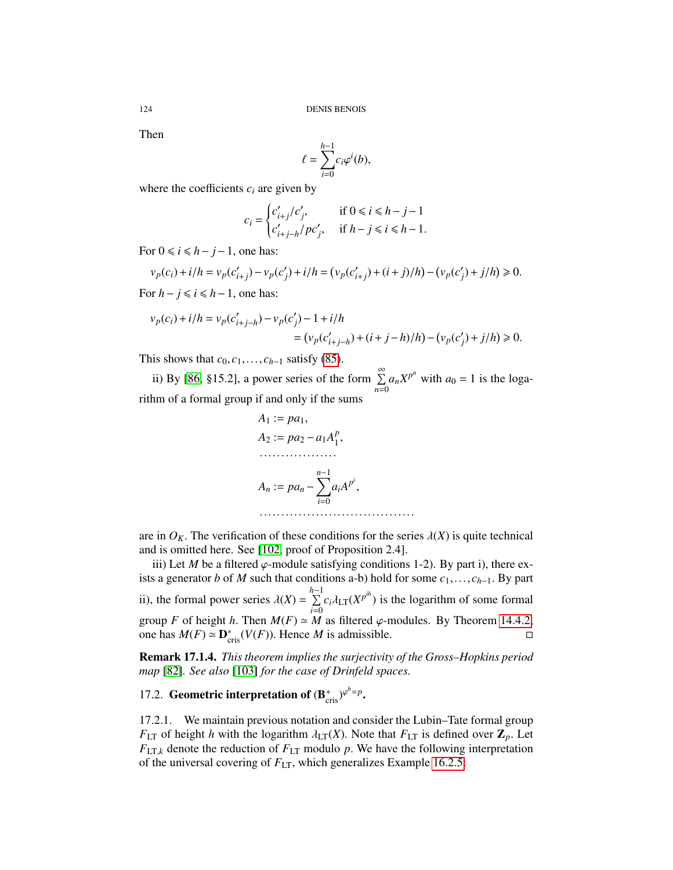Then

$$
\ell = \sum_{i=0}^{h-1} c_i \varphi^i(b),
$$

where the coefficients  $c_i$  are given by

$$
c_i = \begin{cases} c'_{i+j}/c'_j, & \text{if } 0 \le i \le h-j-1\\ c'_{i+j-h}/pc'_j, & \text{if } h-j \le i \le h-1. \end{cases}
$$

For  $0 \le i \le h - j - 1$ , one has:

$$
v_p(c_i) + i/h = v_p(c'_{i+j}) - v_p(c'_j) + i/h = (v_p(c'_{i+j}) + (i+j)/h) - (v_p(c'_j) + j/h) \ge 0.
$$

For  $h - j \leq i \leq h - 1$ , one has:

$$
v_p(c_i) + i/h = v_p(c'_{i+j-h}) - v_p(c'_j) - 1 + i/h
$$
  
=  $(v_p(c'_{i+j-h}) + (i+j-h)/h) - (v_p(c'_j) + j/h) \ge 0.$ 

This shows that  $c_0$ ,  $c_1$ ,...,  $c_{h-1}$  satisfy [\(85\)](#page-122-0).

ii) By [\[86,](#page-128-2) §15.2], a power series of the form  $\sum_{n=1}^{\infty}$  $\sum_{n=0}^{\infty} a_n X^{p^n}$  with  $a_0 = 1$  is the logarithm of a formal group if and only if the sums

$$
A_1 := pa_1,
$$
  
\n
$$
A_2 := pa_2 - a_1 A_1^p,
$$
  
\n........  
\n
$$
A_n := pa_n - \sum_{i=0}^{n-1} a_i A^{p^i},
$$
  
\n........  
\n
$$
...
$$

are in  $O_K$ . The verification of these conditions for the series  $\lambda(X)$  is quite technical and is omitted here. See [\[102,](#page-129-2) proof of Proposition 2.4].

iii) Let *M* be a filtered  $\varphi$ -module satisfying conditions 1-2). By part i), there exists a generator *b* of *M* such that conditions a-b) hold for some  $c_1, \ldots, c_{h-1}$ . By part ii), the formal power series  $\lambda(X) = \sum_{i=0}^{h-1}$  $\sum_{i=0}^{n-1} c_i \lambda_{LT}(X^{p^{ih}})$  is the logarithm of some formal group *F* of height *h*. Then  $M(F) \simeq M$  as filtered  $\varphi$ -modules. By Theorem [14.4.2,](#page-104-0) one has  $M(F) \simeq \mathbf{D}_{\text{min}}^*(V(F))$ . Hence *M* is admissible. one has  $M(F) \simeq \mathbf{D}_{\text{cris}}^*(V(F))$ . Hence *M* is admissible.

Remark 17.1.4. *This theorem implies the surjectivity of the Gross–Hopkins period map* [\[82\]](#page-128-3)*. See also* [\[103\]](#page-129-3) *for the case of Drinfeld spaces.*

# 17.2. Geometric interpretation of  $(B_{\text{cris}}^+)^{\varphi^h=p}$ .

17.2.1. We maintain previous notation and consider the Lubin–Tate formal group *F*<sub>LT</sub> of height *h* with the logarithm  $\lambda_{LT}(X)$ . Note that  $F_{LT}$  is defined over  $\mathbb{Z}_p$ . Let  $F_{LT,k}$  denote the reduction of  $F_{LT}$  modulo p. We have the following interpretation of the universal covering of *<sup>F</sup>*LT, which generalizes Example [16.2.5:](#page-114-4)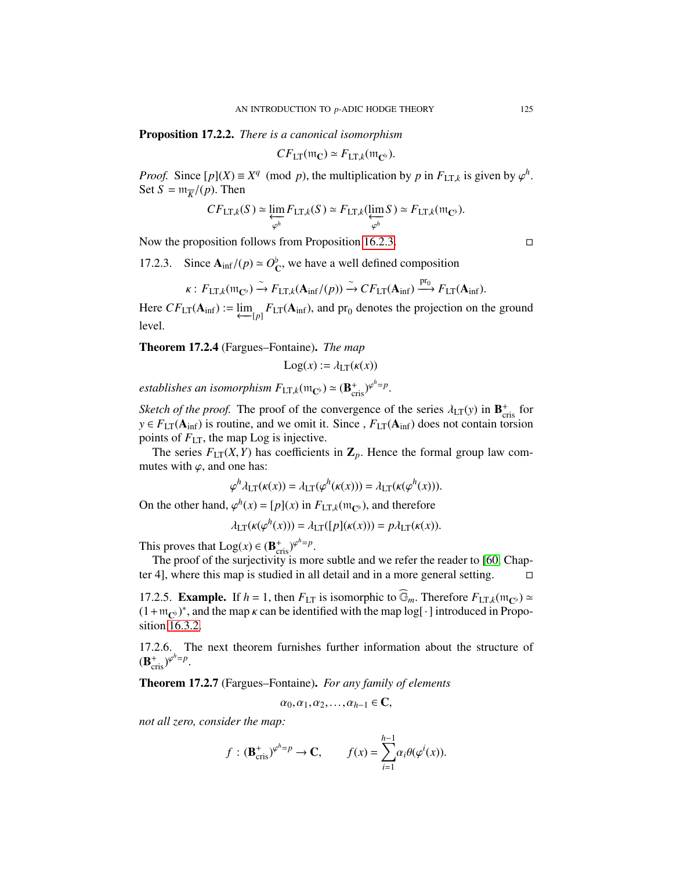Proposition 17.2.2. *There is a canonical isomorphism*

$$
CF_{LT}(\mathfrak{m}_\mathbf{C}) \simeq F_{LT,k}(\mathfrak{m}_{\mathbf{C}^\flat}).
$$

*Proof.* Since  $[p](X) \equiv X^q \pmod{p}$ , the multiplication by *p* in  $F_{LT,k}$  is given by  $\varphi^h$ <br>Set  $S = m - \ell(n)$ . Then Set  $S = \mathfrak{m}_{\overline{K}}/(p)$ . Then

$$
CF_{LT,k}(S) \simeq \varprojlim_{\varphi^h} F_{LT,k}(S) \simeq F_{LT,k}(\varprojlim_{\varphi^h} S) \simeq F_{LT,k}(\mathfrak{m}_{\mathbb{C}^{\flat}}).
$$

Now the proposition follows from Proposition [16.2.3.](#page-113-1)

17.2.3. Since  $A_{\text{inf}}/(p) \approx O_C^p$ , we have a well defined composition

$$
\kappa: F_{\text{LT},k}(\mathfrak{m}_{\mathbf{C}^{\flat}}) \xrightarrow{\sim} F_{\text{LT},k}(\mathbf{A}_{\text{inf}}/(p)) \xrightarrow{\sim} CF_{\text{LT}}(\mathbf{A}_{\text{inf}}) \xrightarrow{\text{pr}_0} F_{\text{LT}}(\mathbf{A}_{\text{inf}}).
$$

Here  $CF_{LT}(\mathbf{A}_{\text{inf}}) := \varprojlim_{[p]} F_{LT}(\mathbf{A}_{\text{inf}})$ , and pr<sub>0</sub> denotes the projection on the ground level.

<span id="page-124-0"></span>Theorem 17.2.4 (Fargues–Fontaine). *The map*

$$
Log(x) := \lambda_{LT}(\kappa(x))
$$

*establishes an isomorphism*  $F_{LT,k}(\mathfrak{m}_{\mathbb{C}^{\flat}}) \simeq (\mathbf{B}^+_{\text{cris}})^{\varphi^h=p}$ 

*Sketch of the proof.* The proof of the convergence of the series  $\lambda_{LT}(y)$  in  $\mathbf{B}_{cris}^{+}$  for  $y \in E_{LT}(\mathbf{A}_{i,c})$  is routine, and we omit it. Since  $E_{LT}(\mathbf{A}_{i,c})$  does not contain torsion  $y \in F_{LT}(A_{inf})$  is routine, and we omit it. Since ,  $F_{LT}(A_{inf})$  does not contain torsion points of *<sup>F</sup>*LT, the map Log is injective.

The series  $F_{LT}(X, Y)$  has coefficients in  $\mathbb{Z}_p$ . Hence the formal group law commutes with  $\varphi$ , and one has:

$$
\varphi^h \lambda_{LT}(\kappa(x)) = \lambda_{LT}(\varphi^h(\kappa(x))) = \lambda_{LT}(\kappa(\varphi^h(x))).
$$

On the other hand,  $\varphi^h(x) = [p](x)$  in  $F_{LT,k}(m_{\mathbb{C}^b})$ , and therefore

$$
\lambda_{LT}(\kappa(\varphi^h(x))) = \lambda_{LT}([p](\kappa(x))) = p\lambda_{LT}(\kappa(x)).
$$

This proves that  $Log(x) \in (\mathbf{B}_{\text{cris}}^{+})^{\varphi^{h}=p}$ 

The proof of the surjectivity is more subtle and we refer the reader to [\[60,](#page-127-2) Chapter 4], where this map is studied in all detail and in a more general setting.

17.2.5. **Example.** If  $h = 1$ , then  $F_{LT}$  is isomorphic to  $\widehat{\mathbb{G}}_m$ . Therefore  $F_{LT,k}(m_{\mathbb{C}^b}) \simeq$  $(1 + m_{\mathbb{C}^{\flat}})^*$ , and the map  $\kappa$  can be identified with the map log[ $\cdot$ ] introduced in Proposition 16.3.2 sition [16.3.2.](#page-114-2)

17.2.6. The next theorem furnishes further information about the structure of  $(\mathbf{B}_{\text{cris}}^+)^{\varphi^h=p}$ 

Theorem 17.2.7 (Fargues–Fontaine). *For any family of elements*

$$
\alpha_0, \alpha_1, \alpha_2, \ldots, \alpha_{h-1} \in \mathbb{C},
$$

*not all zero, consider the map:*

$$
f: (\mathbf{B}_{\text{cris}}^+)^{\varphi^h=p} \to \mathbf{C}, \qquad f(x) = \sum_{i=1}^{h-1} \alpha_i \theta(\varphi^i(x)).
$$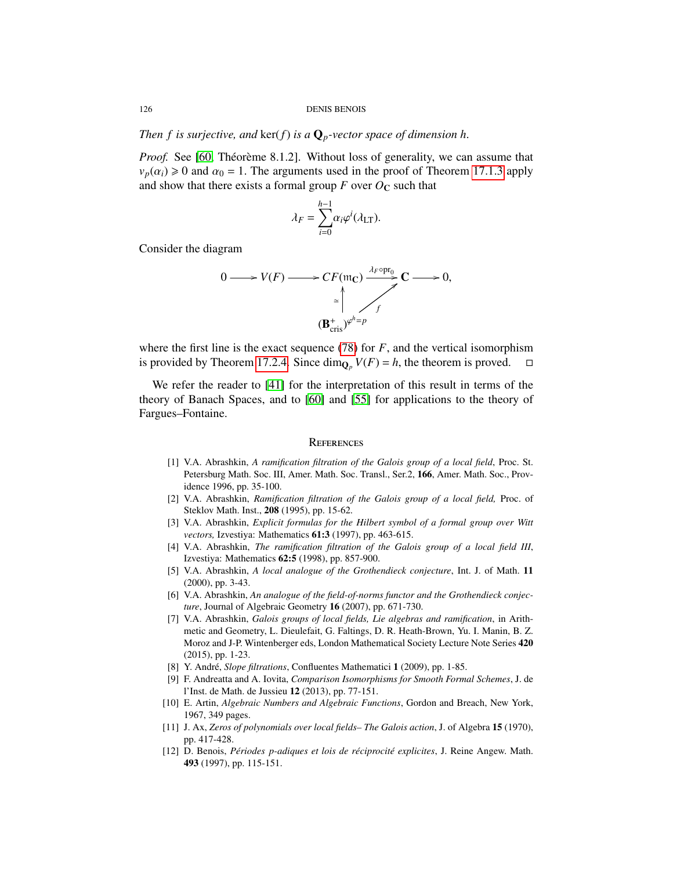*Then f is surjective, and ker(f) is a*  $\mathbf{Q}_p$ -vector space of dimension h.

*Proof.* See [\[60,](#page-127-2) Théorème 8.1.2]. Without loss of generality, we can assume that  $v_p(\alpha_i) \ge 0$  and  $\alpha_0 = 1$ . The arguments used in the proof of Theorem [17.1.3](#page-122-2) apply and show that there exists a formal group  $F$  over  $O_{\mathbb{C}}$  such that

$$
\lambda_F = \sum_{i=0}^{h-1} \alpha_i \varphi^i(\lambda_{\text{LT}}).
$$

Consider the diagram

$$
0 \longrightarrow V(F) \longrightarrow CF(\mathfrak{m}_\mathbb{C}) \xrightarrow{\lambda_F \circ \text{pr}_0} \mathbb{C} \longrightarrow 0,
$$
  

$$
\xrightarrow{\simeq} \int_{f}^{\pm} \mathcal{L} \longrightarrow 0,
$$
  

$$
(\mathbf{B}_{\text{cris}}^+)^{\varphi^h=p}
$$

where the first line is the exact sequence [\(78\)](#page-113-2) for *F*, and the vertical isomorphism is provided by Theorem [17.2.4.](#page-124-0) Since  $\dim_{\mathbf{O}_p} V(F) = h$ , the theorem is proved.

We refer the reader to [\[41\]](#page-127-3) for the interpretation of this result in terms of the theory of Banach Spaces, and to [\[60\]](#page-127-2) and [\[55\]](#page-127-4) for applications to the theory of Fargues–Fontaine.

### **REFERENCES**

- [1] V.A. Abrashkin, *A ramification filtration of the Galois group of a local field*, Proc. St. Petersburg Math. Soc. III, Amer. Math. Soc. Transl., Ser.2, 166, Amer. Math. Soc., Providence 1996, pp. 35-100.
- [2] V.A. Abrashkin, *Ramification filtration of the Galois group of a local field,* Proc. of Steklov Math. Inst., 208 (1995), pp. 15-62.
- <span id="page-125-1"></span>[3] V.A. Abrashkin, *Explicit formulas for the Hilbert symbol of a formal group over Witt vectors,* Izvestiya: Mathematics 61:3 (1997), pp. 463-615.
- [4] V.A. Abrashkin, *The ramification filtration of the Galois group of a local field III*, Izvestiya: Mathematics 62:5 (1998), pp. 857-900.
- [5] V.A. Abrashkin, *A local analogue of the Grothendieck conjecture*, Int. J. of Math. 11 (2000), pp. 3-43.
- [6] V.A. Abrashkin, *An analogue of the field-of-norms functor and the Grothendieck conjecture*, Journal of Algebraic Geometry 16 (2007), pp. 671-730.
- [7] V.A. Abrashkin, *Galois groups of local fields, Lie algebras and ramification*, in Arithmetic and Geometry, L. Dieulefait, G. Faltings, D. R. Heath-Brown, Yu. I. Manin, B. Z. Moroz and J-P. Wintenberger eds, London Mathematical Society Lecture Note Series 420 (2015), pp. 1-23.
- [8] Y. André, *Slope filtrations*, Confluentes Mathematici 1 (2009), pp. 1-85.
- [9] F. Andreatta and A. Iovita, *Comparison Isomorphisms for Smooth Formal Schemes*, J. de l'Inst. de Math. de Jussieu 12 (2013), pp. 77-151.
- [10] E. Artin, *Algebraic Numbers and Algebraic Functions*, Gordon and Breach, New York, 1967, 349 pages.
- [11] J. Ax, *Zeros of polynomials over local fields– The Galois action*, J. of Algebra 15 (1970), pp. 417-428.
- <span id="page-125-0"></span>[12] D. Benois, *Périodes p-adiques et lois de réciprocité explicites*, J. Reine Angew. Math. 493 (1997), pp. 115-151.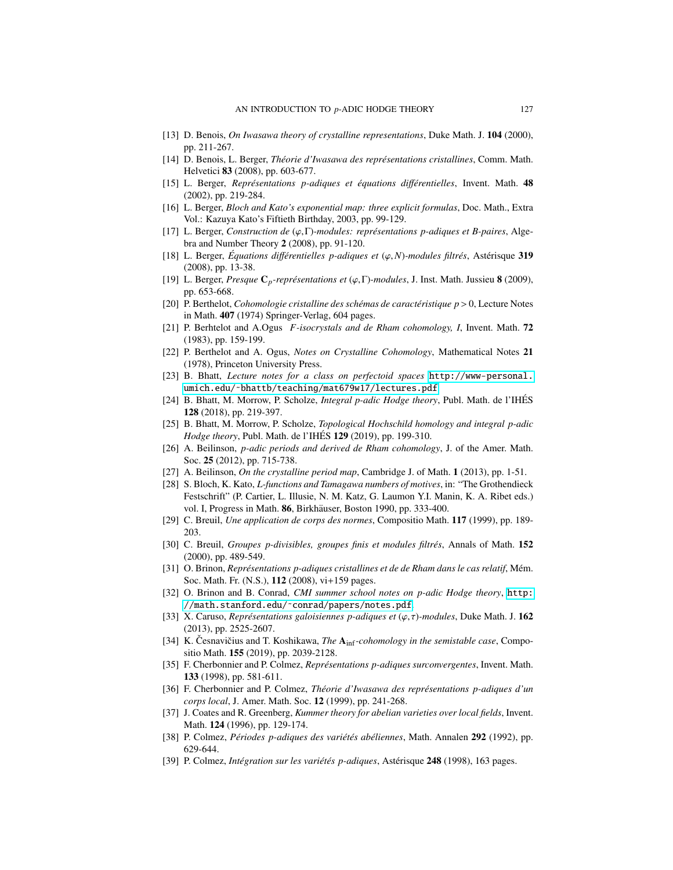- <span id="page-126-1"></span>[13] D. Benois, *On Iwasawa theory of crystalline representations*, Duke Math. J. 104 (2000), pp. 211-267.
- <span id="page-126-2"></span>[14] D. Benois, L. Berger, *Th´eorie d'Iwasawa des repr´esentations cristallines*, Comm. Math. Helvetici 83 (2008), pp. 603-677.
- [15] L. Berger, *Représentations p-adiques et équations différentielles*, Invent. Math. 48 (2002), pp. 219-284.
- <span id="page-126-3"></span>[16] L. Berger, *Bloch and Kato's exponential map: three explicit formulas*, Doc. Math., Extra Vol.: Kazuya Kato's Fiftieth Birthday, 2003, pp. 99-129.
- [17] L. Berger, *Construction de* (ϕ,Γ)*-modules: repr´esentations p-adiques et B-paires*, Algebra and Number Theory 2 (2008), pp. 91-120.
- [18] L. Berger, *Équations différentielles p-adiques et*  $(\varphi, N)$ -modules filtrés, Astérisque 319 (2008), pp. 13-38.
- [19] L. Berger, *Presque* <sup>C</sup>*p-repr´esentations et* (ϕ,Γ)*-modules*, J. Inst. Math. Jussieu <sup>8</sup> (2009), pp. 653-668.
- [20] P. Berthelot, *Cohomologie cristalline des sch´emas de caract´eristique p* > 0, Lecture Notes in Math. 407 (1974) Springer-Verlag, 604 pages.
- [21] P. Berhtelot and A.Ogus *F-isocrystals and de Rham cohomology, I*, Invent. Math. 72 (1983), pp. 159-199.
- [22] P. Berthelot and A. Ogus, *Notes on Crystalline Cohomology*, Mathematical Notes 21 (1978), Princeton University Press.
- [23] B. Bhatt, *Lecture notes for a class on perfectoid spaces* [http://www-personal.](http://www-personal.umich.edu/~bhattb/teaching/mat679w17/lectures.pdf) [umich.edu/˜bhattb/teaching/mat679w17/lectures.pdf](http://www-personal.umich.edu/~bhattb/teaching/mat679w17/lectures.pdf)
- [24] B. Bhatt, M. Morrow, P. Scholze, *Integral p-adic Hodge theory*, Publ. Math. de l'IHES´ 128 (2018), pp. 219-397.
- [25] B. Bhatt, M. Morrow, P. Scholze, *Topological Hochschild homology and integral p-adic Hodge theory*, Publ. Math. de l'IHES **129** (2019), pp. 199-310.
- [26] A. Beilinson, *p-adic periods and derived de Rham cohomology*, J. of the Amer. Math. Soc. 25 (2012), pp. 715-738.
- [27] A. Beilinson, *On the crystalline period map*, Cambridge J. of Math. 1 (2013), pp. 1-51.
- <span id="page-126-0"></span>[28] S. Bloch, K. Kato, *L-functions and Tamagawa numbers of motives*, in: "The Grothendieck Festschrift" (P. Cartier, L. Illusie, N. M. Katz, G. Laumon Y.I. Manin, K. A. Ribet eds.) vol. I, Progress in Math. 86, Birkhäuser, Boston 1990, pp. 333-400.
- [29] C. Breuil, *Une application de corps des normes*, Compositio Math. 117 (1999), pp. 189- 203.
- [30] C. Breuil, *Groupes p-divisibles, groupes finis et modules filtrés*, Annals of Math. 152 (2000), pp. 489-549.
- [31] O. Brinon, *Représentations p-adiques cristallines et de de Rham dans le cas relatif*, Mém. Soc. Math. Fr. (N.S.), 112 (2008), vi+159 pages.
- [32] O. Brinon and B. Conrad, *CMI summer school notes on p-adic Hodge theory*, [http:](http://math.stanford.edu/~conrad/papers/notes.pdf) [//math.stanford.edu/˜conrad/papers/notes.pdf](http://math.stanford.edu/~conrad/papers/notes.pdf).
- [33] X. Caruso, *Représentations galoisiennes p-adiques et*  $(\varphi, \tau)$ *-modules*, Duke Math. J. 162 (2013), pp. 2525-2607.
- [34] K. Cesnavičius and T. Koshikawa, *The* A<sub>inf</sub>-cohomology in the semistable case, Compositio Math. 155 (2019), pp. 2039-2128.
- [35] F. Cherbonnier and P. Colmez, *Représentations p-adiques surconvergentes*, Invent. Math. 133 (1998), pp. 581-611.
- [36] F. Cherbonnier and P. Colmez, *Th´eorie d'Iwasawa des repr´esentations p-adiques d'un corps local*, J. Amer. Math. Soc. 12 (1999), pp. 241-268.
- [37] J. Coates and R. Greenberg, *Kummer theory for abelian varieties over local fields*, Invent. Math. 124 (1996), pp. 129-174.
- [38] P. Colmez, *Périodes p-adiques des variétés abéliennes*, Math. Annalen 292 (1992), pp. 629-644.
- [39] P. Colmez, *Intégration sur les variétés p-adiques*, Astérisque 248 (1998), 163 pages.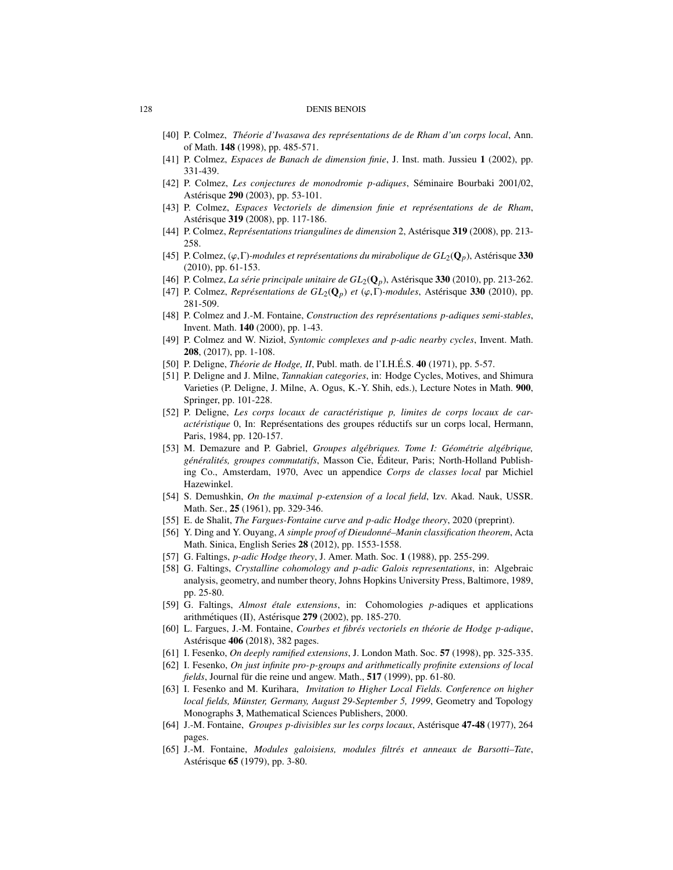- [40] P. Colmez, *Théorie d'Iwasawa des représentations de de Rham d'un corps local*, Ann. of Math. 148 (1998), pp. 485-571.
- <span id="page-127-3"></span>[41] P. Colmez, *Espaces de Banach de dimension finie*, J. Inst. math. Jussieu 1 (2002), pp. 331-439.
- [42] P. Colmez, *Les conjectures de monodromie p-adiques*, Séminaire Bourbaki 2001/02, Astérisque **290** (2003), pp. 53-101.
- [43] P. Colmez, *Espaces Vectoriels de dimension finie et représentations de de Rham*, Astérisque 319 (2008), pp. 117-186.
- [44] P. Colmez, *Représentations triangulines de dimension* 2, Astérisque 319 (2008), pp. 213-258.
- [45] P. Colmez,  $(\varphi, \Gamma)$ -modules et représentations du mirabolique de  $GL_2(\mathbf{Q}_p)$ , Astérisque 330 (2010), pp. 61-153.
- [46] P. Colmez, *La série principale unitaire de*  $GL_2(\mathbf{Q}_p)$ , Astérisque 330 (2010), pp. 213-262.
- [47] P. Colmez, *Représentations de*  $GL_2(\mathbb{Q}_p)$  *et* ( $\varphi, \Gamma$ )*-modules*, Astérisque 330 (2010), pp. 281-509.
- [48] P. Colmez and J.-M. Fontaine, *Construction des représentations p-adiques semi-stables*, Invent. Math. 140 (2000), pp. 1-43.
- [49] P. Colmez and W. Nizioł, *Syntomic complexes and p-adic nearby cycles*, Invent. Math. 208, (2017), pp. 1-108.
- [50] P. Deligne, *Théorie de Hodge, II*, Publ. math. de l'I.H.É.S. **40** (1971), pp. 5-57.
- [51] P. Deligne and J. Milne, *Tannakian categories*, in: Hodge Cycles, Motives, and Shimura Varieties (P. Deligne, J. Milne, A. Ogus, K.-Y. Shih, eds.), Lecture Notes in Math. 900, Springer, pp. 101-228.
- [52] P. Deligne, *Les corps locaux de caractéristique p, limites de corps locaux de caractéristique* 0, In: Représentations des groupes réductifs sur un corps local, Hermann, Paris, 1984, pp. 120-157.
- [53] M. Demazure and P. Gabriel, *Groupes alg´ebriques. Tome I: G´eom´etrie alg´ebrique, g´en´eralit´es, groupes commutatifs*, Masson Cie, Editeur, Paris; North-Holland Publish- ´ ing Co., Amsterdam, 1970, Avec un appendice *Corps de classes local* par Michiel Hazewinkel.
- [54] S. Demushkin, *On the maximal p-extension of a local field*, Izv. Akad. Nauk, USSR. Math. Ser., 25 (1961), pp. 329-346.
- <span id="page-127-4"></span>[55] E. de Shalit, *The Fargues-Fontaine curve and p-adic Hodge theory*, 2020 (preprint).
- [56] Y. Ding and Y. Ouyang, *A simple proof of Dieudonné–Manin classification theorem*, Acta Math. Sinica, English Series 28 (2012), pp. 1553-1558.
- [57] G. Faltings, *p-adic Hodge theory*, J. Amer. Math. Soc. 1 (1988), pp. 255-299.
- [58] G. Faltings, *Crystalline cohomology and p-adic Galois representations*, in: Algebraic analysis, geometry, and number theory, Johns Hopkins University Press, Baltimore, 1989, pp. 25-80.
- [59] G. Faltings, *Almost ´etale extensions*, in: Cohomologies *p*-adiques et applications arithmétiques (II), Astérisque 279 (2002), pp. 185-270.
- <span id="page-127-2"></span>[60] L. Fargues, J.-M. Fontaine, *Courbes et fibrés vectoriels en théorie de Hodge p-adique*, Astérisque **406** (2018), 382 pages.
- [61] I. Fesenko, *On deeply ramified extensions*, J. London Math. Soc. 57 (1998), pp. 325-335.
- [62] I. Fesenko, *On just infinite pro-p-groups and arithmetically profinite extensions of local fields*, Journal für die reine und angew. Math., 517 (1999), pp. 61-80.
- [63] I. Fesenko and M. Kurihara, *Invitation to Higher Local Fields. Conference on higher* local fields, Münster, Germany, August 29-September 5, 1999, Geometry and Topology Monographs 3, Mathematical Sciences Publishers, 2000.
- <span id="page-127-0"></span>[64] J.-M. Fontaine, *Groupes p-divisibles sur les corps locaux*, Astérisque **47-48** (1977), 264 pages.
- [65] J.-M. Fontaine, *Modules galoisiens, modules filtrés et anneaux de Barsotti-Tate*, Astérisque **65** (1979), pp. 3-80.

<span id="page-127-1"></span>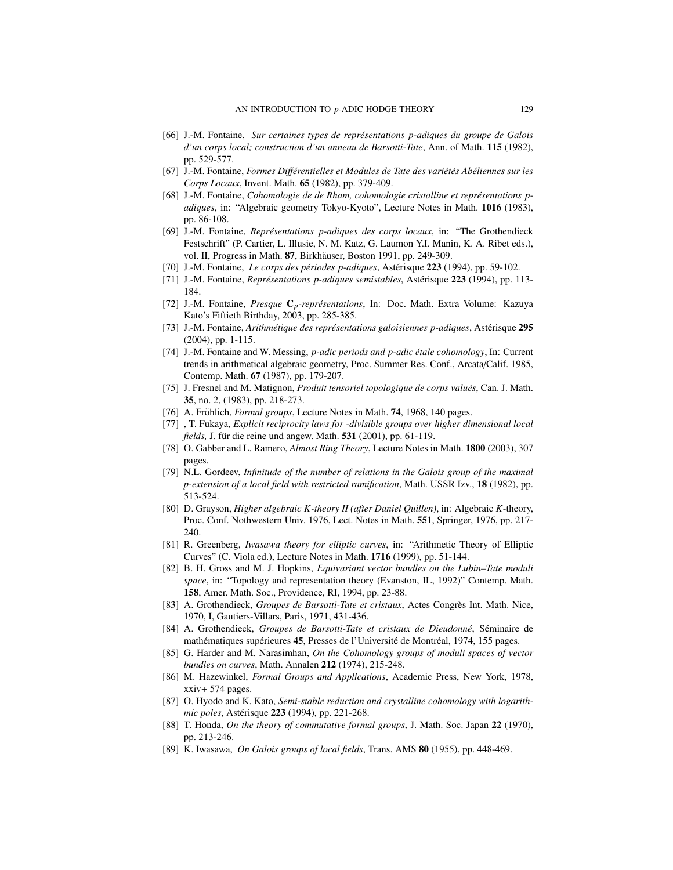- [66] J.-M. Fontaine, *Sur certaines types de repr´esentations p-adiques du groupe de Galois d'un corps local; construction d'un anneau de Barsotti-Tate*, Ann. of Math. 115 (1982), pp. 529-577.
- [67] J.-M. Fontaine, *Formes Différentielles et Modules de Tate des variétés Abéliennes sur les Corps Locaux*, Invent. Math. 65 (1982), pp. 379-409.
- [68] J.-M. Fontaine, *Cohomologie de de Rham, cohomologie cristalline et représentations padiques*, in: "Algebraic geometry Tokyo-Kyoto", Lecture Notes in Math. 1016 (1983), pp. 86-108.
- [69] J.-M. Fontaine, *Représentations p-adiques des corps locaux*, in: "The Grothendieck Festschrift" (P. Cartier, L. Illusie, N. M. Katz, G. Laumon Y.I. Manin, K. A. Ribet eds.), vol. II, Progress in Math. 87, Birkhäuser, Boston 1991, pp. 249-309.
- [70] J.-M. Fontaine, *Le corps des périodes p-adiques*, Astérisque 223 (1994), pp. 59-102.
- [71] J.-M. Fontaine, *Représentations p-adiques semistables*, Astérisque 223 (1994), pp. 113-184.
- [72] J.-M. Fontaine, *Presque* C<sub>p</sub>-représentations, In: Doc. Math. Extra Volume: Kazuya Kato's Fiftieth Birthday, 2003, pp. 285-385.
- [73] J.-M. Fontaine, *Arithmétique des représentations galoisiennes p-adiques*, Astérisque 295 (2004), pp. 1-115.
- [74] J.-M. Fontaine and W. Messing, *p-adic periods and p-adic étale cohomology*, In: Current trends in arithmetical algebraic geometry, Proc. Summer Res. Conf., Arcata/Calif. 1985, Contemp. Math. 67 (1987), pp. 179-207.
- [75] J. Fresnel and M. Matignon, *Produit tensoriel topologique de corps valu´es*, Can. J. Math. 35, no. 2, (1983), pp. 218-273.
- [76] A. Fröhlich, *Formal groups*, Lecture Notes in Math. 74, 1968, 140 pages.
- <span id="page-128-1"></span>[77] , T. Fukaya, *Explicit reciprocity laws for -divisible groups over higher dimensional local fields*, J. für die reine und angew. Math. **531** (2001), pp. 61-119.
- [78] O. Gabber and L. Ramero, *Almost Ring Theory*, Lecture Notes in Math. 1800 (2003), 307 pages.
- [79] N.L. Gordeev, *Infinitude of the number of relations in the Galois group of the maximal p-extension of a local field with restricted ramification*, Math. USSR Izv., 18 (1982), pp. 513-524.
- [80] D. Grayson, *Higher algebraic K-theory II (after Daniel Quillen)*, in: Algebraic *K*-theory, Proc. Conf. Nothwestern Univ. 1976, Lect. Notes in Math. 551, Springer, 1976, pp. 217- 240.
- <span id="page-128-0"></span>[81] R. Greenberg, *Iwasawa theory for elliptic curves*, in: "Arithmetic Theory of Elliptic Curves" (C. Viola ed.), Lecture Notes in Math. 1716 (1999), pp. 51-144.
- <span id="page-128-3"></span>[82] B. H. Gross and M. J. Hopkins, *Equivariant vector bundles on the Lubin–Tate moduli space*, in: "Topology and representation theory (Evanston, IL, 1992)" Contemp. Math. 158, Amer. Math. Soc., Providence, RI, 1994, pp. 23-88.
- [83] A. Grothendieck, *Groupes de Barsotti-Tate et cristaux*, Actes Congres Int. Math. Nice, ` 1970, I, Gautiers-Villars, Paris, 1971, 431-436.
- [84] A. Grothendieck, Groupes de Barsotti-Tate et cristaux de Dieudonné, Séminaire de mathématiques supérieures 45, Presses de l'Université de Montréal, 1974, 155 pages.
- [85] G. Harder and M. Narasimhan, *On the Cohomology groups of moduli spaces of vector bundles on curves*, Math. Annalen 212 (1974), 215-248.
- <span id="page-128-2"></span>[86] M. Hazewinkel, *Formal Groups and Applications*, Academic Press, New York, 1978, xxiv+ 574 pages.
- [87] O. Hyodo and K. Kato, *Semi-stable reduction and crystalline cohomology with logarithmic poles*, Astérisque 223 (1994), pp. 221-268.
- [88] T. Honda, *On the theory of commutative formal groups*, J. Math. Soc. Japan 22 (1970), pp. 213-246.
- [89] K. Iwasawa, *On Galois groups of local fields*, Trans. AMS 80 (1955), pp. 448-469.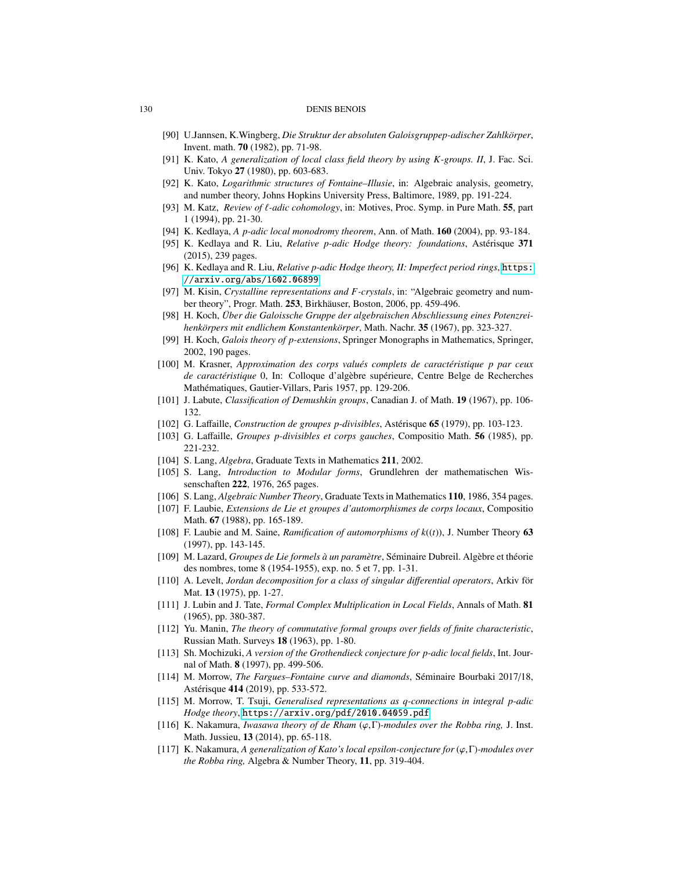- [90] U.Jannsen, K.Wingberg, *Die Struktur der absoluten Galoisgruppep-adischer Zahlk¨orper*, Invent. math. 70 (1982), pp. 71-98.
- [91] K. Kato, *A generalization of local class field theory by using K-groups. II*, J. Fac. Sci. Univ. Tokyo 27 (1980), pp. 603-683.
- [92] K. Kato, *Logarithmic structures of Fontaine–Illusie*, in: Algebraic analysis, geometry, and number theory, Johns Hopkins University Press, Baltimore, 1989, pp. 191-224.
- [93] M. Katz, *Review of*  $\ell$ *-adic cohomology*, in: Motives, Proc. Symp. in Pure Math. **55**, part 1 (1994), pp. 21-30.
- [94] K. Kedlaya, *A p-adic local monodromy theorem*, Ann. of Math. 160 (2004), pp. 93-184.
- [95] K. Kedlaya and R. Liu, *Relative p-adic Hodge theory: foundations*, Asterisque 371 (2015), 239 pages.
- [96] K. Kedlaya and R. Liu, *Relative p-adic Hodge theory, II: Imperfect period rings*, [https:](https://arxiv.org/abs/1602.06899) [//arxiv.org/abs/1602.06899](https://arxiv.org/abs/1602.06899)
- [97] M. Kisin, *Crystalline representations and F-crystals*, in: "Algebraic geometry and number theory", Progr. Math. 253, Birkhäuser, Boston, 2006, pp. 459-496.
- [98] H. Koch, *Uber die Galoissche Gruppe der algebraischen Abschliessung eines Potenzrei- ¨ henk¨orpers mit endlichem Konstantenk¨orper*, Math. Nachr. 35 (1967), pp. 323-327.
- [99] H. Koch, *Galois theory of p-extensions*, Springer Monographs in Mathematics, Springer, 2002, 190 pages.
- [100] M. Krasner, *Approximation des corps valu´es complets de caract´eristique p par ceux de caractéristique* 0, In: Colloque d'algèbre supérieure, Centre Belge de Recherches Mathématiques, Gautier-Villars, Paris 1957, pp. 129-206.
- [101] J. Labute, *Classification of Demushkin groups*, Canadian J. of Math. 19 (1967), pp. 106- 132.
- <span id="page-129-2"></span>[102] G. Laffaille, *Construction de groupes p-divisibles*, Astérisque **65** (1979), pp. 103-123.
- <span id="page-129-3"></span>[103] G. Laffaille, *Groupes p-divisibles et corps gauches*, Compositio Math. 56 (1985), pp. 221-232.
- [104] S. Lang, *Algebra*, Graduate Texts in Mathematics 211, 2002.
- [105] S. Lang, *Introduction to Modular forms*, Grundlehren der mathematischen Wissenschaften 222, 1976, 265 pages.
- [106] S. Lang, *Algebraic Number Theory*, Graduate Texts in Mathematics 110, 1986, 354 pages.
- [107] F. Laubie, *Extensions de Lie et groupes d'automorphismes de corps locaux*, Compositio Math. 67 (1988), pp. 165-189.
- [108] F. Laubie and M. Saine, *Ramification of automorphisms of k*((*t*)), J. Number Theory 63 (1997), pp. 143-145.
- [109] M. Lazard, *Groupes de Lie formels à un paramètre*, Séminaire Dubreil. Algèbre et théorie des nombres, tome 8 (1954-1955), exp. no. 5 et 7, pp. 1-31.
- [110] A. Levelt, *Jordan decomposition for a class of singular di*ff*erential operators*, Arkiv for¨ Mat. 13 (1975), pp. 1-27.
- [111] J. Lubin and J. Tate, *Formal Complex Multiplication in Local Fields*, Annals of Math. 81 (1965), pp. 380-387.
- [112] Yu. Manin, *The theory of commutative formal groups over fields of finite characteristic*, Russian Math. Surveys 18 (1963), pp. 1-80.
- [113] Sh. Mochizuki, *A version of the Grothendieck conjecture for p-adic local fields*, Int. Journal of Math. 8 (1997), pp. 499-506.
- [114] M. Morrow, *The Fargues–Fontaine curve and diamonds*, Séminaire Bourbaki 2017/18, Astérisque 414 (2019), pp. 533-572.
- [115] M. Morrow, T. Tsuji, *Generalised representations as q-connections in integral p-adic Hodge theory*, <https://arxiv.org/pdf/2010.04059.pdf>
- <span id="page-129-0"></span>[116] K. Nakamura, *Iwasawa theory of de Rham* (ϕ,Γ)*-modules over the Robba ring,* J. Inst. Math. Jussieu, 13 (2014), pp. 65-118.
- <span id="page-129-1"></span>[117] K. Nakamura, *A generalization of Kato's local epsilon-conjecture for* (ϕ,Γ)*-modules over the Robba ring,* Algebra & Number Theory, 11, pp. 319-404.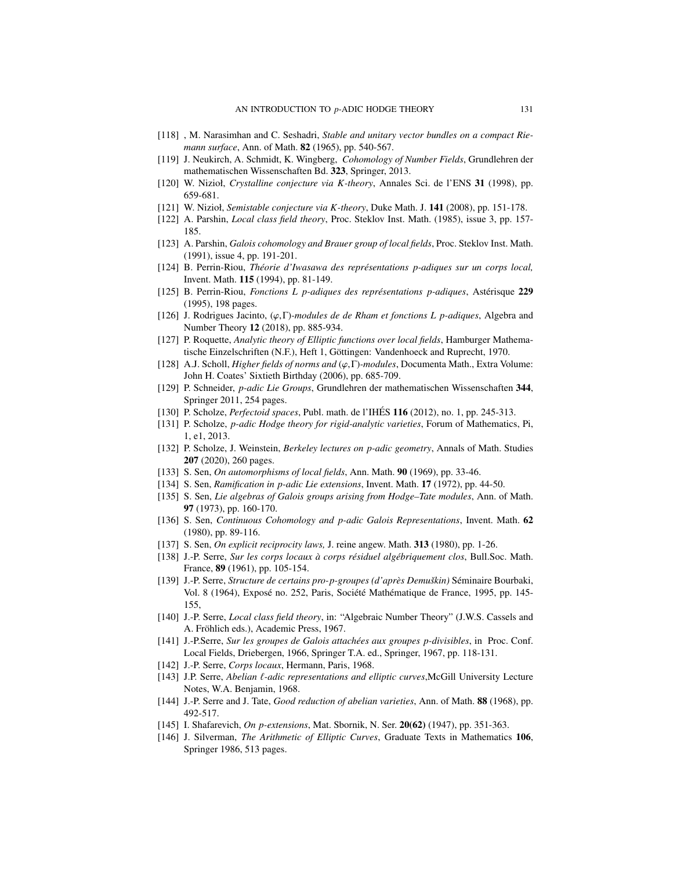- [118] , M. Narasimhan and C. Seshadri, *Stable and unitary vector bundles on a compact Riemann surface*, Ann. of Math. 82 (1965), pp. 540-567.
- [119] J. Neukirch, A. Schmidt, K. Wingberg, *Cohomology of Number Fields*, Grundlehren der mathematischen Wissenschaften Bd. 323, Springer, 2013.
- [120] W. Nizioł, *Crystalline conjecture via K-theory*, Annales Sci. de l'ENS 31 (1998), pp. 659-681.
- [121] W. Nizioł, *Semistable conjecture via K-theory*, Duke Math. J. 141 (2008), pp. 151-178.
- [122] A. Parshin, *Local class field theory*, Proc. Steklov Inst. Math. (1985), issue 3, pp. 157- 185.
- [123] A. Parshin, *Galois cohomology and Brauer group of local fields*, Proc. Steklov Inst. Math. (1991), issue 4, pp. 191-201.
- <span id="page-130-7"></span>[124] B. Perrin-Riou, *Théorie d'Iwasawa des représentations p-adiques sur un corps local*, Invent. Math. 115 (1994), pp. 81-149.
- <span id="page-130-6"></span>[125] B. Perrin-Riou, *Fonctions L p-adiques des représentations p-adiques*, Astérisque 229 (1995), 198 pages.
- [126] J. Rodrigues Jacinto, (ϕ,Γ)*-modules de de Rham et fonctions L p-adiques*, Algebra and Number Theory 12 (2018), pp. 885-934.
- [127] P. Roquette, *Analytic theory of Elliptic functions over local fields*, Hamburger Mathematische Einzelschriften (N.F.), Heft 1, Göttingen: Vandenhoeck and Ruprecht, 1970.
- [128] A.J. Scholl, *Higher fields of norms and* (ϕ,Γ)*-modules*, Documenta Math., Extra Volume: John H. Coates' Sixtieth Birthday (2006), pp. 685-709.
- <span id="page-130-3"></span>[129] P. Schneider, *p-adic Lie Groups*, Grundlehren der mathematischen Wissenschaften 344, Springer 2011, 254 pages.
- [130] P. Scholze, *Perfectoid spaces*, Publ. math. de l'IHES´ 116 (2012), no. 1, pp. 245-313.
- [131] P. Scholze, *p-adic Hodge theory for rigid-analytic varieties*, Forum of Mathematics, Pi, 1, e1, 2013.
- [132] P. Scholze, J. Weinstein, *Berkeley lectures on p-adic geometry*, Annals of Math. Studies 207 (2020), 260 pages.
- [133] S. Sen, *On automorphisms of local fields*, Ann. Math. 90 (1969), pp. 33-46.
- [134] S. Sen, *Ramification in p-adic Lie extensions*, Invent. Math. 17 (1972), pp. 44-50.
- [135] S. Sen, *Lie algebras of Galois groups arising from Hodge–Tate modules*, Ann. of Math. 97 (1973), pp. 160-170.
- [136] S. Sen, *Continuous Cohomology and p-adic Galois Representations*, Invent. Math. 62 (1980), pp. 89-116.
- <span id="page-130-5"></span>[137] S. Sen, *On explicit reciprocity laws,* J. reine angew. Math. 313 (1980), pp. 1-26.
- [138] J.-P. Serre, *Sur les corps locaux à corps résiduel algébriquement clos*, Bull.Soc. Math. France, 89 (1961), pp. 105-154.
- [139] J.-P. Serre, *Structure de certains pro-p-groupes (d'après Demuškin)* Séminaire Bourbaki, Vol. 8 (1964), Exposé no. 252, Paris, Société Mathématique de France, 1995, pp. 145-155,
- <span id="page-130-0"></span>[140] J.-P. Serre, *Local class field theory*, in: "Algebraic Number Theory" (J.W.S. Cassels and A. Fröhlich eds.), Academic Press, 1967.
- [141] J.-P.Serre, *Sur les groupes de Galois attach´ees aux groupes p-divisibles*, in Proc. Conf. Local Fields, Driebergen, 1966, Springer T.A. ed., Springer, 1967, pp. 118-131.
- <span id="page-130-4"></span>[142] J.-P. Serre, *Corps locaux*, Hermann, Paris, 1968.
- <span id="page-130-1"></span>[143] J.P. Serre, *Abelian* `*-adic representations and elliptic curves*,McGill University Lecture Notes, W.A. Benjamin, 1968.
- <span id="page-130-2"></span>[144] J.-P. Serre and J. Tate, *Good reduction of abelian varieties*, Ann. of Math. 88 (1968), pp. 492-517.
- [145] I. Shafarevich, *On p-extensions*, Mat. Sbornik, N. Ser. 20(62) (1947), pp. 351-363.
- [146] J. Silverman, *The Arithmetic of Elliptic Curves*, Graduate Texts in Mathematics 106, Springer 1986, 513 pages.